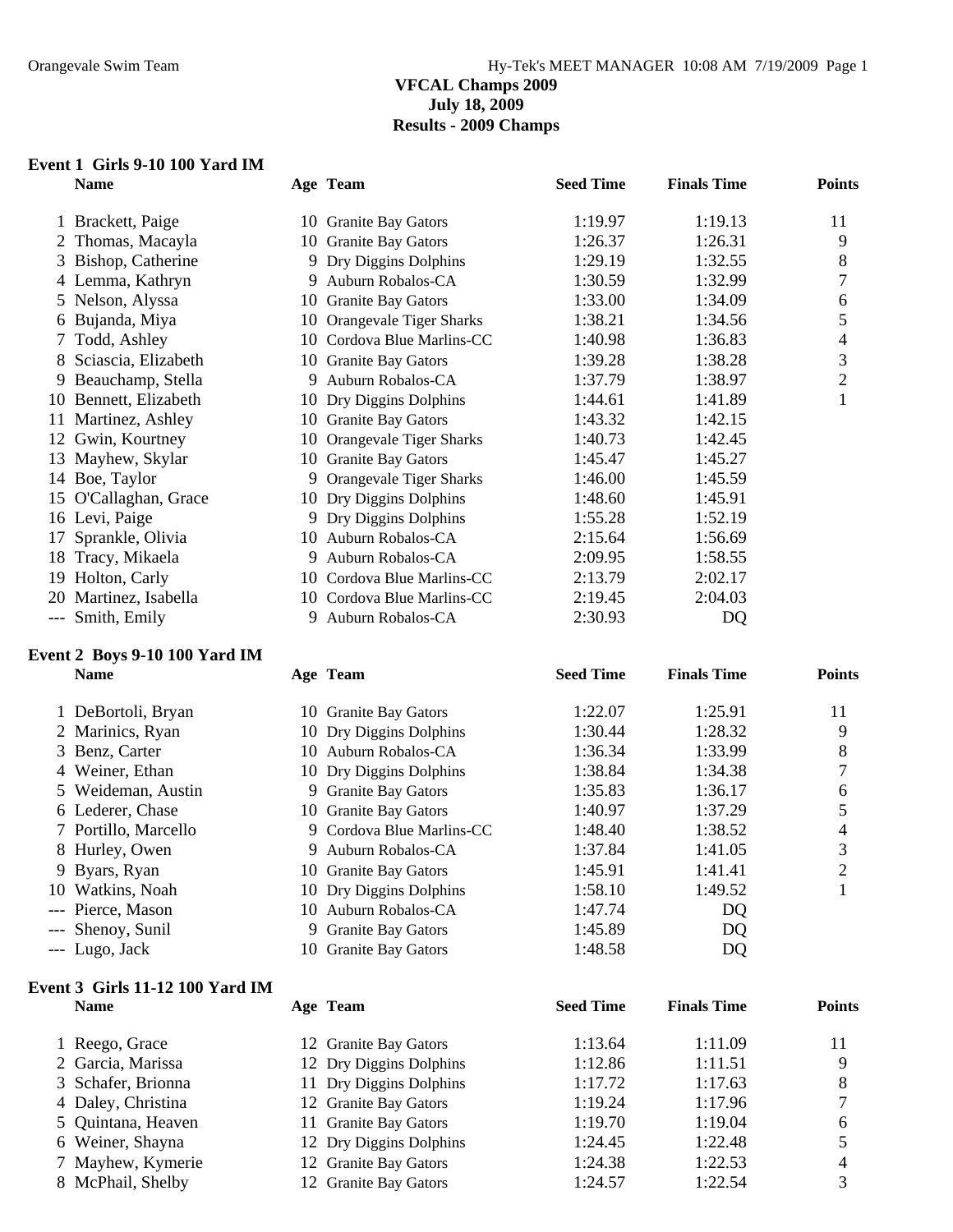#### **VFCAL Champs 2009 July 18, 2009 Results - 2009 Champs**

# **Event 1 Girls 9-10 100 Yard IM**

| <b>Name</b>           |    | Age Team                   | <b>Seed Time</b> | <b>Finals Time</b> | <b>Points</b>  |
|-----------------------|----|----------------------------|------------------|--------------------|----------------|
| 1 Brackett, Paige     |    | 10 Granite Bay Gators      | 1:19.97          | 1:19.13            | 11             |
| 2 Thomas, Macayla     |    | 10 Granite Bay Gators      | 1:26.37          | 1:26.31            | 9              |
| 3 Bishop, Catherine   |    | 9 Dry Diggins Dolphins     | 1:29.19          | 1:32.55            | 8              |
| 4 Lemma, Kathryn      |    | 9 Auburn Robalos-CA        | 1:30.59          | 1:32.99            |                |
| 5 Nelson, Alyssa      |    | 10 Granite Bay Gators      | 1:33.00          | 1:34.09            | 6              |
| 6 Bujanda, Miya       |    | 10 Orangevale Tiger Sharks | 1:38.21          | 1:34.56            | 5              |
| 7 Todd, Ashley        |    | 10 Cordova Blue Marlins-CC | 1:40.98          | 1:36.83            | 4              |
| 8 Sciascia, Elizabeth |    | 10 Granite Bay Gators      | 1:39.28          | 1:38.28            | 3              |
| 9 Beauchamp, Stella   |    | 9 Auburn Robalos-CA        | 1:37.79          | 1:38.97            | $\overline{2}$ |
| 10 Bennett, Elizabeth |    | 10 Dry Diggins Dolphins    | 1:44.61          | 1:41.89            |                |
| 11 Martinez, Ashley   |    | 10 Granite Bay Gators      | 1:43.32          | 1:42.15            |                |
| 12 Gwin, Kourtney     |    | 10 Orangevale Tiger Sharks | 1:40.73          | 1:42.45            |                |
| 13 Mayhew, Skylar     |    | 10 Granite Bay Gators      | 1:45.47          | 1:45.27            |                |
| 14 Boe, Taylor        |    | 9 Orangevale Tiger Sharks  | 1:46.00          | 1:45.59            |                |
| 15 O'Callaghan, Grace |    | 10 Dry Diggins Dolphins    | 1:48.60          | 1:45.91            |                |
| 16 Levi, Paige        |    | 9 Dry Diggins Dolphins     | 1:55.28          | 1:52.19            |                |
| 17 Sprankle, Olivia   |    | 10 Auburn Robalos-CA       | 2:15.64          | 1:56.69            |                |
| 18 Tracy, Mikaela     | 9. | Auburn Robalos-CA          | 2:09.95          | 1:58.55            |                |
| 19 Holton, Carly      |    | 10 Cordova Blue Marlins-CC | 2:13.79          | 2:02.17            |                |
| 20 Martinez, Isabella |    | 10 Cordova Blue Marlins-CC | 2:19.45          | 2:04.03            |                |
| --- Smith, Emily      | 9  | Auburn Robalos-CA          | 2:30.93          | DQ                 |                |
|                       |    |                            |                  |                    |                |

#### **Event 2 Boys 9-10 100 Yard IM Name Age Team Seed Time Finals Time Points**

| 1 DeBortoli, Bryan   |    | 10 Granite Bay Gators     | 1:22.07 | 1:25.91 | 11 |
|----------------------|----|---------------------------|---------|---------|----|
| 2 Marinics, Ryan     |    | 10 Dry Diggins Dolphins   | 1:30.44 | 1:28.32 | 9  |
| 3 Benz, Carter       |    | 10 Auburn Robalos-CA      | 1:36.34 | 1:33.99 | 8  |
| 4 Weiner, Ethan      |    | 10 Dry Diggins Dolphins   | 1:38.84 | 1:34.38 | 7  |
| 5 Weideman, Austin   |    | 9 Granite Bay Gators      | 1:35.83 | 1:36.17 | 6  |
| 6 Lederer, Chase     |    | 10 Granite Bay Gators     | 1:40.97 | 1:37.29 |    |
| 7 Portillo, Marcello |    | 9 Cordova Blue Marlins-CC | 1:48.40 | 1:38.52 | 4  |
| 8 Hurley, Owen       | 9. | Auburn Robalos-CA         | 1:37.84 | 1:41.05 | 3  |
| 9 Byars, Ryan        |    | 10 Granite Bay Gators     | 1:45.91 | 1:41.41 | 2  |
| 10 Watkins, Noah     |    | 10 Dry Diggins Dolphins   | 1:58.10 | 1:49.52 |    |
| --- Pierce, Mason    |    | 10 Auburn Robalos-CA      | 1:47.74 | DQ      |    |
| --- Shenoy, Sunil    | 9. | <b>Granite Bay Gators</b> | 1:45.89 | DQ      |    |
| --- Lugo, Jack       |    | 10 Granite Bay Gators     | 1:48.58 | DQ      |    |

# **Event 3 Girls 11-12 100 Yard IM**

| <b>Name</b>        | Age Team                | <b>Seed Time</b> | <b>Finals Time</b> | <b>Points</b> |
|--------------------|-------------------------|------------------|--------------------|---------------|
| 1 Reego, Grace     | 12 Granite Bay Gators   | 1:13.64          | 1:11.09            | 11            |
| 2 Garcia, Marissa  | 12 Dry Diggins Dolphins | 1:12.86          | 1:11.51            |               |
| 3 Schafer, Brionna | 11 Dry Diggins Dolphins | 1:17.72          | 1:17.63            |               |
| 4 Daley, Christina | 12 Granite Bay Gators   | 1:19.24          | 1:17.96            |               |
| 5 Quintana, Heaven | 11 Granite Bay Gators   | 1:19.70          | 1:19.04            | 6             |
| 6 Weiner, Shayna   | 12 Dry Diggins Dolphins | 1:24.45          | 1:22.48            |               |
| 7 Mayhew, Kymerie  | 12 Granite Bay Gators   | 1:24.38          | 1:22.53            | 4             |
| 8 McPhail, Shelby  | 12 Granite Bay Gators   | 1:24.57          | 1:22.54            |               |
|                    |                         |                  |                    |               |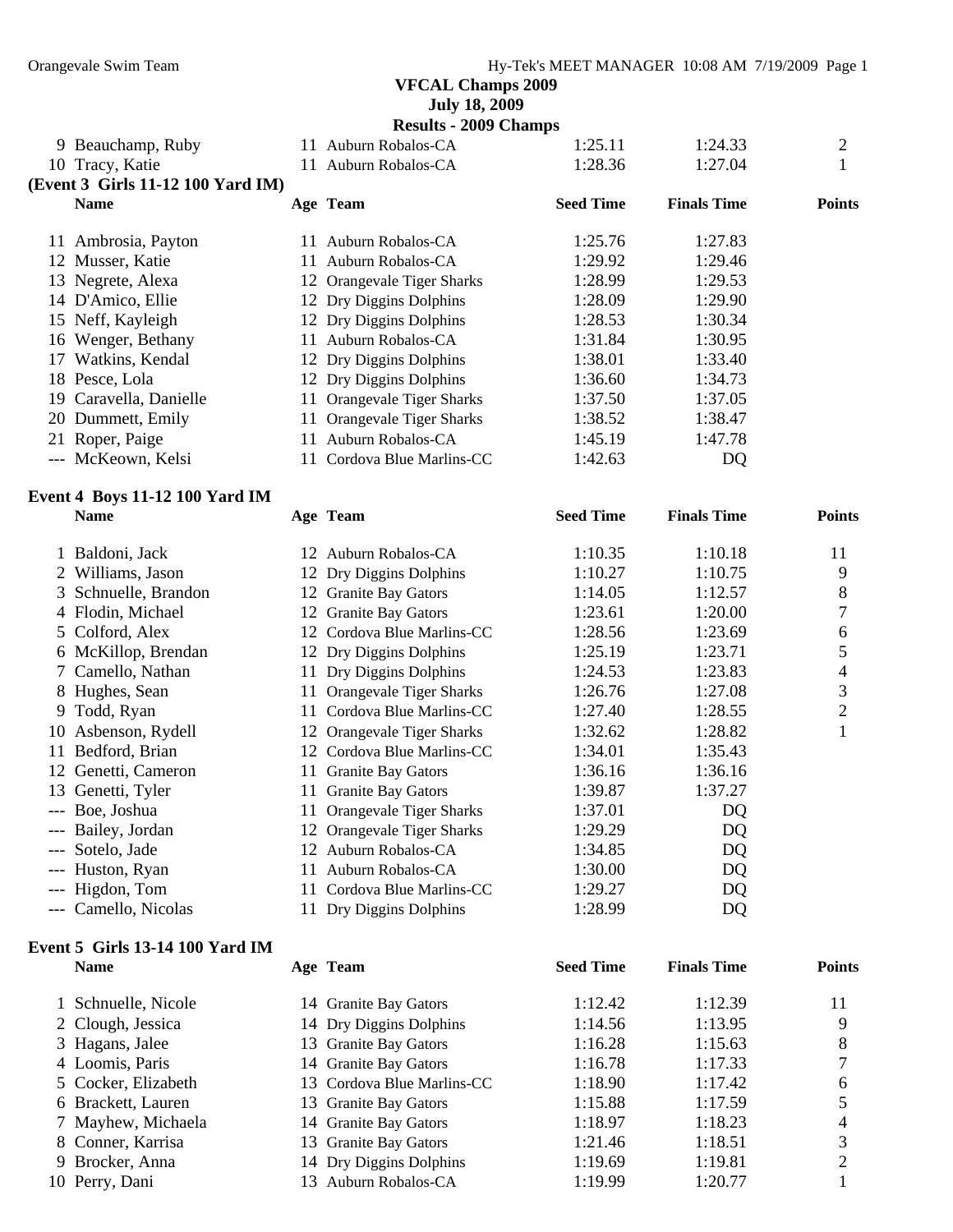**July 18, 2009** 

|  |  | <b>Results - 2009 Champs</b> |
|--|--|------------------------------|
|--|--|------------------------------|

|     | 9 Beauchamp, Ruby                 | 11 Auburn Robalos-CA       | 1:25.11          | 1:24.33            | $\overline{c}$ |
|-----|-----------------------------------|----------------------------|------------------|--------------------|----------------|
|     | 10 Tracy, Katie                   | 11 Auburn Robalos-CA       | 1:28.36          | 1:27.04            | 1              |
|     | (Event 3 Girls 11-12 100 Yard IM) |                            |                  |                    |                |
|     | <b>Name</b>                       | Age Team                   | <b>Seed Time</b> | <b>Finals Time</b> | <b>Points</b>  |
|     | 11 Ambrosia, Payton               | 11 Auburn Robalos-CA       | 1:25.76          | 1:27.83            |                |
|     | 12 Musser, Katie                  | 11 Auburn Robalos-CA       | 1:29.92          | 1:29.46            |                |
|     | 13 Negrete, Alexa                 | 12 Orangevale Tiger Sharks | 1:28.99          | 1:29.53            |                |
|     | 14 D'Amico, Ellie                 | 12 Dry Diggins Dolphins    | 1:28.09          | 1:29.90            |                |
|     | 15 Neff, Kayleigh                 | 12 Dry Diggins Dolphins    | 1:28.53          | 1:30.34            |                |
|     | 16 Wenger, Bethany                | 11 Auburn Robalos-CA       | 1:31.84          | 1:30.95            |                |
|     | 17 Watkins, Kendal                | 12 Dry Diggins Dolphins    | 1:38.01          | 1:33.40            |                |
|     | 18 Pesce, Lola                    |                            | 1:36.60          | 1:34.73            |                |
|     |                                   | 12 Dry Diggins Dolphins    |                  | 1:37.05            |                |
|     | 19 Caravella, Danielle            | 11 Orangevale Tiger Sharks | 1:37.50          |                    |                |
|     | 20 Dummett, Emily                 | 11 Orangevale Tiger Sharks | 1:38.52          | 1:38.47            |                |
|     | 21 Roper, Paige                   | 11 Auburn Robalos-CA       | 1:45.19          | 1:47.78            |                |
|     | --- McKeown, Kelsi                | 11 Cordova Blue Marlins-CC | 1:42.63          | DQ                 |                |
|     | Event 4 Boys 11-12 100 Yard IM    |                            |                  |                    |                |
|     | <b>Name</b>                       | Age Team                   | <b>Seed Time</b> | <b>Finals Time</b> | <b>Points</b>  |
|     | 1 Baldoni, Jack                   | 12 Auburn Robalos-CA       | 1:10.35          | 1:10.18            | 11             |
|     | 2 Williams, Jason                 | 12 Dry Diggins Dolphins    | 1:10.27          | 1:10.75            | 9              |
|     | 3 Schnuelle, Brandon              | 12 Granite Bay Gators      | 1:14.05          | 1:12.57            | 8              |
|     | 4 Flodin, Michael                 | 12 Granite Bay Gators      | 1:23.61          | 1:20.00            | 7              |
|     | 5 Colford, Alex                   | 12 Cordova Blue Marlins-CC | 1:28.56          | 1:23.69            | $\sqrt{6}$     |
|     | 6 McKillop, Brendan               | 12 Dry Diggins Dolphins    | 1:25.19          | 1:23.71            | 5              |
|     | 7 Camello, Nathan                 | 11 Dry Diggins Dolphins    | 1:24.53          | 1:23.83            | $\overline{4}$ |
|     | 8 Hughes, Sean                    | 11 Orangevale Tiger Sharks | 1:26.76          | 1:27.08            | $\mathfrak{Z}$ |
| 9   | Todd, Ryan                        | 11 Cordova Blue Marlins-CC | 1:27.40          | 1:28.55            | $\mathbf{2}$   |
|     | 10 Asbenson, Rydell               | 12 Orangevale Tiger Sharks | 1:32.62          | 1:28.82            | 1              |
|     | 11 Bedford, Brian                 | 12 Cordova Blue Marlins-CC | 1:34.01          | 1:35.43            |                |
|     | 12 Genetti, Cameron               | 11 Granite Bay Gators      | 1:36.16          | 1:36.16            |                |
|     | 13 Genetti, Tyler                 | 11 Granite Bay Gators      | 1:39.87          | 1:37.27            |                |
|     | --- Boe, Joshua                   | 11 Orangevale Tiger Sharks | 1:37.01          | DQ                 |                |
|     | --- Bailey, Jordan                | 12 Orangevale Tiger Sharks | 1:29.29          | DQ                 |                |
|     | --- Sotelo, Jade                  | 12 Auburn Robalos-CA       | 1:34.85          | DQ                 |                |
|     | Huston, Ryan                      | 11 Auburn Robalos-CA       | 1:30.00          | DQ                 |                |
| --- | Higdon, Tom                       | 11 Cordova Blue Marlins-CC | 1:29.27          | DQ                 |                |
|     | --- Camello, Nicolas              | 11 Dry Diggins Dolphins    | 1:28.99          | DQ                 |                |
|     | Event 5 Girls 13-14 100 Yard IM   |                            |                  |                    |                |
|     | <b>Name</b>                       | Age Team                   | <b>Seed Time</b> | <b>Finals Time</b> | <b>Points</b>  |
|     |                                   |                            |                  |                    |                |
|     | 1 Schnuelle, Nicole               | 14 Granite Bay Gators      | 1:12.42          | 1:12.39            | 11             |
|     | 2 Clough, Jessica                 | 14 Dry Diggins Dolphins    | 1:14.56          | 1:13.95            | 9              |
|     | 3 Hagans, Jalee                   | 13 Granite Bay Gators      | 1:16.28          | 1:15.63            | 8              |
|     | 4 Loomis, Paris                   | 14 Granite Bay Gators      | 1:16.78          | 1:17.33            | 7              |
|     | 5 Cocker, Elizabeth               | 13 Cordova Blue Marlins-CC | 1:18.90          | 1:17.42            | 6              |
|     | 6 Brackett, Lauren                | 13 Granite Bay Gators      | 1:15.88          | 1:17.59            | 5              |
|     | 7 Mayhew, Michaela                | 14 Granite Bay Gators      | 1:18.97          | 1:18.23            | 4              |
|     | 8 Conner, Karrisa                 | 13 Granite Bay Gators      | 1:21.46          | 1:18.51            | 3              |
|     | 9 Brocker, Anna                   | 14 Dry Diggins Dolphins    | 1:19.69          | 1:19.81            | 2              |
|     | 10 Perry, Dani                    | 13 Auburn Robalos-CA       | 1:19.99          | 1:20.77            | 1              |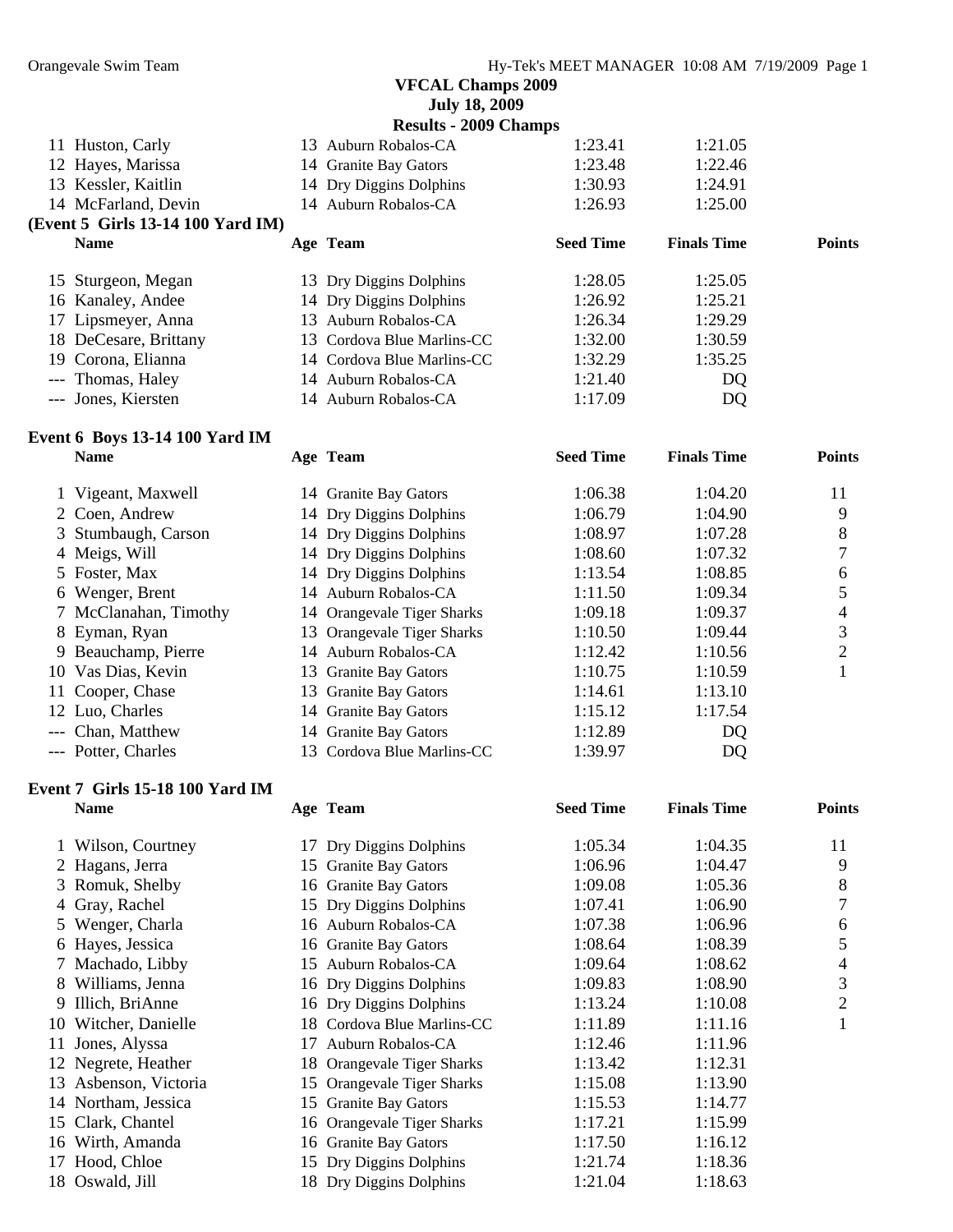|                                   |     | <b>July 18, 2009</b>         |                  |                    |               |
|-----------------------------------|-----|------------------------------|------------------|--------------------|---------------|
|                                   |     | <b>Results - 2009 Champs</b> |                  |                    |               |
| 11 Huston, Carly                  |     | 13 Auburn Robalos-CA         | 1:23.41          | 1:21.05            |               |
| 12 Hayes, Marissa                 |     | 14 Granite Bay Gators        | 1:23.48          | 1:22.46            |               |
| 13 Kessler, Kaitlin               |     | 14 Dry Diggins Dolphins      | 1:30.93          | 1:24.91            |               |
| 14 McFarland, Devin               |     | 14 Auburn Robalos-CA         | 1:26.93          | 1:25.00            |               |
| (Event 5 Girls 13-14 100 Yard IM) |     |                              |                  |                    |               |
| <b>Name</b>                       |     | Age Team                     | <b>Seed Time</b> | <b>Finals Time</b> | <b>Points</b> |
| 15 Sturgeon, Megan                |     | 13 Dry Diggins Dolphins      | 1:28.05          | 1:25.05            |               |
| 16 Kanaley, Andee                 |     | 14 Dry Diggins Dolphins      | 1:26.92          | 1:25.21            |               |
| 17 Lipsmeyer, Anna                | 13. | Auburn Robalos-CA            | 1:26.34          | 1:29.29            |               |
| 18 DeCesare, Brittany             |     | 13 Cordova Blue Marlins-CC   | 1:32.00          | 1:30.59            |               |
| 19 Corona, Elianna                |     | 14 Cordova Blue Marlins-CC   | 1:32.29          | 1:35.25            |               |
| --- Thomas, Haley                 |     | 14 Auburn Robalos-CA         | 1:21.40          | DQ                 |               |
| --- Jones, Kiersten               |     | 14 Auburn Robalos-CA         | 1:17.09          | DQ                 |               |
|                                   |     |                              |                  |                    |               |

#### **Event 6 Boys 13-14 100 Yard IM Name Age Team Seed Time Finals Time Points**

| 1 Vigeant, Maxwell    | 14 Granite Bay Gators      | 1:06.38 | 1:04.20 | 11 |
|-----------------------|----------------------------|---------|---------|----|
| 2 Coen, Andrew        | 14 Dry Diggins Dolphins    | 1:06.79 | 1:04.90 | 9  |
| 3 Stumbaugh, Carson   | 14 Dry Diggins Dolphins    | 1:08.97 | 1:07.28 | 8  |
| 4 Meigs, Will         | 14 Dry Diggins Dolphins    | 1:08.60 | 1:07.32 |    |
| 5 Foster, Max         | 14 Dry Diggins Dolphins    | 1:13.54 | 1:08.85 | 6  |
| 6 Wenger, Brent       | 14 Auburn Robalos-CA       | 1:11.50 | 1:09.34 |    |
| 7 McClanahan, Timothy | 14 Orangevale Tiger Sharks | 1:09.18 | 1:09.37 |    |
| 8 Eyman, Ryan         | 13 Orangevale Tiger Sharks | 1:10.50 | 1:09.44 | 3  |
| 9 Beauchamp, Pierre   | 14 Auburn Robalos-CA       | 1:12.42 | 1:10.56 | 2  |
| 10 Vas Dias, Kevin    | 13 Granite Bay Gators      | 1:10.75 | 1:10.59 |    |
| 11 Cooper, Chase      | 13 Granite Bay Gators      | 1:14.61 | 1:13.10 |    |
| 12 Luo, Charles       | 14 Granite Bay Gators      | 1:15.12 | 1:17.54 |    |
| --- Chan, Matthew     | 14 Granite Bay Gators      | 1:12.89 | DQ      |    |
| --- Potter, Charles   | 13 Cordova Blue Marlins-CC | 1:39.97 | DQ      |    |

#### **Event 7 Girls 15-18 100 Yard IM Name Age Team Seed Time Finals Time Points**

| Wilson, Courtney |                                                                                                                                                                                                                                                                                                                                             | 1:05.34                                                                                                                                                                                                                                                                                                                                                                                                                                                                               | 1:04.35 | 11 |
|------------------|---------------------------------------------------------------------------------------------------------------------------------------------------------------------------------------------------------------------------------------------------------------------------------------------------------------------------------------------|---------------------------------------------------------------------------------------------------------------------------------------------------------------------------------------------------------------------------------------------------------------------------------------------------------------------------------------------------------------------------------------------------------------------------------------------------------------------------------------|---------|----|
|                  |                                                                                                                                                                                                                                                                                                                                             | 1:06.96                                                                                                                                                                                                                                                                                                                                                                                                                                                                               | 1:04.47 | 9  |
|                  |                                                                                                                                                                                                                                                                                                                                             | 1:09.08                                                                                                                                                                                                                                                                                                                                                                                                                                                                               | 1:05.36 | 8  |
|                  |                                                                                                                                                                                                                                                                                                                                             | 1:07.41                                                                                                                                                                                                                                                                                                                                                                                                                                                                               | 1:06.90 | 7  |
|                  |                                                                                                                                                                                                                                                                                                                                             | 1:07.38                                                                                                                                                                                                                                                                                                                                                                                                                                                                               | 1:06.96 | 6  |
|                  |                                                                                                                                                                                                                                                                                                                                             | 1:08.64                                                                                                                                                                                                                                                                                                                                                                                                                                                                               | 1:08.39 | 5  |
|                  | 15                                                                                                                                                                                                                                                                                                                                          | 1:09.64                                                                                                                                                                                                                                                                                                                                                                                                                                                                               | 1:08.62 | 4  |
| Williams, Jenna  |                                                                                                                                                                                                                                                                                                                                             | 1:09.83                                                                                                                                                                                                                                                                                                                                                                                                                                                                               | 1:08.90 | 3  |
|                  |                                                                                                                                                                                                                                                                                                                                             | 1:13.24                                                                                                                                                                                                                                                                                                                                                                                                                                                                               | 1:10.08 | 2  |
|                  |                                                                                                                                                                                                                                                                                                                                             | 1:11.89                                                                                                                                                                                                                                                                                                                                                                                                                                                                               | 1:11.16 |    |
|                  | 17                                                                                                                                                                                                                                                                                                                                          | 1:12.46                                                                                                                                                                                                                                                                                                                                                                                                                                                                               | 1:11.96 |    |
|                  |                                                                                                                                                                                                                                                                                                                                             | 1:13.42                                                                                                                                                                                                                                                                                                                                                                                                                                                                               | 1:12.31 |    |
|                  |                                                                                                                                                                                                                                                                                                                                             | 1:15.08                                                                                                                                                                                                                                                                                                                                                                                                                                                                               | 1:13.90 |    |
|                  |                                                                                                                                                                                                                                                                                                                                             | 1:15.53                                                                                                                                                                                                                                                                                                                                                                                                                                                                               | 1:14.77 |    |
|                  |                                                                                                                                                                                                                                                                                                                                             | 1:17.21                                                                                                                                                                                                                                                                                                                                                                                                                                                                               | 1:15.99 |    |
|                  |                                                                                                                                                                                                                                                                                                                                             | 1:17.50                                                                                                                                                                                                                                                                                                                                                                                                                                                                               | 1:16.12 |    |
|                  |                                                                                                                                                                                                                                                                                                                                             | 1:21.74                                                                                                                                                                                                                                                                                                                                                                                                                                                                               | 1:18.36 |    |
|                  |                                                                                                                                                                                                                                                                                                                                             | 1:21.04                                                                                                                                                                                                                                                                                                                                                                                                                                                                               | 1:18.63 |    |
|                  | 2 Hagans, Jerra<br>3 Romuk, Shelby<br>4 Gray, Rachel<br>5 Wenger, Charla<br>6 Hayes, Jessica<br>7 Machado, Libby<br>8<br>9 Illich, BriAnne<br>10 Witcher, Danielle<br>11 Jones, Alyssa<br>12 Negrete, Heather<br>13 Asbenson, Victoria<br>14 Northam, Jessica<br>15 Clark, Chantel<br>16 Wirth, Amanda<br>17 Hood, Chloe<br>18 Oswald, Jill | 17 Dry Diggins Dolphins<br>15 Granite Bay Gators<br>16 Granite Bay Gators<br>15 Dry Diggins Dolphins<br>16 Auburn Robalos-CA<br>16 Granite Bay Gators<br>Auburn Robalos-CA<br>16 Dry Diggins Dolphins<br>16 Dry Diggins Dolphins<br>18 Cordova Blue Marlins-CC<br>Auburn Robalos-CA<br>18 Orangevale Tiger Sharks<br>15 Orangevale Tiger Sharks<br>15 Granite Bay Gators<br>16 Orangevale Tiger Sharks<br>16 Granite Bay Gators<br>15 Dry Diggins Dolphins<br>18 Dry Diggins Dolphins |         |    |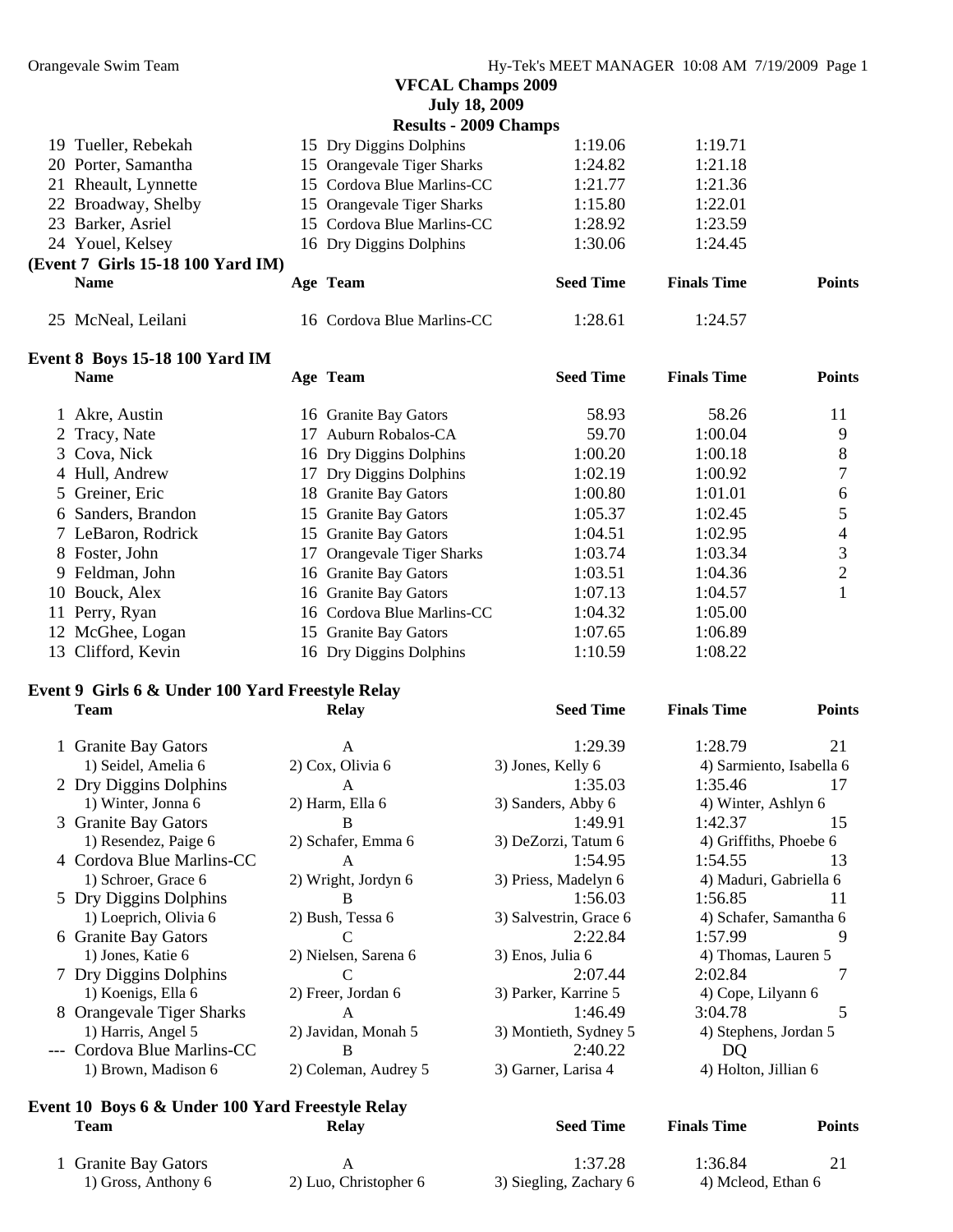**July 18, 2009** 

|             |                                                                                                                                                          |                                   | 1:19.06                                                                                                                                                                                                              | 1:19.71                      |               |
|-------------|----------------------------------------------------------------------------------------------------------------------------------------------------------|-----------------------------------|----------------------------------------------------------------------------------------------------------------------------------------------------------------------------------------------------------------------|------------------------------|---------------|
|             |                                                                                                                                                          |                                   | 1:24.82                                                                                                                                                                                                              | 1:21.18                      |               |
|             |                                                                                                                                                          |                                   | 1:21.77                                                                                                                                                                                                              | 1:21.36                      |               |
|             |                                                                                                                                                          |                                   | 1:15.80                                                                                                                                                                                                              | 1:22.01                      |               |
|             |                                                                                                                                                          |                                   | 1:28.92                                                                                                                                                                                                              | 1:23.59                      |               |
|             |                                                                                                                                                          |                                   | 1:30.06                                                                                                                                                                                                              | 1:24.45                      |               |
|             |                                                                                                                                                          |                                   |                                                                                                                                                                                                                      |                              |               |
| <b>Name</b> |                                                                                                                                                          |                                   | <b>Seed Time</b>                                                                                                                                                                                                     | <b>Finals Time</b>           | <b>Points</b> |
|             |                                                                                                                                                          |                                   | 1:28.61                                                                                                                                                                                                              | 1:24.57                      |               |
|             | 19 Tueller, Rebekah<br>20 Porter, Samantha<br>21 Rheault, Lynnette<br>22 Broadway, Shelby<br>23 Barker, Asriel<br>24 Youel, Kelsey<br>25 McNeal, Leilani | (Event 7 Girls 15-18 100 Yard IM) | 15 Dry Diggins Dolphins<br>15 Orangevale Tiger Sharks<br>15 Cordova Blue Marlins-CC<br>15 Orangevale Tiger Sharks<br>15 Cordova Blue Marlins-CC<br>16 Dry Diggins Dolphins<br>Age Team<br>16 Cordova Blue Marlins-CC | <b>Results - 2009 Champs</b> |               |

#### **Event 8 Boys 15-18 100 Yard IM**

| <b>Name</b>        | Age Team                   | <b>Seed Time</b> | <b>Finals Time</b> | <b>Points</b> |
|--------------------|----------------------------|------------------|--------------------|---------------|
| 1 Akre, Austin     | 16 Granite Bay Gators      | 58.93            | 58.26              | 11            |
| 2 Tracy, Nate      | Auburn Robalos-CA          | 59.70            | 1:00.04            | 9             |
| 3 Cova, Nick       | 16 Dry Diggins Dolphins    | 1:00.20          | 1:00.18            | 8             |
| 4 Hull, Andrew     | 17 Dry Diggins Dolphins    | 1:02.19          | 1:00.92            |               |
| 5 Greiner, Eric    | 18 Granite Bay Gators      | 1:00.80          | 1:01.01            | 6             |
| 6 Sanders, Brandon | 15 Granite Bay Gators      | 1:05.37          | 1:02.45            |               |
| 7 LeBaron, Rodrick | 15 Granite Bay Gators      | 1:04.51          | 1:02.95            | 4             |
| 8 Foster, John     | 17 Orangevale Tiger Sharks | 1:03.74          | 1:03.34            | 3             |
| 9 Feldman, John    | 16 Granite Bay Gators      | 1:03.51          | 1:04.36            | 2             |
| 10 Bouck, Alex     | 16 Granite Bay Gators      | 1:07.13          | 1:04.57            |               |
| 11 Perry, Ryan     | 16 Cordova Blue Marlins-CC | 1:04.32          | 1:05.00            |               |
| 12 McGhee, Logan   | 15 Granite Bay Gators      | 1:07.65          | 1:06.89            |               |
| 13 Clifford, Kevin | 16 Dry Diggins Dolphins    | 1:10.59          | 1:08.22            |               |
|                    |                            |                  |                    |               |

#### **Event 9 Girls 6 & Under 100 Yard Freestyle Relay**

| <b>Team</b>                 | <b>Relay</b>         | <b>Seed Time</b>       | <b>Finals Time</b>       | <b>Points</b> |
|-----------------------------|----------------------|------------------------|--------------------------|---------------|
| 1 Granite Bay Gators        | A                    | 1:29.39                | 1:28.79                  | 21            |
| 1) Seidel, Amelia 6         | 2) Cox, Olivia 6     | 3) Jones, Kelly 6      | 4) Sarmiento, Isabella 6 |               |
| 2 Dry Diggins Dolphins      | A                    | 1:35.03                | 1:35.46                  | 17            |
| 1) Winter, Jonna 6          | 2) Harm, Ella 6      | 3) Sanders, Abby 6     | 4) Winter, Ashlyn 6      |               |
| 3 Granite Bay Gators        | B                    | 1:49.91                | 1:42.37                  | 15            |
| 1) Resendez, Paige 6        | 2) Schafer, Emma 6   | 3) DeZorzi, Tatum 6    | 4) Griffiths, Phoebe 6   |               |
| 4 Cordova Blue Marlins-CC   | A                    | 1:54.95                | 1:54.55                  | 13            |
| 1) Schroer, Grace 6         | 2) Wright, Jordyn 6  | 3) Priess, Madelyn 6   | 4) Maduri, Gabriella 6   |               |
| 5 Dry Diggins Dolphins      | B                    | 1:56.03                | 1:56.85                  | 11            |
| 1) Loeprich, Olivia 6       | 2) Bush, Tessa 6     | 3) Salvestrin, Grace 6 | 4) Schafer, Samantha 6   |               |
| 6 Granite Bay Gators        | C                    | 2:22.84                | 1:57.99                  | 9             |
| 1) Jones, Katie 6           | 2) Nielsen, Sarena 6 | 3) Enos, Julia 6       | 4) Thomas, Lauren 5      |               |
| 7 Dry Diggins Dolphins      | C                    | 2:07.44                | 2:02.84                  |               |
| 1) Koenigs, Ella 6          | 2) Freer, Jordan 6   | 3) Parker, Karrine 5   | 4) Cope, Lilyann 6       |               |
| 8 Orangevale Tiger Sharks   | A                    | 1:46.49                | 3:04.78                  | 5             |
| 1) Harris, Angel 5          | 2) Javidan, Monah 5  | 3) Montieth, Sydney 5  | 4) Stephens, Jordan 5    |               |
| --- Cordova Blue Marlins-CC | B                    | 2:40.22                | DQ                       |               |
| 1) Brown, Madison 6         | 2) Coleman, Audrey 5 | 3) Garner, Larisa 4    | 4) Holton, Jillian 6     |               |

# **Event 10 Boys 6 & Under 100 Yard Freestyle Relay**

| Team                                        | Relay                 | <b>Seed Time</b>                  | <b>Finals Time</b>            | <b>Points</b> |
|---------------------------------------------|-----------------------|-----------------------------------|-------------------------------|---------------|
| 1 Granite Bay Gators<br>1) Gross, Anthony 6 | 2) Luo, Christopher 6 | 1:37.28<br>3) Siegling, Zachary 6 | 1:36.84<br>4) Mcleod, Ethan 6 |               |

| 1 Granite Bay Gators |  |
|----------------------|--|
| 1) Gross, Anthony 6  |  |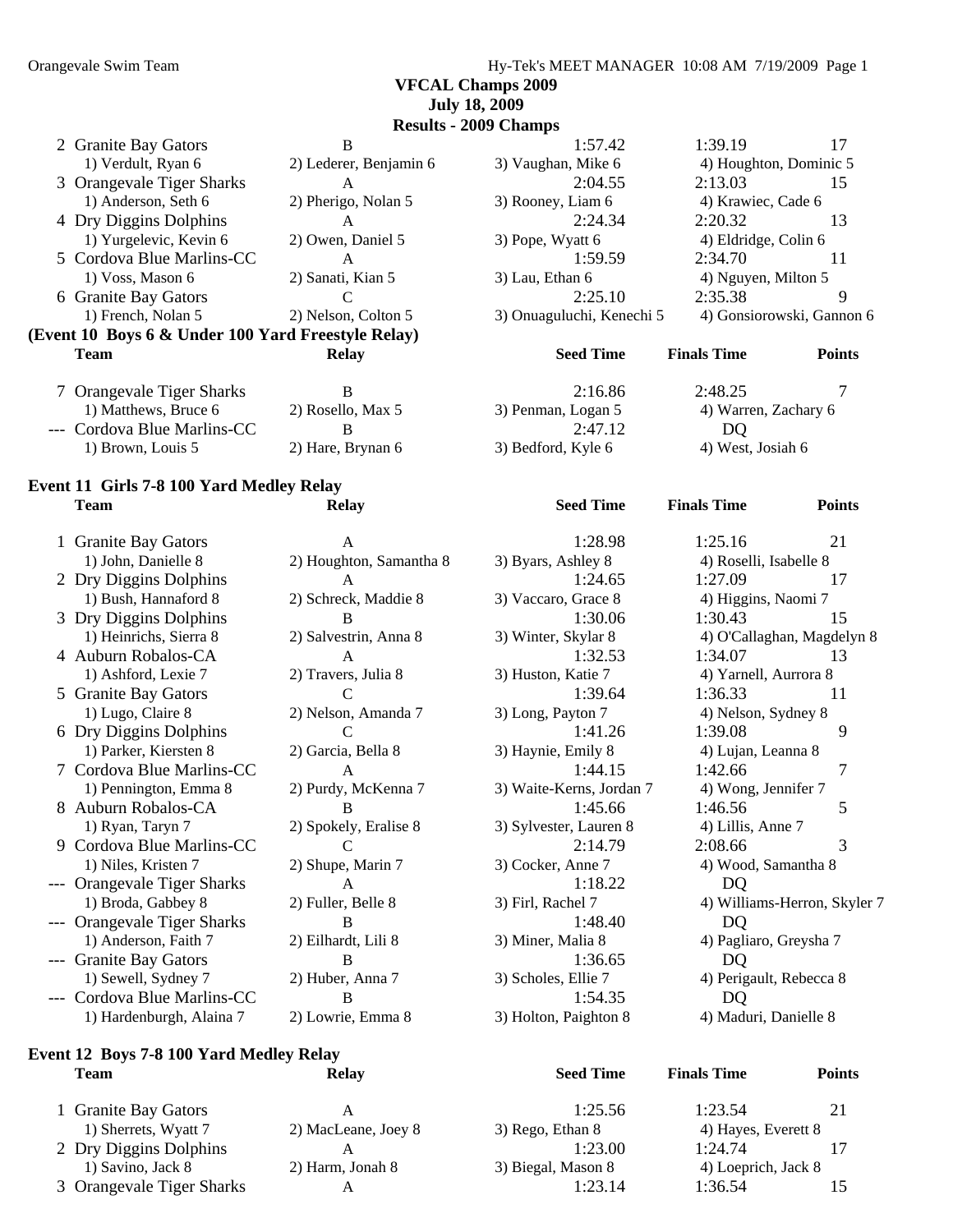**VFCAL Champs 2009 July 18, 2009** 

**Results - 2009 Champs** 

| 2 Granite Bay Gators                               | B                      | 1:57.42                   | 1:39.19                | 17                        |
|----------------------------------------------------|------------------------|---------------------------|------------------------|---------------------------|
| 1) Verdult, Ryan 6                                 | 2) Lederer, Benjamin 6 | 3) Vaughan, Mike 6        | 4) Houghton, Dominic 5 |                           |
| 3 Orangevale Tiger Sharks                          | A                      | 2:04.55                   | 2:13.03                | 15                        |
| 1) Anderson, Seth 6                                | 2) Pherigo, Nolan 5    | 3) Rooney, Liam 6         | 4) Krawiec, Cade 6     |                           |
| 4 Dry Diggins Dolphins                             | A                      | 2:24.34                   | 2:20.32                | 13                        |
| 1) Yurgelevic, Kevin 6                             | 2) Owen, Daniel 5      | 3) Pope, Wyatt 6          | 4) Eldridge, Colin 6   |                           |
| 5 Cordova Blue Marlins-CC                          | A                      | 1:59.59                   | 2:34.70                | 11                        |
| $1) Voss$ , Mason 6                                | 2) Sanati, Kian 5      | 3) Lau, Ethan 6           | 4) Nguyen, Milton 5    |                           |
| 6 Granite Bay Gators                               |                        | 2:25.10                   | 2:35.38                | 9                         |
| 1) French, Nolan 5                                 | 2) Nelson, Colton 5    | 3) Onuaguluchi, Kenechi 5 |                        | 4) Gonsiorowski, Gannon 6 |
| (Event 10 Boys 6 & Under 100 Yard Freestyle Relay) |                        |                           |                        |                           |
| <b>Team</b>                                        | Relay                  | <b>Seed Time</b>          | <b>Finals Time</b>     | <b>Points</b>             |
| 7 Orangevale Tiger Sharks                          | B                      | 2:16.86                   | 2:48.25                |                           |
| 1) Matthews, Bruce 6                               | 2) Rosello, Max 5      | 3) Penman, Logan 5        | 4) Warren, Zachary 6   |                           |
| --- Cordova Blue Marlins-CC                        | B                      | 2:47.12                   | DQ                     |                           |

#### **Event 11 Girls 7-8 100 Yard Medley Relay Team Relay Seed Time Finals Time Points**

1 Granite Bay Gators A 1:28.98 1:25.16 21 1) John, Danielle 8 2) Houghton, Samantha 8 3) Byars, Ashley 8 4) Roselli, Isabelle 8 2 Dry Diggins Dolphins A 1:24.65 1:27.09 17 1) Bush, Hannaford 8 2) Schreck, Maddie 8 3) Vaccaro, Grace 8 4) Higgins, Naomi 7 3 Dry Diggins Dolphins B 1:30.06 1:30.43 15 4 Auburn Robalos-CA A 1:32.53 1:34.07 13 1) Ashford, Lexie 7 2) Travers, Julia 8 3) Huston, Katie 7 4) Yarnell, Aurrora 8 5 Granite Bay Gators C C 1:39.64 1:36.33 11 1) Lugo, Claire 8 2) Nelson, Amanda 7 3) Long, Payton 7 4) Nelson, Sydney 8 6 Dry Diggins Dolphins C 1:41.26 1:39.08 9 1) Parker, Kiersten 8 2) Garcia, Bella 8 3) Haynie, Emily 8 4) Lujan, Leanna 8 7 Cordova Blue Marlins-CC A 1:44.15 1:42.66 7 1) Pennington, Emma 8 2) Purdy, McKenna 7 3) Waite-Kerns, Jordan 7 4) Wong, Jennifer 7 8 Auburn Robalos-CA B 1:45.66 1:46.56 5 1) Ryan, Taryn 7 2) Spokely, Eralise 8 3) Sylvester, Lauren 8 4) Lillis, Anne 7 9 Cordova Blue Marlins-CC C 2:14.79 2:08.66 3 1) Niles, Kristen 7 2) Shupe, Marin 7 3) Cocker, Anne 7 4) Wood, Samantha 8 --- Orangevale Tiger Sharks A 1:18.22 DO --- Orangevale Tiger Sharks B 1:48.40 DQ 1) Anderson, Faith 7 2) Eilhardt, Lili 8 3) Miner, Malia 8 4) Pagliaro, Greysha 7 --- Granite Bay Gators B 1:36.65 DQ 1) Sewell, Sydney 7 2) Huber, Anna 7 3) Scholes, Ellie 7 4) Perigault, Rebecca 8 --- Cordova Blue Marlins-CC B 1:54.35 DQ 1) Hardenburgh, Alaina 7 2) Lowrie, Emma 8 3) Holton, Paighton 8 4) Maduri, Danielle 8

#### **Event 12 Boys 7-8 100 Yard Medley Relay Team Relay Seed Time Finals Time Points**

| <b>Granite Bay Gators</b> |                     | 1:25.56            | 1:23.54             | 21 |
|---------------------------|---------------------|--------------------|---------------------|----|
| 1) Sherrets, Wyatt 7      | 2) MacLeane, Joey 8 | 3) Rego, Ethan 8   | 4) Hayes, Everett 8 |    |
| 2 Dry Diggins Dolphins    |                     | 1:23.00            | 1.2474              |    |
| 1) Savino, Jack 8         | 2) Harm, Jonah 8    | 3) Biegal, Mason 8 | 4) Loeprich, Jack 8 |    |
| 3 Orangevale Tiger Sharks |                     | 1:23.14            | 1:36.54             |    |

| A<br>2) Houghton, Samantha |
|----------------------------|
| A                          |
| 2) Schreck, Maddie 8       |
| B                          |
| 2) Salvestrin, Anna 8      |
| A                          |
| 2) Travers, Julia 8        |
| C                          |
| 2) Nelson, Amanda 7        |
| C                          |
| 2) Garcia, Bella 8         |
| A                          |
| 2) Purdy, McKenna 7        |
| B                          |
| 2) Spokely, Eralise 8      |
| C                          |
| 2) Shupe, Marin 7          |
| A                          |
| 2) Fuller, Belle 8         |
| B                          |
| 2) Eilhardt, Lili 8        |
| B                          |
| 2) Huber, Anna 7           |
| B                          |
| 2) Lowrie, Emma 8          |
|                            |

| 1:57.42                   | 1:39.19                 | 17 |
|---------------------------|-------------------------|----|
| 3) Vaughan, Mike 6        | 4) Houghton, Dominic 5  |    |
| 2:04.55                   | 2:13.03                 | 15 |
| 3) Rooney, Liam 6         | 4) Krawiec, Cade 6      |    |
| 2:24.34                   | 2:20.32                 | 13 |
| 3) Pope, Wyatt 6          | 4) Eldridge, Colin 6    |    |
| 1:59.59                   | 2:34.70                 | 11 |
| 3) Lau, Ethan 6           | 4) Nguyen, Milton 5     |    |
| 2:25.10                   | 2:35.38                 |    |
| 3) Onuaguluchi, Kenechi 5 | 4) Gonsiorowski, Gannor |    |
|                           |                         |    |

# 1) Marren, Zachary 6 2012 Evapone 6 2012 November 6 2013 1) Brown, Louis 5 2) Hare, Brynan 6 3) Bedford, Kyle 6 4) West, Josiah 6

 1) Heinrichs, Sierra 8 2) Salvestrin, Anna 8 3) Winter, Skylar 8 4) O'Callaghan, Magdelyn 8 1) Broda, Gabbey 8 2) Fuller, Belle 8 3) Firl, Rachel 7 4) Williams-Herron, Skyler 7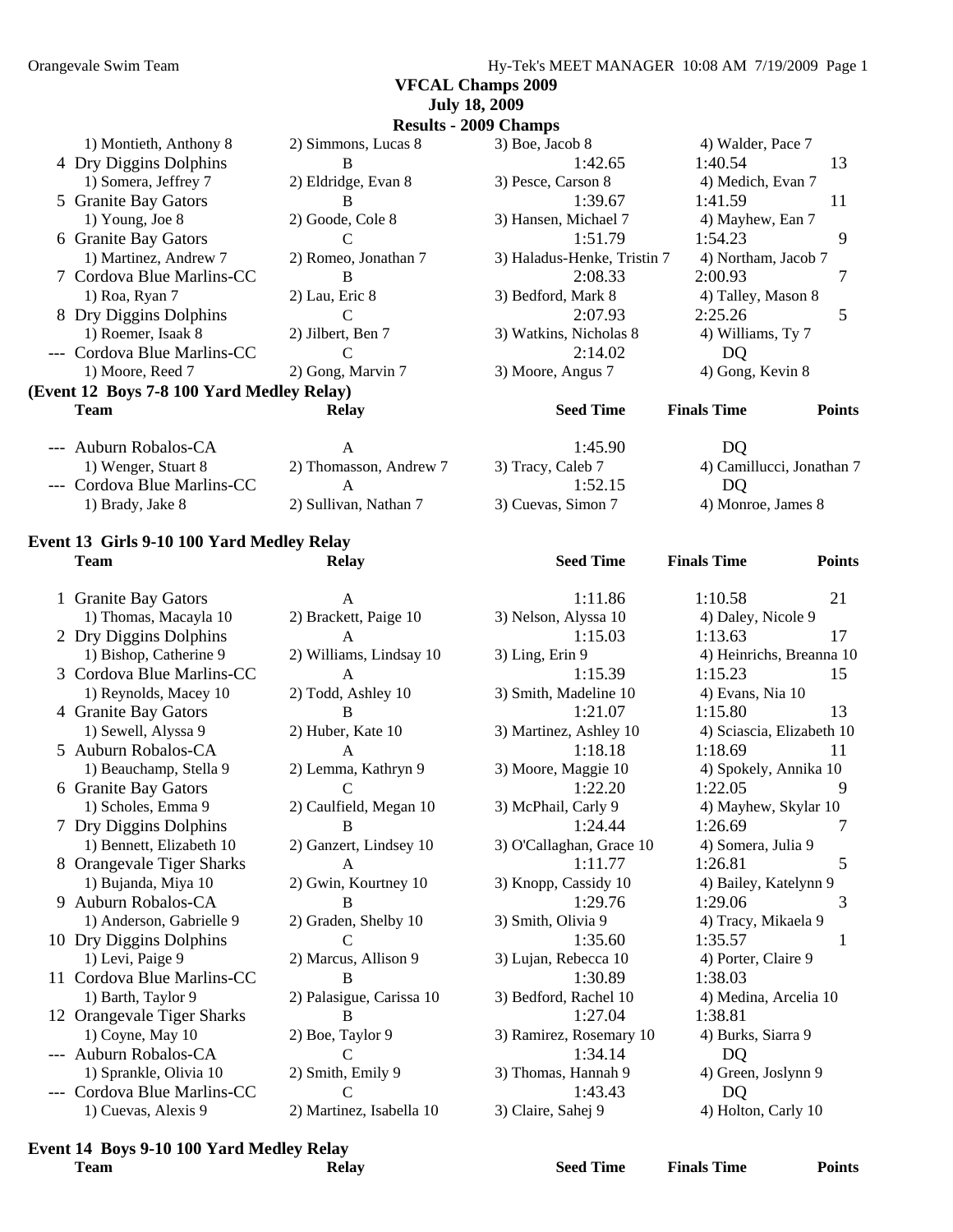**VFCAL Champs 2009** 

#### **July 18, 2009 Results - 2009 Champs**  1) Montieth, Anthony 8 2) Simmons, Lucas 8 3) Boe, Jacob 8 4) Walder, Pace 7 4 Dry Diggins Dolphins B 1:42.65 1:40.54 13 1) Somera, Jeffrey 7 2) Eldridge, Evan 8 3) Pesce, Carson 8 4) Medich, Evan 7 5 Granite Bay Gators B 1:39.67 1:41.59 11 1) Young, Joe 8 2) Goode, Cole 8 3) Hansen, Michael 7 4) Mayhew, Ean 7 6 Granite Bay Gators C 1:51.79 1:54.23 9 1) Martinez, Andrew 7 2) Romeo, Jonathan 7 3) Haladus-Henke, Tristin 7 4) Northam, Jacob 7 7 Cordova Blue Marlins-CC B 2:08.33 2:00.93 7 1) Roa, Ryan 7 2) Lau, Eric 8 3) Bedford, Mark 8 4) Talley, Mason 8 8 Dry Diggins Dolphins C C 2:07.93 2:25.26 5 1) Roemer, Isaak 8 2) Jilbert, Ben 7 3) Watkins, Nicholas 8 4) Williams, Ty 7 --- Cordova Blue Marlins-CC C 2:14.02 DQ 1) Moore, Reed 7 2) Gong, Marvin 7 3) Moore, Angus 7 4) Gong, Kevin 8 **(Event 12 Boys 7-8 100 Yard Medley Relay) Team Relay Seed Time Finals Time Points**  --- Auburn Robalos-CA A 1:45.90 DQ 1) Wenger, Stuart 8 2) Thomasson, Andrew 7 3) Tracy, Caleb 7 4) Camillucci, Jonathan 7 --- Cordova Blue Marlins-CC A 1:52.15 DQ 1) Brady, Jake 8 2) Sullivan, Nathan 7 3) Cuevas, Simon 7 4) Monroe, James 8

#### **Event 13 Girls 9-10 100 Yard Medley Relay Team Relay Seed Time Finals Time Points**

| 1 Granite Bay Gators       | $\mathsf{A}$             | 1:11.86                  | 1:10.58                   | 21 |
|----------------------------|--------------------------|--------------------------|---------------------------|----|
| 1) Thomas, Macayla 10      | 2) Brackett, Paige 10    | 3) Nelson, Alyssa 10     | 4) Daley, Nicole 9        |    |
| 2 Dry Diggins Dolphins     | A                        | 1:15.03                  | 1:13.63                   | 17 |
| 1) Bishop, Catherine 9     | 2) Williams, Lindsay 10  | 3) Ling, Erin 9          | 4) Heinrichs, Breanna 1   |    |
| 3 Cordova Blue Marlins-CC  | A                        | 1:15.39                  | 1:15.23                   | 15 |
| 1) Reynolds, Macey 10      | 2) Todd, Ashley 10       | 3) Smith, Madeline 10    | 4) Evans, Nia 10          |    |
| 4 Granite Bay Gators       | в                        | 1:21.07                  | 1:15.80                   | 13 |
| 1) Sewell, Alyssa 9        | 2) Huber, Kate 10        | 3) Martinez, Ashley 10   | 4) Sciascia, Elizabeth 10 |    |
| 5 Auburn Robalos-CA        |                          | 1:18.18                  | 1:18.69                   | 11 |
| 1) Beauchamp, Stella 9     | 2) Lemma, Kathryn 9      | 3) Moore, Maggie 10      | 4) Spokely, Annika 10     |    |
| 6 Granite Bay Gators       |                          | 1:22.20                  | 1:22.05                   | 9  |
| 1) Scholes, Emma 9         | 2) Caulfield, Megan 10   | 3) McPhail, Carly 9      | 4) Mayhew, Skylar 10      |    |
| 7 Dry Diggins Dolphins     | B                        | 1:24.44                  | 1:26.69                   | 7  |
| 1) Bennett, Elizabeth 10   | 2) Ganzert, Lindsey 10   | 3) O'Callaghan, Grace 10 | 4) Somera, Julia 9        |    |
| 8 Orangevale Tiger Sharks  | A                        | 1:11.77                  | 1:26.81                   | 5  |
| 1) Bujanda, Miya 10        | 2) Gwin, Kourtney 10     | 3) Knopp, Cassidy 10     | 4) Bailey, Katelynn 9     |    |
| 9 Auburn Robalos-CA        | R                        | 1:29.76                  | 1:29.06                   | 3  |
| 1) Anderson, Gabrielle 9   | 2) Graden, Shelby 10     | 3) Smith, Olivia 9       | 4) Tracy, Mikaela 9       |    |
| 10 Dry Diggins Dolphins    |                          | 1:35.60                  | 1:35.57                   |    |
| 1) Levi, Paige 9           | 2) Marcus, Allison 9     | 3) Lujan, Rebecca 10     | 4) Porter, Claire 9       |    |
| 11 Cordova Blue Marlins-CC | R                        | 1:30.89                  | 1:38.03                   |    |
| 1) Barth, Taylor 9         | 2) Palasigue, Carissa 10 | 3) Bedford, Rachel 10    | 4) Medina, Arcelia 10     |    |
| 12 Orangevale Tiger Sharks | B                        | 1:27.04                  | 1:38.81                   |    |
| $1)$ Coyne, May $10$       | 2) Boe, Taylor 9         | 3) Ramirez, Rosemary 10  | 4) Burks, Siarra 9        |    |
| Auburn Robalos-CA          |                          | 1:34.14                  | DQ                        |    |
| 1) Sprankle, Olivia 10     | 2) Smith, Emily 9        | 3) Thomas, Hannah 9      | 4) Green, Joslynn 9       |    |
| Cordova Blue Marlins-CC    |                          | 1:43.43                  | DQ                        |    |
| 1) Cuevas, Alexis 9        | 2) Martinez. Isabella 10 | 3) Claire, Sahei 9       | 4) Holton, Carly 10       |    |

| nite Bay Gators       | A                        | 1:11.80                  | 1:10.58              |
|-----------------------|--------------------------|--------------------------|----------------------|
| Thomas, Macayla 10    | 2) Brackett, Paige 10    | 3) Nelson, Alyssa 10     | 4) Daley, Nicole 9   |
| Diggins Dolphins      | A                        | 1:15.03                  | 1:13.63              |
| Bishop, Catherine 9   | 2) Williams, Lindsay 10  | 3) Ling, Erin 9          | 4) Heinrichs, Brean  |
| dova Blue Marlins-CC  | A                        | 1:15.39                  | 1:15.23              |
| Reynolds, Macey 10    | 2) Todd, Ashley 10       | 3) Smith, Madeline 10    | 4) Evans, Nia 10     |
| nite Bay Gators       | B                        | 1:21.07                  | 1:15.80              |
| Sewell, Alyssa 9      | 2) Huber, Kate 10        | 3) Martinez, Ashley 10   | 4) Sciascia, Elizabe |
| ourn Robalos-CA       | A                        | 1:18.18                  | 1:18.69              |
| Beauchamp, Stella 9   | 2) Lemma, Kathryn 9      | 3) Moore, Maggie 10      | 4) Spokely, Annika   |
| nite Bay Gators       |                          | 1:22.20                  | 1:22.05              |
| Scholes, Emma 9       | 2) Caulfield, Megan 10   | 3) McPhail, Carly 9      | 4) Mayhew, Skylar    |
| Diggins Dolphins      | B                        | 1:24.44                  | 1:26.69              |
| Bennett, Elizabeth 10 | 2) Ganzert, Lindsey 10   | 3) O'Callaghan, Grace 10 | 4) Somera, Julia 9   |
| ngevale Tiger Sharks  | $\mathsf{A}$             | 1:11.77                  | 1:26.81              |
| Bujanda, Miya 10      | 2) Gwin, Kourtney 10     | 3) Knopp, Cassidy 10     | 4) Bailey, Katelynn  |
| ourn Robalos-CA       | B                        | 1:29.76                  | 1:29.06              |
| Anderson, Gabrielle 9 | 2) Graden, Shelby 10     | 3) Smith, Olivia 9       | 4) Tracy, Mikaela 9  |
| Diggins Dolphins      | C                        | 1:35.60                  | 1:35.57              |
| Levi, Paige 9         | 2) Marcus, Allison 9     | 3) Lujan, Rebecca 10     | 4) Porter, Claire 9  |
| dova Blue Marlins-CC  | B                        | 1:30.89                  | 1:38.03              |
| Barth, Taylor 9       | 2) Palasigue, Carissa 10 | 3) Bedford, Rachel 10    | 4) Medina, Arcelia   |
| ngevale Tiger Sharks  | B                        | 1:27.04                  | 1:38.81              |
| Coyne, May 10         | 2) Boe, Taylor 9         | 3) Ramirez, Rosemary 10  | 4) Burks, Siarra 9   |
| ourn Robalos-CA       |                          | 1:34.14                  | DO                   |
| Sprankle, Olivia 10   | 2) Smith, Emily 9        | 3) Thomas, Hannah 9      | 4) Green, Joslynn 9  |
| dova Blue Marlins-CC  |                          | 1:43.43                  | DQ                   |
| Cuevas, Alexis 9      | 2) Martinez, Isabella 10 | 3) Claire, Sahej 9       | 4) Holton, Carly 10  |
|                       |                          |                          |                      |

| 1:11.86                  | 1:10.58<br>21             |
|--------------------------|---------------------------|
| 3) Nelson, Alyssa 10     | 4) Daley, Nicole 9        |
| 1:15.03                  | 1:13.63<br>17             |
| 3) Ling, Erin 9          | 4) Heinrichs, Breanna 10  |
| 1:15.39                  | 1:15.23<br>15             |
| 3) Smith, Madeline 10    | 4) Evans, Nia 10          |
| 1:21.07                  | 1:15.80<br>13             |
| 3) Martinez, Ashley 10   | 4) Sciascia, Elizabeth 10 |
| 1:18.18                  | 1:18.69<br>11             |
| 3) Moore, Maggie 10      | 4) Spokely, Annika 10     |
| 1:22.20                  | 1:22.05<br>9              |
| 3) McPhail, Carly 9      | 4) Mayhew, Skylar 10      |
| 1:24.44                  | 1:26.69<br>7              |
| 3) O'Callaghan, Grace 10 | 4) Somera, Julia 9        |
| 1:11.77                  | 5<br>1:26.81              |
| 3) Knopp, Cassidy 10     | 4) Bailey, Katelynn 9     |
| 1:29.76                  | 1:29.06<br>3              |
| 3) Smith, Olivia 9       | 4) Tracy, Mikaela 9       |
| 1:35.60                  | $\mathbf{1}$<br>1:35.57   |
| 3) Lujan, Rebecca 10     | 4) Porter, Claire 9       |
| 1:30.89                  | 1:38.03                   |
| 3) Bedford, Rachel 10    | 4) Medina, Arcelia 10     |
| 1:27.04                  | 1:38.81                   |
| 3) Ramirez, Rosemary 10  | 4) Burks, Siarra 9        |
| 1:34.14                  | DQ                        |
| 3) Thomas, Hannah 9      | 4) Green, Joslynn 9       |
| 1:43.43                  | DQ                        |
|                          |                           |

4) Daley, Nicole 9 4) Evans, Nia 10 4) Sciascia, Elizabeth 10 4) Spokely, Annika 10 4) Mayhew, Skylar 10 0 4) Somera, Julia 9 4) Bailey, Katelynn 9 4) Tracy, Mikaela 9 4) Porter, Claire 9 4) Medina, Arcelia 10 0 4) Burks, Siarra 9 4) Green, Joslynn 9

#### **Event 14 Boys 9-10 100 Yard Medley Relay Team Relay Seed Time Finals Time Points**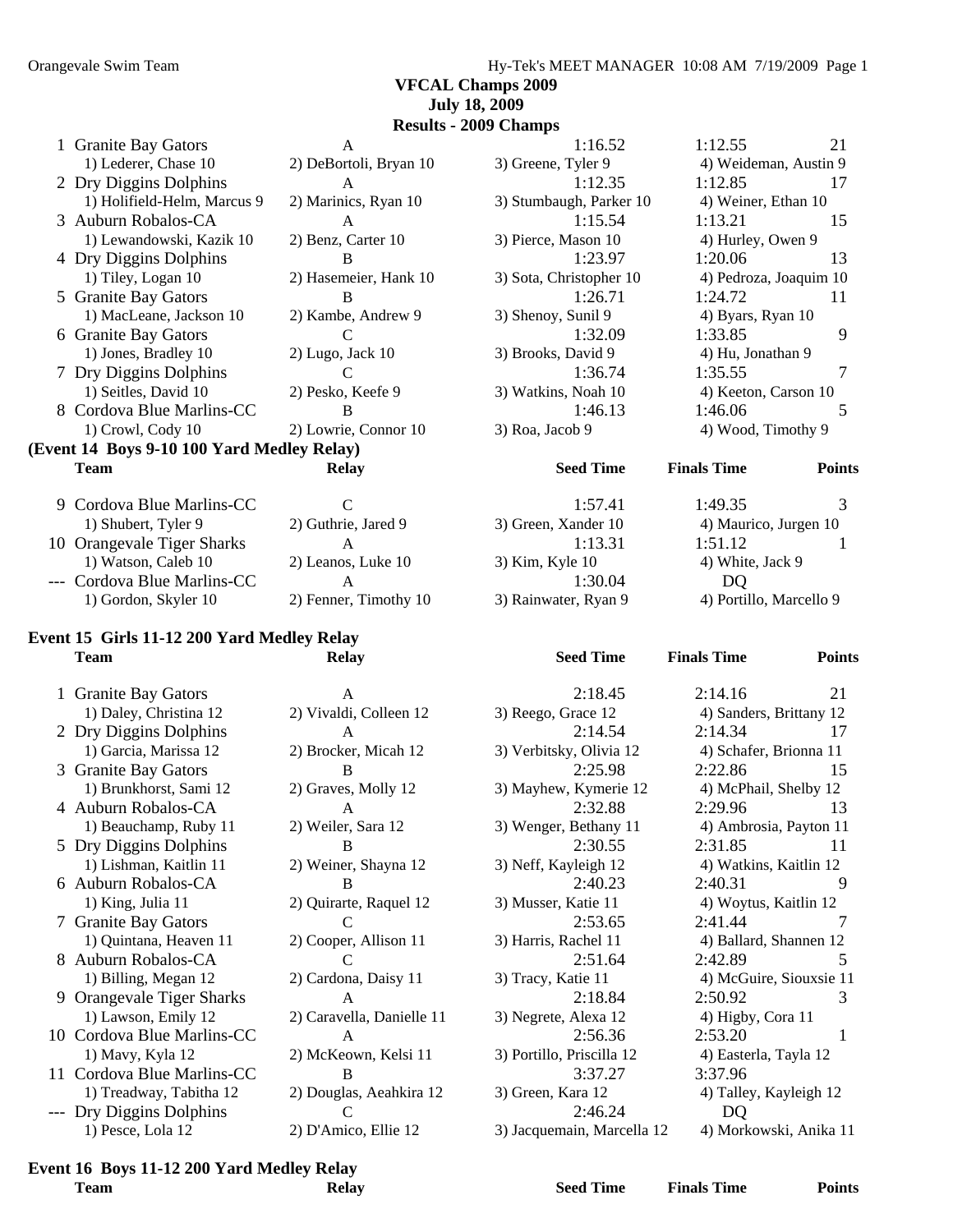#### **VFCAL Champs 2009 July 18, 2009**

**Results - 2009 Champs** 

| <b>Team</b>                                | Relay                  | <b>Seed Time</b>        | <b>Finals Time</b>     | <b>Points</b> |
|--------------------------------------------|------------------------|-------------------------|------------------------|---------------|
| (Event 14 Boys 9-10 100 Yard Medley Relay) |                        |                         |                        |               |
| 1) Crowl, Cody 10                          | 2) Lowrie, Connor 10   | 3) Roa, Jacob 9         | 4) Wood, Timothy 9     |               |
| 8 Cordova Blue Marlins-CC                  | B                      | 1:46.13                 | 1:46.06                |               |
| 1) Seitles, David 10                       | 2) Pesko, Keefe 9      | 3) Watkins, Noah 10     | 4) Keeton, Carson 10   |               |
| 7 Dry Diggins Dolphins                     | C                      | 1:36.74                 | 1:35.55                |               |
| 1) Jones, Bradley 10                       | $2)$ Lugo, Jack 10     | 3) Brooks, David 9      | 4) Hu, Jonathan 9      |               |
| 6 Granite Bay Gators                       | C                      | 1:32.09                 | 1:33.85                | 9             |
| 1) MacLeane, Jackson 10                    | 2) Kambe, Andrew 9     | 3) Shenoy, Sunil 9      | 4) Byars, Ryan 10      |               |
| 5 Granite Bay Gators                       | B                      | 1:26.71                 | 1:24.72                | 11            |
| 1) Tiley, Logan 10                         | 2) Hasemeier, Hank 10  | 3) Sota, Christopher 10 | 4) Pedroza, Joaquim 10 |               |
| 4 Dry Diggins Dolphins                     | B                      | 1:23.97                 | 1:20.06                | 13            |
| 1) Lewandowski, Kazik 10                   | 2) Benz, Carter 10     | 3) Pierce, Mason 10     | 4) Hurley, Owen 9      |               |
| 3 Auburn Robalos-CA                        | A                      | 1:15.54                 | 1:13.21                | 15            |
| 1) Holifield-Helm, Marcus 9                | 2) Marinics, Ryan 10   | 3) Stumbaugh, Parker 10 | 4) Weiner, Ethan 10    |               |
| 2 Dry Diggins Dolphins                     | A                      | 1:12.35                 | 1:12.85                | 17            |
| 1) Lederer, Chase 10                       | 2) DeBortoli, Bryan 10 | 3) Greene, Tyler 9      | 4) Weideman, Austin 9  |               |
| 1 Granite Bay Gators                       | A                      | 1:16.52                 | 1:12.55                | 21            |

| 1:57.41              |
|----------------------|
| 3) Green, Xander 10  |
| 1:13.31              |
| 3) Kim, Kyle 10      |
| 1:30.04              |
| 3) Rainwater, Ryan 9 |

| 2:14.16<br>21           |  |
|-------------------------|--|
| 4) Sanders, Brittany 12 |  |
| 2:14.34<br>17           |  |
| 4) Schafer, Brionna 11  |  |
| 2:22.86<br>15           |  |
|                         |  |
| 4) McPhail, Shelby 12   |  |
| 2:29.96<br>13           |  |
| 4) Ambrosia, Payton 11  |  |
| 2:31.85<br>11           |  |
| 4) Watkins, Kaitlin 12  |  |
| 2:40.31<br>9            |  |
| 4) Woytus, Kaitlin 12   |  |
| 2:41.44<br>7            |  |
| 4) Ballard, Shannen 12  |  |
| 2:42.89<br>5            |  |
| 4) McGuire, Siouxsie 11 |  |
| 2:50.92<br>3            |  |
| 4) Higby, Cora 11       |  |
| 2:53.20<br>1            |  |
| 4) Easterla, Tayla 12   |  |
| 3:37.96                 |  |
| 4) Talley, Kayleigh 12  |  |
|                         |  |
| DQ                      |  |
| 4) Morkowski, Anika 11  |  |
|                         |  |

#### 1) Gordon, Skyler 10 2) Fenner, Timothy 10 **Event 15 Girls 11-12 200 Yard Medley Relay Team Relay Seed Time Finals Time Points**

9 Cordova Blue Marlins-CC C

10 Orangevale Tiger Sharks A

--- Cordova Blue Marlins-CC A

1) Shubert, Tyler 9 2) Guthrie, Jared 9

1) Watson, Caleb  $10$  2) Leanos, Luke  $10$ 

| 1 Granite Bay Gators       | A                         | 2:18.45                    | 2:14.16                 | 21 |
|----------------------------|---------------------------|----------------------------|-------------------------|----|
| 1) Daley, Christina 12     | 2) Vivaldi, Colleen 12    | 3) Reego, Grace 12         | 4) Sanders, Brittany 12 |    |
| 2 Dry Diggins Dolphins     | A                         | 2:14.54                    | 2:14.34                 | 17 |
| 1) Garcia, Marissa 12      | 2) Brocker, Micah 12      | 3) Verbitsky, Olivia 12    | 4) Schafer, Brionna 11  |    |
| 3 Granite Bay Gators       | B                         | 2:25.98                    | 2:22.86                 | 15 |
| 1) Brunkhorst, Sami 12     | 2) Graves, Molly 12       | 3) Mayhew, Kymerie 12      | 4) McPhail, Shelby 12   |    |
| 4 Auburn Robalos-CA        | A                         | 2:32.88                    | 2:29.96                 | 13 |
| 1) Beauchamp, Ruby 11      | 2) Weiler, Sara 12        | 3) Wenger, Bethany 11      | 4) Ambrosia, Payton 11  |    |
| 5 Dry Diggins Dolphins     | B                         | 2:30.55                    | 2:31.85                 | 11 |
| 1) Lishman, Kaitlin 11     | 2) Weiner, Shayna 12      | 3) Neff, Kayleigh 12       | 4) Watkins, Kaitlin 12  |    |
| 6 Auburn Robalos-CA        | R                         | 2:40.23                    | 2:40.31                 |    |
| 1) King, Julia 11          | 2) Quirarte, Raquel 12    | 3) Musser, Katie 11        | 4) Woytus, Kaitlin 12   |    |
| 7 Granite Bay Gators       |                           | 2:53.65                    | 2:41.44                 |    |
| 1) Quintana, Heaven 11     | 2) Cooper, Allison 11     | 3) Harris, Rachel 11       | 4) Ballard, Shannen 12  |    |
| 8 Auburn Robalos-CA        |                           | 2:51.64                    | 2:42.89                 | 5  |
| 1) Billing, Megan 12       | 2) Cardona, Daisy 11      | 3) Tracy, Katie 11         | 4) McGuire, Siouxsie 11 |    |
| 9 Orangevale Tiger Sharks  | $\mathsf{A}$              | 2:18.84                    | 2:50.92                 | 3  |
| 1) Lawson, Emily 12        | 2) Caravella, Danielle 11 | 3) Negrete, Alexa 12       | 4) Higby, Cora 11       |    |
| 10 Cordova Blue Marlins-CC | A                         | 2:56.36                    | 2:53.20                 | -1 |
| 1) Mavy, Kyla 12           | 2) McKeown, Kelsi 11      | 3) Portillo, Priscilla 12  | 4) Easterla, Tayla 12   |    |
| 11 Cordova Blue Marlins-CC | B                         | 3:37.27                    | 3:37.96                 |    |
| 1) Treadway, Tabitha 12    | 2) Douglas, Aeahkira 12   | 3) Green, Kara 12          | 4) Talley, Kayleigh 12  |    |
| --- Dry Diggins Dolphins   |                           | 2:46.24                    | D <sub>O</sub>          |    |
| 1) Pesce, Lola 12          | 2) D'Amico, Ellie 12      | 3) Jacquemain, Marcella 12 | 4) Morkowski, Anika 11  |    |

#### **Event 16 Boys 11-12 200 Yard Medley Relay**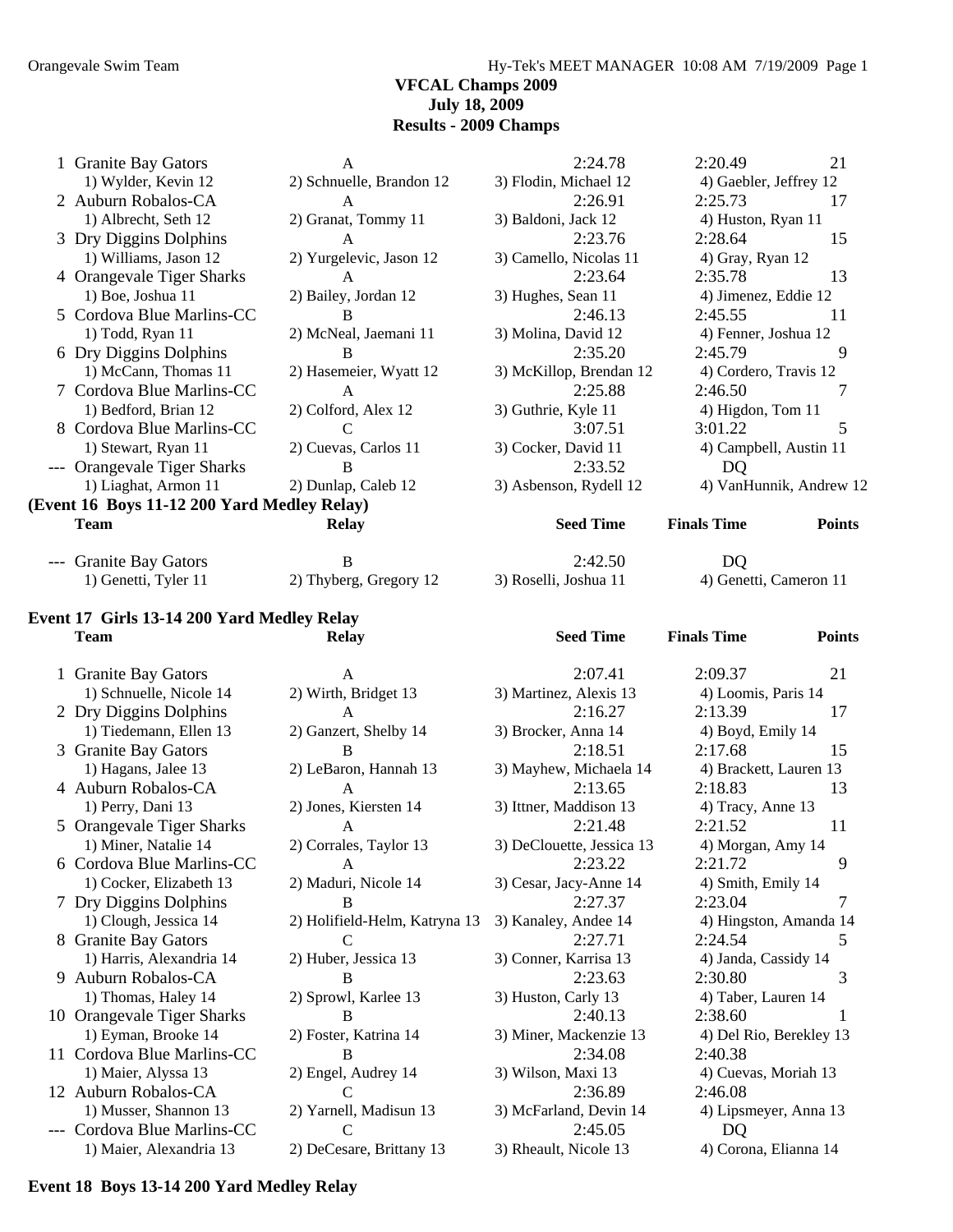Orangevale Swim Team Hy-Tek's MEET MANAGER 10:08 AM 7/19/2009 Page 1

#### **VFCAL Champs 2009 July 18, 2009 Results - 2009 Champs**

| 1 Granite Bay Gators                          | $\mathbf{A}$                  | 2:24.78                           | 2:20.49<br>21                       |
|-----------------------------------------------|-------------------------------|-----------------------------------|-------------------------------------|
| 1) Wylder, Kevin 12                           | 2) Schnuelle, Brandon 12      | 3) Flodin, Michael 12             | 4) Gaebler, Jeffrey 12              |
| 2 Auburn Robalos-CA                           | A                             | 2:26.91                           | 2:25.73<br>17                       |
| 1) Albrecht, Seth 12                          | 2) Granat, Tommy 11           | 3) Baldoni, Jack 12               | 4) Huston, Ryan 11                  |
| 3 Dry Diggins Dolphins                        | $\mathbf{A}$                  | 2:23.76                           | 15<br>2:28.64                       |
| 1) Williams, Jason 12                         | 2) Yurgelevic, Jason 12       | 3) Camello, Nicolas 11            | 4) Gray, Ryan 12                    |
| 4 Orangevale Tiger Sharks                     | A                             | 2:23.64                           | 13<br>2:35.78                       |
| 1) Boe, Joshua 11                             | 2) Bailey, Jordan 12          | 3) Hughes, Sean 11                | 4) Jimenez, Eddie 12                |
| 5 Cordova Blue Marlins-CC                     | B                             | 2:46.13                           | 2:45.55<br>11                       |
| 1) Todd, Ryan 11                              | 2) McNeal, Jaemani 11         | 3) Molina, David 12               | 4) Fenner, Joshua 12                |
| 6 Dry Diggins Dolphins                        | B                             | 2:35.20                           | 2:45.79<br>9                        |
| 1) McCann, Thomas 11                          | 2) Hasemeier, Wyatt 12        | 3) McKillop, Brendan 12           | 4) Cordero, Travis 12               |
| 7 Cordova Blue Marlins-CC                     | A                             | 2:25.88                           | 2:46.50<br>7                        |
| 1) Bedford, Brian 12                          | 2) Colford, Alex 12           | 3) Guthrie, Kyle 11               | 4) Higdon, Tom 11                   |
| 8 Cordova Blue Marlins-CC                     | $\mathcal{C}$                 | 3:07.51                           | 5<br>3:01.22                        |
| 1) Stewart, Ryan 11                           | 2) Cuevas, Carlos 11          | 3) Cocker, David 11               | 4) Campbell, Austin 11              |
| --- Orangevale Tiger Sharks                   | B                             | 2:33.52                           | D <sub>Q</sub>                      |
| 1) Liaghat, Armon 11                          | 2) Dunlap, Caleb 12           | 3) Asbenson, Rydell 12            | 4) VanHunnik, Andrew 12             |
| (Event 16 Boys 11-12 200 Yard Medley Relay)   |                               |                                   |                                     |
| <b>Team</b>                                   | <b>Relay</b>                  | <b>Seed Time</b>                  | <b>Finals Time</b><br><b>Points</b> |
|                                               |                               |                                   |                                     |
| --- Granite Bay Gators                        | B                             | 2:42.50                           | DQ                                  |
| 1) Genetti, Tyler 11                          | 2) Thyberg, Gregory 12        | 3) Roselli, Joshua 11             | 4) Genetti, Cameron 11              |
|                                               |                               |                                   |                                     |
| Event 17 Girls 13-14 200 Yard Medley Relay    |                               |                                   |                                     |
| <b>Team</b>                                   | <b>Relay</b>                  | <b>Seed Time</b>                  | <b>Finals Time</b><br><b>Points</b> |
| 1 Granite Bay Gators                          | A                             | 2:07.41                           | 2:09.37<br>21                       |
| 1) Schnuelle, Nicole 14                       | 2) Wirth, Bridget 13          | 3) Martinez, Alexis 13            | 4) Loomis, Paris 14                 |
| 2 Dry Diggins Dolphins                        | $\mathbf{A}$                  | 2:16.27                           | 2:13.39<br>17                       |
| 1) Tiedemann, Ellen 13                        | 2) Ganzert, Shelby 14         | 3) Brocker, Anna 14               | 4) Boyd, Emily 14                   |
| 3 Granite Bay Gators                          | B                             | 2:18.51                           | 15<br>2:17.68                       |
| 1) Hagans, Jalee 13                           | 2) LeBaron, Hannah 13         | 3) Mayhew, Michaela 14            | 4) Brackett, Lauren 13              |
| 4 Auburn Robalos-CA                           | $\mathbf{A}$                  | 2:13.65                           | 2:18.83<br>13                       |
| 1) Perry, Dani 13                             | 2) Jones, Kiersten 14         | 3) Ittner, Maddison 13            | 4) Tracy, Anne 13                   |
| 5 Orangevale Tiger Sharks                     | A                             | 2:21.48                           | 2:21.52<br>11                       |
| 1) Miner, Natalie 14                          | 2) Corrales, Taylor 13        | 3) DeClouette, Jessica 13         | 4) Morgan, Amy 14                   |
| 6 Cordova Blue Marlins-CC                     | A                             | 2:23.22                           | 2:21.72<br>9                        |
| 1) Cocker, Elizabeth 13                       | 2) Maduri, Nicole 14          | 3) Cesar, Jacy-Anne 14            | 4) Smith, Emily 14                  |
| 7 Dry Diggins Dolphins                        | B                             | 2:27.37                           | 2:23.04<br>7                        |
| 1) Clough, Jessica 14                         | 2) Holifield-Helm, Katryna 13 | 3) Kanaley, Andee 14              | 4) Hingston, Amanda 14              |
| 8 Granite Bay Gators                          | $\mathcal{C}$                 | 2:27.71                           | 2:24.54<br>5                        |
| 1) Harris, Alexandria 14                      | 2) Huber, Jessica 13          | 3) Conner, Karrisa 13             | 4) Janda, Cassidy 14                |
| 9 Auburn Robalos-CA                           | B                             | 2:23.63                           | 2:30.80<br>3                        |
| 1) Thomas, Haley 14                           | 2) Sprowl, Karlee 13          | 3) Huston, Carly 13               | 4) Taber, Lauren 14                 |
| 10 Orangevale Tiger Sharks                    | B                             | 2:40.13                           | 2:38.60<br>1                        |
| 1) Eyman, Brooke 14                           | 2) Foster, Katrina 14         | 3) Miner, Mackenzie 13            | 4) Del Rio, Berekley 13             |
| 11 Cordova Blue Marlins-CC                    | B                             | 2:34.08                           | 2:40.38                             |
| 1) Maier, Alyssa 13                           | 2) Engel, Audrey 14           | 3) Wilson, Maxi 13                | 4) Cuevas, Moriah 13                |
|                                               |                               |                                   |                                     |
|                                               |                               |                                   |                                     |
| 12 Auburn Robalos-CA<br>1) Musser, Shannon 13 | C<br>2) Yarnell, Madisun 13   | 2:36.89<br>3) McFarland, Devin 14 | 2:46.08<br>4) Lipsmeyer, Anna 13    |

--- Cordova Blue Marlins-CC C<br>
1) Maier, Alexandria 13 2) DeCesare, Brittany 13 3) Rheault, Nicole 13 4) Corona, Elianna 14

2) DeCesare, Brittany 13

**Event 18 Boys 13-14 200 Yard Medley Relay**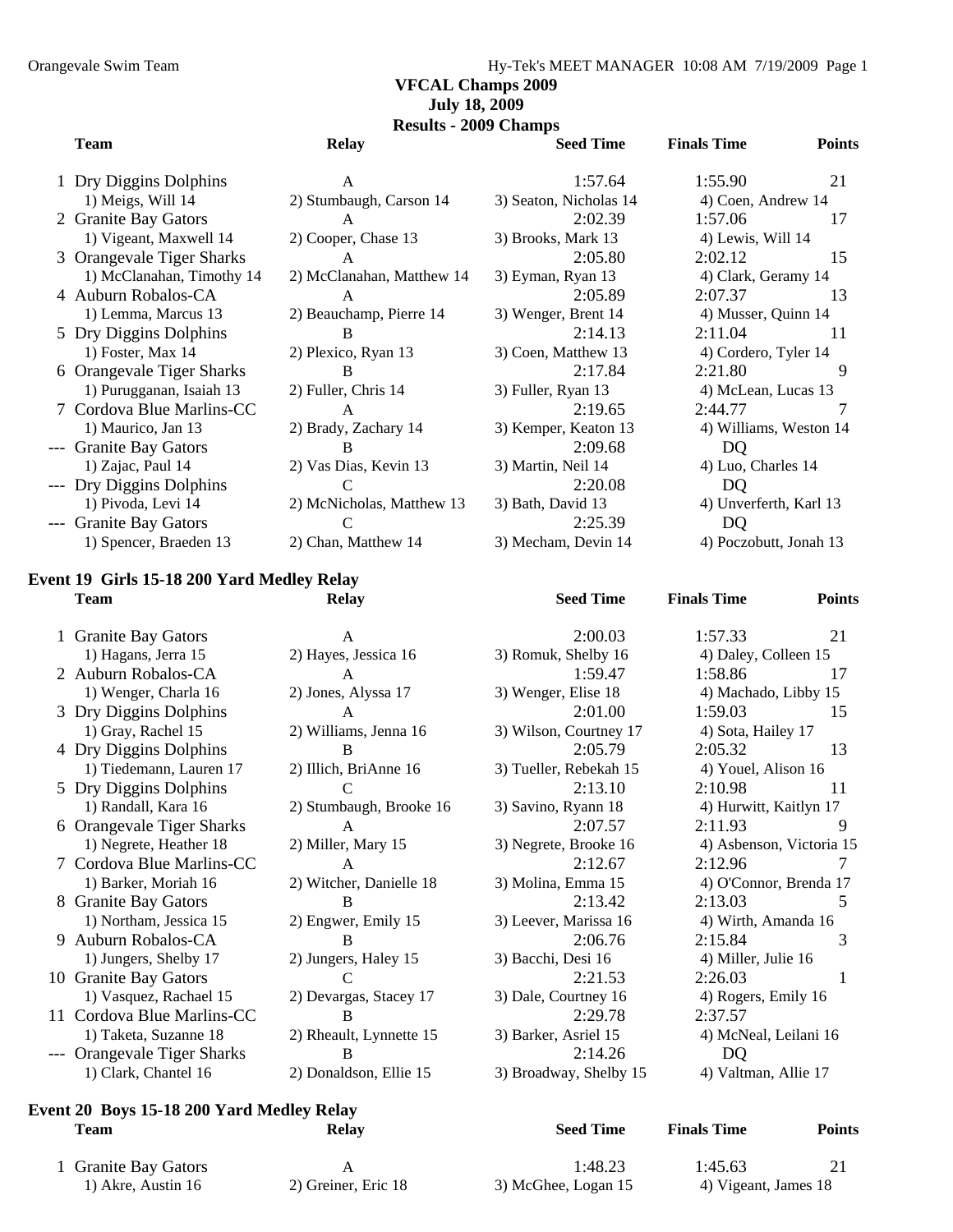#### **VFCAL Champs 2009 July 18, 2009**

**Results - 2009 Champs** 

| <b>Team</b>               | <b>Relay</b>              | <b>Seed Time</b>       | <b>Finals Time</b>     | <b>Points</b> |
|---------------------------|---------------------------|------------------------|------------------------|---------------|
| 1 Dry Diggins Dolphins    | A                         | 1:57.64                | 1:55.90                | 21            |
| 1) Meigs, Will 14         | 2) Stumbaugh, Carson 14   | 3) Seaton, Nicholas 14 | 4) Coen, Andrew 14     |               |
| 2 Granite Bay Gators      | A                         | 2:02.39                | 1:57.06                | 17            |
| 1) Vigeant, Maxwell 14    | 2) Cooper, Chase 13       | 3) Brooks, Mark 13     | 4) Lewis, Will 14      |               |
| 3 Orangevale Tiger Sharks | A                         | 2:05.80                | 2:02.12                | 15            |
| 1) McClanahan, Timothy 14 | 2) McClanahan, Matthew 14 | 3) Eyman, Ryan 13      | 4) Clark, Geramy 14    |               |
| 4 Auburn Robalos-CA       | A                         | 2:05.89                | 2:07.37                | 13            |
| 1) Lemma, Marcus 13       | 2) Beauchamp, Pierre 14   | 3) Wenger, Brent 14    | 4) Musser, Quinn 14    |               |
| 5 Dry Diggins Dolphins    | B                         | 2:14.13                | 2:11.04                | 11            |
| 1) Foster, Max 14         | 2) Plexico, Ryan 13       | 3) Coen, Matthew 13    | 4) Cordero, Tyler 14   |               |
| 6 Orangevale Tiger Sharks | B                         | 2:17.84                | 2:21.80                | 9             |
| 1) Purugganan, Isaiah 13  | 2) Fuller, Chris 14       | 3) Fuller, Ryan 13     | 4) McLean, Lucas 13    |               |
| 7 Cordova Blue Marlins-CC | A                         | 2:19.65                | 2:44.77                |               |
| 1) Maurico, Jan 13        | 2) Brady, Zachary 14      | 3) Kemper, Keaton 13   | 4) Williams, Weston 14 |               |
| --- Granite Bay Gators    | B                         | 2:09.68                | DQ                     |               |
| 1) Zajac, Paul 14         | 2) Vas Dias, Kevin 13     | 3) Martin, Neil 14     | 4) Luo, Charles 14     |               |
| --- Dry Diggins Dolphins  | C                         | 2:20.08                | DQ                     |               |
| 1) Pivoda, Levi 14        | 2) McNicholas, Matthew 13 | 3) Bath, David 13      | 4) Unverferth, Karl 13 |               |
| --- Granite Bay Gators    | C                         | 2:25.39                | DQ                     |               |
| 1) Spencer, Braeden 13    | 2) Chan, Matthew 14       | 3) Mecham, Devin 14    | 4) Poczobutt, Jonah 13 |               |
|                           |                           |                        |                        |               |

#### **Event 19 Girls 15-18 200 Yard Medley Relay Team Relay Seed Time Finals Time Points**

|     | 1 Granite Bay Gators       | A                       | 2:00.03                | 1:57.33                 | 21            |
|-----|----------------------------|-------------------------|------------------------|-------------------------|---------------|
|     | 1) Hagans, Jerra 15        | 2) Hayes, Jessica 16    | 3) Romuk, Shelby 16    | 4) Daley, Colleen 15    |               |
|     | 2 Auburn Robalos-CA        | A                       | 1:59.47                | 1:58.86                 | 17            |
|     | 1) Wenger, Charla 16       | 2) Jones, Alyssa 17     | 3) Wenger, Elise 18    | 4) Machado, Libby 15    |               |
|     | 3 Dry Diggins Dolphins     | A                       | 2:01.00                | 1:59.03                 | 15            |
|     | 1) Gray, Rachel 15         | 2) Williams, Jenna 16   | 3) Wilson, Courtney 17 | 4) Sota, Hailey 17      |               |
|     | 4 Dry Diggins Dolphins     | B                       | 2:05.79                | 2:05.32                 | 13            |
|     | 1) Tiedemann, Lauren 17    | 2) Illich, BriAnne 16   | 3) Tueller, Rebekah 15 | 4) Youel, Alison 16     |               |
|     | 5 Dry Diggins Dolphins     |                         | 2:13.10                | 2:10.98                 | 11            |
|     | 1) Randall, Kara 16        | 2) Stumbaugh, Brooke 16 | 3) Savino, Ryann 18    | 4) Hurwitt, Kaitlyn 17  |               |
|     | 6 Orangevale Tiger Sharks  | A                       | 2:07.57                | 2:11.93                 | 9             |
|     | 1) Negrete, Heather 18     | 2) Miller, Mary 15      | 3) Negrete, Brooke 16  | 4) Asbenson, Victoria 1 |               |
|     | 7 Cordova Blue Marlins-CC  | A                       | 2:12.67                | 2:12.96                 |               |
|     | 1) Barker, Moriah 16       | 2) Witcher, Danielle 18 | 3) Molina, Emma 15     | 4) O'Connor, Brenda 17  |               |
|     | 8 Granite Bay Gators       | B                       | 2:13.42                | 2:13.03                 | $\mathcal{D}$ |
|     | 1) Northam, Jessica 15     | 2) Engwer, Emily 15     | 3) Leever, Marissa 16  | 4) Wirth, Amanda 16     |               |
|     | 9 Auburn Robalos-CA        | B                       | 2:06.76                | 2:15.84                 | 3             |
|     | 1) Jungers, Shelby 17      | 2) Jungers, Haley 15    | 3) Bacchi, Desi 16     | 4) Miller, Julie 16     |               |
|     | 10 Granite Bay Gators      | C                       | 2:21.53                | 2:26.03                 | 1             |
|     | 1) Vasquez, Rachael 15     | 2) Devargas, Stacey 17  | 3) Dale, Courtney 16   | 4) Rogers, Emily 16     |               |
|     | 11 Cordova Blue Marlins-CC | B                       | 2:29.78                | 2:37.57                 |               |
|     | 1) Taketa, Suzanne 18      | 2) Rheault, Lynnette 15 | 3) Barker, Asriel 15   | 4) McNeal, Leilani 16   |               |
| --- | Orangevale Tiger Sharks    | B                       | 2:14.26                | DQ                      |               |
|     | 1) Clark, Chantel 16       | 2) Donaldson, Ellie 15  | 3) Broadway, Shelby 15 | 4) Valtman, Allie 17    |               |

# 2) Hayes, Jessica 16 3) Romuk, Shelby 16 4) Daley, Colleen 15 2) Jones, Alyssa 17 3) Wenger, Elise 18 4) Machado, Libby 15 2) Williams, Jenna 16 3) Wilson, Courtney 17 4) Sota, Hailey 17 2) Illich, BriAnne 16 3) Tueller, Rebekah 15 4) Youel, Alison 16 2) Stumbaugh, Brooke 16 3) Savino, Ryann 18 4) Hurwitt, Kaitlyn 17 2) Witcher, Danielle 18 3) Molina, Emma 15 4) O'Connor, Brenda 17 2) Engwer, Emily 15 3) Leever, Marissa 16 4) Wirth, Amanda 16 2) Jungers, Haley 15 3) Bacchi, Desi 16 4) Miller, Julie 16 2) Devargas, Stacey 17 3) Dale, Courtney 16 4) Rogers, Emily 16 2) Rheault, Lynnette 15 3) Barker, Asriel 15 4) McNeal, Leilani 16

# 2) Miller, Mary 15 3) Negrete, Brooke 16 4) Asbenson, Victoria 15 2) Donaldson, Ellie 15 3) Broadway, Shelby 15 4) Valtman, Allie 17

# **Event 20 Boys 15-18 200 Yard Medley Relay**

| Team                      | Relay              | <b>Seed Time</b>   | <b>Finals Time</b>  | Points |
|---------------------------|--------------------|--------------------|---------------------|--------|
| <b>Granite Bay Gators</b> |                    | 1:48.23            | 1:45.63             |        |
| 1) Akre. Austin 16        | 2) Greiner Eric 18 | 3) McGhee Logan 15 | 4) Vigeant James 18 |        |

1 Granite Bay Gators 1) Akre, Austin 16 2) Greiner,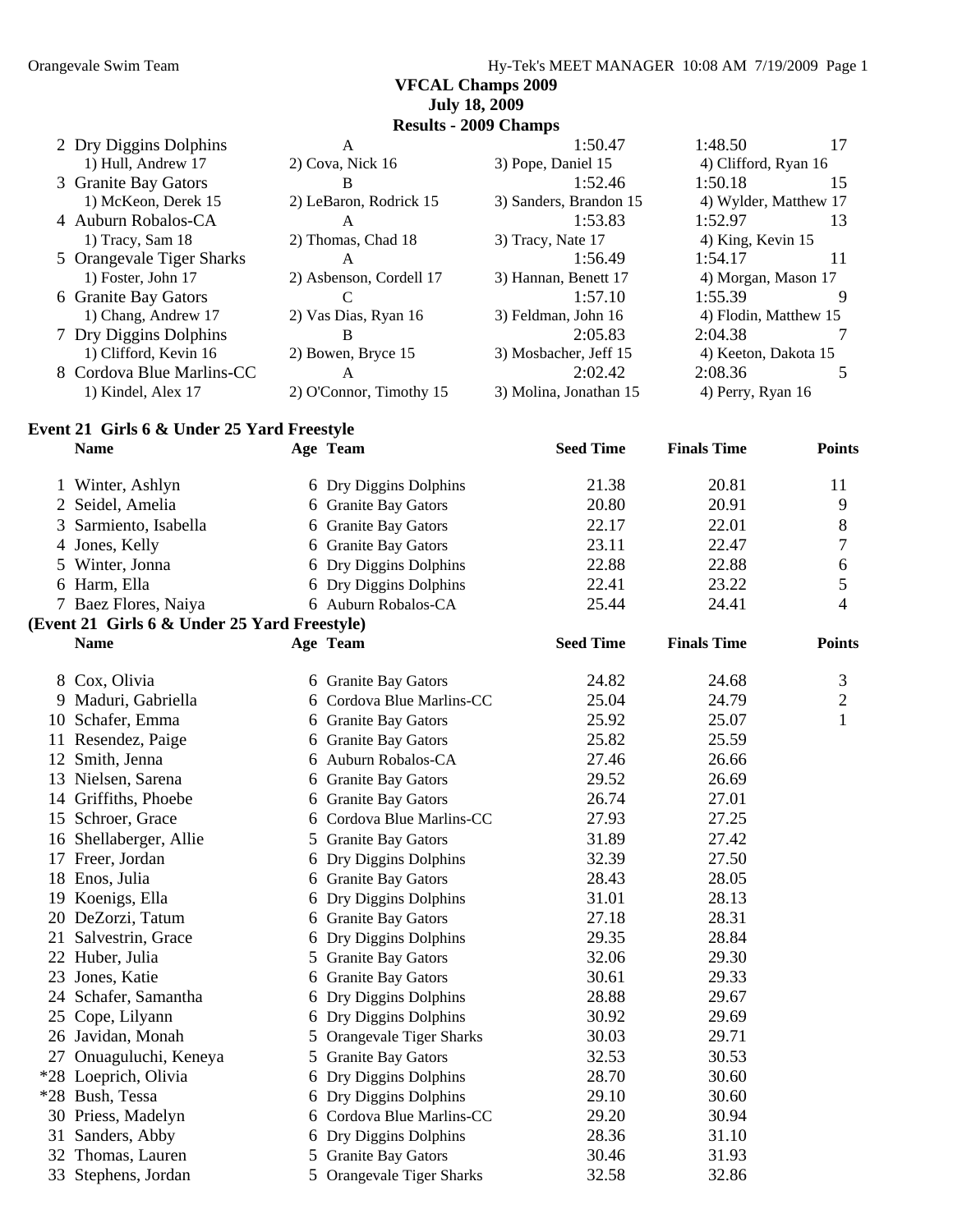#### **VFCAL Champs 2009 July 18, 2009**

**Results - 2009 Champs**  Dry Diggins Dolphins A 1:50.47 1:48.50 17 1) Hull, Andrew 17 2) Cova, Nick 16 3) Pope, Daniel 15 4) Clifford, Ryan 16 3 Granite Bay Gators B 1:52.46 1:50.18 15 1) McKeon, Derek 15 2) LeBaron, Rodrick 15 3) Sanders, Brandon 15 4) Wylder, Matthew 17 Auburn Robalos-CA A 1:53.83 1:52.97 13 1) Tracy, Sam 18 2) Thomas, Chad 18 3) Tracy, Nate 17 4) King, Kevin 15 Orangevale Tiger Sharks A 1:56.49 1:54.17 11 1) Foster, John 17 2) Asbenson, Cordell 17 3) Hannan, Benett 17 4) Morgan, Mason 17 Granite Bay Gators C 1:57.10 1:55.39 9 1) Chang, Andrew 17 2) Vas Dias, Ryan 16 3) Feldman, John 16 4) Flodin, Matthew 15 Dry Diggins Dolphins B 2:05.83 2:04.38 7 1) Clifford, Kevin 16 2) Bowen, Bryce 15 3) Mosbacher, Jeff 15 4) Keeton, Dakota 15 Cordova Blue Marlins-CC A 2:02.42 2:08.36 5 1) Kindel, Alex 17 2) O'Connor, Timothy 15 3) Molina, Jonathan 15 4) Perry, Ryan 16

#### **Event 21 Girls 6 & Under 25 Yard Freestyle**

|    | <b>Name</b>                                  |   | Age Team                       | <b>Seed Time</b> | <b>Finals Time</b> | <b>Points</b>  |
|----|----------------------------------------------|---|--------------------------------|------------------|--------------------|----------------|
|    | 1 Winter, Ashlyn                             |   | 6 Dry Diggins Dolphins         | 21.38            | 20.81              | 11             |
|    | 2 Seidel, Amelia                             |   | 6 Granite Bay Gators           | 20.80            | 20.91              | 9              |
| 3  | Sarmiento, Isabella                          |   | 6 Granite Bay Gators           | 22.17            | 22.01              | 8              |
|    | 4 Jones, Kelly                               |   | 6 Granite Bay Gators           | 23.11            | 22.47              | 7              |
|    | 5 Winter, Jonna                              |   | 6 Dry Diggins Dolphins         | 22.88            | 22.88              | 6              |
|    | 6 Harm, Ella                                 |   | 6 Dry Diggins Dolphins         | 22.41            | 23.22              | 5              |
|    | 7 Baez Flores, Naiya                         |   | 6 Auburn Robalos-CA            | 25.44            | 24.41              | $\overline{4}$ |
|    | (Event 21 Girls 6 & Under 25 Yard Freestyle) |   |                                |                  |                    |                |
|    | <b>Name</b>                                  |   | Age Team                       | <b>Seed Time</b> | <b>Finals Time</b> | <b>Points</b>  |
|    | 8 Cox, Olivia                                |   | 6 Granite Bay Gators           | 24.82            | 24.68              | 3              |
|    | 9 Maduri, Gabriella                          |   | 6 Cordova Blue Marlins-CC      | 25.04            | 24.79              | $\overline{2}$ |
|    | 10 Schafer, Emma                             |   | 6 Granite Bay Gators           | 25.92            | 25.07              | $\mathbf{1}$   |
|    | 11 Resendez, Paige                           |   | 6 Granite Bay Gators           | 25.82            | 25.59              |                |
|    | 12 Smith, Jenna                              |   | 6 Auburn Robalos-CA            | 27.46            | 26.66              |                |
|    | 13 Nielsen, Sarena                           |   | 6 Granite Bay Gators           | 29.52            | 26.69              |                |
|    | 14 Griffiths, Phoebe                         |   | 6 Granite Bay Gators           | 26.74            | 27.01              |                |
|    | 15 Schroer, Grace                            |   | 6 Cordova Blue Marlins-CC      | 27.93            | 27.25              |                |
|    | 16 Shellaberger, Allie                       |   | 5 Granite Bay Gators           | 31.89            | 27.42              |                |
|    | 17 Freer, Jordan                             |   | 6 Dry Diggins Dolphins         | 32.39            | 27.50              |                |
|    | 18 Enos, Julia                               |   | 6 Granite Bay Gators           | 28.43            | 28.05              |                |
|    | 19 Koenigs, Ella                             |   | 6 Dry Diggins Dolphins         | 31.01            | 28.13              |                |
|    | 20 DeZorzi, Tatum                            |   | 6 Granite Bay Gators           | 27.18            | 28.31              |                |
|    | 21 Salvestrin, Grace                         |   | 6 Dry Diggins Dolphins         | 29.35            | 28.84              |                |
|    | 22 Huber, Julia                              |   | 5 Granite Bay Gators           | 32.06            | 29.30              |                |
| 23 | Jones, Katie                                 |   | 6 Granite Bay Gators           | 30.61            | 29.33              |                |
|    | 24 Schafer, Samantha                         |   | 6 Dry Diggins Dolphins         | 28.88            | 29.67              |                |
|    | 25 Cope, Lilyann                             |   | 6 Dry Diggins Dolphins         | 30.92            | 29.69              |                |
|    | 26 Javidan, Monah                            |   | 5 Orangevale Tiger Sharks      | 30.03            | 29.71              |                |
|    | 27 Onuaguluchi, Keneya                       |   | 5 Granite Bay Gators           | 32.53            | 30.53              |                |
|    | *28 Loeprich, Olivia                         |   | 6 Dry Diggins Dolphins         | 28.70            | 30.60              |                |
|    | *28 Bush, Tessa                              |   | 6 Dry Diggins Dolphins         | 29.10            | 30.60              |                |
|    | 30 Priess, Madelyn                           |   | 6 Cordova Blue Marlins-CC      | 29.20            | 30.94              |                |
|    | 31 Sanders, Abby                             |   | 6 Dry Diggins Dolphins         | 28.36            | 31.10              |                |
|    | 32 Thomas, Lauren                            |   | 5 Granite Bay Gators           | 30.46            | 31.93              |                |
|    | 33 Stephens, Jordan                          | 5 | <b>Orangevale Tiger Sharks</b> | 32.58            | 32.86              |                |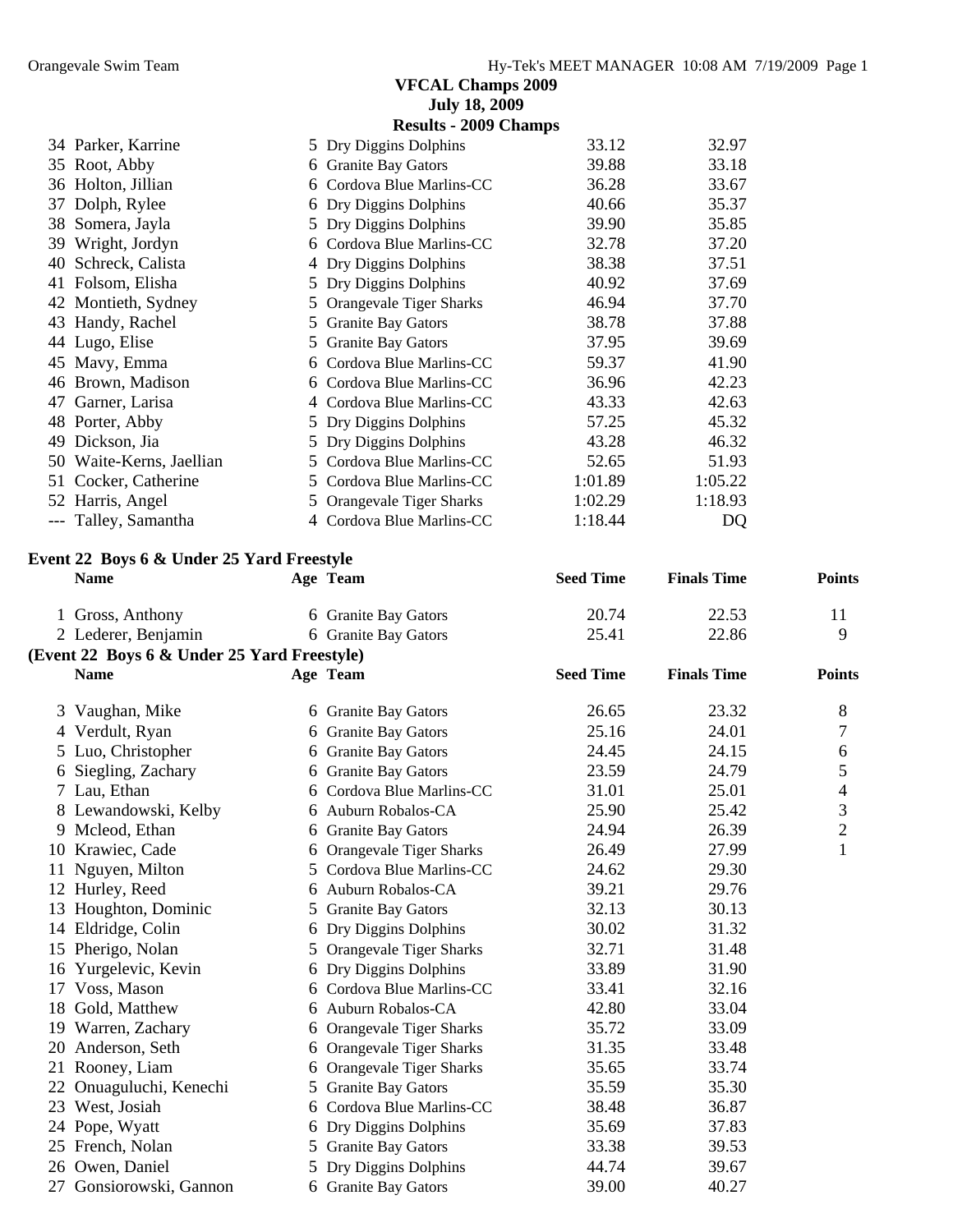|                          | <b>VFCAL Champs 2009</b>       |         |         |  |  |  |  |  |  |  |
|--------------------------|--------------------------------|---------|---------|--|--|--|--|--|--|--|
|                          | <b>July 18, 2009</b>           |         |         |  |  |  |  |  |  |  |
|                          | <b>Results - 2009 Champs</b>   |         |         |  |  |  |  |  |  |  |
| 34 Parker, Karrine       | 5 Dry Diggins Dolphins         | 33.12   | 32.97   |  |  |  |  |  |  |  |
| 35 Root, Abby            | <b>Granite Bay Gators</b><br>6 | 39.88   | 33.18   |  |  |  |  |  |  |  |
| 36 Holton, Jillian       | Cordova Blue Marlins-CC<br>6   | 36.28   | 33.67   |  |  |  |  |  |  |  |
| Dolph, Rylee<br>37       | Dry Diggins Dolphins<br>6      | 40.66   | 35.37   |  |  |  |  |  |  |  |
| 38 Somera, Jayla         | Dry Diggins Dolphins<br>5      | 39.90   | 35.85   |  |  |  |  |  |  |  |
| 39 Wright, Jordyn        | Cordova Blue Marlins-CC<br>6   | 32.78   | 37.20   |  |  |  |  |  |  |  |
| Schreck, Calista<br>40   | Dry Diggins Dolphins<br>4      | 38.38   | 37.51   |  |  |  |  |  |  |  |
| Folsom, Elisha<br>41     | Dry Diggins Dolphins<br>5      | 40.92   | 37.69   |  |  |  |  |  |  |  |
| 42 Montieth, Sydney      | Orangevale Tiger Sharks<br>5   | 46.94   | 37.70   |  |  |  |  |  |  |  |
| 43 Handy, Rachel         | <b>Granite Bay Gators</b><br>5 | 38.78   | 37.88   |  |  |  |  |  |  |  |
| 44 Lugo, Elise           | <b>Granite Bay Gators</b><br>5 | 37.95   | 39.69   |  |  |  |  |  |  |  |
| 45 Mavy, Emma            | Cordova Blue Marlins-CC<br>6   | 59.37   | 41.90   |  |  |  |  |  |  |  |
| 46 Brown, Madison        | Cordova Blue Marlins-CC<br>6   | 36.96   | 42.23   |  |  |  |  |  |  |  |
| 47<br>Garner, Larisa     | Cordova Blue Marlins-CC<br>4   | 43.33   | 42.63   |  |  |  |  |  |  |  |
| Porter, Abby<br>48       | 5 Dry Diggins Dolphins         | 57.25   | 45.32   |  |  |  |  |  |  |  |
| 49<br>Dickson, Jia       | Dry Diggins Dolphins<br>5      | 43.28   | 46.32   |  |  |  |  |  |  |  |
| 50 Waite-Kerns, Jaellian | 5 Cordova Blue Marlins-CC      | 52.65   | 51.93   |  |  |  |  |  |  |  |
| Cocker, Catherine<br>51  | Cordova Blue Marlins-CC<br>5.  | 1:01.89 | 1:05.22 |  |  |  |  |  |  |  |
| 52 Harris, Angel         | 5 Orangevale Tiger Sharks      | 1:02.29 | 1:18.93 |  |  |  |  |  |  |  |
| --- Talley, Samantha     | 4 Cordova Blue Marlins-CC      | 1:18.44 | DQ      |  |  |  |  |  |  |  |

#### **Event 22 Boys 6 & Under 25 Yard Freestyle**

|    | <b>Name</b>                                 |    | Age Team                  | <b>Seed Time</b> | <b>Finals Time</b> | <b>Points</b>  |
|----|---------------------------------------------|----|---------------------------|------------------|--------------------|----------------|
|    | 1 Gross, Anthony                            |    | 6 Granite Bay Gators      | 20.74            | 22.53              | 11             |
|    | 2 Lederer, Benjamin                         |    | 6 Granite Bay Gators      | 25.41            | 22.86              | 9              |
|    | (Event 22 Boys 6 & Under 25 Yard Freestyle) |    |                           |                  |                    |                |
|    | <b>Name</b>                                 |    | Age Team                  | <b>Seed Time</b> | <b>Finals Time</b> | <b>Points</b>  |
| 3  | Vaughan, Mike                               |    | 6 Granite Bay Gators      | 26.65            | 23.32              | 8              |
| 4  | Verdult, Ryan                               |    | 6 Granite Bay Gators      | 25.16            | 24.01              | 7              |
|    | 5 Luo, Christopher                          |    | 6 Granite Bay Gators      | 24.45            | 24.15              | 6              |
| 6  | Siegling, Zachary                           |    | 6 Granite Bay Gators      | 23.59            | 24.79              | 5              |
|    | 7 Lau, Ethan                                |    | 6 Cordova Blue Marlins-CC | 31.01            | 25.01              | $\overline{4}$ |
|    | Lewandowski, Kelby                          |    | 6 Auburn Robalos-CA       | 25.90            | 25.42              | 3              |
|    | 9 Mcleod, Ethan                             |    | 6 Granite Bay Gators      | 24.94            | 26.39              | $\overline{2}$ |
|    | 10 Krawiec, Cade                            |    | 6 Orangevale Tiger Sharks | 26.49            | 27.99              | 1              |
| 11 | Nguyen, Milton                              | 5. | Cordova Blue Marlins-CC   | 24.62            | 29.30              |                |
| 12 | Hurley, Reed                                |    | 6 Auburn Robalos-CA       | 39.21            | 29.76              |                |
| 13 | Houghton, Dominic                           |    | 5 Granite Bay Gators      | 32.13            | 30.13              |                |
| 14 | Eldridge, Colin                             |    | 6 Dry Diggins Dolphins    | 30.02            | 31.32              |                |
| 15 | Pherigo, Nolan                              |    | 5 Orangevale Tiger Sharks | 32.71            | 31.48              |                |
| 16 | Yurgelevic, Kevin                           |    | 6 Dry Diggins Dolphins    | 33.89            | 31.90              |                |
| 17 | Voss, Mason                                 |    | 6 Cordova Blue Marlins-CC | 33.41            | 32.16              |                |
| 18 | Gold, Matthew                               |    | 6 Auburn Robalos-CA       | 42.80            | 33.04              |                |
|    | 19 Warren, Zachary                          |    | 6 Orangevale Tiger Sharks | 35.72            | 33.09              |                |
| 20 | Anderson, Seth                              |    | 6 Orangevale Tiger Sharks | 31.35            | 33.48              |                |
| 21 | Rooney, Liam                                |    | 6 Orangevale Tiger Sharks | 35.65            | 33.74              |                |
| 22 | Onuaguluchi, Kenechi                        |    | 5 Granite Bay Gators      | 35.59            | 35.30              |                |
| 23 | West, Josiah                                | 6  | Cordova Blue Marlins-CC   | 38.48            | 36.87              |                |
| 24 | Pope, Wyatt                                 |    | 6 Dry Diggins Dolphins    | 35.69            | 37.83              |                |
|    | 25 French, Nolan                            |    | 5 Granite Bay Gators      | 33.38            | 39.53              |                |
| 26 | Owen, Daniel                                | 5. | Dry Diggins Dolphins      | 44.74            | 39.67              |                |
| 27 | Gonsiorowski, Gannon                        |    | 6 Granite Bay Gators      | 39.00            | 40.27              |                |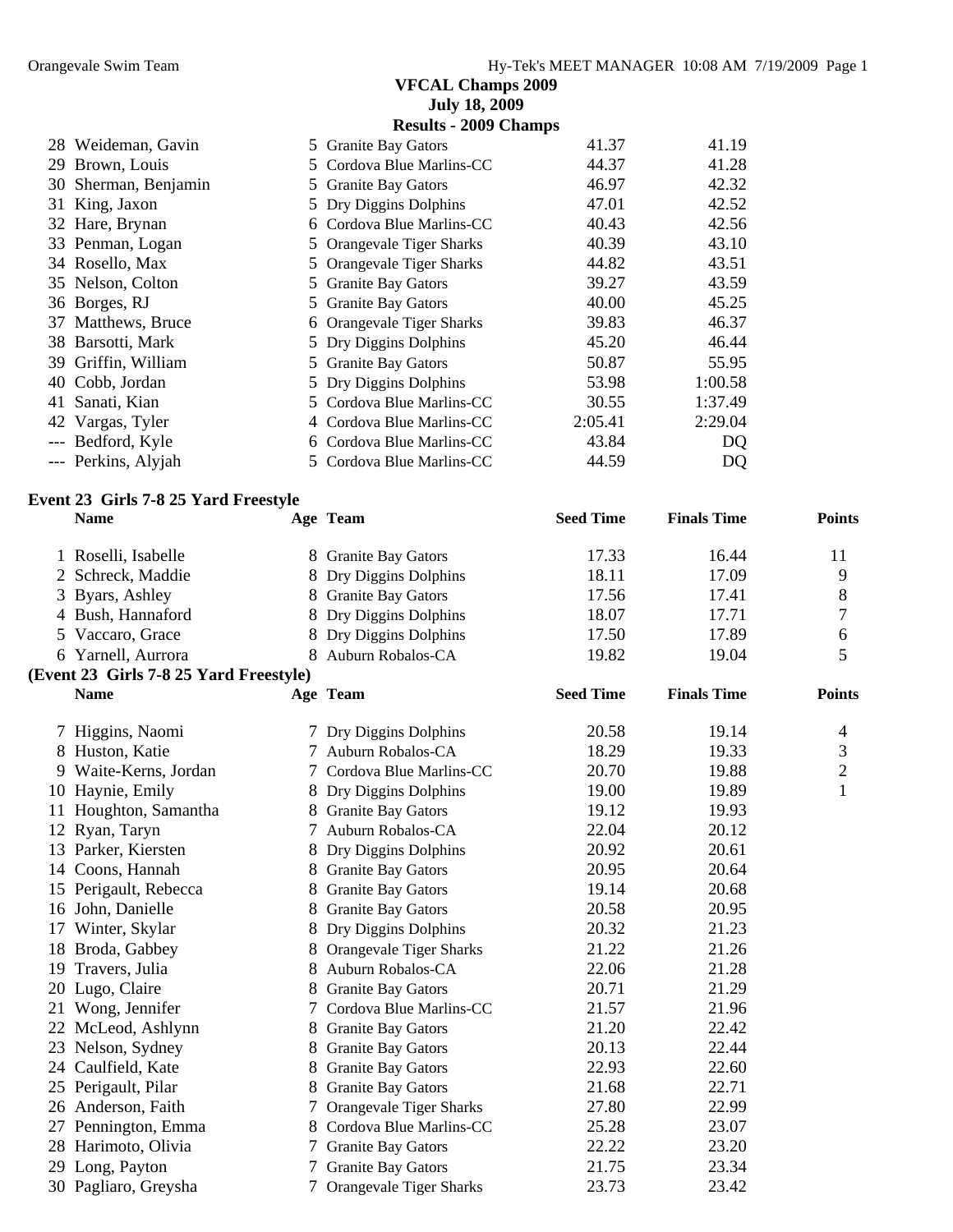| <b>Results - 2009 Champs</b><br>41.37<br>28 Weideman, Gavin<br>41.19<br>5 Granite Bay Gators<br>29 Brown, Louis<br>44.37<br>41.28<br>5 Cordova Blue Marlins-CC<br>42.32<br>46.97<br>30 Sherman, Benjamin<br>5 Granite Bay Gators<br>42.52<br>31 King, Jaxon<br>5 Dry Diggins Dolphins<br>47.01<br>32 Hare, Brynan<br>6 Cordova Blue Marlins-CC<br>40.43<br>42.56<br>33 Penman, Logan<br>40.39<br>43.10<br>5 Orangevale Tiger Sharks<br>34 Rosello, Max<br>44.82<br>43.51<br>5 Orangevale Tiger Sharks<br>35 Nelson, Colton<br>5 Granite Bay Gators<br>39.27<br>43.59<br>36 Borges, RJ<br>40.00<br>45.25<br>5 Granite Bay Gators<br>46.37<br>37 Matthews, Bruce<br>39.83<br>6 Orangevale Tiger Sharks<br>38 Barsotti, Mark<br>5 Dry Diggins Dolphins<br>45.20<br>46.44<br>39 Griffin, William<br>50.87<br>55.95<br>5 Granite Bay Gators<br>40 Cobb, Jordan<br>Dry Diggins Dolphins<br>53.98<br>1:00.58<br>5<br>41 Sanati, Kian<br>5 Cordova Blue Marlins-CC<br>30.55<br>1:37.49<br>42 Vargas, Tyler<br>2:05.41<br>2:29.04<br>4 Cordova Blue Marlins-CC<br>--- Bedford, Kyle<br>43.84<br>6 Cordova Blue Marlins-CC<br>DQ<br>--- Perkins, Alyjah<br>44.59<br>5 Cordova Blue Marlins-CC<br>DQ<br>Event 23 Girls 7-8 25 Yard Freestyle<br><b>Seed Time</b><br><b>Name</b><br><b>Finals Time</b><br><b>Points</b><br>Age Team<br>17.33<br>16.44<br>1 Roselli, Isabelle<br>11<br>8 Granite Bay Gators<br>17.09<br>18.11<br>9<br>2 Schreck, Maddie<br>8 Dry Diggins Dolphins<br>8<br>17.56<br>17.41<br>3 Byars, Ashley<br>8 Granite Bay Gators<br>$\overline{7}$<br>4 Bush, Hannaford<br>8 Dry Diggins Dolphins<br>18.07<br>17.71<br>6<br>5 Vaccaro, Grace<br>8 Dry Diggins Dolphins<br>17.50<br>17.89<br>5<br>8 Auburn Robalos-CA<br>6 Yarnell, Aurrora<br>19.82<br>19.04<br>(Event 23 Girls 7-8 25 Yard Freestyle)<br><b>Seed Time</b><br><b>Finals Time</b><br>Age Team<br><b>Points</b><br><b>Name</b><br>20.58<br>7 Higgins, Naomi<br>7 Dry Diggins Dolphins<br>19.14<br>4<br>Huston, Katie<br>18.29<br>19.33<br>3<br>Auburn Robalos-CA<br>8<br>$\frac{1}{2}$<br>$\overline{c}$<br>Waite-Kerns, Jordan<br>20.70<br>19.88<br>Cordova Blue Marlins-CC<br>9.<br>$\mathbf{1}$<br>19.00<br>19.89<br>10 Haynie, Emily<br>8 Dry Diggins Dolphins<br>Houghton, Samantha<br>19.12<br>19.93<br><b>Granite Bay Gators</b><br>11<br>22.04<br>Ryan, Taryn<br>Auburn Robalos-CA<br>20.12<br>12<br>$\frac{1}{2}$<br>20.92<br>13 Parker, Kiersten<br>Dry Diggins Dolphins<br>20.61<br>8<br>14 Coons, Hannah<br>20.95<br>20.64<br>8 Granite Bay Gators<br>15 Perigault, Rebecca<br>19.14<br>20.68<br><b>Granite Bay Gators</b><br>8.<br>20.58<br>20.95<br>16 John, Danielle<br><b>Granite Bay Gators</b><br>8.<br>17 Winter, Skylar<br>20.32<br>21.23<br>Dry Diggins Dolphins<br>8<br>21.26<br>18 Broda, Gabbey<br>8 Orangevale Tiger Sharks<br>21.22<br>22.06<br>21.28<br>19 Travers, Julia<br>Auburn Robalos-CA<br>8 | Orangevale Swim Team | <b>VFCAL Champs 2009</b><br><b>July 18, 2009</b> | Hy-Tek's MEET MANAGER 10:08 AM 7/19/2009 Page 1 |  |
|----------------------------------------------------------------------------------------------------------------------------------------------------------------------------------------------------------------------------------------------------------------------------------------------------------------------------------------------------------------------------------------------------------------------------------------------------------------------------------------------------------------------------------------------------------------------------------------------------------------------------------------------------------------------------------------------------------------------------------------------------------------------------------------------------------------------------------------------------------------------------------------------------------------------------------------------------------------------------------------------------------------------------------------------------------------------------------------------------------------------------------------------------------------------------------------------------------------------------------------------------------------------------------------------------------------------------------------------------------------------------------------------------------------------------------------------------------------------------------------------------------------------------------------------------------------------------------------------------------------------------------------------------------------------------------------------------------------------------------------------------------------------------------------------------------------------------------------------------------------------------------------------------------------------------------------------------------------------------------------------------------------------------------------------------------------------------------------------------------------------------------------------------------------------------------------------------------------------------------------------------------------------------------------------------------------------------------------------------------------------------------------------------------------------------------------------------------------------------------------------------------------------------------------------------------------------------------------------------------------------------------------------------------------------------------------------------------------------------------------------------------------------------------------------------------------------------------------------------------------------------------------------------|----------------------|--------------------------------------------------|-------------------------------------------------|--|
|                                                                                                                                                                                                                                                                                                                                                                                                                                                                                                                                                                                                                                                                                                                                                                                                                                                                                                                                                                                                                                                                                                                                                                                                                                                                                                                                                                                                                                                                                                                                                                                                                                                                                                                                                                                                                                                                                                                                                                                                                                                                                                                                                                                                                                                                                                                                                                                                                                                                                                                                                                                                                                                                                                                                                                                                                                                                                                    |                      |                                                  |                                                 |  |
|                                                                                                                                                                                                                                                                                                                                                                                                                                                                                                                                                                                                                                                                                                                                                                                                                                                                                                                                                                                                                                                                                                                                                                                                                                                                                                                                                                                                                                                                                                                                                                                                                                                                                                                                                                                                                                                                                                                                                                                                                                                                                                                                                                                                                                                                                                                                                                                                                                                                                                                                                                                                                                                                                                                                                                                                                                                                                                    |                      |                                                  |                                                 |  |
|                                                                                                                                                                                                                                                                                                                                                                                                                                                                                                                                                                                                                                                                                                                                                                                                                                                                                                                                                                                                                                                                                                                                                                                                                                                                                                                                                                                                                                                                                                                                                                                                                                                                                                                                                                                                                                                                                                                                                                                                                                                                                                                                                                                                                                                                                                                                                                                                                                                                                                                                                                                                                                                                                                                                                                                                                                                                                                    |                      |                                                  |                                                 |  |
|                                                                                                                                                                                                                                                                                                                                                                                                                                                                                                                                                                                                                                                                                                                                                                                                                                                                                                                                                                                                                                                                                                                                                                                                                                                                                                                                                                                                                                                                                                                                                                                                                                                                                                                                                                                                                                                                                                                                                                                                                                                                                                                                                                                                                                                                                                                                                                                                                                                                                                                                                                                                                                                                                                                                                                                                                                                                                                    |                      |                                                  |                                                 |  |
|                                                                                                                                                                                                                                                                                                                                                                                                                                                                                                                                                                                                                                                                                                                                                                                                                                                                                                                                                                                                                                                                                                                                                                                                                                                                                                                                                                                                                                                                                                                                                                                                                                                                                                                                                                                                                                                                                                                                                                                                                                                                                                                                                                                                                                                                                                                                                                                                                                                                                                                                                                                                                                                                                                                                                                                                                                                                                                    |                      |                                                  |                                                 |  |
|                                                                                                                                                                                                                                                                                                                                                                                                                                                                                                                                                                                                                                                                                                                                                                                                                                                                                                                                                                                                                                                                                                                                                                                                                                                                                                                                                                                                                                                                                                                                                                                                                                                                                                                                                                                                                                                                                                                                                                                                                                                                                                                                                                                                                                                                                                                                                                                                                                                                                                                                                                                                                                                                                                                                                                                                                                                                                                    |                      |                                                  |                                                 |  |
|                                                                                                                                                                                                                                                                                                                                                                                                                                                                                                                                                                                                                                                                                                                                                                                                                                                                                                                                                                                                                                                                                                                                                                                                                                                                                                                                                                                                                                                                                                                                                                                                                                                                                                                                                                                                                                                                                                                                                                                                                                                                                                                                                                                                                                                                                                                                                                                                                                                                                                                                                                                                                                                                                                                                                                                                                                                                                                    |                      |                                                  |                                                 |  |
|                                                                                                                                                                                                                                                                                                                                                                                                                                                                                                                                                                                                                                                                                                                                                                                                                                                                                                                                                                                                                                                                                                                                                                                                                                                                                                                                                                                                                                                                                                                                                                                                                                                                                                                                                                                                                                                                                                                                                                                                                                                                                                                                                                                                                                                                                                                                                                                                                                                                                                                                                                                                                                                                                                                                                                                                                                                                                                    |                      |                                                  |                                                 |  |
|                                                                                                                                                                                                                                                                                                                                                                                                                                                                                                                                                                                                                                                                                                                                                                                                                                                                                                                                                                                                                                                                                                                                                                                                                                                                                                                                                                                                                                                                                                                                                                                                                                                                                                                                                                                                                                                                                                                                                                                                                                                                                                                                                                                                                                                                                                                                                                                                                                                                                                                                                                                                                                                                                                                                                                                                                                                                                                    |                      |                                                  |                                                 |  |
|                                                                                                                                                                                                                                                                                                                                                                                                                                                                                                                                                                                                                                                                                                                                                                                                                                                                                                                                                                                                                                                                                                                                                                                                                                                                                                                                                                                                                                                                                                                                                                                                                                                                                                                                                                                                                                                                                                                                                                                                                                                                                                                                                                                                                                                                                                                                                                                                                                                                                                                                                                                                                                                                                                                                                                                                                                                                                                    |                      |                                                  |                                                 |  |
|                                                                                                                                                                                                                                                                                                                                                                                                                                                                                                                                                                                                                                                                                                                                                                                                                                                                                                                                                                                                                                                                                                                                                                                                                                                                                                                                                                                                                                                                                                                                                                                                                                                                                                                                                                                                                                                                                                                                                                                                                                                                                                                                                                                                                                                                                                                                                                                                                                                                                                                                                                                                                                                                                                                                                                                                                                                                                                    |                      |                                                  |                                                 |  |
|                                                                                                                                                                                                                                                                                                                                                                                                                                                                                                                                                                                                                                                                                                                                                                                                                                                                                                                                                                                                                                                                                                                                                                                                                                                                                                                                                                                                                                                                                                                                                                                                                                                                                                                                                                                                                                                                                                                                                                                                                                                                                                                                                                                                                                                                                                                                                                                                                                                                                                                                                                                                                                                                                                                                                                                                                                                                                                    |                      |                                                  |                                                 |  |
|                                                                                                                                                                                                                                                                                                                                                                                                                                                                                                                                                                                                                                                                                                                                                                                                                                                                                                                                                                                                                                                                                                                                                                                                                                                                                                                                                                                                                                                                                                                                                                                                                                                                                                                                                                                                                                                                                                                                                                                                                                                                                                                                                                                                                                                                                                                                                                                                                                                                                                                                                                                                                                                                                                                                                                                                                                                                                                    |                      |                                                  |                                                 |  |
|                                                                                                                                                                                                                                                                                                                                                                                                                                                                                                                                                                                                                                                                                                                                                                                                                                                                                                                                                                                                                                                                                                                                                                                                                                                                                                                                                                                                                                                                                                                                                                                                                                                                                                                                                                                                                                                                                                                                                                                                                                                                                                                                                                                                                                                                                                                                                                                                                                                                                                                                                                                                                                                                                                                                                                                                                                                                                                    |                      |                                                  |                                                 |  |
|                                                                                                                                                                                                                                                                                                                                                                                                                                                                                                                                                                                                                                                                                                                                                                                                                                                                                                                                                                                                                                                                                                                                                                                                                                                                                                                                                                                                                                                                                                                                                                                                                                                                                                                                                                                                                                                                                                                                                                                                                                                                                                                                                                                                                                                                                                                                                                                                                                                                                                                                                                                                                                                                                                                                                                                                                                                                                                    |                      |                                                  |                                                 |  |
|                                                                                                                                                                                                                                                                                                                                                                                                                                                                                                                                                                                                                                                                                                                                                                                                                                                                                                                                                                                                                                                                                                                                                                                                                                                                                                                                                                                                                                                                                                                                                                                                                                                                                                                                                                                                                                                                                                                                                                                                                                                                                                                                                                                                                                                                                                                                                                                                                                                                                                                                                                                                                                                                                                                                                                                                                                                                                                    |                      |                                                  |                                                 |  |
|                                                                                                                                                                                                                                                                                                                                                                                                                                                                                                                                                                                                                                                                                                                                                                                                                                                                                                                                                                                                                                                                                                                                                                                                                                                                                                                                                                                                                                                                                                                                                                                                                                                                                                                                                                                                                                                                                                                                                                                                                                                                                                                                                                                                                                                                                                                                                                                                                                                                                                                                                                                                                                                                                                                                                                                                                                                                                                    |                      |                                                  |                                                 |  |
|                                                                                                                                                                                                                                                                                                                                                                                                                                                                                                                                                                                                                                                                                                                                                                                                                                                                                                                                                                                                                                                                                                                                                                                                                                                                                                                                                                                                                                                                                                                                                                                                                                                                                                                                                                                                                                                                                                                                                                                                                                                                                                                                                                                                                                                                                                                                                                                                                                                                                                                                                                                                                                                                                                                                                                                                                                                                                                    |                      |                                                  |                                                 |  |
|                                                                                                                                                                                                                                                                                                                                                                                                                                                                                                                                                                                                                                                                                                                                                                                                                                                                                                                                                                                                                                                                                                                                                                                                                                                                                                                                                                                                                                                                                                                                                                                                                                                                                                                                                                                                                                                                                                                                                                                                                                                                                                                                                                                                                                                                                                                                                                                                                                                                                                                                                                                                                                                                                                                                                                                                                                                                                                    |                      |                                                  |                                                 |  |
|                                                                                                                                                                                                                                                                                                                                                                                                                                                                                                                                                                                                                                                                                                                                                                                                                                                                                                                                                                                                                                                                                                                                                                                                                                                                                                                                                                                                                                                                                                                                                                                                                                                                                                                                                                                                                                                                                                                                                                                                                                                                                                                                                                                                                                                                                                                                                                                                                                                                                                                                                                                                                                                                                                                                                                                                                                                                                                    |                      |                                                  |                                                 |  |
|                                                                                                                                                                                                                                                                                                                                                                                                                                                                                                                                                                                                                                                                                                                                                                                                                                                                                                                                                                                                                                                                                                                                                                                                                                                                                                                                                                                                                                                                                                                                                                                                                                                                                                                                                                                                                                                                                                                                                                                                                                                                                                                                                                                                                                                                                                                                                                                                                                                                                                                                                                                                                                                                                                                                                                                                                                                                                                    |                      |                                                  |                                                 |  |
|                                                                                                                                                                                                                                                                                                                                                                                                                                                                                                                                                                                                                                                                                                                                                                                                                                                                                                                                                                                                                                                                                                                                                                                                                                                                                                                                                                                                                                                                                                                                                                                                                                                                                                                                                                                                                                                                                                                                                                                                                                                                                                                                                                                                                                                                                                                                                                                                                                                                                                                                                                                                                                                                                                                                                                                                                                                                                                    |                      |                                                  |                                                 |  |
|                                                                                                                                                                                                                                                                                                                                                                                                                                                                                                                                                                                                                                                                                                                                                                                                                                                                                                                                                                                                                                                                                                                                                                                                                                                                                                                                                                                                                                                                                                                                                                                                                                                                                                                                                                                                                                                                                                                                                                                                                                                                                                                                                                                                                                                                                                                                                                                                                                                                                                                                                                                                                                                                                                                                                                                                                                                                                                    |                      |                                                  |                                                 |  |
|                                                                                                                                                                                                                                                                                                                                                                                                                                                                                                                                                                                                                                                                                                                                                                                                                                                                                                                                                                                                                                                                                                                                                                                                                                                                                                                                                                                                                                                                                                                                                                                                                                                                                                                                                                                                                                                                                                                                                                                                                                                                                                                                                                                                                                                                                                                                                                                                                                                                                                                                                                                                                                                                                                                                                                                                                                                                                                    |                      |                                                  |                                                 |  |
|                                                                                                                                                                                                                                                                                                                                                                                                                                                                                                                                                                                                                                                                                                                                                                                                                                                                                                                                                                                                                                                                                                                                                                                                                                                                                                                                                                                                                                                                                                                                                                                                                                                                                                                                                                                                                                                                                                                                                                                                                                                                                                                                                                                                                                                                                                                                                                                                                                                                                                                                                                                                                                                                                                                                                                                                                                                                                                    |                      |                                                  |                                                 |  |
|                                                                                                                                                                                                                                                                                                                                                                                                                                                                                                                                                                                                                                                                                                                                                                                                                                                                                                                                                                                                                                                                                                                                                                                                                                                                                                                                                                                                                                                                                                                                                                                                                                                                                                                                                                                                                                                                                                                                                                                                                                                                                                                                                                                                                                                                                                                                                                                                                                                                                                                                                                                                                                                                                                                                                                                                                                                                                                    |                      |                                                  |                                                 |  |
|                                                                                                                                                                                                                                                                                                                                                                                                                                                                                                                                                                                                                                                                                                                                                                                                                                                                                                                                                                                                                                                                                                                                                                                                                                                                                                                                                                                                                                                                                                                                                                                                                                                                                                                                                                                                                                                                                                                                                                                                                                                                                                                                                                                                                                                                                                                                                                                                                                                                                                                                                                                                                                                                                                                                                                                                                                                                                                    |                      |                                                  |                                                 |  |
|                                                                                                                                                                                                                                                                                                                                                                                                                                                                                                                                                                                                                                                                                                                                                                                                                                                                                                                                                                                                                                                                                                                                                                                                                                                                                                                                                                                                                                                                                                                                                                                                                                                                                                                                                                                                                                                                                                                                                                                                                                                                                                                                                                                                                                                                                                                                                                                                                                                                                                                                                                                                                                                                                                                                                                                                                                                                                                    |                      |                                                  |                                                 |  |
|                                                                                                                                                                                                                                                                                                                                                                                                                                                                                                                                                                                                                                                                                                                                                                                                                                                                                                                                                                                                                                                                                                                                                                                                                                                                                                                                                                                                                                                                                                                                                                                                                                                                                                                                                                                                                                                                                                                                                                                                                                                                                                                                                                                                                                                                                                                                                                                                                                                                                                                                                                                                                                                                                                                                                                                                                                                                                                    |                      |                                                  |                                                 |  |
|                                                                                                                                                                                                                                                                                                                                                                                                                                                                                                                                                                                                                                                                                                                                                                                                                                                                                                                                                                                                                                                                                                                                                                                                                                                                                                                                                                                                                                                                                                                                                                                                                                                                                                                                                                                                                                                                                                                                                                                                                                                                                                                                                                                                                                                                                                                                                                                                                                                                                                                                                                                                                                                                                                                                                                                                                                                                                                    |                      |                                                  |                                                 |  |
|                                                                                                                                                                                                                                                                                                                                                                                                                                                                                                                                                                                                                                                                                                                                                                                                                                                                                                                                                                                                                                                                                                                                                                                                                                                                                                                                                                                                                                                                                                                                                                                                                                                                                                                                                                                                                                                                                                                                                                                                                                                                                                                                                                                                                                                                                                                                                                                                                                                                                                                                                                                                                                                                                                                                                                                                                                                                                                    |                      |                                                  |                                                 |  |
|                                                                                                                                                                                                                                                                                                                                                                                                                                                                                                                                                                                                                                                                                                                                                                                                                                                                                                                                                                                                                                                                                                                                                                                                                                                                                                                                                                                                                                                                                                                                                                                                                                                                                                                                                                                                                                                                                                                                                                                                                                                                                                                                                                                                                                                                                                                                                                                                                                                                                                                                                                                                                                                                                                                                                                                                                                                                                                    |                      |                                                  |                                                 |  |
|                                                                                                                                                                                                                                                                                                                                                                                                                                                                                                                                                                                                                                                                                                                                                                                                                                                                                                                                                                                                                                                                                                                                                                                                                                                                                                                                                                                                                                                                                                                                                                                                                                                                                                                                                                                                                                                                                                                                                                                                                                                                                                                                                                                                                                                                                                                                                                                                                                                                                                                                                                                                                                                                                                                                                                                                                                                                                                    |                      |                                                  |                                                 |  |
|                                                                                                                                                                                                                                                                                                                                                                                                                                                                                                                                                                                                                                                                                                                                                                                                                                                                                                                                                                                                                                                                                                                                                                                                                                                                                                                                                                                                                                                                                                                                                                                                                                                                                                                                                                                                                                                                                                                                                                                                                                                                                                                                                                                                                                                                                                                                                                                                                                                                                                                                                                                                                                                                                                                                                                                                                                                                                                    |                      |                                                  |                                                 |  |
|                                                                                                                                                                                                                                                                                                                                                                                                                                                                                                                                                                                                                                                                                                                                                                                                                                                                                                                                                                                                                                                                                                                                                                                                                                                                                                                                                                                                                                                                                                                                                                                                                                                                                                                                                                                                                                                                                                                                                                                                                                                                                                                                                                                                                                                                                                                                                                                                                                                                                                                                                                                                                                                                                                                                                                                                                                                                                                    |                      |                                                  |                                                 |  |
|                                                                                                                                                                                                                                                                                                                                                                                                                                                                                                                                                                                                                                                                                                                                                                                                                                                                                                                                                                                                                                                                                                                                                                                                                                                                                                                                                                                                                                                                                                                                                                                                                                                                                                                                                                                                                                                                                                                                                                                                                                                                                                                                                                                                                                                                                                                                                                                                                                                                                                                                                                                                                                                                                                                                                                                                                                                                                                    |                      |                                                  |                                                 |  |
|                                                                                                                                                                                                                                                                                                                                                                                                                                                                                                                                                                                                                                                                                                                                                                                                                                                                                                                                                                                                                                                                                                                                                                                                                                                                                                                                                                                                                                                                                                                                                                                                                                                                                                                                                                                                                                                                                                                                                                                                                                                                                                                                                                                                                                                                                                                                                                                                                                                                                                                                                                                                                                                                                                                                                                                                                                                                                                    |                      |                                                  |                                                 |  |
|                                                                                                                                                                                                                                                                                                                                                                                                                                                                                                                                                                                                                                                                                                                                                                                                                                                                                                                                                                                                                                                                                                                                                                                                                                                                                                                                                                                                                                                                                                                                                                                                                                                                                                                                                                                                                                                                                                                                                                                                                                                                                                                                                                                                                                                                                                                                                                                                                                                                                                                                                                                                                                                                                                                                                                                                                                                                                                    |                      |                                                  |                                                 |  |
|                                                                                                                                                                                                                                                                                                                                                                                                                                                                                                                                                                                                                                                                                                                                                                                                                                                                                                                                                                                                                                                                                                                                                                                                                                                                                                                                                                                                                                                                                                                                                                                                                                                                                                                                                                                                                                                                                                                                                                                                                                                                                                                                                                                                                                                                                                                                                                                                                                                                                                                                                                                                                                                                                                                                                                                                                                                                                                    |                      |                                                  |                                                 |  |
|                                                                                                                                                                                                                                                                                                                                                                                                                                                                                                                                                                                                                                                                                                                                                                                                                                                                                                                                                                                                                                                                                                                                                                                                                                                                                                                                                                                                                                                                                                                                                                                                                                                                                                                                                                                                                                                                                                                                                                                                                                                                                                                                                                                                                                                                                                                                                                                                                                                                                                                                                                                                                                                                                                                                                                                                                                                                                                    |                      |                                                  |                                                 |  |
|                                                                                                                                                                                                                                                                                                                                                                                                                                                                                                                                                                                                                                                                                                                                                                                                                                                                                                                                                                                                                                                                                                                                                                                                                                                                                                                                                                                                                                                                                                                                                                                                                                                                                                                                                                                                                                                                                                                                                                                                                                                                                                                                                                                                                                                                                                                                                                                                                                                                                                                                                                                                                                                                                                                                                                                                                                                                                                    |                      |                                                  |                                                 |  |
|                                                                                                                                                                                                                                                                                                                                                                                                                                                                                                                                                                                                                                                                                                                                                                                                                                                                                                                                                                                                                                                                                                                                                                                                                                                                                                                                                                                                                                                                                                                                                                                                                                                                                                                                                                                                                                                                                                                                                                                                                                                                                                                                                                                                                                                                                                                                                                                                                                                                                                                                                                                                                                                                                                                                                                                                                                                                                                    |                      |                                                  |                                                 |  |
| 20 Lugo, Claire<br>20.71<br>21.29<br>8 Granite Bay Gators                                                                                                                                                                                                                                                                                                                                                                                                                                                                                                                                                                                                                                                                                                                                                                                                                                                                                                                                                                                                                                                                                                                                                                                                                                                                                                                                                                                                                                                                                                                                                                                                                                                                                                                                                                                                                                                                                                                                                                                                                                                                                                                                                                                                                                                                                                                                                                                                                                                                                                                                                                                                                                                                                                                                                                                                                                          |                      |                                                  |                                                 |  |

21 Wong, Jennifer 7 Cordova Blue Marlins-CC 21.57 21.96 McLeod, Ashlynn 8 Granite Bay Gators 21.20 22.42 23 Nelson, Sydney 8 Granite Bay Gators 20.13 22.44 24 Caulfield, Kate 8 Granite Bay Gators 22.93 22.60 25 Perigault, Pilar 8 Granite Bay Gators 21.68 22.71 Anderson, Faith 7 Orangevale Tiger Sharks 27.80 22.99 Pennington, Emma 8 Cordova Blue Marlins-CC 25.28 23.07 28 Harimoto, Olivia 7 Granite Bay Gators 22.22 23.20 29 Long, Payton 7 Granite Bay Gators 21.75 23.34 Pagliaro, Greysha 7 Orangevale Tiger Sharks 23.73 23.42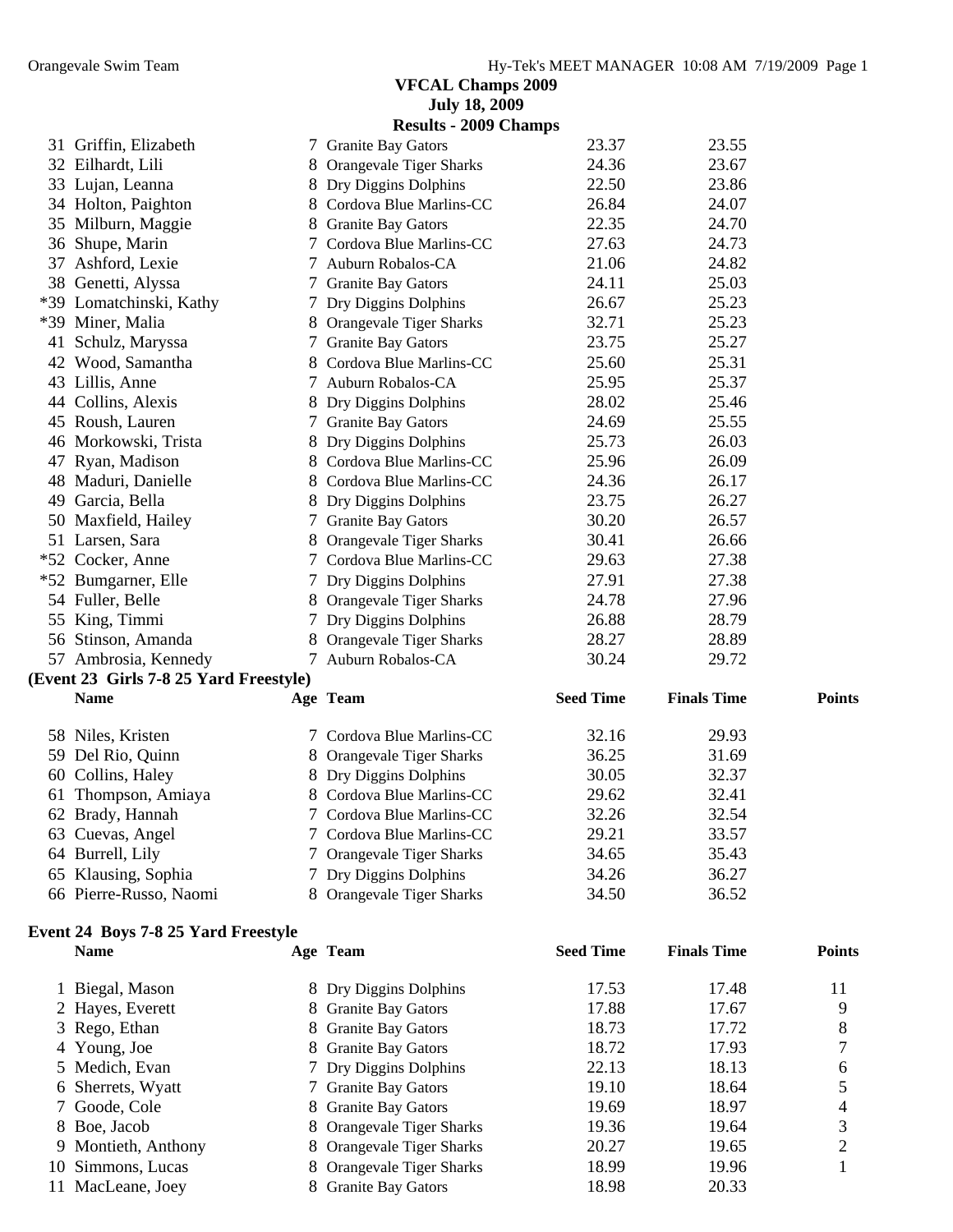|               |                                        |   | <b>VFCAL Champs 2009</b>     |                  |                    |               |
|---------------|----------------------------------------|---|------------------------------|------------------|--------------------|---------------|
|               |                                        |   | <b>July 18, 2009</b>         |                  |                    |               |
|               |                                        |   | <b>Results - 2009 Champs</b> |                  |                    |               |
|               | 31 Griffin, Elizabeth                  |   | 7 Granite Bay Gators         | 23.37            | 23.55              |               |
|               | 32 Eilhardt, Lili                      |   | 8 Orangevale Tiger Sharks    | 24.36            | 23.67              |               |
|               | 33 Lujan, Leanna                       |   |                              | 22.50            | 23.86              |               |
|               |                                        |   | 8 Dry Diggins Dolphins       |                  |                    |               |
|               | 34 Holton, Paighton                    |   | 8 Cordova Blue Marlins-CC    | 26.84            | 24.07              |               |
|               | 35 Milburn, Maggie                     |   | 8 Granite Bay Gators         | 22.35            | 24.70              |               |
|               | 36 Shupe, Marin                        |   | 7 Cordova Blue Marlins-CC    | 27.63            | 24.73              |               |
|               | 37 Ashford, Lexie                      |   | 7 Auburn Robalos-CA          | 21.06            | 24.82              |               |
|               | 38 Genetti, Alyssa                     |   | 7 Granite Bay Gators         | 24.11            | 25.03              |               |
|               | *39 Lomatchinski, Kathy                |   | 7 Dry Diggins Dolphins       | 26.67            | 25.23              |               |
|               | *39 Miner, Malia                       |   | 8 Orangevale Tiger Sharks    | 32.71            | 25.23              |               |
|               | 41 Schulz, Maryssa                     |   | 7 Granite Bay Gators         | 23.75            | 25.27              |               |
|               | 42 Wood, Samantha                      |   | 8 Cordova Blue Marlins-CC    | 25.60            | 25.31              |               |
|               | 43 Lillis, Anne                        |   | 7 Auburn Robalos-CA          | 25.95            | 25.37              |               |
|               | 44 Collins, Alexis                     |   | 8 Dry Diggins Dolphins       | 28.02            | 25.46              |               |
|               | 45 Roush, Lauren                       |   | 7 Granite Bay Gators         | 24.69            | 25.55              |               |
|               | 46 Morkowski, Trista                   |   | 8 Dry Diggins Dolphins       | 25.73            | 26.03              |               |
|               | 47 Ryan, Madison                       |   | 8 Cordova Blue Marlins-CC    | 25.96            | 26.09              |               |
|               | 48 Maduri, Danielle                    |   | 8 Cordova Blue Marlins-CC    | 24.36            | 26.17              |               |
|               | 49 Garcia, Bella                       |   |                              | 23.75            | 26.27              |               |
|               |                                        |   | 8 Dry Diggins Dolphins       |                  |                    |               |
|               | 50 Maxfield, Hailey                    |   | 7 Granite Bay Gators         | 30.20            | 26.57              |               |
|               | 51 Larsen, Sara                        |   | 8 Orangevale Tiger Sharks    | 30.41            | 26.66              |               |
|               | *52 Cocker, Anne                       |   | 7 Cordova Blue Marlins-CC    | 29.63            | 27.38              |               |
|               | *52 Bumgarner, Elle                    |   | 7 Dry Diggins Dolphins       | 27.91            | 27.38              |               |
|               | 54 Fuller, Belle                       |   | 8 Orangevale Tiger Sharks    | 24.78            | 27.96              |               |
|               | 55 King, Timmi                         |   | 7 Dry Diggins Dolphins       | 26.88            | 28.79              |               |
|               | 56 Stinson, Amanda                     |   | 8 Orangevale Tiger Sharks    | 28.27            | 28.89              |               |
|               | 57 Ambrosia, Kennedy                   |   | 7 Auburn Robalos-CA          | 30.24            | 29.72              |               |
|               | (Event 23 Girls 7-8 25 Yard Freestyle) |   |                              |                  |                    |               |
|               | <b>Name</b>                            |   | Age Team                     | <b>Seed Time</b> | <b>Finals Time</b> | <b>Points</b> |
|               |                                        |   |                              |                  |                    |               |
|               | 58 Niles, Kristen                      |   | 7 Cordova Blue Marlins-CC    | 32.16            | 29.93              |               |
|               | 59 Del Rio, Quinn                      |   | 8 Orangevale Tiger Sharks    | 36.25            | 31.69              |               |
|               | 60 Collins, Haley                      |   | 8 Dry Diggins Dolphins       | 30.05            | 32.37              |               |
|               | 61 Thompson, Amiaya                    |   | 8 Cordova Blue Marlins-CC    | 29.62            | 32.41              |               |
|               | 62 Brady, Hannah                       |   | 7 Cordova Blue Marlins-CC    | 32.26            | 32.54              |               |
|               | 63 Cuevas, Angel                       |   | 7 Cordova Blue Marlins-CC    | 29.21            | 33.57              |               |
|               | 64 Burrell, Lily                       |   | 7 Orangevale Tiger Sharks    | 34.65            | 35.43              |               |
|               |                                        |   |                              | 34.26            | 36.27              |               |
|               | 65 Klausing, Sophia                    |   | 7 Dry Diggins Dolphins       |                  |                    |               |
|               | 66 Pierre-Russo, Naomi                 |   | 8 Orangevale Tiger Sharks    | 34.50            | 36.52              |               |
|               |                                        |   |                              |                  |                    |               |
|               | Event 24 Boys 7-8 25 Yard Freestyle    |   |                              |                  |                    |               |
|               | <b>Name</b>                            |   | Age Team                     | <b>Seed Time</b> | <b>Finals Time</b> | <b>Points</b> |
|               |                                        |   |                              |                  |                    |               |
|               | 1 Biegal, Mason                        |   | 8 Dry Diggins Dolphins       | 17.53            | 17.48              | 11            |
|               | 2 Hayes, Everett                       | 8 | <b>Granite Bay Gators</b>    | 17.88            | 17.67              | 9             |
| 3             | Rego, Ethan                            | 8 | <b>Granite Bay Gators</b>    | 18.73            | 17.72              | 8             |
|               | 4 Young, Joe                           | 8 | <b>Granite Bay Gators</b>    | 18.72            | 17.93              | 7             |
|               | 5 Medich, Evan                         |   | 7 Dry Diggins Dolphins       | 22.13            | 18.13              | 6             |
| 6             | Sherrets, Wyatt                        |   | 7 Granite Bay Gators         | 19.10            | 18.64              | 5             |
| $\mathcal{L}$ | Goode, Cole                            | 8 | <b>Granite Bay Gators</b>    | 19.69            | 18.97              | 4             |
|               | 8 Boe, Jacob                           | 8 | Orangevale Tiger Sharks      | 19.36            | 19.64              | 3             |
|               | 9 Montieth, Anthony                    |   | 8 Orangevale Tiger Sharks    | 20.27            | 19.65              | 2             |
|               | 10 Simmons, Lucas                      | 8 | Orangevale Tiger Sharks      | 18.99            | 19.96              | 1             |
|               | 11 MacLeane, Joey                      |   | <b>Granite Bay Gators</b>    | 18.98            | 20.33              |               |
|               |                                        |   |                              |                  |                    |               |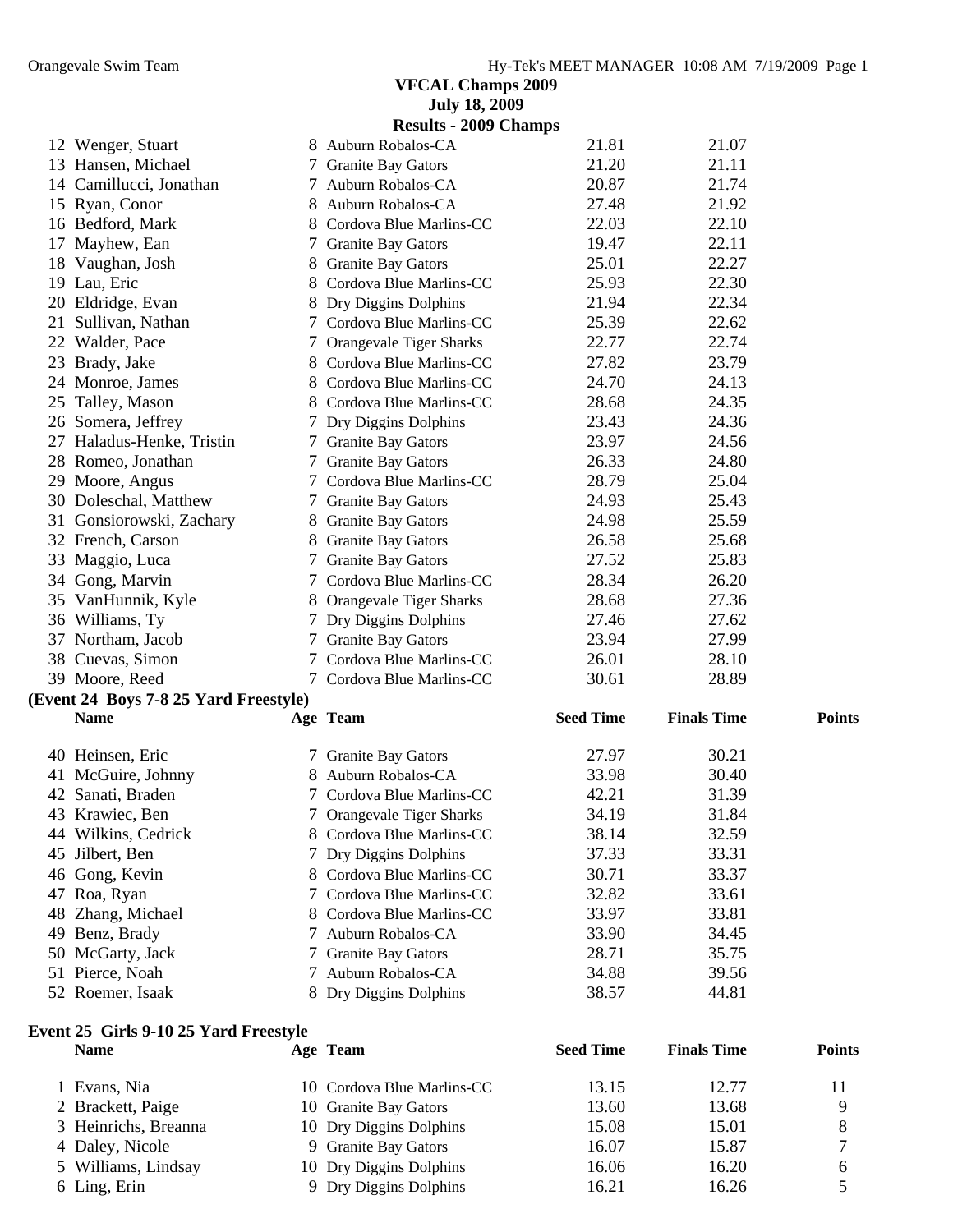|                                       | <b>July 18, 2009</b>         |                  |                    |               |
|---------------------------------------|------------------------------|------------------|--------------------|---------------|
|                                       | <b>Results - 2009 Champs</b> |                  |                    |               |
| 12 Wenger, Stuart                     | 8 Auburn Robalos-CA          | 21.81            | 21.07              |               |
| 13 Hansen, Michael                    | 7 Granite Bay Gators         | 21.20            | 21.11              |               |
| 14 Camillucci, Jonathan               | 7 Auburn Robalos-CA          | 20.87            | 21.74              |               |
| 15 Ryan, Conor                        | 8 Auburn Robalos-CA          | 27.48            | 21.92              |               |
| 16 Bedford, Mark                      | 8 Cordova Blue Marlins-CC    | 22.03            | 22.10              |               |
| 17 Mayhew, Ean                        | 7 Granite Bay Gators         | 19.47            | 22.11              |               |
| 18 Vaughan, Josh                      | 8 Granite Bay Gators         | 25.01            | 22.27              |               |
| 19 Lau, Eric                          | 8 Cordova Blue Marlins-CC    | 25.93            | 22.30              |               |
| 20 Eldridge, Evan                     | 8 Dry Diggins Dolphins       | 21.94            | 22.34              |               |
| 21 Sullivan, Nathan                   | 7 Cordova Blue Marlins-CC    | 25.39            | 22.62              |               |
| 22 Walder, Pace                       | 7 Orangevale Tiger Sharks    | 22.77            | 22.74              |               |
| 23 Brady, Jake                        | 8 Cordova Blue Marlins-CC    | 27.82            | 23.79              |               |
| 24 Monroe, James                      | 8 Cordova Blue Marlins-CC    | 24.70            | 24.13              |               |
| 25 Talley, Mason                      | 8 Cordova Blue Marlins-CC    | 28.68            | 24.35              |               |
| 26 Somera, Jeffrey                    | 7 Dry Diggins Dolphins       | 23.43            | 24.36              |               |
| 27 Haladus-Henke, Tristin             | 7 Granite Bay Gators         | 23.97            | 24.56              |               |
| 28 Romeo, Jonathan                    | 7 Granite Bay Gators         | 26.33            | 24.80              |               |
| 29 Moore, Angus                       | 7 Cordova Blue Marlins-CC    | 28.79            | 25.04              |               |
| 30 Doleschal, Matthew                 | 7 Granite Bay Gators         | 24.93            | 25.43              |               |
| 31 Gonsiorowski, Zachary              | 8 Granite Bay Gators         | 24.98            | 25.59              |               |
| 32 French, Carson                     | 8 Granite Bay Gators         | 26.58            | 25.68              |               |
| 33 Maggio, Luca                       | 7 Granite Bay Gators         | 27.52            | 25.83              |               |
| 34 Gong, Marvin                       | 7 Cordova Blue Marlins-CC    | 28.34            | 26.20              |               |
| 35 VanHunnik, Kyle                    | 8 Orangevale Tiger Sharks    | 28.68            | 27.36              |               |
| 36 Williams, Ty                       | 7 Dry Diggins Dolphins       | 27.46            | 27.62              |               |
| 37 Northam, Jacob                     | 7 Granite Bay Gators         | 23.94            | 27.99              |               |
| 38 Cuevas, Simon                      | 7 Cordova Blue Marlins-CC    | 26.01            | 28.10              |               |
| 39 Moore, Reed                        | 7 Cordova Blue Marlins-CC    | 30.61            | 28.89              |               |
| (Event 24 Boys 7-8 25 Yard Freestyle) |                              |                  |                    |               |
| <b>Name</b>                           | Age Team                     | <b>Seed Time</b> | <b>Finals Time</b> | <b>Points</b> |
| 40 Heinsen, Eric                      | 7 Granite Bay Gators         | 27.97            | 30.21              |               |
| 41 McGuire, Johnny                    | 8 Auburn Robalos-CA          | 33.98            | 30.40              |               |
| 42 Sanati, Braden                     | 7 Cordova Blue Marlins-CC    | 42.21            | 31.39              |               |
| 43 Krawiec, Ben                       | 7 Orangevale Tiger Sharks    | 34.19            | 31.84              |               |
| 44 Wilkins, Cedrick                   | 8 Cordova Blue Marlins-CC    | 38.14            | 32.59              |               |
| 45 Jilbert, Ben                       | 7 Dry Diggins Dolphins       | 37.33            | 33.31              |               |
| 46 Gong, Kevin                        | 8 Cordova Blue Marlins-CC    | 30.71            | 33.37              |               |

#### 52 Roemer, Isaak 8 Dry Diggins Dolphins 38.57 44.81

| Event 25 Girls 9-10 25 Yard Freestyle |  |
|---------------------------------------|--|
|                                       |  |

| Name                 | Age Team                   | <b>Seed Time</b> | <b>Finals Time</b> | <b>Points</b> |
|----------------------|----------------------------|------------------|--------------------|---------------|
| 1 Evans, Nia         | 10 Cordova Blue Marlins-CC | 13.15            | 12.77              |               |
| 2 Brackett, Paige    | 10 Granite Bay Gators      | 13.60            | 13.68              | Q             |
| 3 Heinrichs, Breanna | 10 Dry Diggins Dolphins    | 15.08            | 15.01              |               |
| 4 Daley, Nicole      | 9 Granite Bay Gators       | 16.07            | 15.87              |               |
| 5 Williams, Lindsay  | 10 Dry Diggins Dolphins    | 16.06            | 16.20              |               |
| 6 Ling, Erin         | 9 Dry Diggins Dolphins     | 16.21            | 16.26              |               |
|                      |                            |                  |                    |               |

47 Roa, Ryan 7 Cordova Blue Marlins-CC 32.82 33.61 48 Zhang, Michael 8 Cordova Blue Marlins-CC 33.97 33.81 Benz, Brady 7 Auburn Robalos-CA 33.90 34.45 50 McGarty, Jack 7 Granite Bay Gators 28.71 35.75 51 Pierce, Noah 7 Auburn Robalos-CA 34.88 39.56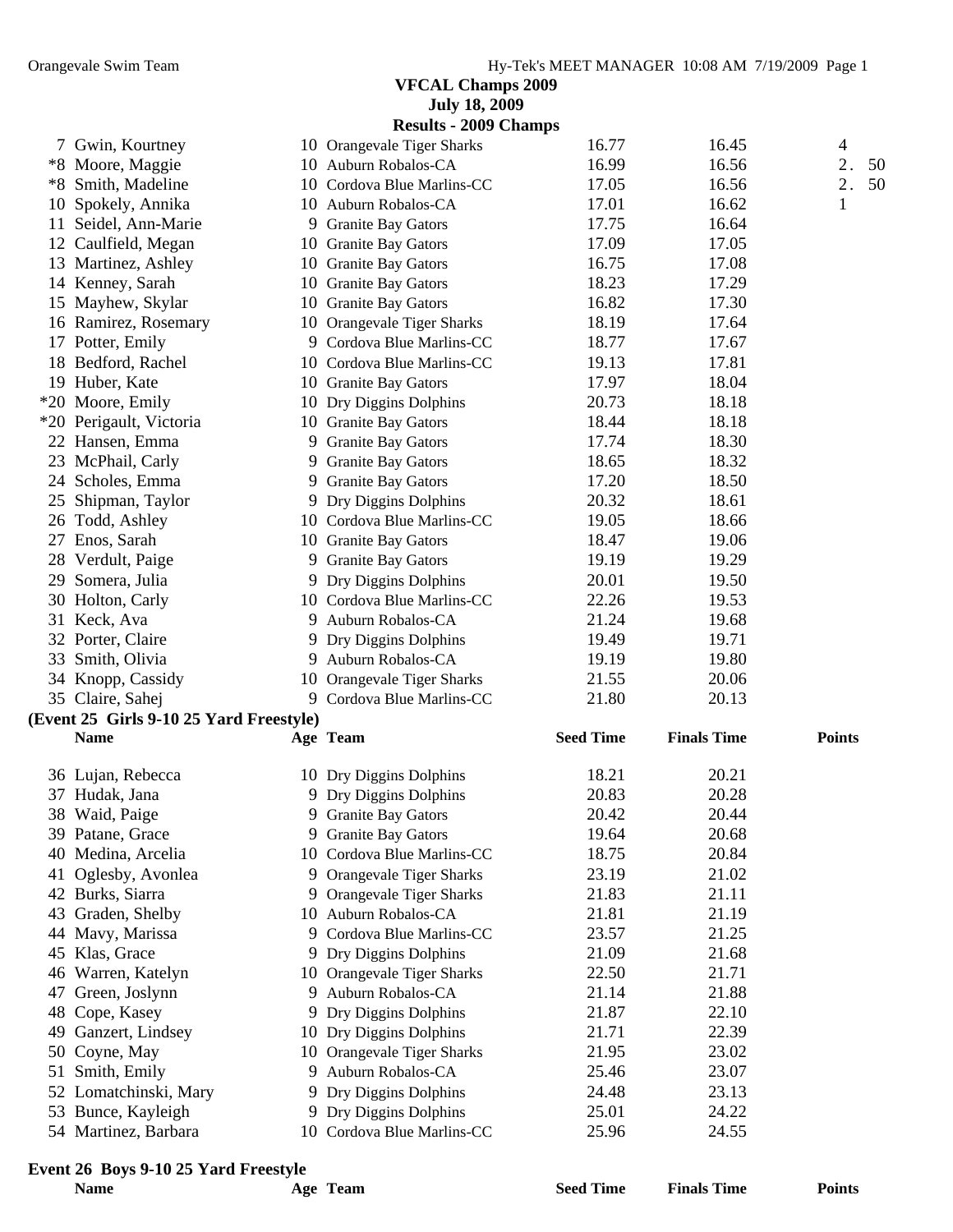|    |                                         |   | <b>July 18, 2009</b>           |                  |                    |                |
|----|-----------------------------------------|---|--------------------------------|------------------|--------------------|----------------|
|    |                                         |   | <b>Results - 2009 Champs</b>   |                  |                    |                |
|    | 7 Gwin, Kourtney                        |   | 10 Orangevale Tiger Sharks     | 16.77            | 16.45              | $\overline{4}$ |
|    | *8 Moore, Maggie                        |   | 10 Auburn Robalos-CA           | 16.99            | 16.56              | 2.<br>50       |
|    | *8 Smith, Madeline                      |   | 10 Cordova Blue Marlins-CC     | 17.05            | 16.56              | 2.<br>50       |
|    | 10 Spokely, Annika                      |   | 10 Auburn Robalos-CA           | 17.01            | 16.62              | 1              |
|    | 11 Seidel, Ann-Marie                    |   | 9 Granite Bay Gators           | 17.75            | 16.64              |                |
|    | 12 Caulfield, Megan                     |   | 10 Granite Bay Gators          | 17.09            | 17.05              |                |
|    | 13 Martinez, Ashley                     |   | 10 Granite Bay Gators          | 16.75            | 17.08              |                |
|    | 14 Kenney, Sarah                        |   | 10 Granite Bay Gators          | 18.23            | 17.29              |                |
|    | 15 Mayhew, Skylar                       |   | 10 Granite Bay Gators          | 16.82            | 17.30              |                |
|    | 16 Ramirez, Rosemary                    |   | 10 Orangevale Tiger Sharks     | 18.19            | 17.64              |                |
|    | 17 Potter, Emily                        |   | 9 Cordova Blue Marlins-CC      | 18.77            | 17.67              |                |
|    | 18 Bedford, Rachel                      |   | 10 Cordova Blue Marlins-CC     | 19.13            | 17.81              |                |
|    | 19 Huber, Kate                          |   | 10 Granite Bay Gators          | 17.97            | 18.04              |                |
|    | *20 Moore, Emily                        |   | 10 Dry Diggins Dolphins        | 20.73            | 18.18              |                |
|    | *20 Perigault, Victoria                 |   | 10 Granite Bay Gators          | 18.44            | 18.18              |                |
|    | 22 Hansen, Emma                         |   | 9 Granite Bay Gators           | 17.74            | 18.30              |                |
|    | 23 McPhail, Carly                       |   | 9 Granite Bay Gators           | 18.65            | 18.32              |                |
|    | 24 Scholes, Emma                        |   | 9 Granite Bay Gators           | 17.20            | 18.50              |                |
| 25 | Shipman, Taylor                         |   | 9 Dry Diggins Dolphins         | 20.32            | 18.61              |                |
|    | 26 Todd, Ashley                         |   | 10 Cordova Blue Marlins-CC     | 19.05            | 18.66              |                |
|    | 27 Enos, Sarah                          |   | 10 Granite Bay Gators          | 18.47            | 19.06              |                |
|    | 28 Verdult, Paige                       |   | 9 Granite Bay Gators           | 19.19            | 19.29              |                |
|    | 29 Somera, Julia                        |   | 9 Dry Diggins Dolphins         | 20.01            | 19.50              |                |
|    | 30 Holton, Carly                        |   | 10 Cordova Blue Marlins-CC     | 22.26            | 19.53              |                |
|    | 31 Keck, Ava                            |   | 9 Auburn Robalos-CA            | 21.24            | 19.68              |                |
|    | 32 Porter, Claire                       |   | 9 Dry Diggins Dolphins         | 19.49            | 19.71              |                |
|    | 33 Smith, Olivia                        |   | 9 Auburn Robalos-CA            | 19.19            | 19.80              |                |
|    | 34 Knopp, Cassidy                       |   | 10 Orangevale Tiger Sharks     | 21.55            | 20.06              |                |
|    | 35 Claire, Sahej                        |   | 9 Cordova Blue Marlins-CC      | 21.80            | 20.13              |                |
|    | (Event 25 Girls 9-10 25 Yard Freestyle) |   |                                |                  |                    |                |
|    | <b>Name</b>                             |   | Age Team                       | <b>Seed Time</b> | <b>Finals Time</b> | <b>Points</b>  |
|    |                                         |   |                                |                  |                    |                |
|    | 36 Lujan, Rebecca                       |   | 10 Dry Diggins Dolphins        | 18.21            | 20.21              |                |
|    | 37 Hudak, Jana                          |   | 9 Dry Diggins Dolphins         | 20.83            | 20.28              |                |
|    | 38 Waid, Paige                          |   | 9 Granite Bay Gators           | 20.42            | 20.44              |                |
|    | 39 Patane, Grace                        |   | 9 Granite Bay Gators           | 19.64            | 20.68              |                |
|    | 40 Medina, Arcelia                      |   | 10 Cordova Blue Marlins-CC     | 18.75            | 20.84              |                |
| 41 | Oglesby, Avonlea                        | 9 | <b>Orangevale Tiger Sharks</b> | 23.19            | 21.02              |                |
|    | 42 Burks, Siarra                        | 9 | Orangevale Tiger Sharks        | 21.83            | 21.11              |                |
| 43 | Graden, Shelby                          |   | 10 Auburn Robalos-CA           | 21.81            | 21.19              |                |
|    | 44 Mavy, Marissa                        | 9 | Cordova Blue Marlins-CC        | 23.57            | 21.25              |                |
|    | 45 Klas, Grace                          |   | 9 Dry Diggins Dolphins         | 21.09            | 21.68              |                |
|    | 46 Warren, Katelyn                      |   | 10 Orangevale Tiger Sharks     | 22.50            | 21.71              |                |
|    | 47 Green, Joslynn                       |   | 9 Auburn Robalos-CA            | 21.14            | 21.88              |                |
| 48 | Cope, Kasey                             |   | 9 Dry Diggins Dolphins         | 21.87            | 22.10              |                |
|    | 49 Ganzert, Lindsey                     |   | 10 Dry Diggins Dolphins        | 21.71            | 22.39              |                |
|    | 50 Coyne, May                           |   | 10 Orangevale Tiger Sharks     | 21.95            | 23.02              |                |
|    | 51 Smith, Emily                         |   | 9 Auburn Robalos-CA            | 25.46            | 23.07              |                |
|    | 52 Lomatchinski, Mary                   |   | 9 Dry Diggins Dolphins         | 24.48            | 23.13              |                |
|    | 53 Bunce, Kayleigh                      |   | 9 Dry Diggins Dolphins         | 25.01            | 24.22              |                |
|    | 54 Martinez, Barbara                    |   | 10 Cordova Blue Marlins-CC     | 25.96            | 24.55              |                |
|    |                                         |   |                                |                  |                    |                |

# **Event 26 Boys 9-10 25 Yard Freestyle**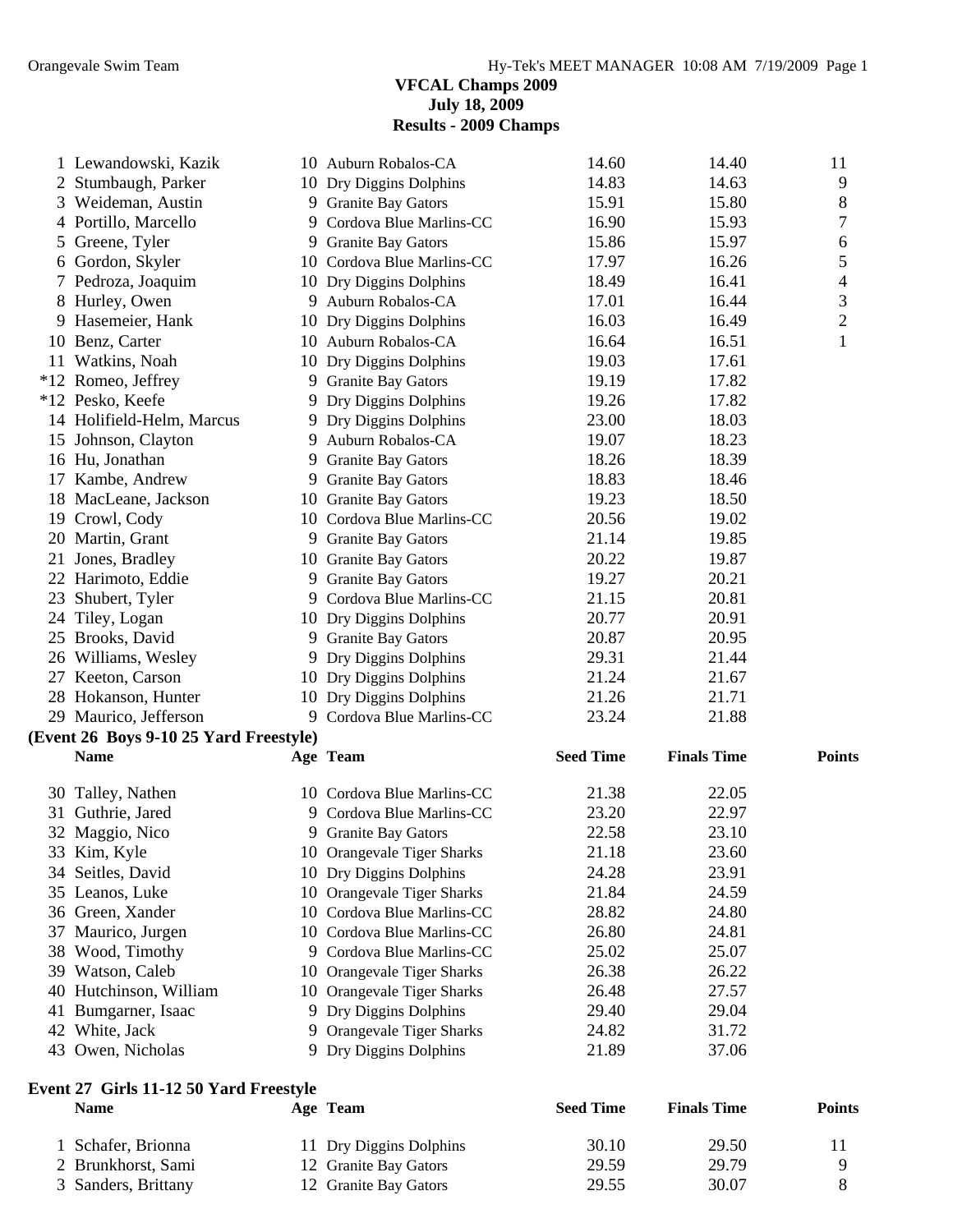#### **VFCAL Champs 2009 July 18, 2009 Results - 2009 Champs**

|    | 1 Lewandowski, Kazik                   | 10 Auburn Robalos-CA       | 14.60            | 14.40              | 11             |
|----|----------------------------------------|----------------------------|------------------|--------------------|----------------|
|    | 2 Stumbaugh, Parker                    | 10 Dry Diggins Dolphins    | 14.83            | 14.63              | 9              |
|    | 3 Weideman, Austin                     | 9 Granite Bay Gators       | 15.91            | 15.80              | 8              |
|    | 4 Portillo, Marcello                   | 9 Cordova Blue Marlins-CC  | 16.90            | 15.93              | 7              |
| 5  | Greene, Tyler                          | 9 Granite Bay Gators       | 15.86            | 15.97              | 6              |
| 6  | Gordon, Skyler                         | 10 Cordova Blue Marlins-CC | 17.97            | 16.26              | 5              |
|    | 7 Pedroza, Joaquim                     | 10 Dry Diggins Dolphins    | 18.49            | 16.41              | 4              |
|    | 8 Hurley, Owen                         | 9 Auburn Robalos-CA        | 17.01            | 16.44              | 3              |
|    | 9 Hasemeier, Hank                      | 10 Dry Diggins Dolphins    | 16.03            | 16.49              | $\overline{2}$ |
|    | 10 Benz, Carter                        | 10 Auburn Robalos-CA       | 16.64            | 16.51              | $\mathbf 1$    |
|    | 11 Watkins, Noah                       | 10 Dry Diggins Dolphins    | 19.03            | 17.61              |                |
|    | *12 Romeo, Jeffrey                     | 9 Granite Bay Gators       | 19.19            | 17.82              |                |
|    | *12 Pesko, Keefe                       | 9 Dry Diggins Dolphins     | 19.26            | 17.82              |                |
|    | 14 Holifield-Helm, Marcus              | 9 Dry Diggins Dolphins     | 23.00            | 18.03              |                |
| 15 | Johnson, Clayton                       | 9 Auburn Robalos-CA        | 19.07            | 18.23              |                |
|    | 16 Hu, Jonathan                        | 9 Granite Bay Gators       | 18.26            | 18.39              |                |
|    | 17 Kambe, Andrew                       | 9 Granite Bay Gators       | 18.83            | 18.46              |                |
|    | 18 MacLeane, Jackson                   | 10 Granite Bay Gators      | 19.23            | 18.50              |                |
|    | 19 Crowl, Cody                         | 10 Cordova Blue Marlins-CC | 20.56            | 19.02              |                |
|    | 20 Martin, Grant                       | 9 Granite Bay Gators       | 21.14            | 19.85              |                |
|    | 21 Jones, Bradley                      | 10 Granite Bay Gators      | 20.22            | 19.87              |                |
|    | 22 Harimoto, Eddie                     | 9 Granite Bay Gators       | 19.27            | 20.21              |                |
|    | 23 Shubert, Tyler                      | 9 Cordova Blue Marlins-CC  | 21.15            | 20.81              |                |
|    | 24 Tiley, Logan                        | 10 Dry Diggins Dolphins    | 20.77            | 20.91              |                |
|    | 25 Brooks, David                       | 9 Granite Bay Gators       | 20.87            | 20.95              |                |
|    | 26 Williams, Wesley                    | 9 Dry Diggins Dolphins     | 29.31            | 21.44              |                |
|    | 27 Keeton, Carson                      | 10 Dry Diggins Dolphins    | 21.24            | 21.67              |                |
|    | 28 Hokanson, Hunter                    | 10 Dry Diggins Dolphins    | 21.26            | 21.71              |                |
|    | 29 Maurico, Jefferson                  | 9 Cordova Blue Marlins-CC  | 23.24            | 21.88              |                |
|    | (Event 26 Boys 9-10 25 Yard Freestyle) |                            |                  |                    |                |
|    | <b>Name</b>                            | Age Team                   | <b>Seed Time</b> | <b>Finals Time</b> | <b>Points</b>  |
|    | 30 Talley, Nathen                      | 10 Cordova Blue Marlins-CC | 21.38            | 22.05              |                |
|    | 31 Guthrie, Jared                      | 9 Cordova Blue Marlins-CC  | 23.20            | 22.97              |                |
|    | 32 Maggio, Nico                        | 9 Granite Bay Gators       | 22.58            | 23.10              |                |
|    | 33 Kim, Kyle                           | 10 Orangevale Tiger Sharks | 21.18            | 23.60              |                |
|    | 34 Seitles, David                      | 10 Dry Diggins Dolphins    | 24.28            | 23.91              |                |
|    | 35 Leanos, Luke                        | 10 Orangevale Tiger Sharks | 21.84            | 24.59              |                |
|    | 36 Green, Xander                       | 10 Cordova Blue Marlins-CC | 28.82            | 24.80              |                |
|    | 37 Maurico, Jurgen                     | 10 Cordova Blue Marlins-CC | 26.80            | 24.81              |                |
|    | 38 Wood, Timothy                       | 9 Cordova Blue Marlins-CC  | 25.02            | 25.07              |                |
| 39 | Watson, Caleb                          | 10 Orangevale Tiger Sharks | 26.38            | 26.22              |                |
| 40 | Hutchinson, William                    | 10 Orangevale Tiger Sharks | 26.48            | 27.57              |                |
| 41 | Bumgarner, Isaac                       | 9 Dry Diggins Dolphins     | 29.40            | 29.04              |                |
|    | 42 White, Jack                         | 9 Orangevale Tiger Sharks  | 24.82            | 31.72              |                |
|    | 43 Owen, Nicholas                      | 9 Dry Diggins Dolphins     | 21.89            | 37.06              |                |
|    |                                        |                            |                  |                    |                |
|    |                                        |                            |                  |                    |                |

#### **Event 27 Girls 11-12 50 Yard Freestyle Name Age Team Seed Time Finals Time Points**  1 Schafer, Brionna 11 Dry Diggins Dolphins 30.10 29.50 11<br>
2 Brunkhorst, Sami 12 Granite Bay Gators 29.59 29.79 9 12 Granite Bay Gators 29.59 29.79 9<br>12 Granite Bay Gators 29.55 30.07 8 Sanders, Brittany 12 Granite Bay Gators 29.55 30.07 8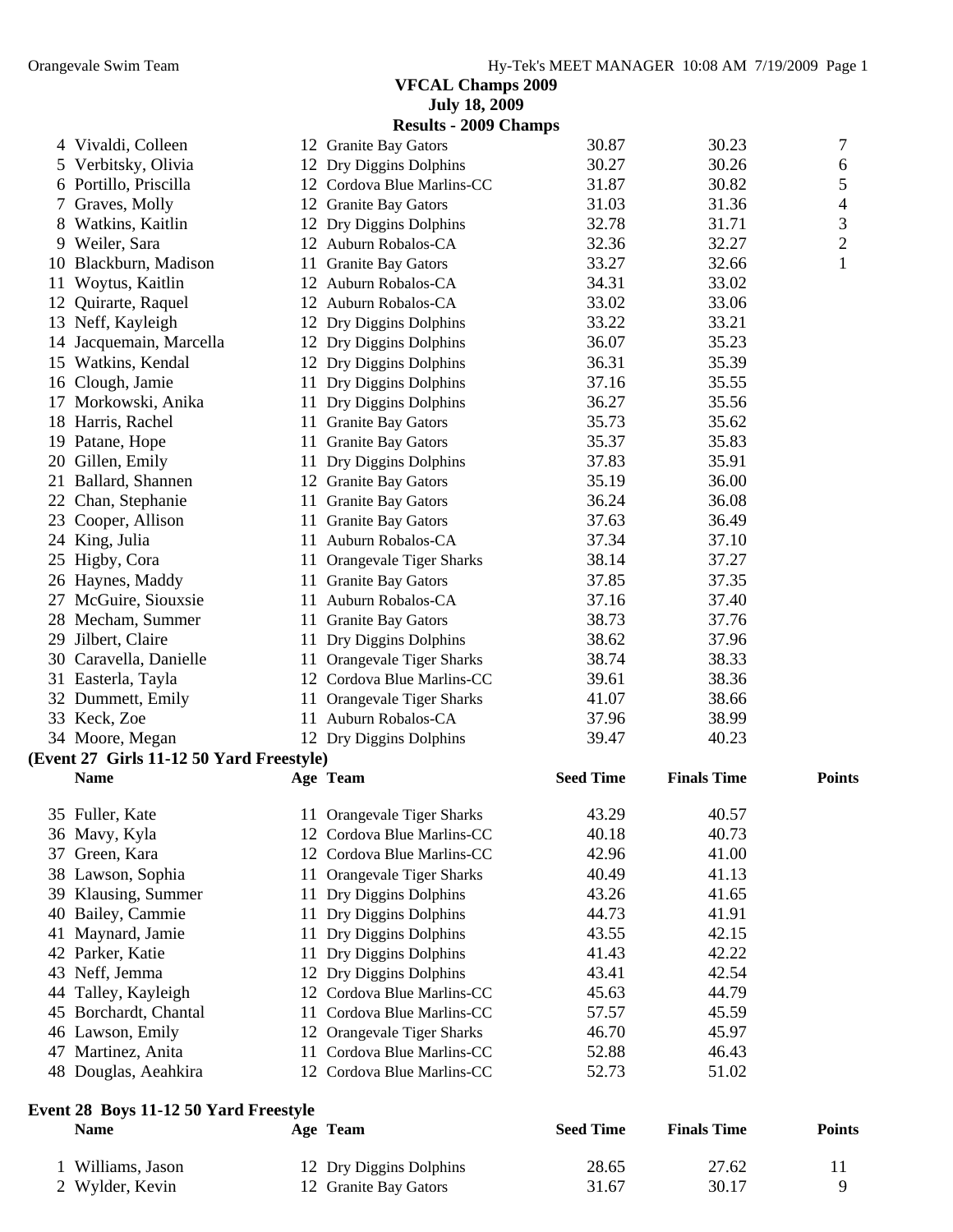|    |                                          |    | <b>July 18, 2009</b>         |                  |                    |                |
|----|------------------------------------------|----|------------------------------|------------------|--------------------|----------------|
|    |                                          |    | <b>Results - 2009 Champs</b> |                  |                    |                |
|    | 4 Vivaldi, Colleen                       |    | 12 Granite Bay Gators        | 30.87            | 30.23              | 7              |
| 5  | Verbitsky, Olivia                        |    | 12 Dry Diggins Dolphins      | 30.27            | 30.26              | 6              |
|    | 6 Portillo, Priscilla                    |    | 12 Cordova Blue Marlins-CC   | 31.87            | 30.82              | 5              |
| 7  | Graves, Molly                            |    | 12 Granite Bay Gators        | 31.03            | 31.36              | 4              |
|    | 8 Watkins, Kaitlin                       |    | 12 Dry Diggins Dolphins      | 32.78            | 31.71              | 3              |
|    | 9 Weiler, Sara                           |    | 12 Auburn Robalos-CA         | 32.36            | 32.27              | $\overline{2}$ |
| 10 | Blackburn, Madison                       |    | 11 Granite Bay Gators        | 33.27            | 32.66              | $\mathbf{1}$   |
| 11 | Woytus, Kaitlin                          |    | 12 Auburn Robalos-CA         | 34.31            | 33.02              |                |
| 12 |                                          |    | 12 Auburn Robalos-CA         | 33.02            | 33.06              |                |
|    | Quirarte, Raquel                         |    |                              |                  |                    |                |
|    | 13 Neff, Kayleigh                        |    | 12 Dry Diggins Dolphins      | 33.22            | 33.21              |                |
| 14 | Jacquemain, Marcella                     |    | 12 Dry Diggins Dolphins      | 36.07            | 35.23              |                |
|    | 15 Watkins, Kendal                       |    | 12 Dry Diggins Dolphins      | 36.31            | 35.39              |                |
|    | 16 Clough, Jamie                         |    | 11 Dry Diggins Dolphins      | 37.16            | 35.55              |                |
| 17 | Morkowski, Anika                         |    | 11 Dry Diggins Dolphins      | 36.27            | 35.56              |                |
| 18 | Harris, Rachel                           |    | 11 Granite Bay Gators        | 35.73            | 35.62              |                |
|    | 19 Patane, Hope                          | 11 | <b>Granite Bay Gators</b>    | 35.37            | 35.83              |                |
| 20 | Gillen, Emily                            | 11 | Dry Diggins Dolphins         | 37.83            | 35.91              |                |
|    | 21 Ballard, Shannen                      |    | 12 Granite Bay Gators        | 35.19            | 36.00              |                |
|    | 22 Chan, Stephanie                       |    | 11 Granite Bay Gators        | 36.24            | 36.08              |                |
| 23 | Cooper, Allison                          |    | 11 Granite Bay Gators        | 37.63            | 36.49              |                |
|    | 24 King, Julia                           |    | 11 Auburn Robalos-CA         | 37.34            | 37.10              |                |
|    | 25 Higby, Cora                           |    | 11 Orangevale Tiger Sharks   | 38.14            | 37.27              |                |
|    | 26 Haynes, Maddy                         |    | 11 Granite Bay Gators        | 37.85            | 37.35              |                |
| 27 | McGuire, Siouxsie                        |    | 11 Auburn Robalos-CA         | 37.16            | 37.40              |                |
| 28 | Mecham, Summer                           |    | 11 Granite Bay Gators        | 38.73            | 37.76              |                |
| 29 | Jilbert, Claire                          |    | 11 Dry Diggins Dolphins      | 38.62            | 37.96              |                |
| 30 | Caravella, Danielle                      |    | 11 Orangevale Tiger Sharks   | 38.74            | 38.33              |                |
|    | 31 Easterla, Tayla                       |    | 12 Cordova Blue Marlins-CC   | 39.61            | 38.36              |                |
|    | 32 Dummett, Emily                        |    | 11 Orangevale Tiger Sharks   | 41.07            | 38.66              |                |
|    | 33 Keck, Zoe                             |    | 11 Auburn Robalos-CA         | 37.96            | 38.99              |                |
|    | 34 Moore, Megan                          |    | 12 Dry Diggins Dolphins      | 39.47            | 40.23              |                |
|    | (Event 27 Girls 11-12 50 Yard Freestyle) |    |                              |                  |                    |                |
|    | <b>Name</b>                              |    | Age Team                     | <b>Seed Time</b> | <b>Finals Time</b> | <b>Points</b>  |
|    |                                          |    |                              |                  |                    |                |
|    | 35 Fuller, Kate                          |    | 11 Orangevale Tiger Sharks   | 43.29            | 40.57              |                |
|    | 36 Mavy, Kyla                            |    | 12 Cordova Blue Marlins-CC   | 40.18            | 40.73              |                |
| 37 | Green, Kara                              |    | 12 Cordova Blue Marlins-CC   | 42.96            | 41.00              |                |
|    | 38 Lawson, Sophia                        |    | 11 Orangevale Tiger Sharks   | 40.49            | 41.13              |                |
| 39 | Klausing, Summer                         |    | 11 Dry Diggins Dolphins      | 43.26            | 41.65              |                |
| 40 | Bailey, Cammie                           |    | 11 Dry Diggins Dolphins      | 44.73            | 41.91              |                |
| 41 | Maynard, Jamie                           |    | 11 Dry Diggins Dolphins      | 43.55            | 42.15              |                |
|    | 42 Parker, Katie                         | 11 | Dry Diggins Dolphins         | 41.43            | 42.22              |                |
|    |                                          |    |                              | 43.41            | 42.54              |                |
| 43 | Neff, Jemma                              |    | 12 Dry Diggins Dolphins      |                  |                    |                |
| 44 | Talley, Kayleigh                         |    | 12 Cordova Blue Marlins-CC   | 45.63            | 44.79              |                |
|    | 45 Borchardt, Chantal                    |    | 11 Cordova Blue Marlins-CC   | 57.57            | 45.59              |                |
|    | 46 Lawson, Emily                         |    | 12 Orangevale Tiger Sharks   | 46.70            | 45.97              |                |
| 47 | Martinez, Anita                          | 11 | Cordova Blue Marlins-CC      | 52.88            | 46.43              |                |
|    | 48 Douglas, Aeahkira                     |    | 12 Cordova Blue Marlins-CC   | 52.73            | 51.02              |                |
|    | Event 28 Boys 11-12 50 Yard Freestyle    |    |                              |                  |                    |                |
|    | <b>Name</b>                              |    | Age Team                     | <b>Seed Time</b> | <b>Finals Time</b> | <b>Points</b>  |
|    |                                          |    |                              |                  |                    |                |
|    | 1 Williams, Jason                        |    | 12 Dry Diggins Dolphins      | 28.65            | 27.62              | 11             |
|    | 2 Wylder, Kevin                          |    | 12 Granite Bay Gators        | 31.67            | 30.17              | 9              |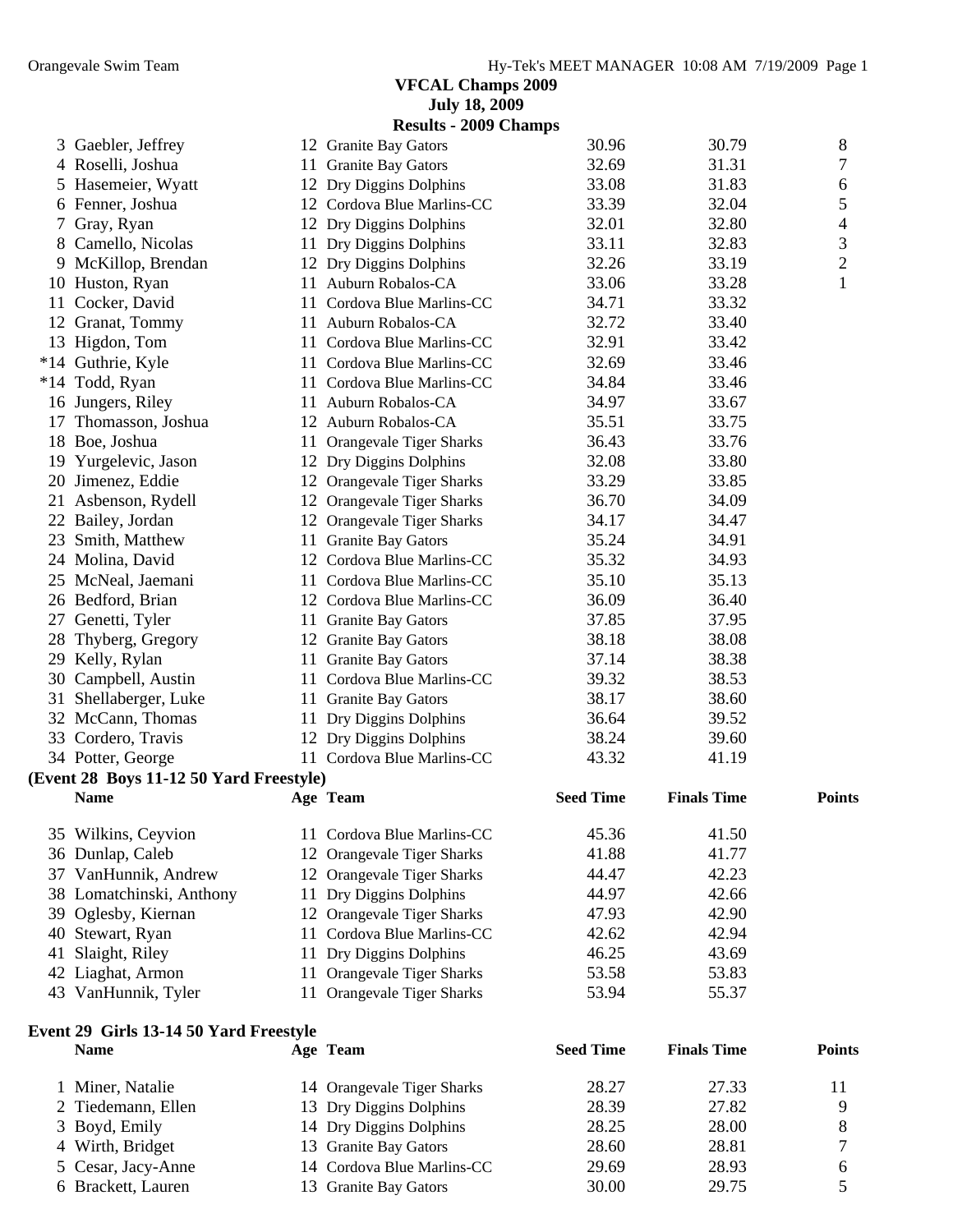|       |                                         | <b>July 18, 2009</b>         |                  |                    |               |
|-------|-----------------------------------------|------------------------------|------------------|--------------------|---------------|
|       |                                         | <b>Results - 2009 Champs</b> |                  |                    |               |
| 3     | Gaebler, Jeffrey                        | 12 Granite Bay Gators        | 30.96            | 30.79              | 8             |
|       | 4 Roselli, Joshua                       | 11 Granite Bay Gators        | 32.69            | 31.31              | 7             |
| 5     | Hasemeier, Wyatt                        | 12 Dry Diggins Dolphins      | 33.08            | 31.83              | 6             |
| 6     | Fenner, Joshua                          | 12 Cordova Blue Marlins-CC   | 33.39            | 32.04              | 5             |
| 7     | Gray, Ryan                              | 12 Dry Diggins Dolphins      | 32.01            | 32.80              | 4             |
| 8     | Camello, Nicolas                        | 11 Dry Diggins Dolphins      | 33.11            | 32.83              | 3             |
| 9     | McKillop, Brendan                       | 12 Dry Diggins Dolphins      | 32.26            | 33.19              | $\mathbf{2}$  |
| 10    | Huston, Ryan                            | 11 Auburn Robalos-CA         | 33.06            | 33.28              | $\mathbf{1}$  |
| 11    | Cocker, David                           | 11 Cordova Blue Marlins-CC   | 34.71            | 33.32              |               |
| 12    | Granat, Tommy                           | 11 Auburn Robalos-CA         | 32.72            | 33.40              |               |
|       | 13 Higdon, Tom                          | 11 Cordova Blue Marlins-CC   | 32.91            | 33.42              |               |
|       | *14 Guthrie, Kyle                       | 11 Cordova Blue Marlins-CC   | 32.69            | 33.46              |               |
| $*14$ | Todd, Ryan                              | 11 Cordova Blue Marlins-CC   | 34.84            | 33.46              |               |
|       | 16 Jungers, Riley                       | 11 Auburn Robalos-CA         | 34.97            | 33.67              |               |
| 17    | Thomasson, Joshua                       | 12 Auburn Robalos-CA         | 35.51            | 33.75              |               |
| 18    | Boe, Joshua                             | 11 Orangevale Tiger Sharks   | 36.43            | 33.76              |               |
| 19    | Yurgelevic, Jason                       | 12 Dry Diggins Dolphins      | 32.08            | 33.80              |               |
| 20    | Jimenez, Eddie                          | 12 Orangevale Tiger Sharks   | 33.29            | 33.85              |               |
|       | 21 Asbenson, Rydell                     | 12 Orangevale Tiger Sharks   | 36.70            | 34.09              |               |
|       | 22 Bailey, Jordan                       | 12 Orangevale Tiger Sharks   | 34.17            | 34.47              |               |
| 23    | Smith, Matthew                          | 11 Granite Bay Gators        | 35.24            | 34.91              |               |
|       | 24 Molina, David                        | 12 Cordova Blue Marlins-CC   | 35.32            | 34.93              |               |
|       | 25 McNeal, Jaemani                      | 11 Cordova Blue Marlins-CC   | 35.10            | 35.13              |               |
|       | 26 Bedford, Brian                       | 12 Cordova Blue Marlins-CC   | 36.09            | 36.40              |               |
| 27    | Genetti, Tyler                          | 11 Granite Bay Gators        | 37.85            | 37.95              |               |
| 28    | Thyberg, Gregory                        | 12 Granite Bay Gators        | 38.18            | 38.08              |               |
| 29    | Kelly, Rylan                            | 11 Granite Bay Gators        | 37.14            | 38.38              |               |
| 30    | Campbell, Austin                        | 11 Cordova Blue Marlins-CC   | 39.32            | 38.53              |               |
| 31    | Shellaberger, Luke                      | 11 Granite Bay Gators        | 38.17            | 38.60              |               |
|       | 32 McCann, Thomas                       | 11 Dry Diggins Dolphins      | 36.64            | 39.52              |               |
|       | 33 Cordero, Travis                      | 12 Dry Diggins Dolphins      | 38.24            | 39.60              |               |
|       | 34 Potter, George                       | 11 Cordova Blue Marlins-CC   | 43.32            | 41.19              |               |
|       | (Event 28 Boys 11-12 50 Yard Freestyle) |                              |                  |                    |               |
|       | <b>Name</b>                             | Age Team                     | <b>Seed Time</b> | <b>Finals Time</b> | <b>Points</b> |
|       | 35 Wilkins, Ceyvion                     | 11 Cordova Blue Marlins-CC   | 45.36            | 41.50              |               |
|       | 36 Dunlap, Caleb                        | 12 Orangevale Tiger Sharks   | 41.88            | 41.77              |               |
|       | 37 VanHunnik, Andrew                    | 12 Orangevale Tiger Sharks   | 44.47            | 42.23              |               |
|       | 38 Lomatchinski, Anthony                | 11 Dry Diggins Dolphins      | 44.97            | 42.66              |               |
| 39    | Oglesby, Kiernan                        | 12 Orangevale Tiger Sharks   | 47.93            | 42.90              |               |
| 40    | Stewart, Ryan                           | 11 Cordova Blue Marlins-CC   | 42.62            | 42.94              |               |
| 41    | Slaight, Riley                          | 11 Dry Diggins Dolphins      | 46.25            | 43.69              |               |
| 42    | Liaghat, Armon                          | 11 Orangevale Tiger Sharks   | 53.58            | 53.83              |               |
|       | 43 VanHunnik, Tyler                     | 11 Orangevale Tiger Sharks   | 53.94            | 55.37              |               |
|       | Event 29 Girls 13-14 50 Yard Freestyle  |                              |                  |                    |               |
|       | <b>Name</b>                             | Age Team                     | <b>Seed Time</b> | <b>Finals Time</b> | <b>Points</b> |

| 1 Miner, Natalie   | 14 Orangevale Tiger Sharks | 28.27 | 27.33 |  |
|--------------------|----------------------------|-------|-------|--|
| 2 Tiedemann, Ellen | 13 Dry Diggins Dolphins    | 28.39 | 27.82 |  |
| 3 Boyd, Emily      | 14 Dry Diggins Dolphins    | 28.25 | 28.00 |  |
| 4 Wirth, Bridget   | 13 Granite Bay Gators      | 28.60 | 28.81 |  |
| 5 Cesar, Jacy-Anne | 14 Cordova Blue Marlins-CC | 29.69 | 28.93 |  |
| 6 Brackett, Lauren | 13 Granite Bay Gators      | 30.00 | 29.75 |  |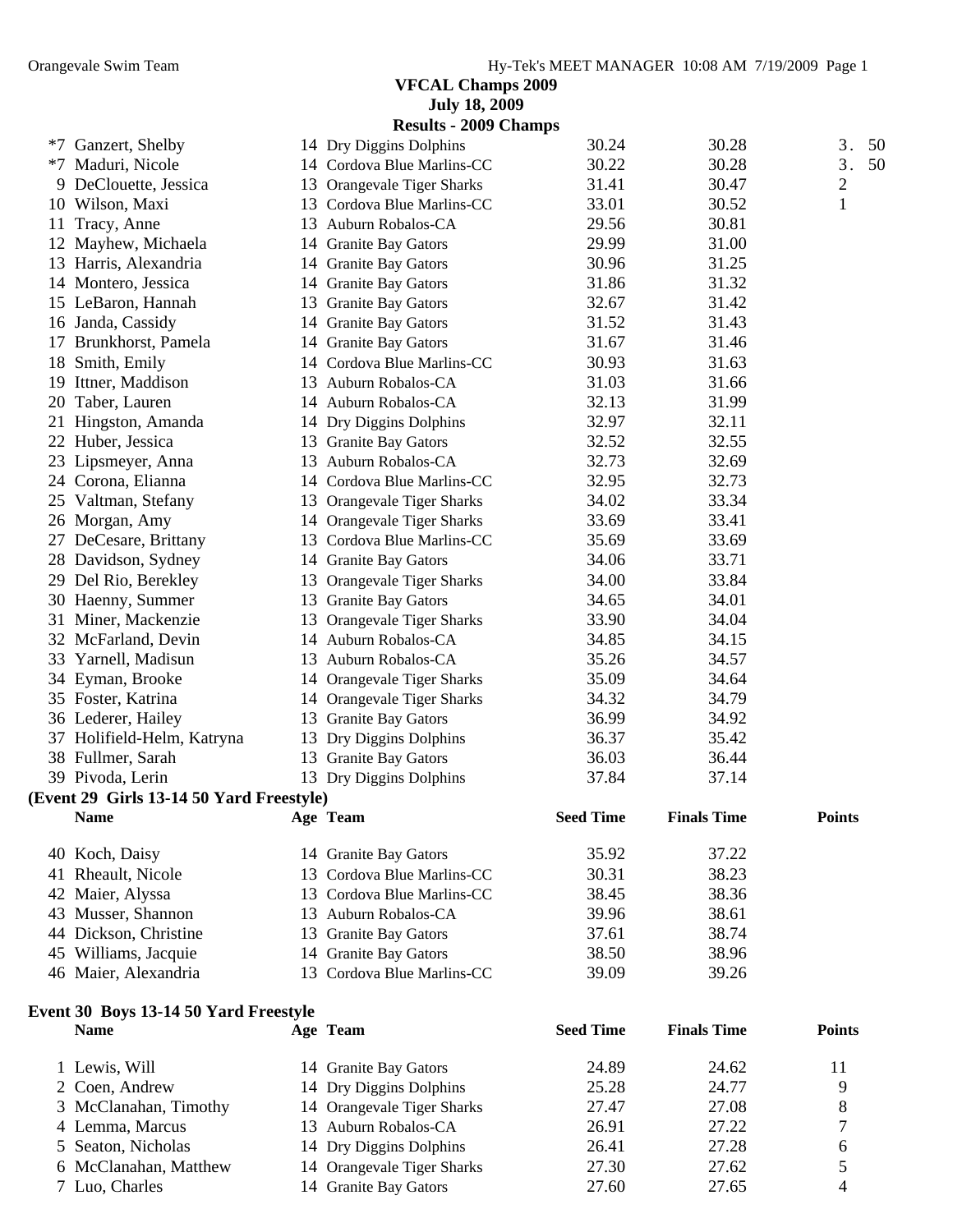|    |                                          |    | <b>July 18, 2009</b>         |                  |                    |                |
|----|------------------------------------------|----|------------------------------|------------------|--------------------|----------------|
|    |                                          |    | <b>Results - 2009 Champs</b> |                  |                    |                |
|    | *7 Ganzert, Shelby                       |    | 14 Dry Diggins Dolphins      | 30.24            | 30.28              | 3.<br>50       |
|    | *7 Maduri, Nicole                        |    | 14 Cordova Blue Marlins-CC   | 30.22            | 30.28              | 3.<br>50       |
|    | 9 DeClouette, Jessica                    |    | 13 Orangevale Tiger Sharks   | 31.41            | 30.47              | $\overline{c}$ |
|    | 10 Wilson, Maxi                          |    | 13 Cordova Blue Marlins-CC   | 33.01            | 30.52              | $\mathbf{1}$   |
| 11 | Tracy, Anne                              |    | 13 Auburn Robalos-CA         | 29.56            | 30.81              |                |
| 12 | Mayhew, Michaela                         |    | 14 Granite Bay Gators        | 29.99            | 31.00              |                |
|    | 13 Harris, Alexandria                    |    | 14 Granite Bay Gators        | 30.96            | 31.25              |                |
|    | 14 Montero, Jessica                      |    | 14 Granite Bay Gators        | 31.86            | 31.32              |                |
|    | 15 LeBaron, Hannah                       |    | 13 Granite Bay Gators        | 32.67            | 31.42              |                |
|    | 16 Janda, Cassidy                        |    | 14 Granite Bay Gators        | 31.52            | 31.43              |                |
|    | 17 Brunkhorst, Pamela                    |    | 14 Granite Bay Gators        | 31.67            | 31.46              |                |
|    | 18 Smith, Emily                          |    | 14 Cordova Blue Marlins-CC   | 30.93            | 31.63              |                |
| 19 | Ittner, Maddison                         |    | 13 Auburn Robalos-CA         | 31.03            | 31.66              |                |
| 20 | Taber, Lauren                            |    | 14 Auburn Robalos-CA         | 32.13            | 31.99              |                |
| 21 | Hingston, Amanda                         |    | 14 Dry Diggins Dolphins      | 32.97            | 32.11              |                |
|    | 22 Huber, Jessica                        |    | 13 Granite Bay Gators        | 32.52            | 32.55              |                |
|    | 23 Lipsmeyer, Anna                       |    | 13 Auburn Robalos-CA         | 32.73            | 32.69              |                |
|    | 24 Corona, Elianna                       |    | 14 Cordova Blue Marlins-CC   | 32.95            | 32.73              |                |
|    | 25 Valtman, Stefany                      |    | 13 Orangevale Tiger Sharks   | 34.02            | 33.34              |                |
|    | 26 Morgan, Amy                           |    | 14 Orangevale Tiger Sharks   | 33.69            | 33.41              |                |
|    | 27 DeCesare, Brittany                    |    | 13 Cordova Blue Marlins-CC   | 35.69            | 33.69              |                |
|    | 28 Davidson, Sydney                      |    | 14 Granite Bay Gators        | 34.06            | 33.71              |                |
|    | 29 Del Rio, Berekley                     |    | 13 Orangevale Tiger Sharks   | 34.00            | 33.84              |                |
|    | 30 Haenny, Summer                        |    | 13 Granite Bay Gators        | 34.65            | 34.01              |                |
|    | 31 Miner, Mackenzie                      |    | 13 Orangevale Tiger Sharks   | 33.90            | 34.04              |                |
|    | 32 McFarland, Devin                      |    | 14 Auburn Robalos-CA         | 34.85            | 34.15              |                |
|    | 33 Yarnell, Madisun                      |    | 13 Auburn Robalos-CA         | 35.26            | 34.57              |                |
|    | 34 Eyman, Brooke                         |    | 14 Orangevale Tiger Sharks   | 35.09            | 34.64              |                |
|    | 35 Foster, Katrina                       |    | 14 Orangevale Tiger Sharks   | 34.32            | 34.79              |                |
|    | 36 Lederer, Hailey                       |    | 13 Granite Bay Gators        | 36.99            | 34.92              |                |
|    | 37 Holifield-Helm, Katryna               |    | 13 Dry Diggins Dolphins      | 36.37            | 35.42              |                |
|    | 38 Fullmer, Sarah                        |    | 13 Granite Bay Gators        | 36.03            | 36.44              |                |
|    | 39 Pivoda, Lerin                         |    | 13 Dry Diggins Dolphins      | 37.84            | 37.14              |                |
|    | (Event 29 Girls 13-14 50 Yard Freestyle) |    |                              |                  |                    |                |
|    | <b>Name</b>                              |    | Age Team                     | <b>Seed Time</b> | <b>Finals Time</b> | <b>Points</b>  |
|    | 40 Koch, Daisy                           |    | 14 Granite Bay Gators        | 35.92            | 37.22              |                |
|    | 41 Rheault, Nicole                       |    | 13 Cordova Blue Marlins-CC   | 30.31            | 38.23              |                |
|    | 42 Maier, Alyssa                         |    | 13 Cordova Blue Marlins-CC   | 38.45            | 38.36              |                |
|    | 43 Musser, Shannon                       |    | 13 Auburn Robalos-CA         | 39.96            | 38.61              |                |
|    | 44 Dickson, Christine                    | 13 | <b>Granite Bay Gators</b>    | 37.61            | 38.74              |                |
|    | 45 Williams, Jacquie                     |    | 14 Granite Bay Gators        | 38.50            | 38.96              |                |
|    | 46 Maier, Alexandria                     |    | 13 Cordova Blue Marlins-CC   | 39.09            | 39.26              |                |
|    | Event 30 Boys 13-14 50 Yard Freestyle    |    |                              |                  |                    |                |
|    | <b>Name</b>                              |    | Age Team                     | <b>Seed Time</b> | <b>Finals Time</b> | <b>Points</b>  |
|    | 1 Lewis, Will                            |    | 14 Granite Bay Gators        | 24.89            | 24.62              | 11             |
|    | Coen, Andrew                             |    | 14 Dry Diggins Dolphins      | 25.28            | 24.77              | 9              |
|    | 3 McClanahan, Timothy                    |    | 14 Orangevale Tiger Sharks   | 27.47            | 27.08              | 8              |

 Lemma, Marcus 13 Auburn Robalos-CA 26.91 27.22 7 Seaton, Nicholas 14 Dry Diggins Dolphins 26.41 27.28 6 6 McClanahan, Matthew 14 Orangevale Tiger Sharks 27.30 27.62 5<br>
27.60 27.65 4

14 Granite Bay Gators 27.60 27.65 4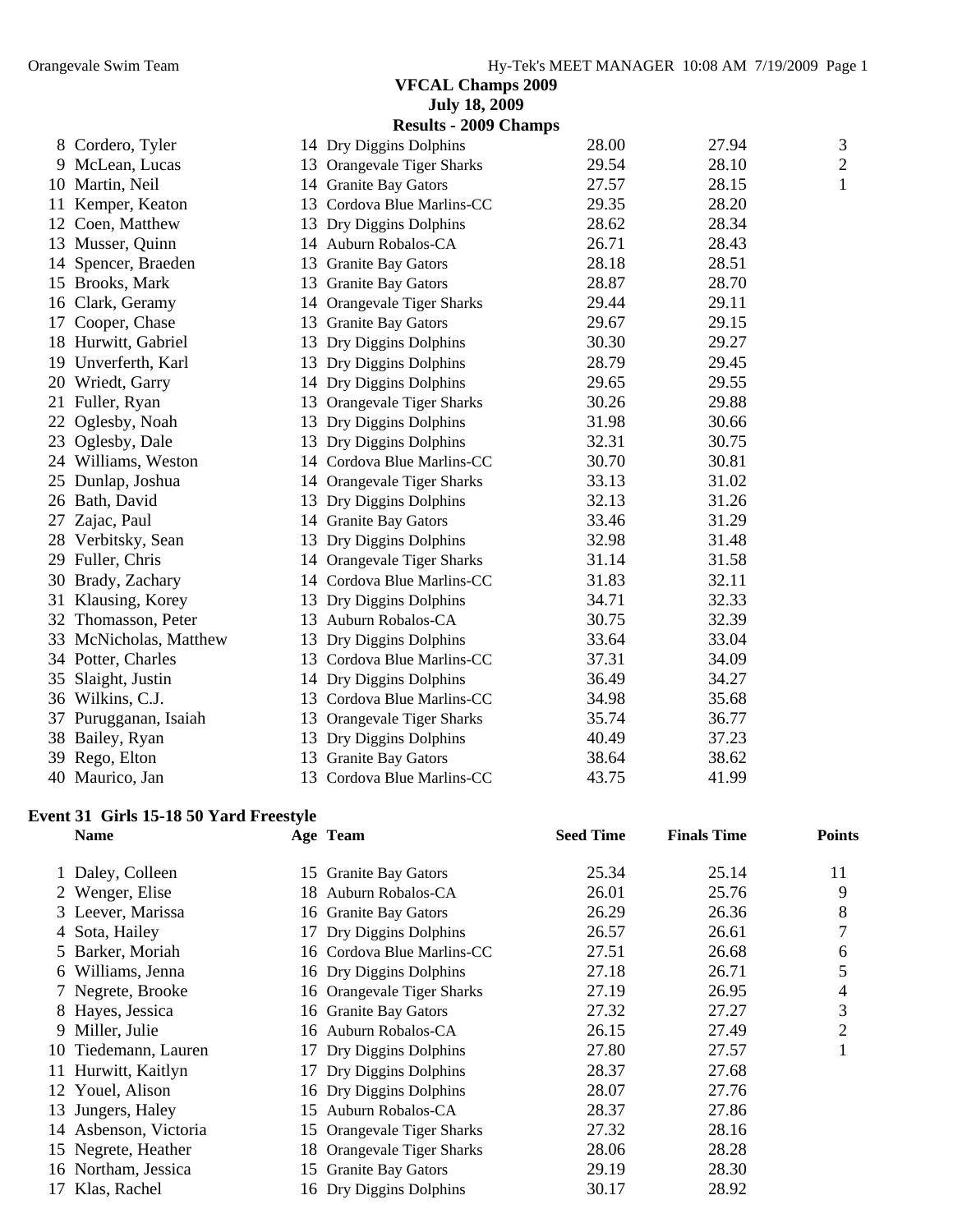|    |                        |    | <b>July 18, 2009</b>         |       |       |                |
|----|------------------------|----|------------------------------|-------|-------|----------------|
|    |                        |    | <b>Results - 2009 Champs</b> |       |       |                |
|    | 8 Cordero, Tyler       |    | 14 Dry Diggins Dolphins      | 28.00 | 27.94 | $\mathfrak{Z}$ |
|    | 9 McLean, Lucas        |    | 13 Orangevale Tiger Sharks   | 29.54 | 28.10 | $\overline{c}$ |
|    | 10 Martin, Neil        |    | 14 Granite Bay Gators        | 27.57 | 28.15 | $\mathbf{1}$   |
| 11 | Kemper, Keaton         | 13 | Cordova Blue Marlins-CC      | 29.35 | 28.20 |                |
|    | 12 Coen, Matthew       | 13 | Dry Diggins Dolphins         | 28.62 | 28.34 |                |
|    | 13 Musser, Quinn       |    | 14 Auburn Robalos-CA         | 26.71 | 28.43 |                |
|    | 14 Spencer, Braeden    | 13 | <b>Granite Bay Gators</b>    | 28.18 | 28.51 |                |
|    | 15 Brooks, Mark        | 13 | <b>Granite Bay Gators</b>    | 28.87 | 28.70 |                |
|    | 16 Clark, Geramy       |    | 14 Orangevale Tiger Sharks   | 29.44 | 29.11 |                |
| 17 | Cooper, Chase          | 13 | <b>Granite Bay Gators</b>    | 29.67 | 29.15 |                |
|    | 18 Hurwitt, Gabriel    | 13 | Dry Diggins Dolphins         | 30.30 | 29.27 |                |
|    | 19 Unverferth, Karl    |    | 13 Dry Diggins Dolphins      | 28.79 | 29.45 |                |
|    | 20 Wriedt, Garry       |    | 14 Dry Diggins Dolphins      | 29.65 | 29.55 |                |
|    | 21 Fuller, Ryan        | 13 | Orangevale Tiger Sharks      | 30.26 | 29.88 |                |
| 22 | Oglesby, Noah          | 13 | Dry Diggins Dolphins         | 31.98 | 30.66 |                |
| 23 | Oglesby, Dale          | 13 | Dry Diggins Dolphins         | 32.31 | 30.75 |                |
|    | 24 Williams, Weston    |    | 14 Cordova Blue Marlins-CC   | 30.70 | 30.81 |                |
|    | 25 Dunlap, Joshua      |    | 14 Orangevale Tiger Sharks   | 33.13 | 31.02 |                |
|    | 26 Bath, David         |    | 13 Dry Diggins Dolphins      | 32.13 | 31.26 |                |
| 27 | Zajac, Paul            |    | 14 Granite Bay Gators        | 33.46 | 31.29 |                |
|    | 28 Verbitsky, Sean     | 13 | Dry Diggins Dolphins         | 32.98 | 31.48 |                |
|    | 29 Fuller, Chris       |    | 14 Orangevale Tiger Sharks   | 31.14 | 31.58 |                |
|    | 30 Brady, Zachary      |    | 14 Cordova Blue Marlins-CC   | 31.83 | 32.11 |                |
| 31 | Klausing, Korey        | 13 | Dry Diggins Dolphins         | 34.71 | 32.33 |                |
|    | 32 Thomasson, Peter    | 13 | Auburn Robalos-CA            | 30.75 | 32.39 |                |
|    | 33 McNicholas, Matthew |    | 13 Dry Diggins Dolphins      | 33.64 | 33.04 |                |
|    | 34 Potter, Charles     | 13 | Cordova Blue Marlins-CC      | 37.31 | 34.09 |                |
| 35 | Slaight, Justin        |    | 14 Dry Diggins Dolphins      | 36.49 | 34.27 |                |
|    | 36 Wilkins, C.J.       |    | 13 Cordova Blue Marlins-CC   | 34.98 | 35.68 |                |
|    | 37 Purugganan, Isaiah  |    | 13 Orangevale Tiger Sharks   | 35.74 | 36.77 |                |
|    | 38 Bailey, Ryan        | 13 | Dry Diggins Dolphins         | 40.49 | 37.23 |                |
|    | 39 Rego, Elton         |    | 13 Granite Bay Gators        | 38.64 | 38.62 |                |
|    | 40 Maurico, Jan        |    | 13 Cordova Blue Marlins-CC   | 43.75 | 41.99 |                |

#### **Event 31 Girls 15-18 50 Yard Freestyle**

|   | <b>Name</b>           |    | Age Team                   | <b>Seed Time</b> | <b>Finals Time</b> | <b>Points</b> |
|---|-----------------------|----|----------------------------|------------------|--------------------|---------------|
|   | 1 Daley, Colleen      |    | 15 Granite Bay Gators      | 25.34            | 25.14              | 11            |
|   | 2 Wenger, Elise       |    | 18 Auburn Robalos-CA       | 26.01            | 25.76              | 9             |
|   | 3 Leever, Marissa     |    | 16 Granite Bay Gators      | 26.29            | 26.36              | 8             |
|   | 4 Sota, Hailey        |    | 17 Dry Diggins Dolphins    | 26.57            | 26.61              | 7             |
|   | 5 Barker, Moriah      |    | 16 Cordova Blue Marlins-CC | 27.51            | 26.68              | 6             |
| 6 | Williams, Jenna       |    | 16 Dry Diggins Dolphins    | 27.18            | 26.71              | 5             |
|   | 7 Negrete, Brooke     |    | 16 Orangevale Tiger Sharks | 27.19            | 26.95              | 4             |
|   | 8 Hayes, Jessica      |    | 16 Granite Bay Gators      | 27.32            | 27.27              | 3             |
|   | 9 Miller, Julie       |    | 16 Auburn Robalos-CA       | 26.15            | 27.49              | 2             |
|   | 10 Tiedemann, Lauren  |    | 17 Dry Diggins Dolphins    | 27.80            | 27.57              |               |
|   | 11 Hurwitt, Kaitlyn   |    | 17 Dry Diggins Dolphins    | 28.37            | 27.68              |               |
|   | 12 Youel, Alison      |    | 16 Dry Diggins Dolphins    | 28.07            | 27.76              |               |
|   | 13 Jungers, Haley     | 15 | Auburn Robalos-CA          | 28.37            | 27.86              |               |
|   | 14 Asbenson, Victoria |    | 15 Orangevale Tiger Sharks | 27.32            | 28.16              |               |
|   | 15 Negrete, Heather   |    | 18 Orangevale Tiger Sharks | 28.06            | 28.28              |               |
|   | 16 Northam, Jessica   |    | 15 Granite Bay Gators      | 29.19            | 28.30              |               |
|   | 17 Klas, Rachel       |    | 16 Dry Diggins Dolphins    | 30.17            | 28.92              |               |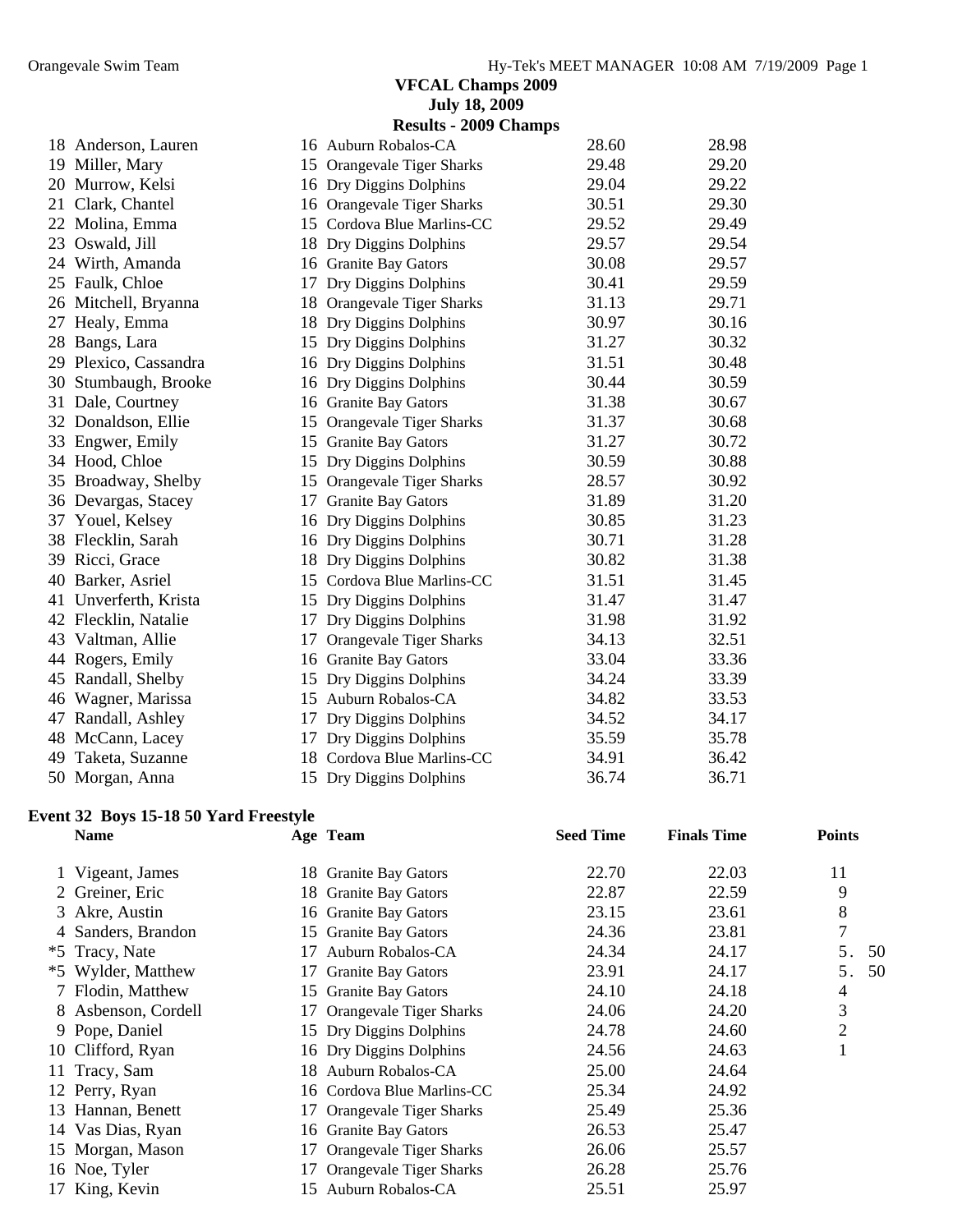|                       |    | <b>July 18, 2009</b>         |       |       |
|-----------------------|----|------------------------------|-------|-------|
|                       |    | <b>Results - 2009 Champs</b> |       |       |
| 18 Anderson, Lauren   |    | 16 Auburn Robalos-CA         | 28.60 | 28.98 |
| 19 Miller, Mary       |    | 15 Orangevale Tiger Sharks   | 29.48 | 29.20 |
| 20 Murrow, Kelsi      |    | 16 Dry Diggins Dolphins      | 29.04 | 29.22 |
| 21 Clark, Chantel     |    | 16 Orangevale Tiger Sharks   | 30.51 | 29.30 |
| 22 Molina, Emma       |    | 15 Cordova Blue Marlins-CC   | 29.52 | 29.49 |
| 23 Oswald, Jill       |    | 18 Dry Diggins Dolphins      | 29.57 | 29.54 |
| 24 Wirth, Amanda      |    | 16 Granite Bay Gators        | 30.08 | 29.57 |
| 25 Faulk, Chloe       |    | 17 Dry Diggins Dolphins      | 30.41 | 29.59 |
| 26 Mitchell, Bryanna  |    | 18 Orangevale Tiger Sharks   | 31.13 | 29.71 |
| 27 Healy, Emma        |    | 18 Dry Diggins Dolphins      | 30.97 | 30.16 |
| 28 Bangs, Lara        |    | 15 Dry Diggins Dolphins      | 31.27 | 30.32 |
| 29 Plexico, Cassandra |    | 16 Dry Diggins Dolphins      | 31.51 | 30.48 |
| 30 Stumbaugh, Brooke  |    | 16 Dry Diggins Dolphins      | 30.44 | 30.59 |
| 31 Dale, Courtney     |    | 16 Granite Bay Gators        | 31.38 | 30.67 |
| 32 Donaldson, Ellie   |    | 15 Orangevale Tiger Sharks   | 31.37 | 30.68 |
| 33 Engwer, Emily      |    | 15 Granite Bay Gators        | 31.27 | 30.72 |
| 34 Hood, Chloe        |    | 15 Dry Diggins Dolphins      | 30.59 | 30.88 |
| 35 Broadway, Shelby   |    | 15 Orangevale Tiger Sharks   | 28.57 | 30.92 |
| 36 Devargas, Stacey   |    | 17 Granite Bay Gators        | 31.89 | 31.20 |
| 37 Youel, Kelsey      |    | 16 Dry Diggins Dolphins      | 30.85 | 31.23 |
| 38 Flecklin, Sarah    |    | 16 Dry Diggins Dolphins      | 30.71 | 31.28 |
| 39 Ricci, Grace       |    | 18 Dry Diggins Dolphins      | 30.82 | 31.38 |
| 40 Barker, Asriel     |    | 15 Cordova Blue Marlins-CC   | 31.51 | 31.45 |
| 41 Unverferth, Krista |    | 15 Dry Diggins Dolphins      | 31.47 | 31.47 |
| 42 Flecklin, Natalie  |    | 17 Dry Diggins Dolphins      | 31.98 | 31.92 |
| 43 Valtman, Allie     |    | 17 Orangevale Tiger Sharks   | 34.13 | 32.51 |
| 44 Rogers, Emily      |    | 16 Granite Bay Gators        | 33.04 | 33.36 |
| 45 Randall, Shelby    |    | 15 Dry Diggins Dolphins      | 34.24 | 33.39 |
| 46 Wagner, Marissa    |    | 15 Auburn Robalos-CA         | 34.82 | 33.53 |
| 47 Randall, Ashley    |    | 17 Dry Diggins Dolphins      | 34.52 | 34.17 |
| 48 McCann, Lacey      | 17 | Dry Diggins Dolphins         | 35.59 | 35.78 |
| 49 Taketa, Suzanne    |    | 18 Cordova Blue Marlins-CC   | 34.91 | 36.42 |
| 50 Morgan, Anna       |    | 15 Dry Diggins Dolphins      | 36.74 | 36.71 |

#### **Event 32 Boys 15-18 50 Yard Freestyle**

| <b>Name</b>         | Age Team                   | <b>Seed Time</b> | <b>Finals Time</b> | <b>Points</b> |
|---------------------|----------------------------|------------------|--------------------|---------------|
| 1 Vigeant, James    | 18 Granite Bay Gators      | 22.70            | 22.03              | 11            |
| 2 Greiner, Eric     | 18 Granite Bay Gators      | 22.87            | 22.59              | 9             |
| 3 Akre, Austin      | 16 Granite Bay Gators      | 23.15            | 23.61              | 8             |
| 4 Sanders, Brandon  | 15 Granite Bay Gators      | 24.36            | 23.81              | 7             |
| *5 Tracy, Nate      | 17 Auburn Robalos-CA       | 24.34            | 24.17              | 5.<br>50      |
| *5 Wylder, Matthew  | 17 Granite Bay Gators      | 23.91            | 24.17              | 50<br>5.      |
| 7 Flodin, Matthew   | 15 Granite Bay Gators      | 24.10            | 24.18              | 4             |
| 8 Asbenson, Cordell | 17 Orangevale Tiger Sharks | 24.06            | 24.20              | 3             |
| 9 Pope, Daniel      | 15 Dry Diggins Dolphins    | 24.78            | 24.60              | 2             |
| 10 Clifford, Ryan   | 16 Dry Diggins Dolphins    | 24.56            | 24.63              |               |
| 11 Tracy, Sam       | 18 Auburn Robalos-CA       | 25.00            | 24.64              |               |
| 12 Perry, Ryan      | 16 Cordova Blue Marlins-CC | 25.34            | 24.92              |               |
| 13 Hannan, Benett   | 17 Orangevale Tiger Sharks | 25.49            | 25.36              |               |
| 14 Vas Dias, Ryan   | 16 Granite Bay Gators      | 26.53            | 25.47              |               |
| 15 Morgan, Mason    | 17 Orangevale Tiger Sharks | 26.06            | 25.57              |               |
| 16 Noe, Tyler       | 17 Orangevale Tiger Sharks | 26.28            | 25.76              |               |
| 17 King, Kevin      | 15 Auburn Robalos-CA       | 25.51            | 25.97              |               |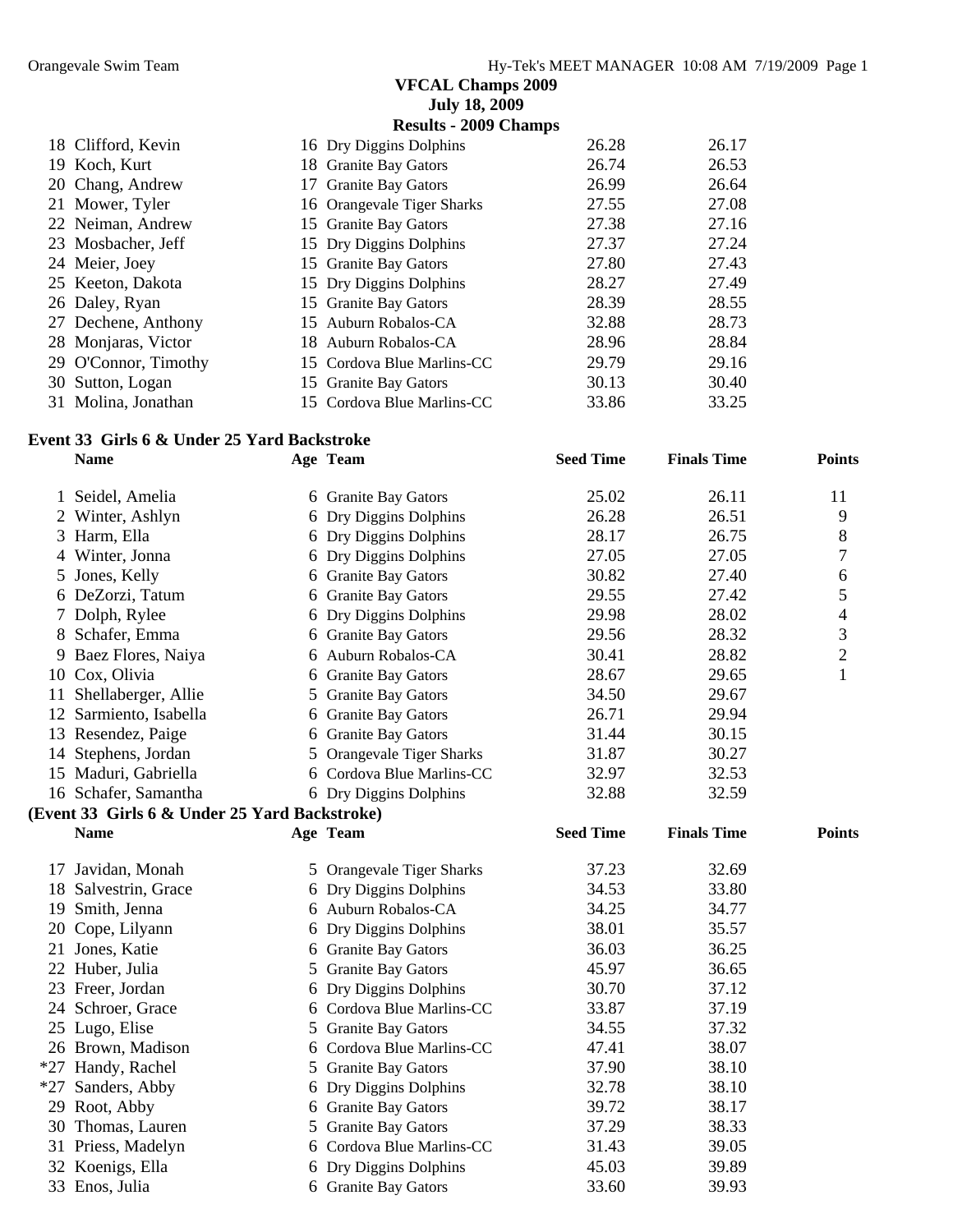|                      | <b>July 18, 2009</b>         |       |       |
|----------------------|------------------------------|-------|-------|
|                      | <b>Results - 2009 Champs</b> |       |       |
| 18 Clifford, Kevin   | 16 Dry Diggins Dolphins      | 26.28 | 26.17 |
| 19 Koch, Kurt        | 18 Granite Bay Gators        | 26.74 | 26.53 |
| 20 Chang, Andrew     | 17 Granite Bay Gators        | 26.99 | 26.64 |
| 21 Mower, Tyler      | 16 Orangevale Tiger Sharks   | 27.55 | 27.08 |
| 22 Neiman, Andrew    | 15 Granite Bay Gators        | 27.38 | 27.16 |
| 23 Mosbacher, Jeff   | 15 Dry Diggins Dolphins      | 27.37 | 27.24 |
| 24 Meier, Joey       | 15 Granite Bay Gators        | 27.80 | 27.43 |
| 25 Keeton, Dakota    | 15 Dry Diggins Dolphins      | 28.27 | 27.49 |
| 26 Daley, Ryan       | 15 Granite Bay Gators        | 28.39 | 28.55 |
| 27 Dechene, Anthony  | 15 Auburn Robalos-CA         | 32.88 | 28.73 |
| 28 Monjaras, Victor  | 18 Auburn Robalos-CA         | 28.96 | 28.84 |
| 29 O'Connor, Timothy | 15 Cordova Blue Marlins-CC   | 29.79 | 29.16 |
| 30 Sutton, Logan     | 15 Granite Bay Gators        | 30.13 | 30.40 |
| 31 Molina, Jonathan  | 15 Cordova Blue Marlins-CC   | 33.86 | 33.25 |

#### **Event 33 Girls 6 & Under 25 Yard Backstroke**

|    | <b>Name</b>                                   | Age Team                                     | <b>Seed Time</b> | <b>Finals Time</b> | <b>Points</b>  |
|----|-----------------------------------------------|----------------------------------------------|------------------|--------------------|----------------|
|    | 1 Seidel, Amelia                              | 6 Granite Bay Gators                         | 25.02            | 26.11              | 11             |
| 2  | Winter, Ashlyn                                | 6 Dry Diggins Dolphins                       | 26.28            | 26.51              | 9              |
| 3  | Harm, Ella                                    | 6 Dry Diggins Dolphins                       | 28.17            | 26.75              | 8              |
| 4  | Winter, Jonna                                 | 6 Dry Diggins Dolphins                       | 27.05            | 27.05              | 7              |
| 5  | Jones, Kelly                                  | 6 Granite Bay Gators                         | 30.82            | 27.40              | 6              |
|    | 6 DeZorzi, Tatum                              | 6 Granite Bay Gators                         | 29.55            | 27.42              | 5              |
|    | 7 Dolph, Rylee                                | 6 Dry Diggins Dolphins                       | 29.98            | 28.02              | $\overline{4}$ |
| 8  | Schafer, Emma                                 | 6 Granite Bay Gators                         | 29.56            | 28.32              | 3              |
|    | 9 Baez Flores, Naiya                          | 6 Auburn Robalos-CA                          | 30.41            | 28.82              | $\overline{2}$ |
|    | 10 Cox, Olivia                                | 6 Granite Bay Gators                         | 28.67            | 29.65              | 1              |
|    | 11 Shellaberger, Allie                        | 5 Granite Bay Gators                         | 34.50            | 29.67              |                |
|    | 12 Sarmiento, Isabella                        | 6 Granite Bay Gators                         | 26.71            | 29.94              |                |
|    | 13 Resendez, Paige                            | 6 Granite Bay Gators                         | 31.44            | 30.15              |                |
|    | 14 Stephens, Jordan                           | 5 Orangevale Tiger Sharks                    | 31.87            | 30.27              |                |
|    | 15 Maduri, Gabriella                          | 6 Cordova Blue Marlins-CC                    | 32.97            | 32.53              |                |
|    | 16 Schafer, Samantha                          | 6 Dry Diggins Dolphins                       | 32.88            | 32.59              |                |
|    | (Event 33 Girls 6 & Under 25 Yard Backstroke) |                                              |                  |                    |                |
|    | <b>Name</b>                                   | Age Team                                     | <b>Seed Time</b> | <b>Finals Time</b> | <b>Points</b>  |
|    | 17 Javidan, Monah                             | 5 Orangevale Tiger Sharks                    | 37.23            | 32.69              |                |
|    | 18 Salvestrin, Grace                          | 6 Dry Diggins Dolphins                       | 34.53            | 33.80              |                |
| 19 | Smith, Jenna                                  | 6 Auburn Robalos-CA                          | 34.25            | 34.77              |                |
| 20 | Cope, Lilyann                                 | 6 Dry Diggins Dolphins                       | 38.01            | 35.57              |                |
|    | 21 Jones, Katie                               | 6 Granite Bay Gators                         | 36.03            | 36.25              |                |
|    | 22 Huber, Julia                               | 5 Granite Bay Gators                         | 45.97            | 36.65              |                |
|    | 23 Freer, Jordan                              | 6 Dry Diggins Dolphins                       | 30.70            | 37.12              |                |
|    |                                               |                                              |                  |                    |                |
|    | 24 Schroer, Grace                             | 6 Cordova Blue Marlins-CC                    | 33.87            | 37.19              |                |
|    | 25 Lugo, Elise                                | 5 Granite Bay Gators                         | 34.55            | 37.32              |                |
|    | 26 Brown, Madison                             | 6 Cordova Blue Marlins-CC                    | 47.41            | 38.07              |                |
|    |                                               |                                              | 37.90            | 38.10              |                |
|    | *27 Handy, Rachel                             | 5 Granite Bay Gators                         | 32.78            | 38.10              |                |
|    | *27 Sanders, Abby                             | 6 Dry Diggins Dolphins                       | 39.72            | 38.17              |                |
|    | 29 Root, Abby<br>30 Thomas, Lauren            | 6 Granite Bay Gators<br>5 Granite Bay Gators | 37.29            | 38.33              |                |
|    | 31 Priess, Madelyn                            | 6 Cordova Blue Marlins-CC                    | 31.43            | 39.05              |                |
|    | 32 Koenigs, Ella                              | 6 Dry Diggins Dolphins                       | 45.03            | 39.89              |                |
|    | 33 Enos, Julia                                | 6 Granite Bay Gators                         | 33.60            | 39.93              |                |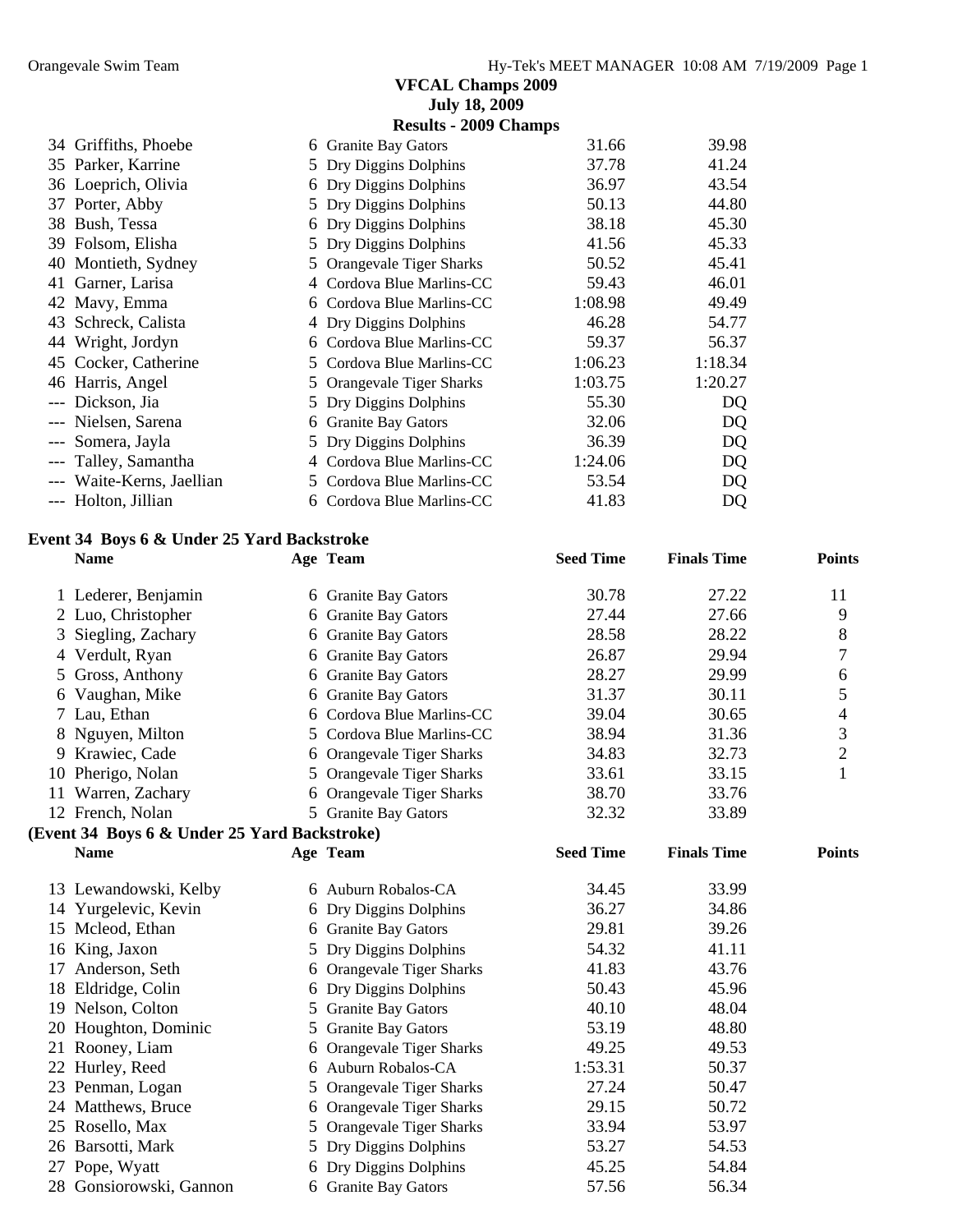|       |                                              |   | <b>VFCAL Champs 2009</b>     |                  |                    |                |
|-------|----------------------------------------------|---|------------------------------|------------------|--------------------|----------------|
|       |                                              |   | <b>July 18, 2009</b>         |                  |                    |                |
|       |                                              |   | <b>Results - 2009 Champs</b> |                  |                    |                |
|       | 34 Griffiths, Phoebe                         |   | 6 Granite Bay Gators         | 31.66            | 39.98              |                |
|       | 35 Parker, Karrine                           |   | 5 Dry Diggins Dolphins       | 37.78            | 41.24              |                |
|       | 36 Loeprich, Olivia                          |   | 6 Dry Diggins Dolphins       | 36.97            | 43.54              |                |
|       | 37 Porter, Abby                              |   | 5 Dry Diggins Dolphins       | 50.13            | 44.80              |                |
|       | 38 Bush, Tessa                               |   | 6 Dry Diggins Dolphins       | 38.18            | 45.30              |                |
|       | 39 Folsom, Elisha                            |   | 5 Dry Diggins Dolphins       | 41.56            | 45.33              |                |
| 40    | Montieth, Sydney                             |   | 5 Orangevale Tiger Sharks    | 50.52            | 45.41              |                |
|       | 41 Garner, Larisa                            |   | 4 Cordova Blue Marlins-CC    | 59.43            | 46.01              |                |
|       | 42 Mavy, Emma                                |   | 6 Cordova Blue Marlins-CC    | 1:08.98          | 49.49              |                |
|       | 43 Schreck, Calista                          |   | 4 Dry Diggins Dolphins       | 46.28            | 54.77              |                |
|       | 44 Wright, Jordyn                            |   | 6 Cordova Blue Marlins-CC    | 59.37            | 56.37              |                |
|       | 45 Cocker, Catherine                         |   | 5 Cordova Blue Marlins-CC    | 1:06.23          | 1:18.34            |                |
|       | 46 Harris, Angel                             |   | 5 Orangevale Tiger Sharks    | 1:03.75          | 1:20.27            |                |
|       | --- Dickson, Jia                             |   | 5 Dry Diggins Dolphins       | 55.30            | DQ                 |                |
|       | --- Nielsen, Sarena                          |   | 6 Granite Bay Gators         | 32.06            | DQ                 |                |
|       | --- Somera, Jayla                            | 5 | Dry Diggins Dolphins         | 36.39            | DQ                 |                |
| $---$ | Talley, Samantha                             |   | 4 Cordova Blue Marlins-CC    | 1:24.06          | DQ                 |                |
|       | --- Waite-Kerns, Jaellian                    |   | 5 Cordova Blue Marlins-CC    | 53.54            | DQ                 |                |
|       | --- Holton, Jillian                          |   | 6 Cordova Blue Marlins-CC    | 41.83            | DQ                 |                |
|       |                                              |   |                              |                  |                    |                |
|       | Event 34 Boys 6 & Under 25 Yard Backstroke   |   |                              |                  |                    |                |
|       | <b>Name</b>                                  |   | Age Team                     | <b>Seed Time</b> | <b>Finals Time</b> | <b>Points</b>  |
|       |                                              |   |                              |                  |                    |                |
|       | 1 Lederer, Benjamin                          |   | 6 Granite Bay Gators         | 30.78            | 27.22              | 11             |
|       | 2 Luo, Christopher                           |   | 6 Granite Bay Gators         | 27.44            | 27.66              | 9              |
| 3     | Siegling, Zachary                            |   | 6 Granite Bay Gators         | 28.58            | 28.22              | 8              |
|       | 4 Verdult, Ryan                              |   | 6 Granite Bay Gators         | 26.87            | 29.94              | 7              |
|       | Gross, Anthony                               |   | 6 Granite Bay Gators         | 28.27            | 29.99              | 6              |
| 6     | Vaughan, Mike                                |   | 6 Granite Bay Gators         | 31.37            | 30.11              | 5              |
|       | 7 Lau, Ethan                                 |   | 6 Cordova Blue Marlins-CC    | 39.04            | 30.65              | 4              |
|       | Nguyen, Milton                               |   | 5 Cordova Blue Marlins-CC    | 38.94            | 31.36              | 3              |
|       | 9 Krawiec, Cade                              |   | 6 Orangevale Tiger Sharks    | 34.83            | 32.73              | $\overline{2}$ |
|       | 10 Pherigo, Nolan                            |   | 5 Orangevale Tiger Sharks    | 33.61            | 33.15              | $\mathbf{1}$   |
|       | 11 Warren, Zachary                           |   | 6 Orangevale Tiger Sharks    | 38.70            | 33.76              |                |
|       | 12 French, Nolan                             |   | 5 Granite Bay Gators         | 32.32            | 33.89              |                |
|       | (Event 34 Boys 6 & Under 25 Yard Backstroke) |   |                              |                  |                    |                |
|       | <b>Name</b>                                  |   | Age Team                     | <b>Seed Time</b> | <b>Finals Time</b> | <b>Points</b>  |
|       |                                              |   |                              |                  |                    |                |
|       | 13 Lewandowski, Kelby                        |   | 6 Auburn Robalos-CA          | 34.45            | 33.99              |                |
|       | 14 Yurgelevic, Kevin                         |   | 6 Dry Diggins Dolphins       | 36.27            | 34.86              |                |
|       | 15 Mcleod, Ethan                             |   | 6 Granite Bay Gators         | 29.81            | 39.26              |                |
|       | 16 King, Jaxon                               |   | 5 Dry Diggins Dolphins       | 54.32            | 41.11              |                |
|       | 17 Anderson, Seth                            |   | 6 Orangevale Tiger Sharks    | 41.83            | 43.76              |                |
|       | 18 Eldridge, Colin                           |   | 6 Dry Diggins Dolphins       | 50.43            | 45.96              |                |
|       | 19 Nelson, Colton                            |   | 5 Granite Bay Gators         | 40.10            | 48.04              |                |
|       | 20 Houghton, Dominic                         |   | 5 Granite Bay Gators         | 53.19            | 48.80              |                |
|       | 21 Rooney, Liam                              |   | 6 Orangevale Tiger Sharks    | 49.25            | 49.53              |                |
|       | 22 Hurley, Reed                              |   | 6 Auburn Robalos-CA          | 1:53.31          | 50.37              |                |
|       | 23 Penman, Logan                             |   |                              | 27.24            | 50.47              |                |
|       | 24 Matthews, Bruce                           |   | 5 Orangevale Tiger Sharks    | 29.15            | 50.72              |                |
|       | 25 Rosello, Max                              |   | 6 Orangevale Tiger Sharks    | 33.94            | 53.97              |                |
|       |                                              |   | 5 Orangevale Tiger Sharks    |                  |                    |                |
|       | 26 Barsotti, Mark                            | 5 | Dry Diggins Dolphins         | 53.27            | 54.53              |                |
|       | 27 Pope, Wyatt                               |   | 6 Dry Diggins Dolphins       | 45.25            | 54.84              |                |

28 Gonsiorowski, Gannon 6 Granite Bay Gators 57.56 56.34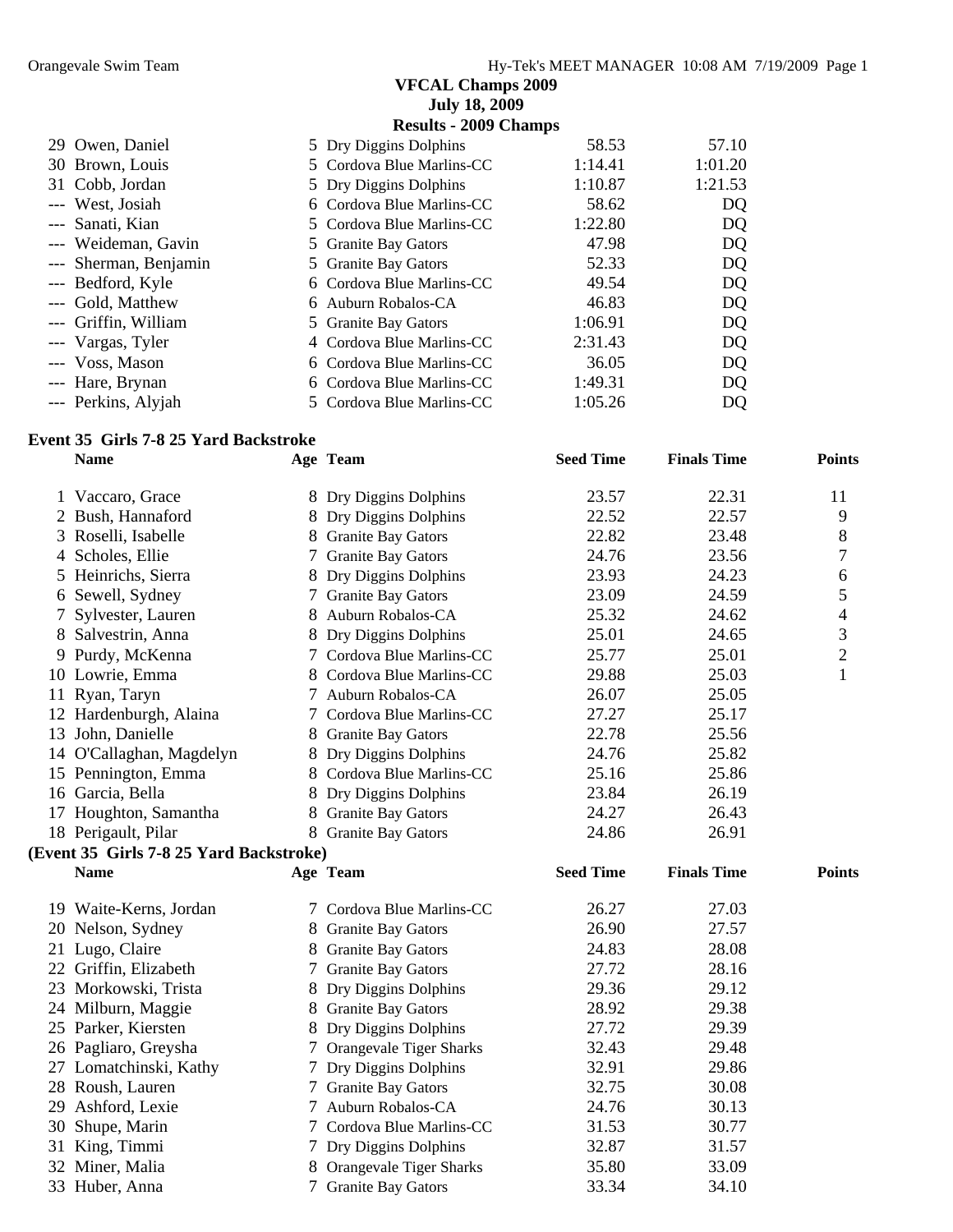|                       | <b>July 18, 2009</b>         |         |         |
|-----------------------|------------------------------|---------|---------|
|                       | <b>Results - 2009 Champs</b> |         |         |
| 29 Owen, Daniel       | 5 Dry Diggins Dolphins       | 58.53   | 57.10   |
| 30 Brown, Louis       | 5 Cordova Blue Marlins-CC    | 1:14.41 | 1:01.20 |
| 31 Cobb, Jordan       | 5 Dry Diggins Dolphins       | 1:10.87 | 1:21.53 |
| --- West, Josiah      | 6 Cordova Blue Marlins-CC    | 58.62   | DQ      |
| --- Sanati, Kian      | 5 Cordova Blue Marlins-CC    | 1:22.80 | DQ      |
| --- Weideman, Gavin   | 5 Granite Bay Gators         | 47.98   | DQ      |
| --- Sherman, Benjamin | 5 Granite Bay Gators         | 52.33   | DQ      |
| --- Bedford, Kyle     | 6 Cordova Blue Marlins-CC    | 49.54   | DQ      |
| --- Gold, Matthew     | 6 Auburn Robalos-CA          | 46.83   | DQ      |
| --- Griffin, William  | 5 Granite Bay Gators         | 1:06.91 | DQ      |
| --- Vargas, Tyler     | 4 Cordova Blue Marlins-CC    | 2:31.43 | DQ      |
| --- Voss, Mason       | 6 Cordova Blue Marlins-CC    | 36.05   | DQ      |
| --- Hare, Brynan      | 6 Cordova Blue Marlins-CC    | 1:49.31 | DQ      |
| --- Perkins, Alyjah   | 5 Cordova Blue Marlins-CC    | 1:05.26 | DQ      |

#### **Event 35 Girls 7-8 25 Yard Backstroke**

|   | <b>Name</b>                             | Age Team                  | <b>Seed Time</b> | <b>Finals Time</b> | <b>Points</b>            |
|---|-----------------------------------------|---------------------------|------------------|--------------------|--------------------------|
|   | 1 Vaccaro, Grace                        | 8 Dry Diggins Dolphins    | 23.57            | 22.31              | 11                       |
|   | 2 Bush, Hannaford                       | 8 Dry Diggins Dolphins    | 22.52            | 22.57              | 9                        |
| 3 | Roselli, Isabelle                       | 8 Granite Bay Gators      | 22.82            | 23.48              | 8                        |
|   | 4 Scholes, Ellie                        | 7 Granite Bay Gators      | 24.76            | 23.56              | 7                        |
| 5 | Heinrichs, Sierra                       | 8 Dry Diggins Dolphins    | 23.93            | 24.23              | 6                        |
|   | 6 Sewell, Sydney                        | 7 Granite Bay Gators      | 23.09            | 24.59              | 5                        |
| 7 | Sylvester, Lauren                       | 8 Auburn Robalos-CA       | 25.32            | 24.62              | $\overline{\mathcal{L}}$ |
|   | 8 Salvestrin, Anna                      | 8 Dry Diggins Dolphins    | 25.01            | 24.65              | 3                        |
| 9 | Purdy, McKenna                          | 7 Cordova Blue Marlins-CC | 25.77            | 25.01              | $\overline{2}$           |
|   | 10 Lowrie, Emma                         | 8 Cordova Blue Marlins-CC | 29.88            | 25.03              | 1                        |
|   | 11 Ryan, Taryn                          | 7 Auburn Robalos-CA       | 26.07            | 25.05              |                          |
|   | 12 Hardenburgh, Alaina                  | 7 Cordova Blue Marlins-CC | 27.27            | 25.17              |                          |
|   | 13 John, Danielle                       | 8 Granite Bay Gators      | 22.78            | 25.56              |                          |
|   | 14 O'Callaghan, Magdelyn                | 8 Dry Diggins Dolphins    | 24.76            | 25.82              |                          |
|   | 15 Pennington, Emma                     | 8 Cordova Blue Marlins-CC | 25.16            | 25.86              |                          |
|   | 16 Garcia, Bella                        | 8 Dry Diggins Dolphins    | 23.84            | 26.19              |                          |
|   | 17 Houghton, Samantha                   | 8 Granite Bay Gators      | 24.27            | 26.43              |                          |
|   | 18 Perigault, Pilar                     | 8 Granite Bay Gators      | 24.86            | 26.91              |                          |
|   | (Event 35 Girls 7-8 25 Yard Backstroke) |                           |                  |                    |                          |
|   | <b>Name</b>                             | Age Team                  | <b>Seed Time</b> | <b>Finals Time</b> | <b>Points</b>            |
|   | 19 Waite-Kerns, Jordan                  | 7 Cordova Blue Marlins-CC | 26.27            | 27.03              |                          |
|   | 20 Nelson, Sydney                       | 8 Granite Bay Gators      | 26.90            | 27.57              |                          |
|   | 21 Lugo, Claire                         | 8 Granite Bay Gators      | 24.83            | 28.08              |                          |
|   | 22 Griffin, Elizabeth                   | 7 Granite Bay Gators      | 27.72            | 28.16              |                          |
|   | 23 Morkowski, Trista                    | 8 Dry Diggins Dolphins    | 29.36            | 29.12              |                          |
|   | 24 Milburn, Maggie                      | 8 Granite Bay Gators      | 28.92            | 29.38              |                          |
|   | 25 Parker, Kiersten                     | 8 Dry Diggins Dolphins    | 27.72            | 29.39              |                          |
|   | 26 Pagliaro, Greysha                    | 7 Orangevale Tiger Sharks | 32.43            | 29.48              |                          |
|   | 27 Lomatchinski, Kathy                  | 7 Dry Diggins Dolphins    | 32.91            | 29.86              |                          |
|   | 28 Roush, Lauren                        | 7 Granite Bay Gators      | 32.75            | 30.08              |                          |
|   | 29 Ashford, Lexie                       | 7 Auburn Robalos-CA       | 24.76            | 30.13              |                          |
|   | 30 Shupe, Marin                         | 7 Cordova Blue Marlins-CC | 31.53            | 30.77              |                          |
|   | 31 King, Timmi                          | 7 Dry Diggins Dolphins    | 32.87            | 31.57              |                          |
|   | 32 Miner, Malia                         | 8 Orangevale Tiger Sharks | 35.80            | 33.09              |                          |
|   | 33 Huber, Anna                          | 7 Granite Bay Gators      | 33.34            | 34.10              |                          |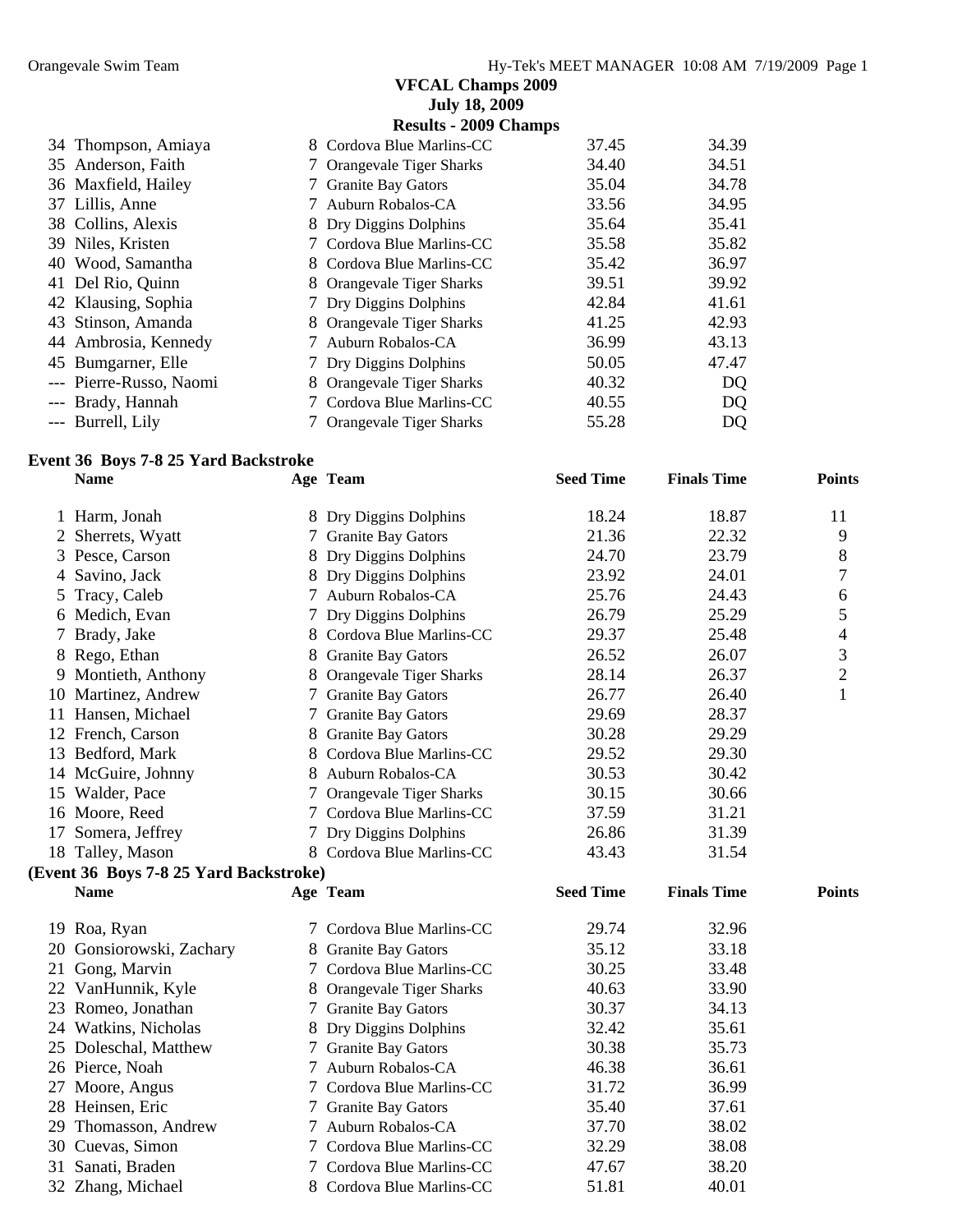|                         | <b>VFCAL Champs 2009</b>      |       |       |
|-------------------------|-------------------------------|-------|-------|
|                         | <b>July 18, 2009</b>          |       |       |
|                         | <b>Results - 2009 Champs</b>  |       |       |
| 34 Thompson, Amiaya     | Cordova Blue Marlins-CC<br>8. | 37.45 | 34.39 |
| 35 Anderson, Faith      | 7 Orangevale Tiger Sharks     | 34.40 | 34.51 |
| 36 Maxfield, Hailey     | 7 Granite Bay Gators          | 35.04 | 34.78 |
| 37 Lillis, Anne         | 7 Auburn Robalos-CA           | 33.56 | 34.95 |
| 38 Collins, Alexis      | 8 Dry Diggins Dolphins        | 35.64 | 35.41 |
| 39 Niles, Kristen       | 7 Cordova Blue Marlins-CC     | 35.58 | 35.82 |
| 40 Wood, Samantha       | 8 Cordova Blue Marlins-CC     | 35.42 | 36.97 |
| 41 Del Rio, Quinn       | 8 Orangevale Tiger Sharks     | 39.51 | 39.92 |
| 42 Klausing, Sophia     | 7 Dry Diggins Dolphins        | 42.84 | 41.61 |
| 43 Stinson, Amanda      | 8 Orangevale Tiger Sharks     | 41.25 | 42.93 |
| 44 Ambrosia, Kennedy    | 7 Auburn Robalos-CA           | 36.99 | 43.13 |
| 45 Bumgarner, Elle      | 7 Dry Diggins Dolphins        | 50.05 | 47.47 |
| --- Pierre-Russo, Naomi | Orangevale Tiger Sharks<br>8. | 40.32 | DQ    |
| Brady, Hannah           | Cordova Blue Marlins-CC       | 40.55 | DQ    |
| --- Burrell, Lily       | 7 Orangevale Tiger Sharks     | 55.28 | DQ    |

#### **Event 36 Boys 7-8 25 Yard Backstroke**

|    | <b>Name</b>                            |               | Age Team                  | <b>Seed Time</b> | <b>Finals Time</b> | <b>Points</b>  |
|----|----------------------------------------|---------------|---------------------------|------------------|--------------------|----------------|
|    | 1 Harm, Jonah                          |               | 8 Dry Diggins Dolphins    | 18.24            | 18.87              | 11             |
| 2  | Sherrets, Wyatt                        | 7             | <b>Granite Bay Gators</b> | 21.36            | 22.32              | 9              |
| 3  | Pesce, Carson                          |               | Dry Diggins Dolphins      | 24.70            | 23.79              | 8              |
|    | Savino, Jack                           |               | 8 Dry Diggins Dolphins    | 23.92            | 24.01              | 7              |
| 5  | Tracy, Caleb                           | 7             | Auburn Robalos-CA         | 25.76            | 24.43              | 6              |
| 6  | Medich, Evan                           | 7             | Dry Diggins Dolphins      | 26.79            | 25.29              | 5              |
| 7  | Brady, Jake                            |               | 8 Cordova Blue Marlins-CC | 29.37            | 25.48              | 4              |
| 8  | Rego, Ethan                            |               | 8 Granite Bay Gators      | 26.52            | 26.07              | 3              |
| 9  | Montieth, Anthony                      |               | 8 Orangevale Tiger Sharks | 28.14            | 26.37              | $\overline{2}$ |
| 10 | Martinez, Andrew                       |               | 7 Granite Bay Gators      | 26.77            | 26.40              | 1              |
| 11 | Hansen, Michael                        | $\mathcal{L}$ | <b>Granite Bay Gators</b> | 29.69            | 28.37              |                |
|    | 12 French, Carson                      |               | 8 Granite Bay Gators      | 30.28            | 29.29              |                |
| 13 | Bedford, Mark                          |               | Cordova Blue Marlins-CC   | 29.52            | 29.30              |                |
|    | 14 McGuire, Johnny                     |               | 8 Auburn Robalos-CA       | 30.53            | 30.42              |                |
| 15 | Walder, Pace                           |               | Orangevale Tiger Sharks   | 30.15            | 30.66              |                |
| 16 | Moore, Reed                            |               | 7 Cordova Blue Marlins-CC | 37.59            | 31.21              |                |
| 17 | Somera, Jeffrey                        | 7             | Dry Diggins Dolphins      | 26.86            | 31.39              |                |
|    | 18 Talley, Mason                       |               | 8 Cordova Blue Marlins-CC | 43.43            | 31.54              |                |
|    | (Event 36 Boys 7-8 25 Yard Backstroke) |               |                           |                  |                    |                |
|    | <b>Name</b>                            |               | Age Team                  | <b>Seed Time</b> | <b>Finals Time</b> | <b>Points</b>  |
| 19 | Roa, Ryan                              |               | Cordova Blue Marlins-CC   | 29.74            | 32.96              |                |
| 20 | Gonsiorowski, Zachary                  |               | 8 Granite Bay Gators      | 35.12            | 33.18              |                |
| 21 | Gong, Marvin                           |               | 7 Cordova Blue Marlins-CC | 30.25            | 33.48              |                |
| 22 | VanHunnik, Kyle                        |               | 8 Orangevale Tiger Sharks | 40.63            | 33.90              |                |
|    | 23 Romeo, Jonathan                     |               | 7 Granite Bay Gators      | 30.37            | 34.13              |                |
| 24 | Watkins, Nicholas                      |               | 8 Dry Diggins Dolphins    | 32.42            | 35.61              |                |
| 25 | Doleschal, Matthew                     |               | 7 Granite Bay Gators      | 30.38            | 35.73              |                |
|    | 26 Pierce, Noah                        | 7             | Auburn Robalos-CA         | 46.38            | 36.61              |                |
| 27 | Moore, Angus                           |               | Cordova Blue Marlins-CC   | 31.72            | 36.99              |                |

28 Heinsen, Eric 7 Granite Bay Gators 35.40 37.61 29 Thomasson, Andrew 7 Auburn Robalos-CA 37.70 38.02 30 Cuevas, Simon 7 Cordova Blue Marlins-CC 32.29 38.08 31 Sanati, Braden 7 Cordova Blue Marlins-CC 47.67 38.20 32 Zhang, Michael 8 Cordova Blue Marlins-CC 51.81 40.01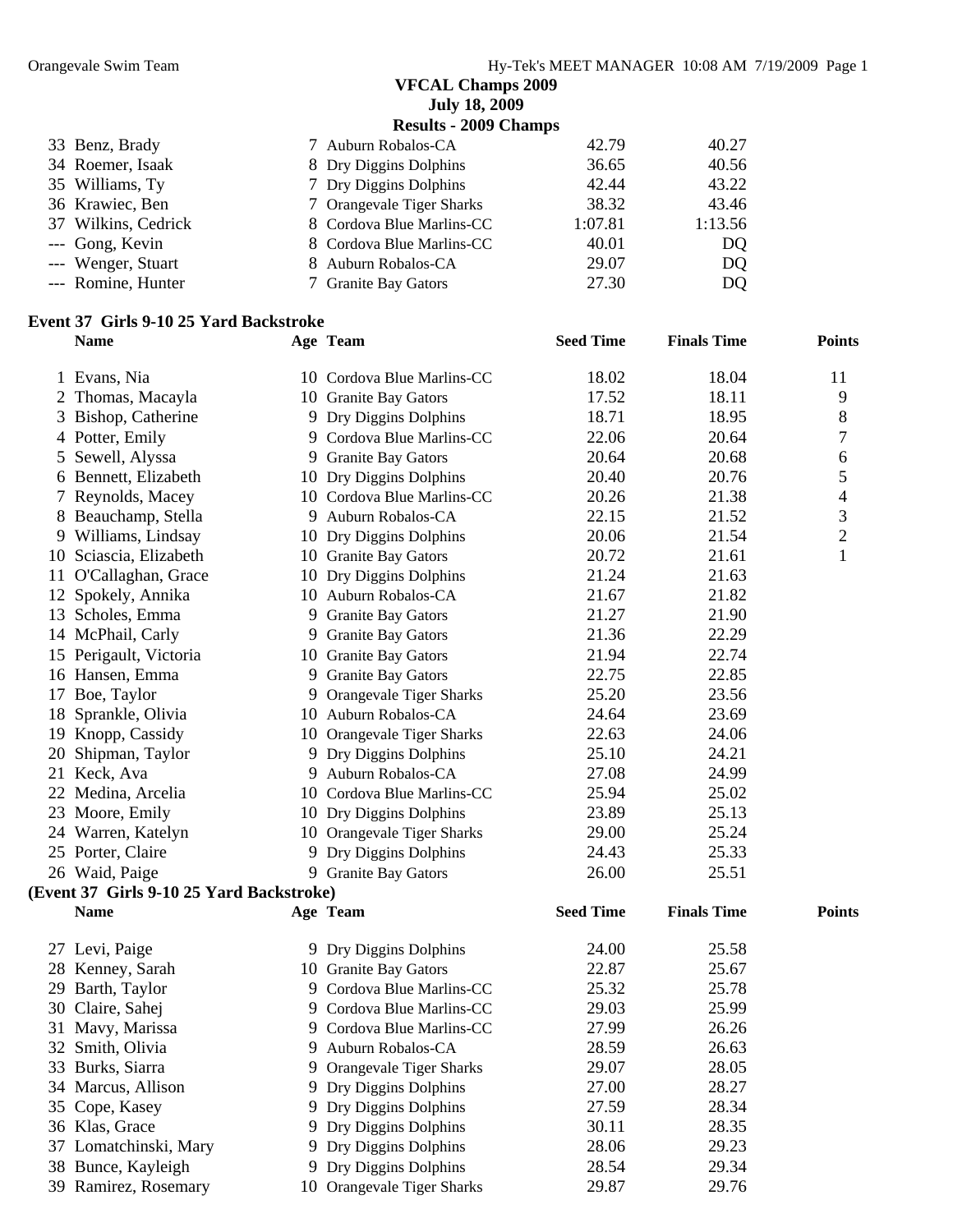| <b>July 18, 2009</b>  |
|-----------------------|
| Results - 2009 Chamns |

|                     | $\frac{1}{2}$             |         |         |
|---------------------|---------------------------|---------|---------|
| 33 Benz, Brady      | 7 Auburn Robalos-CA       | 42.79   | 40.27   |
| 34 Roemer, Isaak    | 8 Dry Diggins Dolphins    | 36.65   | 40.56   |
| 35 Williams, Ty     | 7 Dry Diggins Dolphins    | 42.44   | 43.22   |
| 36 Krawiec, Ben     | 7 Orangevale Tiger Sharks | 38.32   | 43.46   |
| 37 Wilkins, Cedrick | 8 Cordova Blue Marlins-CC | 1:07.81 | 1:13.56 |
| --- Gong, Kevin     | 8 Cordova Blue Marlins-CC | 40.01   | DQ.     |
| --- Wenger, Stuart  | 8 Auburn Robalos-CA       | 29.07   | DQ      |
| --- Romine, Hunter  | 7 Granite Bay Gators      | 27.30   | DQ      |
|                     |                           |         |         |

# **Event 37 Girls 9-10 25 Yard Backstroke**

| <b>Name</b>            |                                                        |                                                                                                                                                                                                                                                                                                                                                                                                                                                                                                                                                                                                                                                                                                                                                                                                                                                                                                                                                                                                                                                                                                                                           |                    | <b>Points</b>      |
|------------------------|--------------------------------------------------------|-------------------------------------------------------------------------------------------------------------------------------------------------------------------------------------------------------------------------------------------------------------------------------------------------------------------------------------------------------------------------------------------------------------------------------------------------------------------------------------------------------------------------------------------------------------------------------------------------------------------------------------------------------------------------------------------------------------------------------------------------------------------------------------------------------------------------------------------------------------------------------------------------------------------------------------------------------------------------------------------------------------------------------------------------------------------------------------------------------------------------------------------|--------------------|--------------------|
| 1 Evans, Nia           |                                                        | 18.02                                                                                                                                                                                                                                                                                                                                                                                                                                                                                                                                                                                                                                                                                                                                                                                                                                                                                                                                                                                                                                                                                                                                     | 18.04              | 11                 |
| 2 Thomas, Macayla      |                                                        | 17.52                                                                                                                                                                                                                                                                                                                                                                                                                                                                                                                                                                                                                                                                                                                                                                                                                                                                                                                                                                                                                                                                                                                                     | 18.11              | 9                  |
| Bishop, Catherine      |                                                        | 18.71                                                                                                                                                                                                                                                                                                                                                                                                                                                                                                                                                                                                                                                                                                                                                                                                                                                                                                                                                                                                                                                                                                                                     | 18.95              | 8                  |
| Potter, Emily          |                                                        | 22.06                                                                                                                                                                                                                                                                                                                                                                                                                                                                                                                                                                                                                                                                                                                                                                                                                                                                                                                                                                                                                                                                                                                                     | 20.64              | 7                  |
| Sewell, Alyssa         |                                                        | 20.64                                                                                                                                                                                                                                                                                                                                                                                                                                                                                                                                                                                                                                                                                                                                                                                                                                                                                                                                                                                                                                                                                                                                     | 20.68              | 6                  |
| Bennett, Elizabeth     |                                                        | 20.40                                                                                                                                                                                                                                                                                                                                                                                                                                                                                                                                                                                                                                                                                                                                                                                                                                                                                                                                                                                                                                                                                                                                     | 20.76              | 5                  |
| Reynolds, Macey        |                                                        | 20.26                                                                                                                                                                                                                                                                                                                                                                                                                                                                                                                                                                                                                                                                                                                                                                                                                                                                                                                                                                                                                                                                                                                                     | 21.38              | 4                  |
| Beauchamp, Stella      |                                                        | 22.15                                                                                                                                                                                                                                                                                                                                                                                                                                                                                                                                                                                                                                                                                                                                                                                                                                                                                                                                                                                                                                                                                                                                     | 21.52              | $\mathfrak{Z}$     |
| 9 Williams, Lindsay    |                                                        | 20.06                                                                                                                                                                                                                                                                                                                                                                                                                                                                                                                                                                                                                                                                                                                                                                                                                                                                                                                                                                                                                                                                                                                                     | 21.54              | $\mathfrak{2}$     |
| 10 Sciascia, Elizabeth |                                                        | 20.72                                                                                                                                                                                                                                                                                                                                                                                                                                                                                                                                                                                                                                                                                                                                                                                                                                                                                                                                                                                                                                                                                                                                     | 21.61              | $\mathbf{1}$       |
| 11 O'Callaghan, Grace  |                                                        | 21.24                                                                                                                                                                                                                                                                                                                                                                                                                                                                                                                                                                                                                                                                                                                                                                                                                                                                                                                                                                                                                                                                                                                                     | 21.63              |                    |
| 12 Spokely, Annika     |                                                        | 21.67                                                                                                                                                                                                                                                                                                                                                                                                                                                                                                                                                                                                                                                                                                                                                                                                                                                                                                                                                                                                                                                                                                                                     | 21.82              |                    |
| 13 Scholes, Emma       |                                                        | 21.27                                                                                                                                                                                                                                                                                                                                                                                                                                                                                                                                                                                                                                                                                                                                                                                                                                                                                                                                                                                                                                                                                                                                     | 21.90              |                    |
| 14 McPhail, Carly      |                                                        | 21.36                                                                                                                                                                                                                                                                                                                                                                                                                                                                                                                                                                                                                                                                                                                                                                                                                                                                                                                                                                                                                                                                                                                                     | 22.29              |                    |
| 15 Perigault, Victoria |                                                        | 21.94                                                                                                                                                                                                                                                                                                                                                                                                                                                                                                                                                                                                                                                                                                                                                                                                                                                                                                                                                                                                                                                                                                                                     | 22.74              |                    |
| 16 Hansen, Emma        |                                                        | 22.75                                                                                                                                                                                                                                                                                                                                                                                                                                                                                                                                                                                                                                                                                                                                                                                                                                                                                                                                                                                                                                                                                                                                     | 22.85              |                    |
|                        |                                                        | 25.20                                                                                                                                                                                                                                                                                                                                                                                                                                                                                                                                                                                                                                                                                                                                                                                                                                                                                                                                                                                                                                                                                                                                     | 23.56              |                    |
| 18 Sprankle, Olivia    |                                                        | 24.64                                                                                                                                                                                                                                                                                                                                                                                                                                                                                                                                                                                                                                                                                                                                                                                                                                                                                                                                                                                                                                                                                                                                     | 23.69              |                    |
|                        |                                                        | 22.63                                                                                                                                                                                                                                                                                                                                                                                                                                                                                                                                                                                                                                                                                                                                                                                                                                                                                                                                                                                                                                                                                                                                     | 24.06              |                    |
|                        |                                                        | 25.10                                                                                                                                                                                                                                                                                                                                                                                                                                                                                                                                                                                                                                                                                                                                                                                                                                                                                                                                                                                                                                                                                                                                     | 24.21              |                    |
| 21 Keck, Ava           |                                                        | 27.08                                                                                                                                                                                                                                                                                                                                                                                                                                                                                                                                                                                                                                                                                                                                                                                                                                                                                                                                                                                                                                                                                                                                     | 24.99              |                    |
| 22 Medina, Arcelia     |                                                        | 25.94                                                                                                                                                                                                                                                                                                                                                                                                                                                                                                                                                                                                                                                                                                                                                                                                                                                                                                                                                                                                                                                                                                                                     | 25.02              |                    |
| 23 Moore, Emily        |                                                        | 23.89                                                                                                                                                                                                                                                                                                                                                                                                                                                                                                                                                                                                                                                                                                                                                                                                                                                                                                                                                                                                                                                                                                                                     | 25.13              |                    |
| 24 Warren, Katelyn     |                                                        | 29.00                                                                                                                                                                                                                                                                                                                                                                                                                                                                                                                                                                                                                                                                                                                                                                                                                                                                                                                                                                                                                                                                                                                                     | 25.24              |                    |
| 25 Porter, Claire      |                                                        | 24.43                                                                                                                                                                                                                                                                                                                                                                                                                                                                                                                                                                                                                                                                                                                                                                                                                                                                                                                                                                                                                                                                                                                                     | 25.33              |                    |
| 26 Waid, Paige         |                                                        | 26.00                                                                                                                                                                                                                                                                                                                                                                                                                                                                                                                                                                                                                                                                                                                                                                                                                                                                                                                                                                                                                                                                                                                                     | 25.51              |                    |
|                        |                                                        |                                                                                                                                                                                                                                                                                                                                                                                                                                                                                                                                                                                                                                                                                                                                                                                                                                                                                                                                                                                                                                                                                                                                           |                    |                    |
| <b>Name</b>            |                                                        | <b>Seed Time</b>                                                                                                                                                                                                                                                                                                                                                                                                                                                                                                                                                                                                                                                                                                                                                                                                                                                                                                                                                                                                                                                                                                                          | <b>Finals Time</b> | <b>Points</b>      |
| 27 Levi, Paige         |                                                        | 24.00                                                                                                                                                                                                                                                                                                                                                                                                                                                                                                                                                                                                                                                                                                                                                                                                                                                                                                                                                                                                                                                                                                                                     | 25.58              |                    |
| 28 Kenney, Sarah       |                                                        | 22.87                                                                                                                                                                                                                                                                                                                                                                                                                                                                                                                                                                                                                                                                                                                                                                                                                                                                                                                                                                                                                                                                                                                                     | 25.67              |                    |
| Barth, Taylor          |                                                        | 25.32                                                                                                                                                                                                                                                                                                                                                                                                                                                                                                                                                                                                                                                                                                                                                                                                                                                                                                                                                                                                                                                                                                                                     | 25.78              |                    |
| 30 Claire, Sahej       |                                                        | 29.03                                                                                                                                                                                                                                                                                                                                                                                                                                                                                                                                                                                                                                                                                                                                                                                                                                                                                                                                                                                                                                                                                                                                     | 25.99              |                    |
| 31 Mavy, Marissa       |                                                        | 27.99                                                                                                                                                                                                                                                                                                                                                                                                                                                                                                                                                                                                                                                                                                                                                                                                                                                                                                                                                                                                                                                                                                                                     | 26.26              |                    |
| 32 Smith, Olivia       |                                                        | 28.59                                                                                                                                                                                                                                                                                                                                                                                                                                                                                                                                                                                                                                                                                                                                                                                                                                                                                                                                                                                                                                                                                                                                     | 26.63              |                    |
| 33 Burks, Siarra       |                                                        | 29.07                                                                                                                                                                                                                                                                                                                                                                                                                                                                                                                                                                                                                                                                                                                                                                                                                                                                                                                                                                                                                                                                                                                                     | 28.05              |                    |
| 34 Marcus, Allison     |                                                        | 27.00                                                                                                                                                                                                                                                                                                                                                                                                                                                                                                                                                                                                                                                                                                                                                                                                                                                                                                                                                                                                                                                                                                                                     | 28.27              |                    |
| 35 Cope, Kasey         |                                                        | 27.59                                                                                                                                                                                                                                                                                                                                                                                                                                                                                                                                                                                                                                                                                                                                                                                                                                                                                                                                                                                                                                                                                                                                     | 28.34              |                    |
| 36 Klas, Grace         |                                                        | 30.11                                                                                                                                                                                                                                                                                                                                                                                                                                                                                                                                                                                                                                                                                                                                                                                                                                                                                                                                                                                                                                                                                                                                     | 28.35              |                    |
| 37 Lomatchinski, Mary  |                                                        | 28.06                                                                                                                                                                                                                                                                                                                                                                                                                                                                                                                                                                                                                                                                                                                                                                                                                                                                                                                                                                                                                                                                                                                                     | 29.23              |                    |
| 38 Bunce, Kayleigh     |                                                        | 28.54                                                                                                                                                                                                                                                                                                                                                                                                                                                                                                                                                                                                                                                                                                                                                                                                                                                                                                                                                                                                                                                                                                                                     | 29.34              |                    |
| 39 Ramirez, Rosemary   |                                                        | 29.87                                                                                                                                                                                                                                                                                                                                                                                                                                                                                                                                                                                                                                                                                                                                                                                                                                                                                                                                                                                                                                                                                                                                     | 29.76              |                    |
|                        | 17 Boe, Taylor<br>19 Knopp, Cassidy<br>Shipman, Taylor | Age Team<br>10 Cordova Blue Marlins-CC<br>10 Granite Bay Gators<br>9 Dry Diggins Dolphins<br>9 Cordova Blue Marlins-CC<br>9 Granite Bay Gators<br>10 Dry Diggins Dolphins<br>10 Cordova Blue Marlins-CC<br>9 Auburn Robalos-CA<br>10 Dry Diggins Dolphins<br>10 Granite Bay Gators<br>10 Dry Diggins Dolphins<br>10 Auburn Robalos-CA<br>9 Granite Bay Gators<br>9 Granite Bay Gators<br>10 Granite Bay Gators<br>9 Granite Bay Gators<br>9 Orangevale Tiger Sharks<br>10 Auburn Robalos-CA<br>10 Orangevale Tiger Sharks<br>9 Dry Diggins Dolphins<br>9 Auburn Robalos-CA<br>10 Cordova Blue Marlins-CC<br>10 Dry Diggins Dolphins<br>10 Orangevale Tiger Sharks<br>9 Dry Diggins Dolphins<br>9 Granite Bay Gators<br>(Event 37 Girls 9-10 25 Yard Backstroke)<br>Age Team<br>9 Dry Diggins Dolphins<br>10 Granite Bay Gators<br>9 Cordova Blue Marlins-CC<br>9 Cordova Blue Marlins-CC<br>9 Cordova Blue Marlins-CC<br>9 Auburn Robalos-CA<br>9 Orangevale Tiger Sharks<br>9 Dry Diggins Dolphins<br>9 Dry Diggins Dolphins<br>9 Dry Diggins Dolphins<br>9 Dry Diggins Dolphins<br>9 Dry Diggins Dolphins<br>10 Orangevale Tiger Sharks | <b>Seed Time</b>   | <b>Finals Time</b> |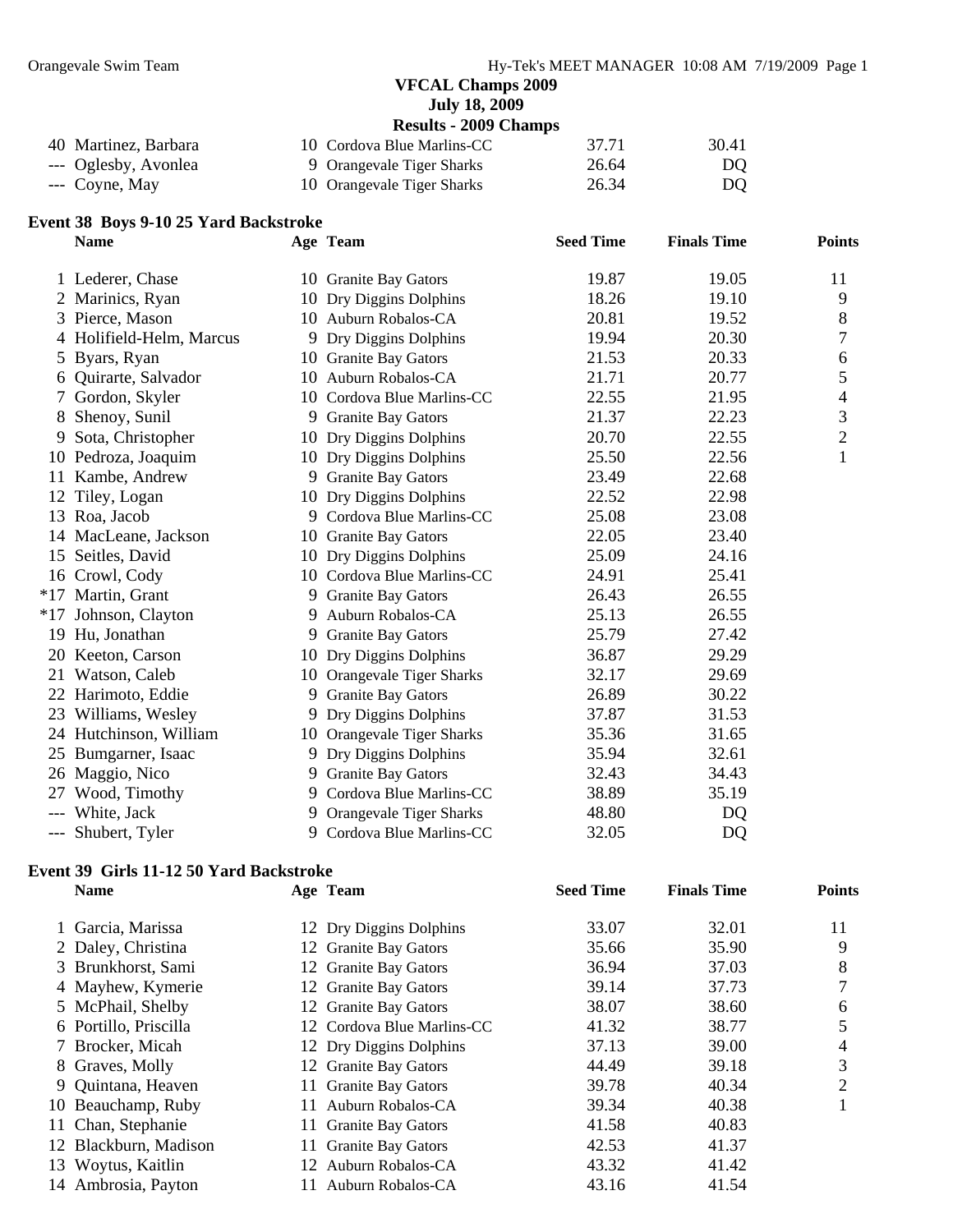**July 18, 2009** 

|                      | <b>Results - 2009 Champs</b> |       |       |  |  |
|----------------------|------------------------------|-------|-------|--|--|
| 40 Martinez, Barbara | 10 Cordova Blue Marlins-CC   | 37.71 | 30.41 |  |  |
| --- Oglesby, Avonlea | 9 Orangevale Tiger Sharks    | 26.64 | DO.   |  |  |
| $--$ Coyne, May      | 10 Orangevale Tiger Sharks   | 26.34 | DQ    |  |  |

# **Event 38 Boys 9-10 25 Yard Backstroke**

|       | vent 38 Boys 9-10 25 Yard Backstroke |    |                            |                  |                    |                |
|-------|--------------------------------------|----|----------------------------|------------------|--------------------|----------------|
|       | <b>Name</b>                          |    | Age Team                   | <b>Seed Time</b> | <b>Finals Time</b> | <b>Points</b>  |
|       | 1 Lederer, Chase                     |    | 10 Granite Bay Gators      | 19.87            | 19.05              | 11             |
| 2     | Marinics, Ryan                       |    | 10 Dry Diggins Dolphins    | 18.26            | 19.10              | 9              |
|       | Pierce, Mason                        |    | 10 Auburn Robalos-CA       | 20.81            | 19.52              | 8              |
|       | 4 Holifield-Helm, Marcus             |    | 9 Dry Diggins Dolphins     | 19.94            | 20.30              | 7              |
| 5     | Byars, Ryan                          |    | 10 Granite Bay Gators      | 21.53            | 20.33              | 6              |
|       | Quirarte, Salvador                   |    | 10 Auburn Robalos-CA       | 21.71            | 20.77              | 5              |
|       | Gordon, Skyler                       |    | 10 Cordova Blue Marlins-CC | 22.55            | 21.95              | 4              |
| 8     | Shenoy, Sunil                        |    | 9 Granite Bay Gators       | 21.37            | 22.23              | 3              |
| 9     | Sota, Christopher                    |    | 10 Dry Diggins Dolphins    | 20.70            | 22.55              | $\overline{2}$ |
| 10    | Pedroza, Joaquim                     |    | 10 Dry Diggins Dolphins    | 25.50            | 22.56              |                |
| 11    | Kambe, Andrew                        |    | 9 Granite Bay Gators       | 23.49            | 22.68              |                |
| 12    | Tiley, Logan                         |    | 10 Dry Diggins Dolphins    | 22.52            | 22.98              |                |
| 13    | Roa, Jacob                           |    | 9 Cordova Blue Marlins-CC  | 25.08            | 23.08              |                |
|       | 14 MacLeane, Jackson                 |    | 10 Granite Bay Gators      | 22.05            | 23.40              |                |
| 15    | Seitles, David                       | 10 | Dry Diggins Dolphins       | 25.09            | 24.16              |                |
| 16    | Crowl, Cody                          |    | 10 Cordova Blue Marlins-CC | 24.91            | 25.41              |                |
|       | *17 Martin, Grant                    | 9  | <b>Granite Bay Gators</b>  | 26.43            | 26.55              |                |
|       | *17 Johnson, Clayton                 | 9  | Auburn Robalos-CA          | 25.13            | 26.55              |                |
|       | 19 Hu, Jonathan                      |    | 9 Granite Bay Gators       | 25.79            | 27.42              |                |
|       | 20 Keeton, Carson                    |    | 10 Dry Diggins Dolphins    | 36.87            | 29.29              |                |
|       | 21 Watson, Caleb                     |    | 10 Orangevale Tiger Sharks | 32.17            | 29.69              |                |
|       | 22 Harimoto, Eddie                   | 9  | <b>Granite Bay Gators</b>  | 26.89            | 30.22              |                |
| 23    | Williams, Wesley                     |    | 9 Dry Diggins Dolphins     | 37.87            | 31.53              |                |
|       | 24 Hutchinson, William               |    | 10 Orangevale Tiger Sharks | 35.36            | 31.65              |                |
| 25    | Bumgarner, Isaac                     | 9  | Dry Diggins Dolphins       | 35.94            | 32.61              |                |
|       | 26 Maggio, Nico                      | 9  | <b>Granite Bay Gators</b>  | 32.43            | 34.43              |                |
| 27    | Wood, Timothy                        | 9  | Cordova Blue Marlins-CC    | 38.89            | 35.19              |                |
|       | White, Jack                          | 9  | Orangevale Tiger Sharks    | 48.80            | DQ                 |                |
| $---$ | Shubert, Tyler                       | 9  | Cordova Blue Marlins-CC    | 32.05            | <b>DQ</b>          |                |

#### **Event 39 Girls 11-12 50 Yard Backstroke**

| <b>Name</b>           | Age Team                   | <b>Seed Time</b> | <b>Finals Time</b> | <b>Points</b> |
|-----------------------|----------------------------|------------------|--------------------|---------------|
| 1 Garcia, Marissa     | 12 Dry Diggins Dolphins    | 33.07            | 32.01              | 11            |
| 2 Daley, Christina    | 12 Granite Bay Gators      | 35.66            | 35.90              | 9             |
| 3 Brunkhorst, Sami    | 12 Granite Bay Gators      | 36.94            | 37.03              | 8             |
| 4 Mayhew, Kymerie     | 12 Granite Bay Gators      | 39.14            | 37.73              |               |
| 5 McPhail, Shelby     | 12 Granite Bay Gators      | 38.07            | 38.60              | 6             |
| 6 Portillo, Priscilla | 12 Cordova Blue Marlins-CC | 41.32            | 38.77              | 5             |
| 7 Brocker, Micah      | 12 Dry Diggins Dolphins    | 37.13            | 39.00              | 4             |
| 8 Graves, Molly       | 12 Granite Bay Gators      | 44.49            | 39.18              | 3             |
| 9 Quintana, Heaven    | 11 Granite Bay Gators      | 39.78            | 40.34              | 2             |
| 10 Beauchamp, Ruby    | 11 Auburn Robalos-CA       | 39.34            | 40.38              |               |
| 11 Chan, Stephanie    | 11 Granite Bay Gators      | 41.58            | 40.83              |               |
| 12 Blackburn, Madison | 11 Granite Bay Gators      | 42.53            | 41.37              |               |
| 13 Woytus, Kaitlin    | 12 Auburn Robalos-CA       | 43.32            | 41.42              |               |
| 14 Ambrosia, Payton   | Auburn Robalos-CA          | 43.16            | 41.54              |               |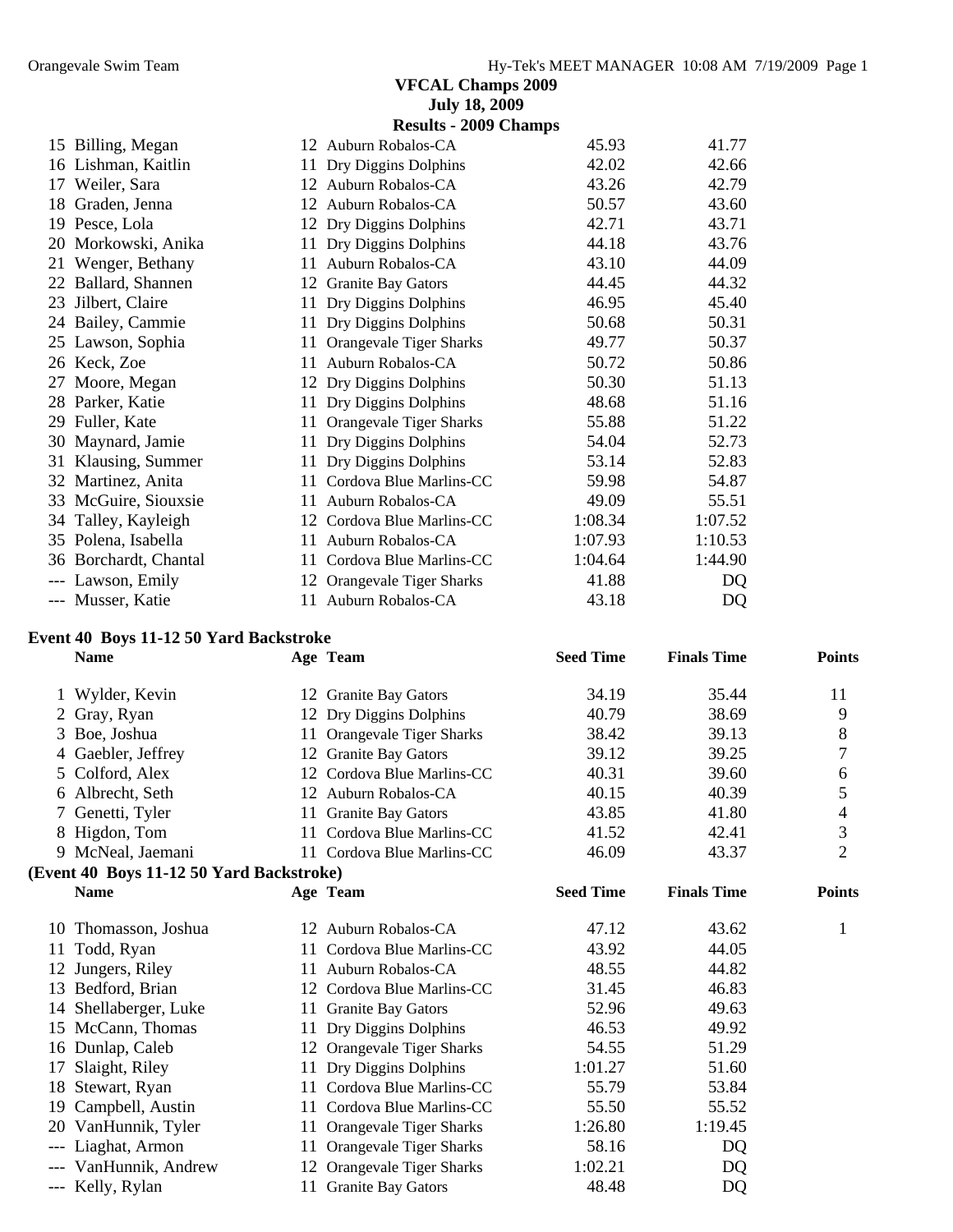|    |                                        |    | <b>July 18, 2009</b>         |                  |                    |               |
|----|----------------------------------------|----|------------------------------|------------------|--------------------|---------------|
|    |                                        |    | <b>Results - 2009 Champs</b> |                  |                    |               |
|    | 15 Billing, Megan                      |    | 12 Auburn Robalos-CA         | 45.93            | 41.77              |               |
|    | 16 Lishman, Kaitlin                    | 11 | Dry Diggins Dolphins         | 42.02            | 42.66              |               |
| 17 | Weiler, Sara                           |    | 12 Auburn Robalos-CA         | 43.26            | 42.79              |               |
| 18 | Graden, Jenna                          |    | 12 Auburn Robalos-CA         | 50.57            | 43.60              |               |
| 19 | Pesce, Lola                            |    | 12 Dry Diggins Dolphins      | 42.71            | 43.71              |               |
| 20 | Morkowski, Anika                       | 11 | Dry Diggins Dolphins         | 44.18            | 43.76              |               |
| 21 | Wenger, Bethany                        |    | 11 Auburn Robalos-CA         | 43.10            | 44.09              |               |
|    | 22 Ballard, Shannen                    |    | 12 Granite Bay Gators        | 44.45            | 44.32              |               |
| 23 | Jilbert, Claire                        | 11 | Dry Diggins Dolphins         | 46.95            | 45.40              |               |
|    | 24 Bailey, Cammie                      |    | 11 Dry Diggins Dolphins      | 50.68            | 50.31              |               |
|    | 25 Lawson, Sophia                      |    | Orangevale Tiger Sharks      | 49.77            | 50.37              |               |
| 26 | Keck, Zoe                              | 11 | Auburn Robalos-CA            | 50.72            | 50.86              |               |
| 27 | Moore, Megan                           |    | 12 Dry Diggins Dolphins      | 50.30            | 51.13              |               |
| 28 | Parker, Katie                          |    | 11 Dry Diggins Dolphins      | 48.68            | 51.16              |               |
| 29 | Fuller, Kate                           |    | 11 Orangevale Tiger Sharks   | 55.88            | 51.22              |               |
| 30 | Maynard, Jamie                         | 11 | Dry Diggins Dolphins         | 54.04            | 52.73              |               |
| 31 | Klausing, Summer                       |    | 11 Dry Diggins Dolphins      | 53.14            | 52.83              |               |
|    | 32 Martinez, Anita                     |    | 11 Cordova Blue Marlins-CC   | 59.98            | 54.87              |               |
| 33 | McGuire, Siouxsie                      |    | 11 Auburn Robalos-CA         | 49.09            | 55.51              |               |
|    | 34 Talley, Kayleigh                    |    | 12 Cordova Blue Marlins-CC   | 1:08.34          | 1:07.52            |               |
|    | 35 Polena, Isabella                    |    | 11 Auburn Robalos-CA         | 1:07.93          | 1:10.53            |               |
| 36 | Borchardt, Chantal                     | 11 | Cordova Blue Marlins-CC      | 1:04.64          | 1:44.90            |               |
|    | --- Lawson, Emily                      | 12 | Orangevale Tiger Sharks      | 41.88            | DQ                 |               |
|    | --- Musser, Katie                      | 11 | Auburn Robalos-CA            | 43.18            | DQ                 |               |
|    | Event 40 Boys 11-12 50 Yard Backstroke |    |                              |                  |                    |               |
|    | <b>Name</b>                            |    | Age Team                     | <b>Seed Time</b> | <b>Finals Time</b> | <b>Points</b> |

|                 | Wylder, Kevin                            |     | 12 Granite Bay Gators      | 34.19            | 35.44              | 11             |
|-----------------|------------------------------------------|-----|----------------------------|------------------|--------------------|----------------|
| 2               | Gray, Ryan                               |     | 12 Dry Diggins Dolphins    | 40.79            | 38.69              | 9              |
| 3               | Boe, Joshua                              | 11  | Orangevale Tiger Sharks    | 38.42            | 39.13              | 8              |
| 4               | Gaebler, Jeffrey                         | 12  | <b>Granite Bay Gators</b>  | 39.12            | 39.25              | 7              |
| 5               | Colford, Alex                            | 12  | Cordova Blue Marlins-CC    | 40.31            | 39.60              | 6              |
| 6               | Albrecht, Seth                           | 12  | Auburn Robalos-CA          | 40.15            | 40.39              | 5              |
| $7\overline{ }$ | Genetti, Tyler                           | 11  | <b>Granite Bay Gators</b>  | 43.85            | 41.80              | 4              |
| 8               | Higdon, Tom                              | 11  | Cordova Blue Marlins-CC    | 41.52            | 42.41              | 3              |
|                 | 9 McNeal, Jaemani                        |     | 11 Cordova Blue Marlins-CC | 46.09            | 43.37              | $\overline{2}$ |
|                 | (Event 40 Boys 11-12 50 Yard Backstroke) |     |                            |                  |                    |                |
|                 | <b>Name</b>                              |     | Age Team                   | <b>Seed Time</b> | <b>Finals Time</b> | <b>Points</b>  |
| 10              | Thomasson, Joshua                        |     | 12 Auburn Robalos-CA       | 47.12            | 43.62              | 1              |
| 11              | Todd, Ryan                               | 11. | Cordova Blue Marlins-CC    | 43.92            | 44.05              |                |
| 12              | Jungers, Riley                           | 11  | Auburn Robalos-CA          | 48.55            | 44.82              |                |
| 13              | Bedford, Brian                           | 12  | Cordova Blue Marlins-CC    | 31.45            | 46.83              |                |
| 14              | Shellaberger, Luke                       | 11  | <b>Granite Bay Gators</b>  | 52.96            | 49.63              |                |
| 15              | McCann, Thomas                           | 11  | Dry Diggins Dolphins       | 46.53            | 49.92              |                |
| 16              | Dunlap, Caleb                            | 12  | Orangevale Tiger Sharks    | 54.55            | 51.29              |                |
| 17              | Slaight, Riley                           | 11  | Dry Diggins Dolphins       | 1:01.27          | 51.60              |                |
|                 |                                          |     | Cordova Blue Marlins-CC    | 55.79            | 53.84              |                |
| 18              | Stewart, Ryan                            | 11  |                            |                  |                    |                |
| 19              | Campbell, Austin                         | 11  | Cordova Blue Marlins-CC    | 55.50            | 55.52              |                |
| 20              | VanHunnik, Tyler                         | 11  | Orangevale Tiger Sharks    | 1:26.80          | 1:19.45            |                |
| $---$           | Liaghat, Armon                           | 11  | Orangevale Tiger Sharks    | 58.16            | DQ                 |                |
|                 | VanHunnik, Andrew                        | 12  | Orangevale Tiger Sharks    | 1:02.21          | DQ                 |                |
|                 | --- Kelly, Rylan                         | 11  | <b>Granite Bay Gators</b>  | 48.48            | DQ                 |                |
|                 |                                          |     |                            |                  |                    |                |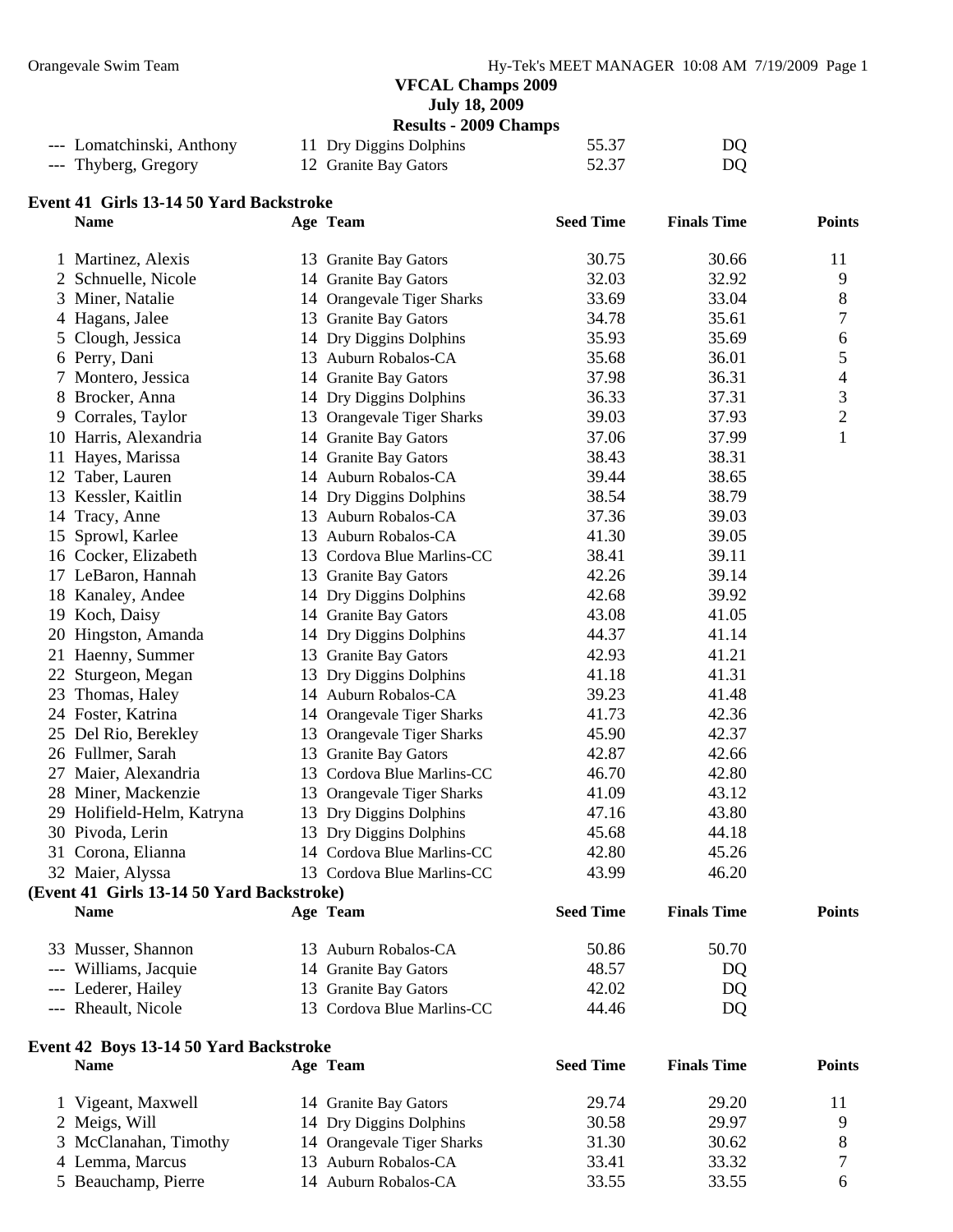**July 18, 2009** 

**Results - 2009 Champs** 

| --- Lomatchinski, Anthony | 11 Dry Diggins Dolphins | 55.37 | DQ |
|---------------------------|-------------------------|-------|----|
| --- Thyberg, Gregory      | 12 Granite Bay Gators   | 52.37 | DQ |

#### **Event 41 Girls 13-14 50 Yard Backstroke**

|    | <b>Name</b>                               | Age Team                   | <b>Seed Time</b> | <b>Finals Time</b> | <b>Points</b> |
|----|-------------------------------------------|----------------------------|------------------|--------------------|---------------|
|    | 1 Martinez, Alexis                        | 13 Granite Bay Gators      | 30.75            | 30.66              | 11            |
|    | 2 Schnuelle, Nicole                       | 14 Granite Bay Gators      | 32.03            | 32.92              | 9             |
|    | 3 Miner, Natalie                          | 14 Orangevale Tiger Sharks | 33.69            | 33.04              | 8             |
|    | 4 Hagans, Jalee                           | 13 Granite Bay Gators      | 34.78            | 35.61              | 7             |
|    | 5 Clough, Jessica                         | 14 Dry Diggins Dolphins    | 35.93            | 35.69              | 6             |
|    | 6 Perry, Dani                             | 13 Auburn Robalos-CA       | 35.68            | 36.01              | 5             |
|    | Montero, Jessica                          | 14 Granite Bay Gators      | 37.98            | 36.31              | 4             |
|    | 8 Brocker, Anna                           | 14 Dry Diggins Dolphins    | 36.33            | 37.31              | 3             |
|    | 9 Corrales, Taylor                        | 13 Orangevale Tiger Sharks | 39.03            | 37.93              | $\mathbf{2}$  |
|    | 10 Harris, Alexandria                     | 14 Granite Bay Gators      | 37.06            | 37.99              | 1             |
|    | 11 Hayes, Marissa                         | 14 Granite Bay Gators      | 38.43            | 38.31              |               |
|    | 12 Taber, Lauren                          | 14 Auburn Robalos-CA       | 39.44            | 38.65              |               |
|    | 13 Kessler, Kaitlin                       | 14 Dry Diggins Dolphins    | 38.54            | 38.79              |               |
|    | 14 Tracy, Anne                            | 13 Auburn Robalos-CA       | 37.36            | 39.03              |               |
|    | 15 Sprowl, Karlee                         | 13 Auburn Robalos-CA       | 41.30            | 39.05              |               |
|    | 16 Cocker, Elizabeth                      | 13 Cordova Blue Marlins-CC | 38.41            | 39.11              |               |
|    | 17 LeBaron, Hannah                        | 13 Granite Bay Gators      | 42.26            | 39.14              |               |
|    | 18 Kanaley, Andee                         | 14 Dry Diggins Dolphins    | 42.68            | 39.92              |               |
|    | 19 Koch, Daisy                            | 14 Granite Bay Gators      | 43.08            | 41.05              |               |
|    | 20 Hingston, Amanda                       | 14 Dry Diggins Dolphins    | 44.37            | 41.14              |               |
|    | 21 Haenny, Summer                         | 13 Granite Bay Gators      | 42.93            | 41.21              |               |
| 22 | Sturgeon, Megan                           | 13 Dry Diggins Dolphins    | 41.18            | 41.31              |               |
|    | 23 Thomas, Haley                          | 14 Auburn Robalos-CA       | 39.23            | 41.48              |               |
|    | 24 Foster, Katrina                        | 14 Orangevale Tiger Sharks | 41.73            | 42.36              |               |
|    | 25 Del Rio, Berekley                      | 13 Orangevale Tiger Sharks | 45.90            | 42.37              |               |
|    | 26 Fullmer, Sarah                         | 13 Granite Bay Gators      | 42.87            | 42.66              |               |
|    | 27 Maier, Alexandria                      | 13 Cordova Blue Marlins-CC | 46.70            | 42.80              |               |
|    | 28 Miner, Mackenzie                       | 13 Orangevale Tiger Sharks | 41.09            | 43.12              |               |
|    | 29 Holifield-Helm, Katryna                | 13 Dry Diggins Dolphins    | 47.16            | 43.80              |               |
|    | 30 Pivoda, Lerin                          | 13 Dry Diggins Dolphins    | 45.68            | 44.18              |               |
|    | 31 Corona, Elianna                        | 14 Cordova Blue Marlins-CC | 42.80            | 45.26              |               |
|    | 32 Maier, Alyssa                          | 13 Cordova Blue Marlins-CC | 43.99            | 46.20              |               |
|    | (Event 41 Girls 13-14 50 Yard Backstroke) |                            |                  |                    |               |
|    | <b>Name</b>                               | Age Team                   | <b>Seed Time</b> | <b>Finals Time</b> | <b>Points</b> |
|    | 33 Musser, Shannon                        | 13 Auburn Robalos-CA       | 50.86            | 50.70              |               |
|    | --- Williams, Jacquie                     | 14 Granite Bay Gators      | 48.57            | DQ                 |               |
|    | --- Lederer, Hailey                       | 13 Granite Bay Gators      | 42.02            | DQ                 |               |
|    | --- Rheault, Nicole                       | 13 Cordova Blue Marlins-CC | 44.46            | DQ                 |               |
|    | Event 42 Boys 13-14 50 Yard Backstroke    |                            |                  |                    |               |

| Name                  | Age Team                   | <b>Seed Time</b> | <b>Finals Time</b> | <b>Points</b> |
|-----------------------|----------------------------|------------------|--------------------|---------------|
| 1 Vigeant, Maxwell    | 14 Granite Bay Gators      | 29.74            | 29.20              |               |
| 2 Meigs, Will         | 14 Dry Diggins Dolphins    | 30.58            | 29.97              |               |
| 3 McClanahan, Timothy | 14 Orangevale Tiger Sharks | 31.30            | 30.62              |               |
| 4 Lemma, Marcus       | 13 Auburn Robalos-CA       | 33.41            | 33.32              |               |
| 5 Beauchamp, Pierre   | 14 Auburn Robalos-CA       | 33.55            | 33.55              |               |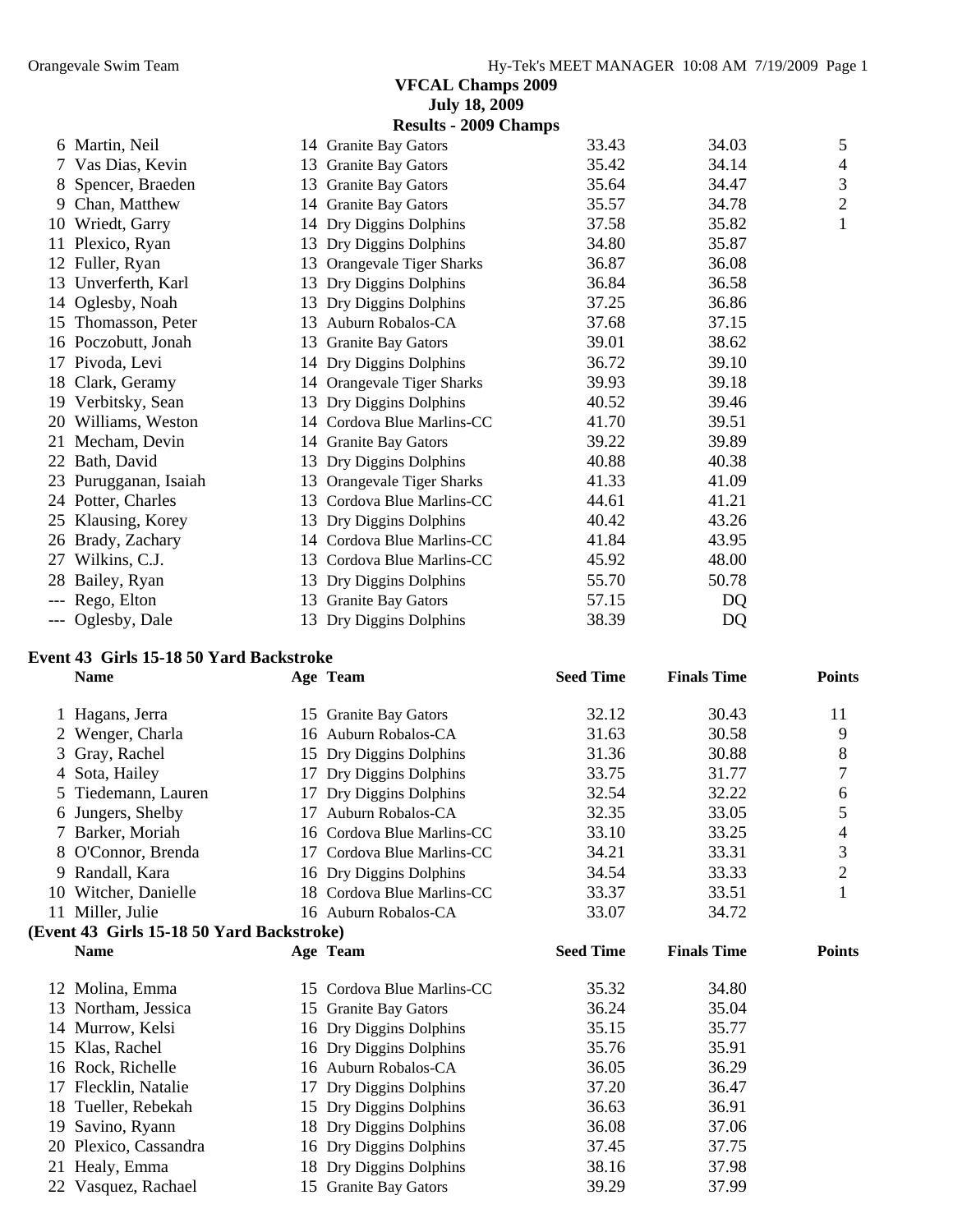|    | <b>July 18, 2009</b>        |                              |       |       |                |
|----|-----------------------------|------------------------------|-------|-------|----------------|
|    |                             | <b>Results - 2009 Champs</b> |       |       |                |
|    | 6 Martin, Neil              | 14 Granite Bay Gators        | 33.43 | 34.03 | 5              |
|    | 7 Vas Dias, Kevin           | 13 Granite Bay Gators        | 35.42 | 34.14 | $\overline{4}$ |
|    | 8 Spencer, Braeden<br>13    | <b>Granite Bay Gators</b>    | 35.64 | 34.47 | 3              |
|    | Chan, Matthew               | 14 Granite Bay Gators        | 35.57 | 34.78 | $\overline{2}$ |
| 10 | Wriedt, Garry<br>14         | Dry Diggins Dolphins         | 37.58 | 35.82 | 1              |
| 11 | Plexico, Ryan<br>13         | Dry Diggins Dolphins         | 34.80 | 35.87 |                |
|    | 12 Fuller, Ryan<br>13       | Orangevale Tiger Sharks      | 36.87 | 36.08 |                |
|    | 13 Unverferth, Karl<br>13   | Dry Diggins Dolphins         | 36.84 | 36.58 |                |
|    | 14 Oglesby, Noah<br>13      | Dry Diggins Dolphins         | 37.25 | 36.86 |                |
|    | 15 Thomasson, Peter<br>13   | Auburn Robalos-CA            | 37.68 | 37.15 |                |
|    | 16 Poczobutt, Jonah<br>13   | <b>Granite Bay Gators</b>    | 39.01 | 38.62 |                |
|    | 17 Pivoda, Levi             | 14 Dry Diggins Dolphins      | 36.72 | 39.10 |                |
|    | 18 Clark, Geramy            | 14 Orangevale Tiger Sharks   | 39.93 | 39.18 |                |
| 19 | Verbitsky, Sean<br>13       | Dry Diggins Dolphins         | 40.52 | 39.46 |                |
| 20 | Williams, Weston            | 14 Cordova Blue Marlins-CC   | 41.70 | 39.51 |                |
| 21 | Mecham, Devin               | 14 Granite Bay Gators        | 39.22 | 39.89 |                |
|    | 22 Bath, David<br>13        | Dry Diggins Dolphins         | 40.88 | 40.38 |                |
|    | 23 Purugganan, Isaiah<br>13 | Orangevale Tiger Sharks      | 41.33 | 41.09 |                |
|    | 24 Potter, Charles<br>13    | Cordova Blue Marlins-CC      | 44.61 | 41.21 |                |
|    | 25 Klausing, Korey<br>13    | Dry Diggins Dolphins         | 40.42 | 43.26 |                |
|    | 26 Brady, Zachary           | 14 Cordova Blue Marlins-CC   | 41.84 | 43.95 |                |
| 27 | Wilkins, C.J.<br>13         | Cordova Blue Marlins-CC      | 45.92 | 48.00 |                |
| 28 | Bailey, Ryan<br>13          | Dry Diggins Dolphins         | 55.70 | 50.78 |                |
|    | Rego, Elton<br>13           | <b>Granite Bay Gators</b>    | 57.15 | DQ    |                |
|    | Oglesby, Dale<br>13         | Dry Diggins Dolphins         | 38.39 | DQ    |                |

#### **Event 43 Girls 15-18 50 Yard Backstroke**

|    | <b>Name</b>                               |    | Age Team                   | <b>Seed Time</b> | <b>Finals Time</b> | <b>Points</b>  |
|----|-------------------------------------------|----|----------------------------|------------------|--------------------|----------------|
|    | Hagans, Jerra                             |    | 15 Granite Bay Gators      | 32.12            | 30.43              | 11             |
|    | Wenger, Charla                            |    | 16 Auburn Robalos-CA       | 31.63            | 30.58              | 9              |
| 3  | Gray, Rachel                              |    | 15 Dry Diggins Dolphins    | 31.36            | 30.88              | 8              |
| 4  | Sota, Hailey                              | 17 | Dry Diggins Dolphins       | 33.75            | 31.77              | 7              |
| 5. | Tiedemann, Lauren                         | 17 | Dry Diggins Dolphins       | 32.54            | 32.22              | 6              |
| 6  | Jungers, Shelby                           | 17 | Auburn Robalos-CA          | 32.35            | 33.05              | 5              |
|    | Barker, Moriah                            |    | 16 Cordova Blue Marlins-CC | 33.10            | 33.25              | 4              |
| 8  | O'Connor, Brenda                          | 17 | Cordova Blue Marlins-CC    | 34.21            | 33.31              | 3              |
| 9  | Randall, Kara                             |    | 16 Dry Diggins Dolphins    | 34.54            | 33.33              | $\overline{2}$ |
|    | 10 Witcher, Danielle                      |    | 18 Cordova Blue Marlins-CC | 33.37            | 33.51              | 1              |
|    | 11 Miller, Julie                          |    | 16 Auburn Robalos-CA       | 33.07            | 34.72              |                |
|    | (Event 43 Girls 15-18 50 Yard Backstroke) |    |                            |                  |                    |                |
|    | <b>Name</b>                               |    | Age Team                   | <b>Seed Time</b> | <b>Finals Time</b> | <b>Points</b>  |
|    | 12 Molina, Emma                           |    | 15 Cordova Blue Marlins-CC | 35.32            | 34.80              |                |
| 13 | Northam, Jessica                          |    | 15 Granite Bay Gators      | 36.24            | 35.04              |                |
|    | 14 Murrow, Kelsi                          |    | 16 Dry Diggins Dolphins    | 35.15            | 35.77              |                |
| 15 | Klas, Rachel                              |    | 16 Dry Diggins Dolphins    | 35.76            | 35.91              |                |
| 16 | Rock, Richelle                            |    | 16 Auburn Robalos-CA       | 36.05            | 36.29              |                |
| 17 | Flecklin, Natalie                         | 17 | Dry Diggins Dolphins       | 37.20            | 36.47              |                |
| 18 | Tueller, Rebekah                          |    | 15 Dry Diggins Dolphins    | 36.63            | 36.91              |                |
| 19 | Savino, Ryann                             |    | 18 Dry Diggins Dolphins    | 36.08            | 37.06              |                |
| 20 | Plexico, Cassandra                        |    | 16 Dry Diggins Dolphins    | 37.45            | 37.75              |                |
| 21 | Healy, Emma                               |    | 18 Dry Diggins Dolphins    | 38.16            | 37.98              |                |
|    | 22 Vasquez, Rachael                       |    | 15 Granite Bay Gators      | 39.29            | 37.99              |                |
|    |                                           |    |                            |                  |                    |                |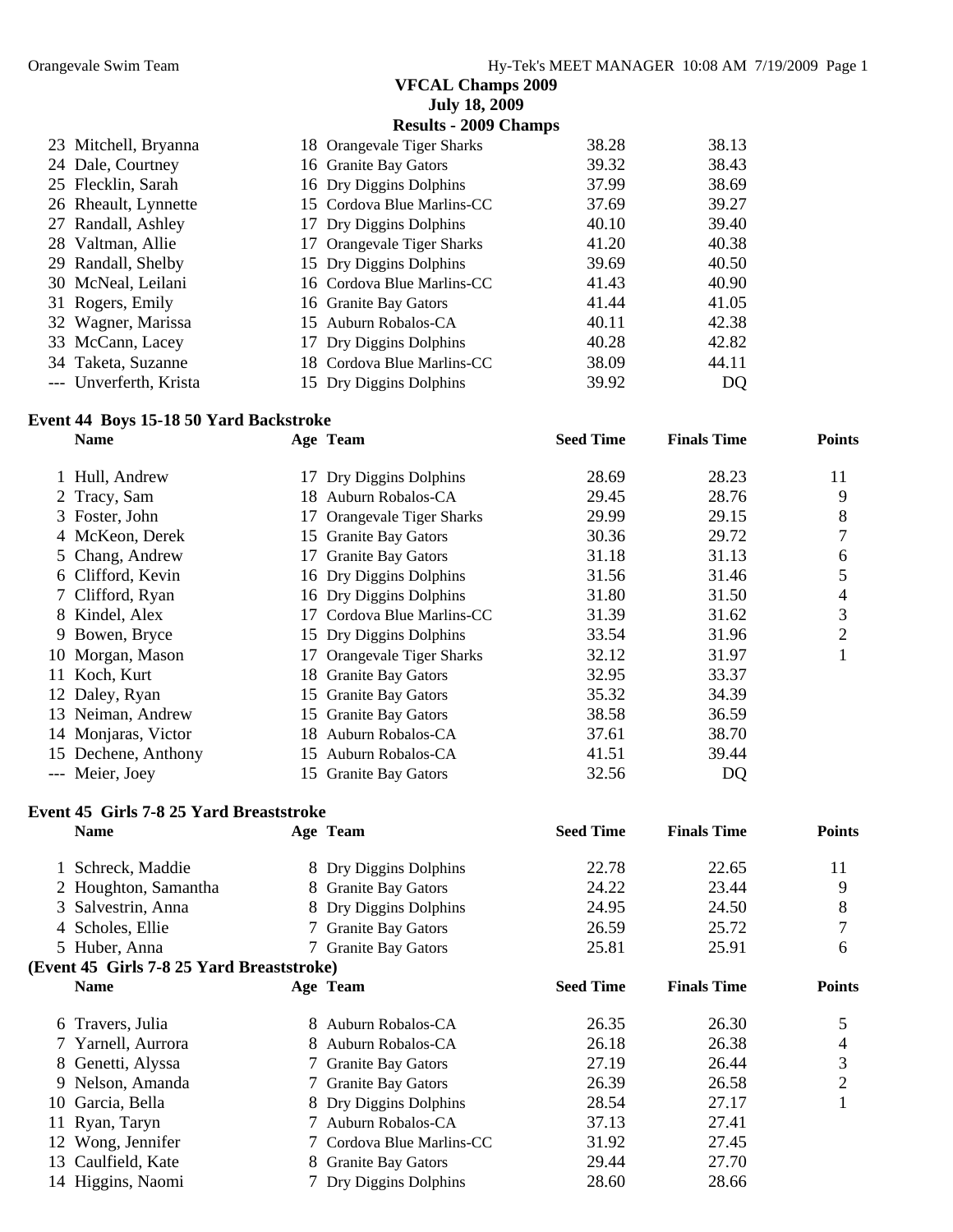|                        | <b>July 18, 2009</b>         |       |       |
|------------------------|------------------------------|-------|-------|
|                        | <b>Results - 2009 Champs</b> |       |       |
| 23 Mitchell, Bryanna   | 18 Orangevale Tiger Sharks   | 38.28 | 38.13 |
| 24 Dale, Courtney      | 16 Granite Bay Gators        | 39.32 | 38.43 |
| 25 Flecklin, Sarah     | 16 Dry Diggins Dolphins      | 37.99 | 38.69 |
| 26 Rheault, Lynnette   | 15 Cordova Blue Marlins-CC   | 37.69 | 39.27 |
| 27 Randall, Ashley     | 17 Dry Diggins Dolphins      | 40.10 | 39.40 |
| 28 Valtman, Allie      | 17 Orangevale Tiger Sharks   | 41.20 | 40.38 |
| 29 Randall, Shelby     | 15 Dry Diggins Dolphins      | 39.69 | 40.50 |
| 30 McNeal, Leilani     | 16 Cordova Blue Marlins-CC   | 41.43 | 40.90 |
| 31 Rogers, Emily       | 16 Granite Bay Gators        | 41.44 | 41.05 |
| 32 Wagner, Marissa     | 15 Auburn Robalos-CA         | 40.11 | 42.38 |
| 33 McCann, Lacey       | 17 Dry Diggins Dolphins      | 40.28 | 42.82 |
| 34 Taketa, Suzanne     | 18 Cordova Blue Marlins-CC   | 38.09 | 44.11 |
| --- Unverferth, Krista | 15 Dry Diggins Dolphins      | 39.92 | DQ    |

#### **Event 44 Boys 15-18 50 Yard Backstroke**

| <b>Name</b>         |     | Age Team                   | <b>Seed Time</b> | <b>Finals Time</b> | <b>Points</b> |
|---------------------|-----|----------------------------|------------------|--------------------|---------------|
| 1 Hull, Andrew      |     | 17 Dry Diggins Dolphins    | 28.69            | 28.23              | 11            |
| 2 Tracy, Sam        |     | 18 Auburn Robalos-CA       | 29.45            | 28.76              | 9             |
| 3 Foster, John      |     | 17 Orangevale Tiger Sharks | 29.99            | 29.15              | 8             |
| 4 McKeon, Derek     |     | 15 Granite Bay Gators      | 30.36            | 29.72              | 7             |
| 5 Chang, Andrew     |     | 17 Granite Bay Gators      | 31.18            | 31.13              | 6             |
| 6 Clifford, Kevin   |     | 16 Dry Diggins Dolphins    | 31.56            | 31.46              | 5             |
| 7 Clifford, Ryan    |     | 16 Dry Diggins Dolphins    | 31.80            | 31.50              | 4             |
| 8 Kindel, Alex      |     | 17 Cordova Blue Marlins-CC | 31.39            | 31.62              | 3             |
| 9 Bowen, Bryce      |     | 15 Dry Diggins Dolphins    | 33.54            | 31.96              | 2             |
| 10 Morgan, Mason    |     | 17 Orangevale Tiger Sharks | 32.12            | 31.97              |               |
| 11 Koch, Kurt       |     | 18 Granite Bay Gators      | 32.95            | 33.37              |               |
| 12 Daley, Ryan      |     | 15 Granite Bay Gators      | 35.32            | 34.39              |               |
| 13 Neiman, Andrew   |     | 15 Granite Bay Gators      | 38.58            | 36.59              |               |
| 14 Monjaras, Victor | 18. | Auburn Robalos-CA          | 37.61            | 38.70              |               |
| 15 Dechene, Anthony | 15  | Auburn Robalos-CA          | 41.51            | 39.44              |               |
| --- Meier, Joey     |     | 15 Granite Bay Gators      | 32.56            | DQ                 |               |

#### **Event 45 Girls 7-8 25 Yard Breaststroke**

|    | <b>Name</b>                               |   | Age Team                  | <b>Seed Time</b> | <b>Finals Time</b> | <b>Points</b> |
|----|-------------------------------------------|---|---------------------------|------------------|--------------------|---------------|
|    | 1 Schreck, Maddie                         |   | 8 Dry Diggins Dolphins    | 22.78            | 22.65              | 11            |
|    | 2 Houghton, Samantha                      |   | 8 Granite Bay Gators      | 24.22            | 23.44              | 9             |
|    | 3 Salvestrin, Anna                        |   | 8 Dry Diggins Dolphins    | 24.95            | 24.50              | 8             |
|    | 4 Scholes, Ellie                          |   | 7 Granite Bay Gators      | 26.59            | 25.72              | 7             |
|    | 5 Huber, Anna                             |   | 7 Granite Bay Gators      | 25.81            | 25.91              | 6             |
|    | (Event 45 Girls 7-8 25 Yard Breaststroke) |   |                           |                  |                    |               |
|    | <b>Name</b>                               |   | Age Team                  | <b>Seed Time</b> | <b>Finals Time</b> | <b>Points</b> |
|    | 6 Travers, Julia                          | 8 | Auburn Robalos-CA         | 26.35            | 26.30              | 5             |
|    | 7 Yarnell, Aurrora                        |   | 8 Auburn Robalos-CA       | 26.18            | 26.38              | 4             |
|    | 8 Genetti, Alyssa                         |   | 7 Granite Bay Gators      | 27.19            | 26.44              | 3             |
|    | 9 Nelson, Amanda                          |   | 7 Granite Bay Gators      | 26.39            | 26.58              | 2             |
| 10 | Garcia, Bella                             |   | 8 Dry Diggins Dolphins    | 28.54            | 27.17              |               |
|    | 11 Ryan, Taryn                            |   | Auburn Robalos-CA         | 37.13            | 27.41              |               |
|    | 12 Wong, Jennifer                         |   | 7 Cordova Blue Marlins-CC | 31.92            | 27.45              |               |
| 13 | Caulfield, Kate                           |   | 8 Granite Bay Gators      | 29.44            | 27.70              |               |
|    | 14 Higgins, Naomi                         |   | 7 Dry Diggins Dolphins    | 28.60            | 28.66              |               |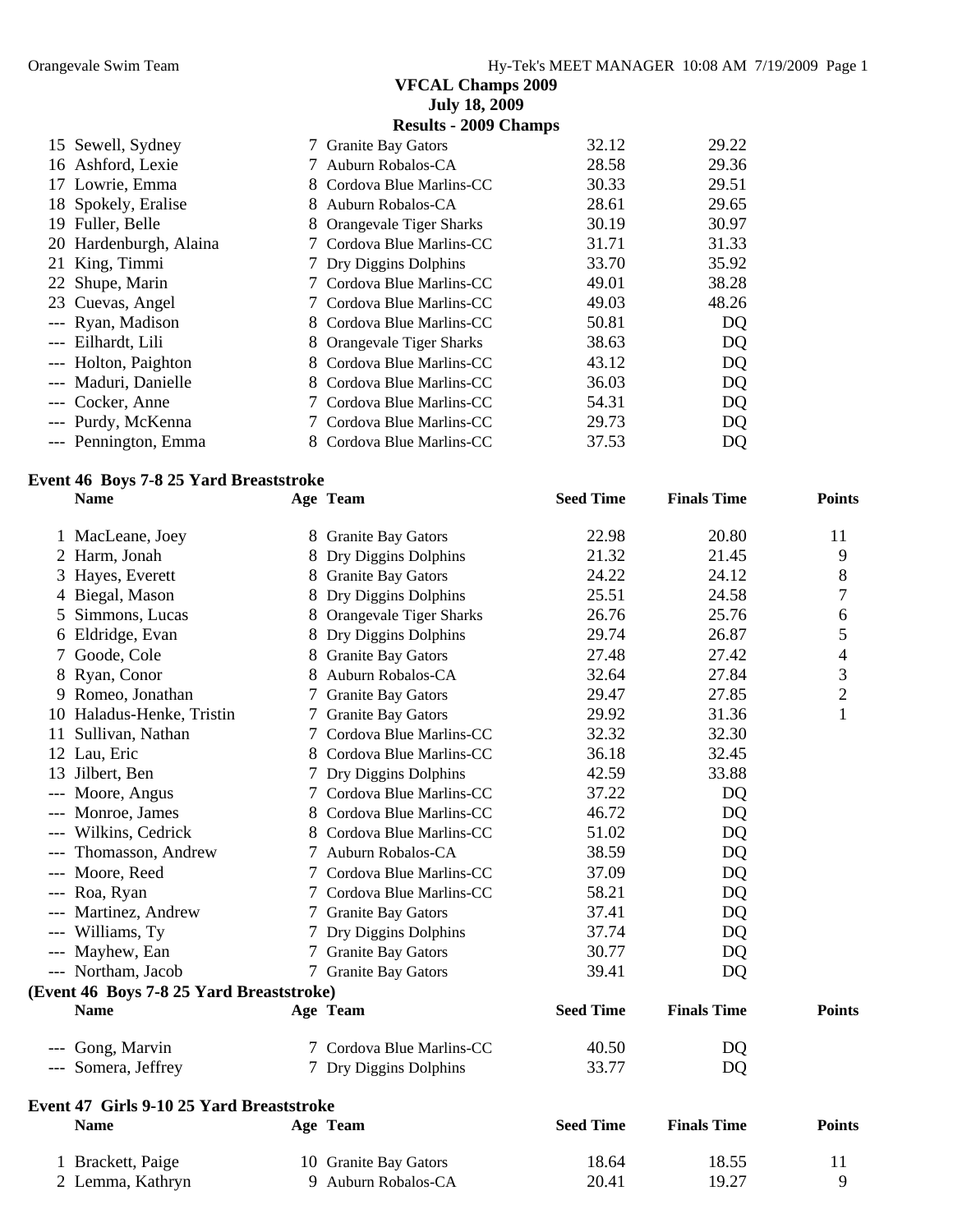|                           | <b>VFCAL Champs 2009</b>            |       |       |
|---------------------------|-------------------------------------|-------|-------|
|                           | <b>July 18, 2009</b>                |       |       |
|                           | <b>Results - 2009 Champs</b>        |       |       |
| 15 Sewell, Sydney         | <b>Granite Bay Gators</b><br>7      | 32.12 | 29.22 |
| Ashford, Lexie<br>16      | Auburn Robalos-CA                   | 28.58 | 29.36 |
| 17 Lowrie, Emma           | Cordova Blue Marlins-CC<br>8        | 30.33 | 29.51 |
| Spokely, Eralise<br>18    | Auburn Robalos-CA<br>8              | 28.61 | 29.65 |
| Fuller, Belle<br>19       | 8<br>Orangevale Tiger Sharks        | 30.19 | 30.97 |
| 20 Hardenburgh, Alaina    | Cordova Blue Marlins-CC             | 31.71 | 31.33 |
| 21 King, Timmi            | Dry Diggins Dolphins                | 33.70 | 35.92 |
| 22 Shupe, Marin           | Cordova Blue Marlins-CC             | 49.01 | 38.28 |
| 23 Cuevas, Angel          | Cordova Blue Marlins-CC             | 49.03 | 48.26 |
| --- Ryan, Madison         | Cordova Blue Marlins-CC<br>8        | 50.81 | DQ    |
| Eilhardt, Lili<br>$---$   | 8<br><b>Orangevale Tiger Sharks</b> | 38.63 | DQ    |
| Holton, Paighton<br>$---$ | 8<br>Cordova Blue Marlins-CC        | 43.12 | DQ    |
| Maduri, Danielle          | 8<br>Cordova Blue Marlins-CC        | 36.03 | DQ    |
| Cocker, Anne              | Cordova Blue Marlins-CC             | 54.31 | DQ    |
| Purdy, McKenna<br>$--$    | Cordova Blue Marlins-CC             | 29.73 | DQ    |
| --- Pennington, Emma      | Cordova Blue Marlins-CC<br>8        | 37.53 | DQ    |

# **Event 46 Boys 7-8 25 Yard Breaststroke**

|   | <b>Name</b>                              | Age Team                  | <b>Seed Time</b> | <b>Finals Time</b> | <b>Points</b>  |
|---|------------------------------------------|---------------------------|------------------|--------------------|----------------|
|   | 1 MacLeane, Joey                         | 8 Granite Bay Gators      | 22.98            | 20.80              | 11             |
|   | 2 Harm, Jonah                            | 8 Dry Diggins Dolphins    | 21.32            | 21.45              | 9              |
| 3 | Hayes, Everett                           | 8 Granite Bay Gators      | 24.22            | 24.12              | 8              |
|   | 4 Biegal, Mason                          | 8 Dry Diggins Dolphins    | 25.51            | 24.58              | 7              |
| 5 | Simmons, Lucas                           | 8 Orangevale Tiger Sharks | 26.76            | 25.76              | 6              |
|   | 6 Eldridge, Evan                         | 8 Dry Diggins Dolphins    | 29.74            | 26.87              | 5              |
| 7 | Goode, Cole                              | 8 Granite Bay Gators      | 27.48            | 27.42              | $\overline{4}$ |
| 8 | Ryan, Conor                              | 8 Auburn Robalos-CA       | 32.64            | 27.84              | 3              |
| 9 | Romeo, Jonathan                          | 7 Granite Bay Gators      | 29.47            | 27.85              | $\overline{2}$ |
|   | 10 Haladus-Henke, Tristin                | 7 Granite Bay Gators      | 29.92            | 31.36              | $\mathbf{1}$   |
|   | 11 Sullivan, Nathan                      | 7 Cordova Blue Marlins-CC | 32.32            | 32.30              |                |
|   | 12 Lau, Eric                             | 8 Cordova Blue Marlins-CC | 36.18            | 32.45              |                |
|   | 13 Jilbert, Ben                          | 7 Dry Diggins Dolphins    | 42.59            | 33.88              |                |
|   | --- Moore, Angus                         | 7 Cordova Blue Marlins-CC | 37.22            | DQ                 |                |
|   | --- Monroe, James                        | 8 Cordova Blue Marlins-CC | 46.72            | <b>DQ</b>          |                |
|   | --- Wilkins, Cedrick                     | 8 Cordova Blue Marlins-CC | 51.02            | <b>DQ</b>          |                |
|   | --- Thomasson, Andrew                    | 7 Auburn Robalos-CA       | 38.59            | DQ                 |                |
|   | --- Moore, Reed                          | 7 Cordova Blue Marlins-CC | 37.09            | <b>DQ</b>          |                |
|   | --- Roa, Ryan                            | 7 Cordova Blue Marlins-CC | 58.21            | <b>DQ</b>          |                |
|   | --- Martinez, Andrew                     | 7 Granite Bay Gators      | 37.41            | <b>DQ</b>          |                |
|   | --- Williams, Ty                         | 7 Dry Diggins Dolphins    | 37.74            | DQ                 |                |
|   | --- Mayhew, Ean                          | 7 Granite Bay Gators      | 30.77            | <b>DQ</b>          |                |
|   | --- Northam, Jacob                       | 7 Granite Bay Gators      | 39.41            | <b>DQ</b>          |                |
|   | (Event 46 Boys 7-8 25 Yard Breaststroke) |                           |                  |                    |                |
|   | <b>Name</b>                              | Age Team                  | <b>Seed Time</b> | <b>Finals Time</b> | <b>Points</b>  |
|   | --- Gong, Marvin                         | 7 Cordova Blue Marlins-CC | 40.50            | DQ                 |                |
|   | --- Somera, Jeffrey                      | 7 Dry Diggins Dolphins    | 33.77            | DQ                 |                |
|   | Event 47 Girls 9-10 25 Yard Breaststroke |                           |                  |                    |                |
|   | <b>Name</b>                              | Age Team                  | <b>Seed Time</b> | <b>Finals Time</b> | <b>Points</b>  |
|   | 1 Brackett, Paige                        | 10 Granite Bay Gators     | 18.64            | 18.55              | 11             |
|   | 2 Lemma, Kathryn                         | 9 Auburn Robalos-CA       | 20.41            | 19.27              | 9              |

2 Lemma, Kathryn 9 Auburn Robalos-CA 20.41 19.27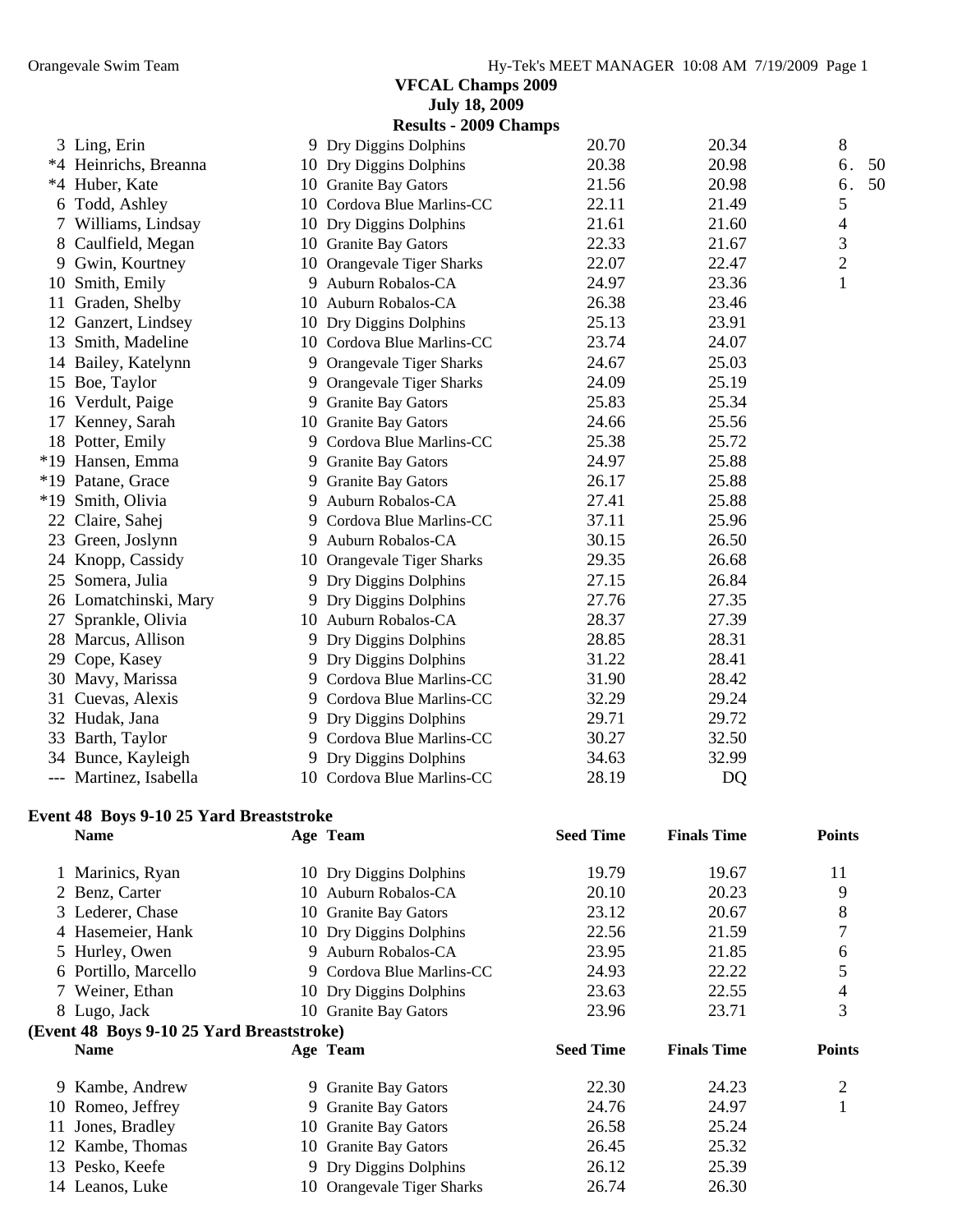|                                         | <b>July 18, 2009</b><br><b>Results - 2009 Champs</b> |                  |                    |                |    |
|-----------------------------------------|------------------------------------------------------|------------------|--------------------|----------------|----|
| 3 Ling, Erin                            | 9 Dry Diggins Dolphins                               | 20.70            | 20.34              | 8              |    |
| *4 Heinrichs, Breanna                   | 10 Dry Diggins Dolphins                              | 20.38            | 20.98              | 6.             | 50 |
| *4 Huber, Kate                          | 10 Granite Bay Gators                                | 21.56            | 20.98              | 6.             | 50 |
| 6 Todd, Ashley                          | 10 Cordova Blue Marlins-CC                           | 22.11            | 21.49              | 5              |    |
| 7 Williams, Lindsay                     | 10 Dry Diggins Dolphins                              | 21.61            | 21.60              | 4              |    |
| 8 Caulfield, Megan                      | 10 Granite Bay Gators                                | 22.33            | 21.67              | 3              |    |
| 9 Gwin, Kourtney                        | 10 Orangevale Tiger Sharks                           | 22.07            | 22.47              | $\overline{c}$ |    |
| 10 Smith, Emily                         | 9 Auburn Robalos-CA                                  | 24.97            | 23.36              | $\mathbf{1}$   |    |
| 11 Graden, Shelby                       | 10 Auburn Robalos-CA                                 | 26.38            | 23.46              |                |    |
| 12 Ganzert, Lindsey                     | 10 Dry Diggins Dolphins                              | 25.13            | 23.91              |                |    |
| 13 Smith, Madeline                      | 10 Cordova Blue Marlins-CC                           | 23.74            | 24.07              |                |    |
| 14 Bailey, Katelynn                     | 9 Orangevale Tiger Sharks                            | 24.67            | 25.03              |                |    |
| 15 Boe, Taylor                          | 9 Orangevale Tiger Sharks                            | 24.09            | 25.19              |                |    |
| 16 Verdult, Paige                       | 9 Granite Bay Gators                                 | 25.83            | 25.34              |                |    |
| 17 Kenney, Sarah                        | 10 Granite Bay Gators                                | 24.66            | 25.56              |                |    |
| 18 Potter, Emily                        | 9 Cordova Blue Marlins-CC                            | 25.38            | 25.72              |                |    |
| *19 Hansen, Emma                        | 9 Granite Bay Gators                                 | 24.97            | 25.88              |                |    |
| *19 Patane, Grace                       | 9 Granite Bay Gators                                 | 26.17            | 25.88              |                |    |
| *19 Smith, Olivia                       | 9 Auburn Robalos-CA                                  | 27.41            | 25.88              |                |    |
| 22 Claire, Sahej                        | 9 Cordova Blue Marlins-CC                            | 37.11            | 25.96              |                |    |
| 23 Green, Joslynn                       | 9 Auburn Robalos-CA                                  | 30.15            | 26.50              |                |    |
| 24 Knopp, Cassidy                       | 10 Orangevale Tiger Sharks                           | 29.35            | 26.68              |                |    |
| 25 Somera, Julia                        | 9 Dry Diggins Dolphins                               | 27.15            | 26.84              |                |    |
| 26 Lomatchinski, Mary                   | 9 Dry Diggins Dolphins                               | 27.76            | 27.35              |                |    |
| 27 Sprankle, Olivia                     | 10 Auburn Robalos-CA                                 | 28.37            | 27.39              |                |    |
| 28 Marcus, Allison                      | 9 Dry Diggins Dolphins                               | 28.85            | 28.31              |                |    |
| 29 Cope, Kasey                          | 9 Dry Diggins Dolphins                               | 31.22            | 28.41              |                |    |
| 30 Mavy, Marissa                        | 9 Cordova Blue Marlins-CC                            | 31.90            | 28.42              |                |    |
| 31 Cuevas, Alexis                       | 9 Cordova Blue Marlins-CC                            | 32.29            | 29.24              |                |    |
| 32 Hudak, Jana                          | 9 Dry Diggins Dolphins                               | 29.71            | 29.72              |                |    |
| 33 Barth, Taylor                        | 9 Cordova Blue Marlins-CC                            | 30.27            | 32.50              |                |    |
| 34 Bunce, Kayleigh                      | 9 Dry Diggins Dolphins                               | 34.63            | 32.99              |                |    |
| --- Martinez, Isabella                  | 10 Cordova Blue Marlins-CC                           | 28.19            | DQ                 |                |    |
| Event 48 Boys 9-10 25 Yard Breaststroke |                                                      |                  |                    |                |    |
| <b>Name</b>                             | Age Team                                             | <b>Seed Time</b> | <b>Finals Time</b> | <b>Points</b>  |    |

|    | 1 Marinics, Ryan                          |    | 10 Dry Diggins Dolphins   | 19.79            | 19.67              | 11            |
|----|-------------------------------------------|----|---------------------------|------------------|--------------------|---------------|
|    | 2 Benz, Carter                            |    | 10 Auburn Robalos-CA      | 20.10            | 20.23              | 9             |
|    | 3 Lederer, Chase                          |    | 10 Granite Bay Gators     | 23.12            | 20.67              | 8             |
|    | 4 Hasemeier, Hank                         |    | 10 Dry Diggins Dolphins   | 22.56            | 21.59              |               |
|    | 5 Hurley, Owen                            | 9  | Auburn Robalos-CA         | 23.95            | 21.85              | 6             |
|    | 6 Portillo, Marcello                      |    | 9 Cordova Blue Marlins-CC | 24.93            | 22.22              | 5             |
|    | 7 Weiner, Ethan                           |    | 10 Dry Diggins Dolphins   | 23.63            | 22.55              | 4             |
|    | 8 Lugo, Jack                              |    | 10 Granite Bay Gators     | 23.96            | 23.71              | 3             |
|    |                                           |    |                           |                  |                    |               |
|    | (Event 48 Boys 9-10 25 Yard Breaststroke) |    |                           |                  |                    |               |
|    | <b>Name</b>                               |    | Age Team                  | <b>Seed Time</b> | <b>Finals Time</b> | <b>Points</b> |
|    | 9 Kambe, Andrew                           |    | 9 Granite Bay Gators      | 22.30            | 24.23              | 2             |
|    | 10 Romeo, Jeffrey                         |    | 9 Granite Bay Gators      | 24.76            | 24.97              |               |
| 11 | Jones, Bradley                            |    | 10 Granite Bay Gators     | 26.58            | 25.24              |               |
|    | 12 Kambe, Thomas                          |    | 10 Granite Bay Gators     | 26.45            | 25.32              |               |
|    | 13 Pesko, Keefe                           | 9. | Dry Diggins Dolphins      | 26.12            | 25.39              |               |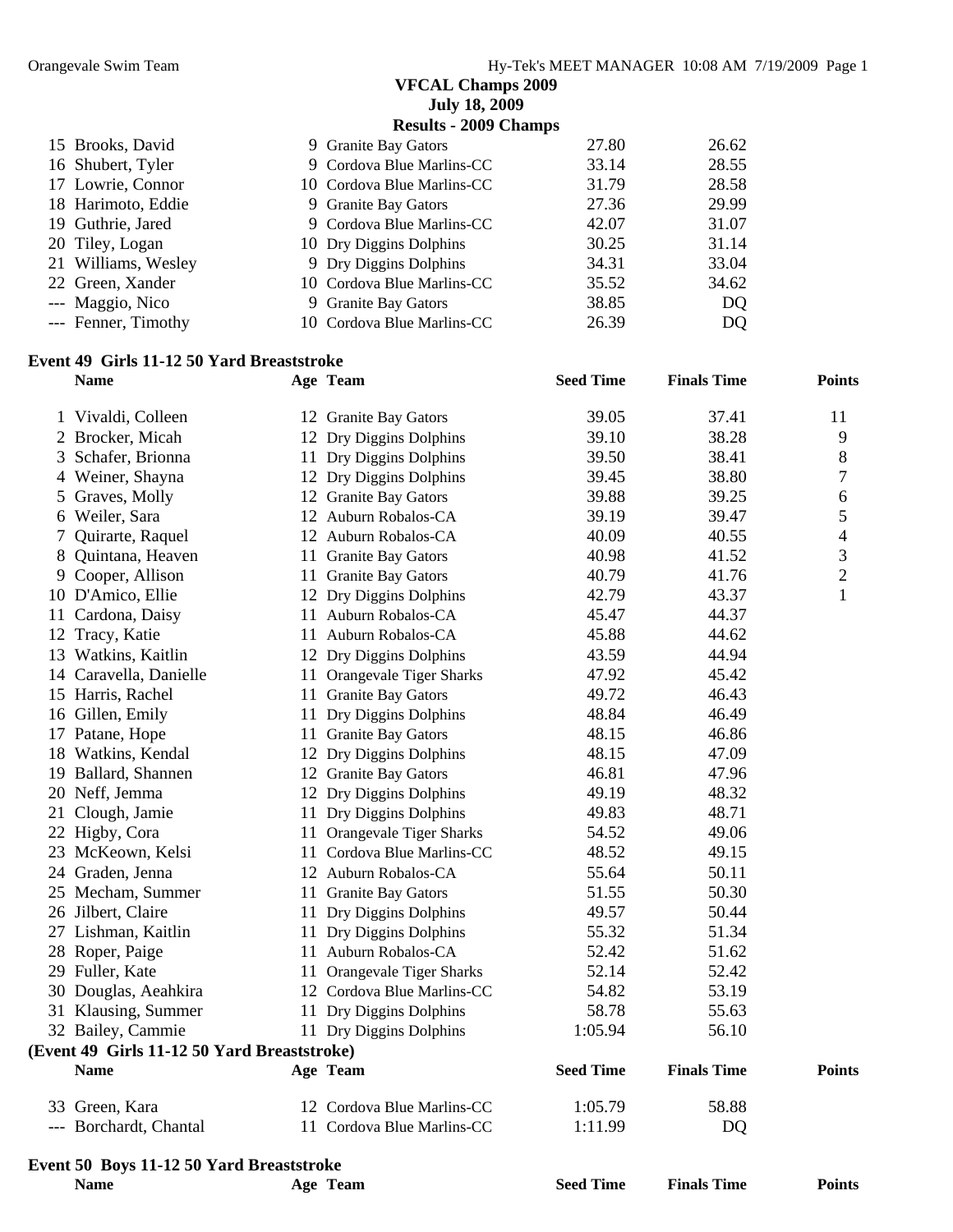|                     | <b>VFCAL Champs 2009</b><br><b>July 18, 2009</b> |       |       |
|---------------------|--------------------------------------------------|-------|-------|
|                     | <b>Results - 2009 Champs</b>                     |       |       |
| 15 Brooks, David    | 9 Granite Bay Gators                             | 27.80 | 26.62 |
| 16 Shubert, Tyler   | 9 Cordova Blue Marlins-CC                        | 33.14 | 28.55 |
| 17 Lowrie, Connor   | 10 Cordova Blue Marlins-CC                       | 31.79 | 28.58 |
| 18 Harimoto, Eddie  | 9 Granite Bay Gators                             | 27.36 | 29.99 |
| 19 Guthrie, Jared   | 9 Cordova Blue Marlins-CC                        | 42.07 | 31.07 |
| 20 Tiley, Logan     | 10 Dry Diggins Dolphins                          | 30.25 | 31.14 |
| 21 Williams, Wesley | 9 Dry Diggins Dolphins                           | 34.31 | 33.04 |
| 22 Green, Xander    | 10 Cordova Blue Marlins-CC                       | 35.52 | 34.62 |
| --- Maggio, Nico    | 9 Granite Bay Gators                             | 38.85 | DQ    |
| --- Fenner, Timothy | 10 Cordova Blue Marlins-CC                       | 26.39 | DQ    |

#### **Event 49 Girls 11-12 50 Yard Breaststroke**

|              | <b>Name</b>                                 |    | Age Team                   | <b>Seed Time</b> | <b>Finals Time</b> | <b>Points</b>  |
|--------------|---------------------------------------------|----|----------------------------|------------------|--------------------|----------------|
| $\mathbf{I}$ | Vivaldi, Colleen                            |    | 12 Granite Bay Gators      | 39.05            | 37.41              | 11             |
| 2            | Brocker, Micah                              |    | 12 Dry Diggins Dolphins    | 39.10            | 38.28              | 9              |
| 3            | Schafer, Brionna                            |    | 11 Dry Diggins Dolphins    | 39.50            | 38.41              | $8\,$          |
| 4            | Weiner, Shayna                              |    | 12 Dry Diggins Dolphins    | 39.45            | 38.80              | 7              |
| 5            | Graves, Molly                               |    | 12 Granite Bay Gators      | 39.88            | 39.25              | 6              |
| 6            | Weiler, Sara                                |    | 12 Auburn Robalos-CA       | 39.19            | 39.47              | 5              |
| 7            | Quirarte, Raquel                            |    | 12 Auburn Robalos-CA       | 40.09            | 40.55              | 4              |
| 8            | Quintana, Heaven                            |    | 11 Granite Bay Gators      | 40.98            | 41.52              | $\mathfrak{Z}$ |
|              | 9 Cooper, Allison                           |    | 11 Granite Bay Gators      | 40.79            | 41.76              | $\mathfrak{2}$ |
|              | 10 D'Amico, Ellie                           |    | 12 Dry Diggins Dolphins    | 42.79            | 43.37              | $\mathbf{1}$   |
|              | 11 Cardona, Daisy                           |    | 11 Auburn Robalos-CA       | 45.47            | 44.37              |                |
|              | 12 Tracy, Katie                             |    | 11 Auburn Robalos-CA       | 45.88            | 44.62              |                |
|              | 13 Watkins, Kaitlin                         |    | 12 Dry Diggins Dolphins    | 43.59            | 44.94              |                |
|              | 14 Caravella, Danielle                      |    | 11 Orangevale Tiger Sharks | 47.92            | 45.42              |                |
|              | 15 Harris, Rachel                           |    | 11 Granite Bay Gators      | 49.72            | 46.43              |                |
|              | 16 Gillen, Emily                            | 11 | Dry Diggins Dolphins       | 48.84            | 46.49              |                |
|              | 17 Patane, Hope                             |    | 11 Granite Bay Gators      | 48.15            | 46.86              |                |
|              | 18 Watkins, Kendal                          |    | 12 Dry Diggins Dolphins    | 48.15            | 47.09              |                |
|              | 19 Ballard, Shannen                         |    | 12 Granite Bay Gators      | 46.81            | 47.96              |                |
|              | 20 Neff, Jemma                              |    | 12 Dry Diggins Dolphins    | 49.19            | 48.32              |                |
| 21           | Clough, Jamie                               |    | 11 Dry Diggins Dolphins    | 49.83            | 48.71              |                |
|              | 22 Higby, Cora                              |    | 11 Orangevale Tiger Sharks | 54.52            | 49.06              |                |
|              | 23 McKeown, Kelsi                           |    | 11 Cordova Blue Marlins-CC | 48.52            | 49.15              |                |
|              | 24 Graden, Jenna                            |    | 12 Auburn Robalos-CA       | 55.64            | 50.11              |                |
|              | 25 Mecham, Summer                           |    | 11 Granite Bay Gators      | 51.55            | 50.30              |                |
|              | 26 Jilbert, Claire                          |    | 11 Dry Diggins Dolphins    | 49.57            | 50.44              |                |
|              | 27 Lishman, Kaitlin                         |    | 11 Dry Diggins Dolphins    | 55.32            | 51.34              |                |
|              | 28 Roper, Paige                             |    | 11 Auburn Robalos-CA       | 52.42            | 51.62              |                |
|              | 29 Fuller, Kate                             |    | 11 Orangevale Tiger Sharks | 52.14            | 52.42              |                |
| 30           | Douglas, Aeahkira                           |    | 12 Cordova Blue Marlins-CC | 54.82            | 53.19              |                |
|              | 31 Klausing, Summer                         |    | 11 Dry Diggins Dolphins    | 58.78            | 55.63              |                |
|              | 32 Bailey, Cammie                           |    | 11 Dry Diggins Dolphins    | 1:05.94          | 56.10              |                |
|              | (Event 49 Girls 11-12 50 Yard Breaststroke) |    |                            |                  |                    |                |
|              | <b>Name</b>                                 |    | Age Team                   | <b>Seed Time</b> | <b>Finals Time</b> | <b>Points</b>  |
|              | 33 Green, Kara                              |    | 12 Cordova Blue Marlins-CC | 1:05.79          | 58.88              |                |
|              | --- Borchardt, Chantal                      |    | 11 Cordova Blue Marlins-CC | 1:11.99          | DQ                 |                |
|              | Event 50 Boys 11-12 50 Yard Breaststroke    |    |                            |                  |                    |                |
|              | <b>Name</b>                                 |    | Age Team                   | <b>Seed Time</b> | <b>Finals Time</b> | <b>Points</b>  |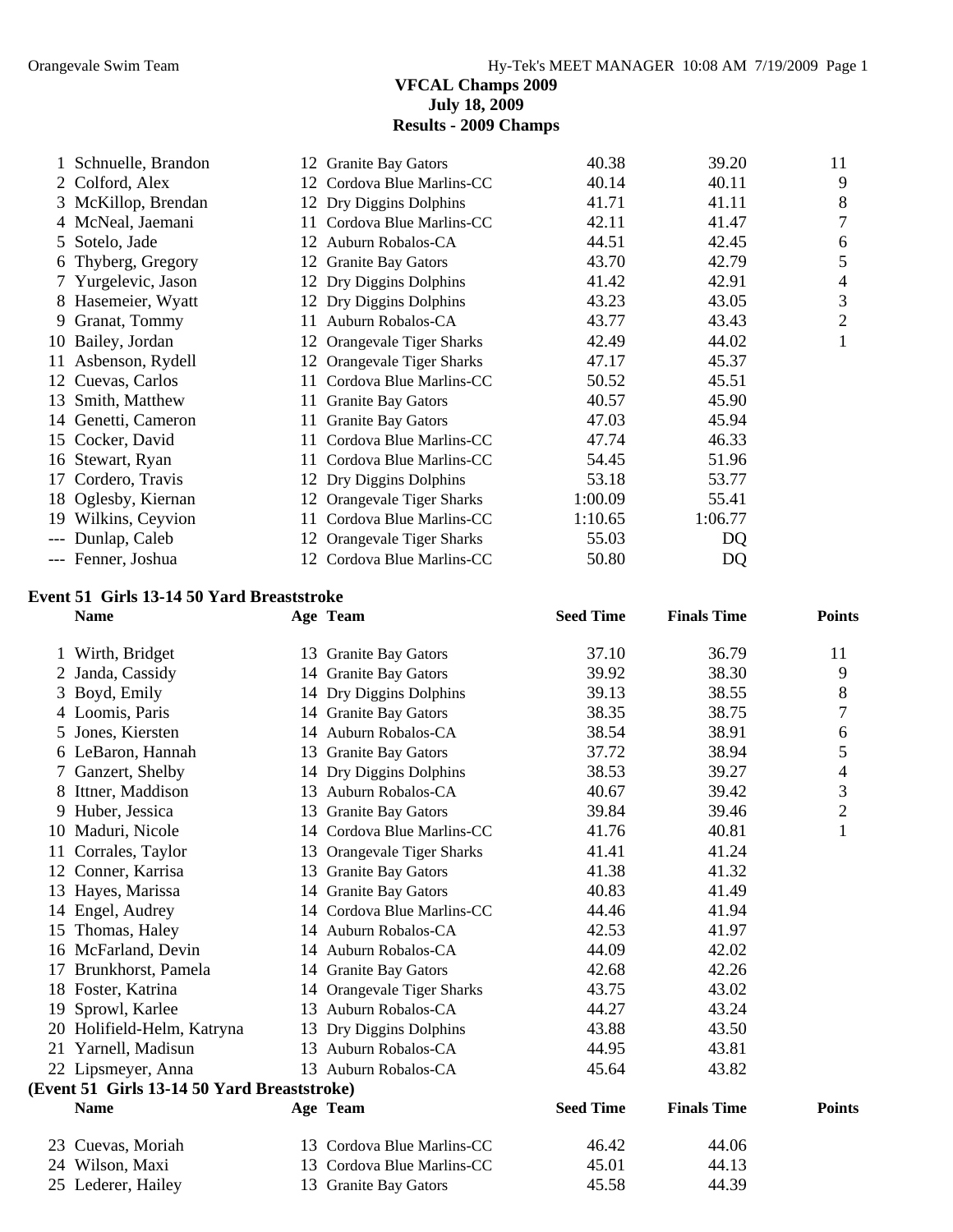#### **VFCAL Champs 2009 July 18, 2009 Results - 2009 Champs**

|    | 1 Schnuelle, Brandon |    | 12 Granite Bay Gators      | 40.38   | 39.20   | 11             |
|----|----------------------|----|----------------------------|---------|---------|----------------|
|    | 2 Colford, Alex      |    | 12 Cordova Blue Marlins-CC | 40.14   | 40.11   | 9              |
|    | 3 McKillop, Brendan  |    | 12 Dry Diggins Dolphins    | 41.71   | 41.11   | 8              |
|    | 4 McNeal, Jaemani    |    | 11 Cordova Blue Marlins-CC | 42.11   | 41.47   | $\tau$         |
|    | 5 Sotelo, Jade       | 12 | Auburn Robalos-CA          | 44.51   | 42.45   | 6              |
|    | 6 Thyberg, Gregory   |    | 12 Granite Bay Gators      | 43.70   | 42.79   | 5              |
|    | 7 Yurgelevic, Jason  |    | 12 Dry Diggins Dolphins    | 41.42   | 42.91   | 4              |
|    | 8 Hasemeier, Wyatt   |    | 12 Dry Diggins Dolphins    | 43.23   | 43.05   | 3              |
| 9  | Granat, Tommy        | 11 | Auburn Robalos-CA          | 43.77   | 43.43   | $\overline{2}$ |
|    | 10 Bailey, Jordan    |    | 12 Orangevale Tiger Sharks | 42.49   | 44.02   |                |
|    | 11 Asbenson, Rydell  |    | 12 Orangevale Tiger Sharks | 47.17   | 45.37   |                |
|    | 12 Cuevas, Carlos    | 11 | Cordova Blue Marlins-CC    | 50.52   | 45.51   |                |
|    | 13 Smith, Matthew    |    | 11 Granite Bay Gators      | 40.57   | 45.90   |                |
|    | 14 Genetti, Cameron  | 11 | <b>Granite Bay Gators</b>  | 47.03   | 45.94   |                |
|    | 15 Cocker, David     | 11 | Cordova Blue Marlins-CC    | 47.74   | 46.33   |                |
|    | 16 Stewart, Ryan     | 11 | Cordova Blue Marlins-CC    | 54.45   | 51.96   |                |
| 17 | Cordero, Travis      |    | 12 Dry Diggins Dolphins    | 53.18   | 53.77   |                |
|    | 18 Oglesby, Kiernan  |    | 12 Orangevale Tiger Sharks | 1:00.09 | 55.41   |                |
|    | 19 Wilkins, Ceyvion  | 11 | Cordova Blue Marlins-CC    | 1:10.65 | 1:06.77 |                |
|    | Dunlap, Caleb        |    | 12 Orangevale Tiger Sharks | 55.03   | DQ      |                |
|    | --- Fenner, Joshua   |    | 12 Cordova Blue Marlins-CC | 50.80   | DQ      |                |
|    |                      |    |                            |         |         |                |

#### **Event 51 Girls 13-14 50 Yard Breaststroke**

|    | <b>Name</b>                                 |     | Age Team                   | <b>Seed Time</b> | <b>Finals Time</b> | <b>Points</b>  |
|----|---------------------------------------------|-----|----------------------------|------------------|--------------------|----------------|
|    | Wirth, Bridget                              |     | 13 Granite Bay Gators      | 37.10            | 36.79              | 11             |
| 2  | Janda, Cassidy                              |     | 14 Granite Bay Gators      | 39.92            | 38.30              | 9              |
| 3  | Boyd, Emily                                 |     | 14 Dry Diggins Dolphins    | 39.13            | 38.55              | 8              |
|    | 4 Loomis, Paris                             |     | 14 Granite Bay Gators      | 38.35            | 38.75              | 7              |
| 5  | Jones, Kiersten                             |     | 14 Auburn Robalos-CA       | 38.54            | 38.91              | 6              |
|    | 6 LeBaron, Hannah                           |     | 13 Granite Bay Gators      | 37.72            | 38.94              | 5              |
| 7  | Ganzert, Shelby                             |     | 14 Dry Diggins Dolphins    | 38.53            | 39.27              | $\overline{4}$ |
| 8  | Ittner, Maddison                            |     | 13 Auburn Robalos-CA       | 40.67            | 39.42              | 3              |
| 9  | Huber, Jessica                              |     | 13 Granite Bay Gators      | 39.84            | 39.46              | $\overline{2}$ |
| 10 | Maduri, Nicole                              |     | 14 Cordova Blue Marlins-CC | 41.76            | 40.81              | 1              |
| 11 | Corrales, Taylor                            |     | 13 Orangevale Tiger Sharks | 41.41            | 41.24              |                |
| 12 | Conner, Karrisa                             |     | 13 Granite Bay Gators      | 41.38            | 41.32              |                |
| 13 | Hayes, Marissa                              |     | 14 Granite Bay Gators      | 40.83            | 41.49              |                |
| 14 | Engel, Audrey                               |     | 14 Cordova Blue Marlins-CC | 44.46            | 41.94              |                |
| 15 | Thomas, Haley                               |     | 14 Auburn Robalos-CA       | 42.53            | 41.97              |                |
|    | 16 McFarland, Devin                         |     | 14 Auburn Robalos-CA       | 44.09            | 42.02              |                |
| 17 | Brunkhorst, Pamela                          |     | 14 Granite Bay Gators      | 42.68            | 42.26              |                |
| 18 | Foster, Katrina                             |     | 14 Orangevale Tiger Sharks | 43.75            | 43.02              |                |
| 19 | Sprowl, Karlee                              |     | 13 Auburn Robalos-CA       | 44.27            | 43.24              |                |
| 20 | Holifield-Helm, Katryna                     |     | 13 Dry Diggins Dolphins    | 43.88            | 43.50              |                |
| 21 | Yarnell, Madisun                            |     | 13 Auburn Robalos-CA       | 44.95            | 43.81              |                |
|    | 22 Lipsmeyer, Anna                          |     | 13 Auburn Robalos-CA       | 45.64            | 43.82              |                |
|    | (Event 51 Girls 13-14 50 Yard Breaststroke) |     |                            |                  |                    |                |
|    | <b>Name</b>                                 |     | Age Team                   | <b>Seed Time</b> | <b>Finals Time</b> | <b>Points</b>  |
|    | 23 Cuevas, Moriah                           | 13. | Cordova Blue Marlins-CC    | 46.42            | 44.06              |                |
|    | 24 Wilson, Maxi                             | 13  | Cordova Blue Marlins-CC    | 45.01            | 44.13              |                |
|    | 25 Lederer, Hailey                          |     | 13 Granite Bay Gators      | 45.58            | 44.39              |                |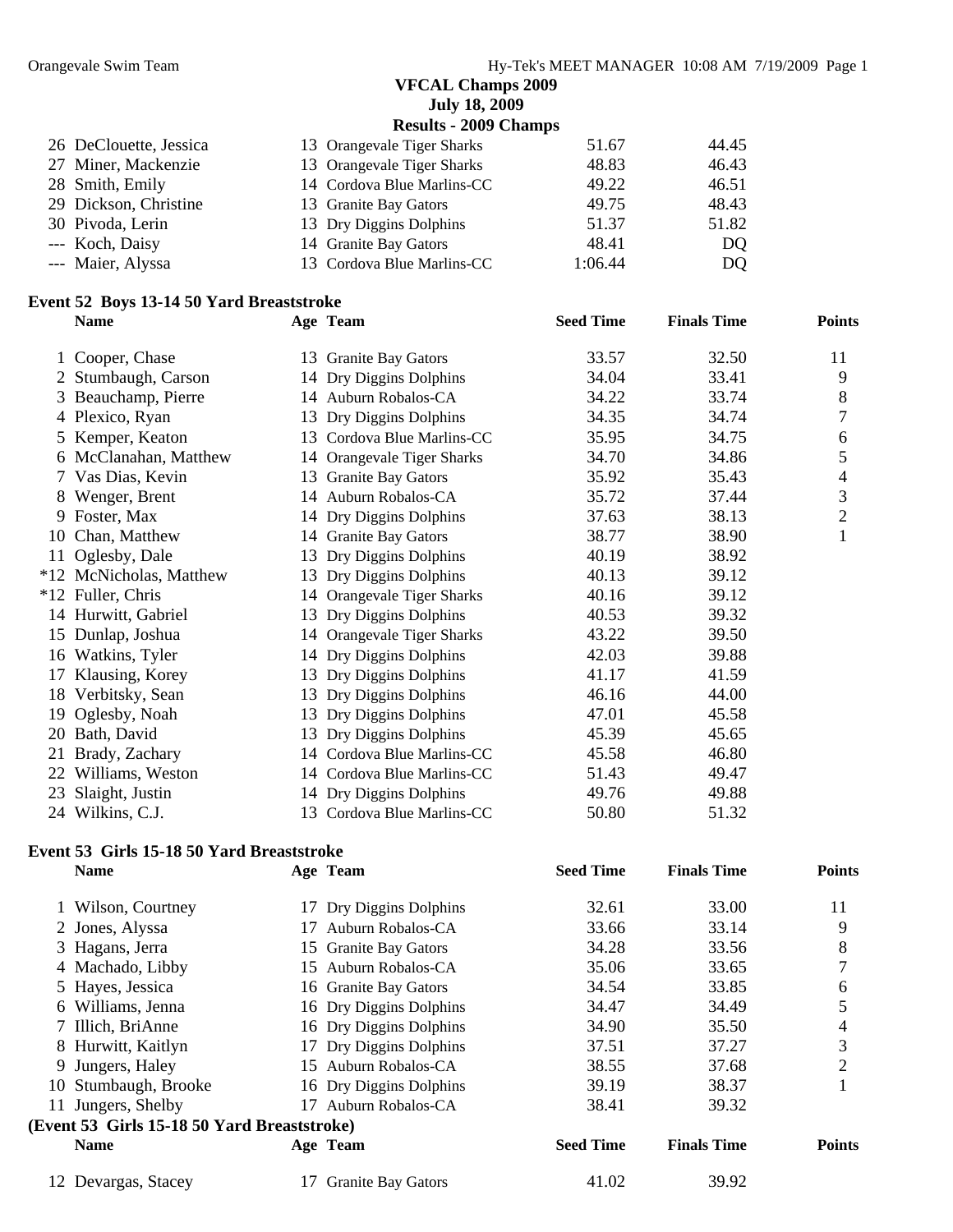#### **VFCAL Champs 2009 July 18, 2009**

**Results - 2009 Champs** 

| 26 DeClouette, Jessica | 13 Orangevale Tiger Sharks | 51.67   | 44.45 |
|------------------------|----------------------------|---------|-------|
| 27 Miner, Mackenzie    | 13 Orangevale Tiger Sharks | 48.83   | 46.43 |
| 28 Smith, Emily        | 14 Cordova Blue Marlins-CC | 49.22   | 46.51 |
| 29 Dickson, Christine  | 13 Granite Bay Gators      | 49.75   | 48.43 |
| 30 Pivoda, Lerin       | 13 Dry Diggins Dolphins    | 51.37   | 51.82 |
| --- Koch, Daisy        | 14 Granite Bay Gators      | 48.41   | DO.   |
| --- Maier, Alyssa      | 13 Cordova Blue Marlins-CC | 1:06.44 | DQ.   |
|                        |                            |         |       |

#### **Event 52 Boys 13-14 50 Yard Breaststroke**

|    | <b>Name</b>             |    | Age Team                   | <b>Seed Time</b> | <b>Finals Time</b> | <b>Points</b>  |
|----|-------------------------|----|----------------------------|------------------|--------------------|----------------|
|    | 1 Cooper, Chase         |    | 13 Granite Bay Gators      | 33.57            | 32.50              | 11             |
|    | 2 Stumbaugh, Carson     |    | 14 Dry Diggins Dolphins    | 34.04            | 33.41              | 9              |
|    | 3 Beauchamp, Pierre     |    | 14 Auburn Robalos-CA       | 34.22            | 33.74              | 8              |
|    | 4 Plexico, Ryan         |    | 13 Dry Diggins Dolphins    | 34.35            | 34.74              |                |
|    | 5 Kemper, Keaton        |    | 13 Cordova Blue Marlins-CC | 35.95            | 34.75              | 6              |
|    | 6 McClanahan, Matthew   |    | 14 Orangevale Tiger Sharks | 34.70            | 34.86              | 5              |
|    | 7 Vas Dias, Kevin       |    | 13 Granite Bay Gators      | 35.92            | 35.43              | 4              |
|    | 8 Wenger, Brent         |    | 14 Auburn Robalos-CA       | 35.72            | 37.44              | 3              |
|    | 9 Foster, Max           |    | 14 Dry Diggins Dolphins    | 37.63            | 38.13              | $\overline{2}$ |
|    | 10 Chan, Matthew        |    | 14 Granite Bay Gators      | 38.77            | 38.90              | 1              |
|    | 11 Oglesby, Dale        |    | 13 Dry Diggins Dolphins    | 40.19            | 38.92              |                |
|    | *12 McNicholas, Matthew | 13 | Dry Diggins Dolphins       | 40.13            | 39.12              |                |
|    | *12 Fuller, Chris       |    | 14 Orangevale Tiger Sharks | 40.16            | 39.12              |                |
|    | 14 Hurwitt, Gabriel     | 13 | Dry Diggins Dolphins       | 40.53            | 39.32              |                |
|    | 15 Dunlap, Joshua       |    | 14 Orangevale Tiger Sharks | 43.22            | 39.50              |                |
|    | 16 Watkins, Tyler       |    | 14 Dry Diggins Dolphins    | 42.03            | 39.88              |                |
| 17 | Klausing, Korey         |    | 13 Dry Diggins Dolphins    | 41.17            | 41.59              |                |
|    | 18 Verbitsky, Sean      |    | 13 Dry Diggins Dolphins    | 46.16            | 44.00              |                |
| 19 | Oglesby, Noah           | 13 | Dry Diggins Dolphins       | 47.01            | 45.58              |                |
|    | 20 Bath, David          | 13 | Dry Diggins Dolphins       | 45.39            | 45.65              |                |
| 21 | Brady, Zachary          |    | 14 Cordova Blue Marlins-CC | 45.58            | 46.80              |                |
|    | 22 Williams, Weston     |    | 14 Cordova Blue Marlins-CC | 51.43            | 49.47              |                |
| 23 | Slaight, Justin         |    | 14 Dry Diggins Dolphins    | 49.76            | 49.88              |                |
|    | 24 Wilkins, C.J.        |    | 13 Cordova Blue Marlins-CC | 50.80            | 51.32              |                |

#### **Event 53 Girls 15-18 50 Yard Breaststroke**

|    | рустерэ став тэ то эд тага ргсаваат окс<br><b>Name</b> |    | Age Team                  | <b>Seed Time</b> | <b>Finals Time</b> | <b>Points</b> |
|----|--------------------------------------------------------|----|---------------------------|------------------|--------------------|---------------|
|    | 1 Wilson, Courtney                                     | 17 | Dry Diggins Dolphins      | 32.61            | 33.00              | 11            |
|    | 2 Jones, Alyssa                                        | 17 | Auburn Robalos-CA         | 33.66            | 33.14              | 9             |
|    | 3 Hagans, Jerra                                        |    | 15 Granite Bay Gators     | 34.28            | 33.56              | 8             |
|    | 4 Machado, Libby                                       |    | 15 Auburn Robalos-CA      | 35.06            | 33.65              | 7             |
|    | 5 Hayes, Jessica                                       |    | 16 Granite Bay Gators     | 34.54            | 33.85              | 6             |
|    | 6 Williams, Jenna                                      |    | 16 Dry Diggins Dolphins   | 34.47            | 34.49              | 5             |
|    | 7 Illich, BriAnne                                      |    | 16 Dry Diggins Dolphins   | 34.90            | 35.50              | 4             |
|    | 8 Hurwitt, Kaitlyn                                     |    | 17 Dry Diggins Dolphins   | 37.51            | 37.27              | 3             |
|    | 9 Jungers, Haley                                       |    | 15 Auburn Robalos-CA      | 38.55            | 37.68              | 2             |
|    | 10 Stumbaugh, Brooke                                   |    | 16 Dry Diggins Dolphins   | 39.19            | 38.37              |               |
| 11 | Jungers, Shelby                                        | 17 | Auburn Robalos-CA         | 38.41            | 39.32              |               |
|    | (Event 53 Girls 15-18 50 Yard Breaststroke)            |    |                           |                  |                    |               |
|    | <b>Name</b>                                            |    | Age Team                  | <b>Seed Time</b> | <b>Finals Time</b> | <b>Points</b> |
|    | 12 Devargas, Stacey                                    | 17 | <b>Granite Bay Gators</b> | 41.02            | 39.92              |               |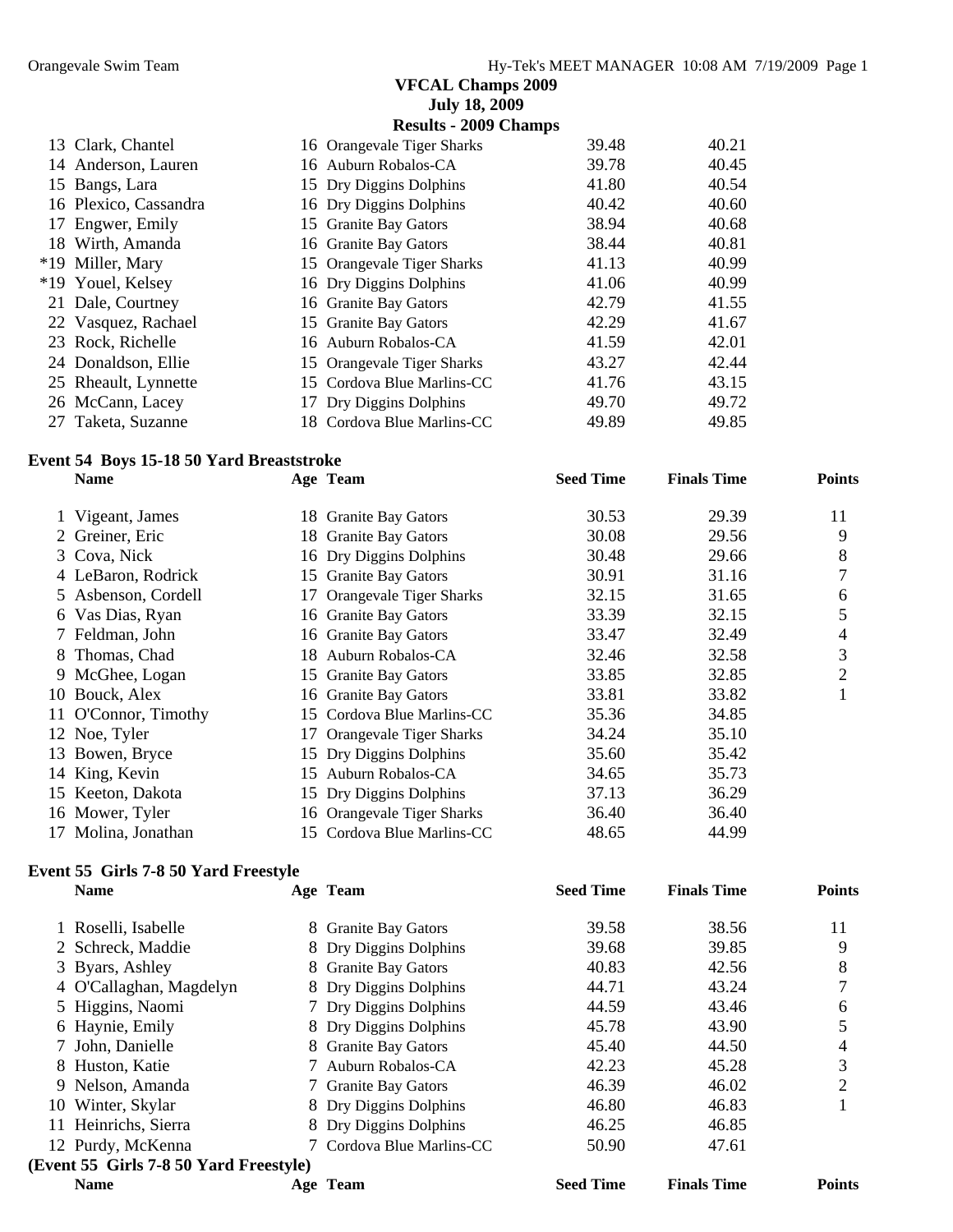|    | Vigeant, James                           | 18. | <b>Granite Bay Gators</b>    | 30.53            | 29.39              |               |
|----|------------------------------------------|-----|------------------------------|------------------|--------------------|---------------|
|    | <b>Name</b>                              |     | Age Team                     | <b>Seed Time</b> | <b>Finals Time</b> | <b>Points</b> |
|    | Event 54 Boys 15-18 50 Yard Breaststroke |     |                              |                  |                    |               |
|    | 27 Taketa, Suzanne                       |     | 18 Cordova Blue Marlins-CC   | 49.89            | 49.85              |               |
|    | 26 McCann, Lacey                         |     | 17 Dry Diggins Dolphins      | 49.70            | 49.72              |               |
|    | 25 Rheault, Lynnette                     |     | 15 Cordova Blue Marlins-CC   | 41.76            | 43.15              |               |
|    | 24 Donaldson, Ellie                      |     | 15 Orangevale Tiger Sharks   | 43.27            | 42.44              |               |
|    | 23 Rock, Richelle                        |     | 16 Auburn Robalos-CA         | 41.59            | 42.01              |               |
|    | 22 Vasquez, Rachael                      |     | 15 Granite Bay Gators        | 42.29            | 41.67              |               |
|    | 21 Dale, Courtney                        |     | 16 Granite Bay Gators        | 42.79            | 41.55              |               |
|    | *19 Youel, Kelsey                        |     | 16 Dry Diggins Dolphins      | 41.06            | 40.99              |               |
|    | *19 Miller, Mary                         |     | 15 Orangevale Tiger Sharks   | 41.13            | 40.99              |               |
| 18 | Wirth, Amanda                            |     | 16 Granite Bay Gators        | 38.44            | 40.81              |               |
| 17 | Engwer, Emily                            |     | 15 Granite Bay Gators        | 38.94            | 40.68              |               |
| 16 | Plexico, Cassandra                       |     | 16 Dry Diggins Dolphins      | 40.42            | 40.60              |               |
|    | 15 Bangs, Lara                           |     | 15 Dry Diggins Dolphins      | 41.80            | 40.54              |               |
|    | 14 Anderson, Lauren                      |     | 16 Auburn Robalos-CA         | 39.78            | 40.45              |               |
|    | 13 Clark, Chantel                        |     | 16 Orangevale Tiger Sharks   | 39.48            | 40.21              |               |
|    |                                          |     | <b>Results - 2009 Champs</b> |                  |                    |               |
|    |                                          |     | <b>July 18, 2009</b>         |                  |                    |               |

| 1 Vigeant, James     | 18 Granite Bay Gators      | 30.53 | 29.39 | 11 |
|----------------------|----------------------------|-------|-------|----|
| 2 Greiner, Eric      | 18 Granite Bay Gators      | 30.08 | 29.56 | 9  |
| 3 Cova, Nick         | 16 Dry Diggins Dolphins    | 30.48 | 29.66 | 8  |
| 4 LeBaron, Rodrick   | 15 Granite Bay Gators      | 30.91 | 31.16 | 7  |
| 5 Asbenson, Cordell  | 17 Orangevale Tiger Sharks | 32.15 | 31.65 | 6  |
| 6 Vas Dias, Ryan     | 16 Granite Bay Gators      | 33.39 | 32.15 | 5  |
| 7 Feldman, John      | 16 Granite Bay Gators      | 33.47 | 32.49 | 4  |
| 8 Thomas, Chad       | 18 Auburn Robalos-CA       | 32.46 | 32.58 | 3  |
| 9 McGhee, Logan      | 15 Granite Bay Gators      | 33.85 | 32.85 | 2  |
| 10 Bouck, Alex       | 16 Granite Bay Gators      | 33.81 | 33.82 |    |
| 11 O'Connor, Timothy | 15 Cordova Blue Marlins-CC | 35.36 | 34.85 |    |
| 12 Noe, Tyler        | 17 Orangevale Tiger Sharks | 34.24 | 35.10 |    |
| 13 Bowen, Bryce      | 15 Dry Diggins Dolphins    | 35.60 | 35.42 |    |
| 14 King, Kevin       | 15 Auburn Robalos-CA       | 34.65 | 35.73 |    |
| 15 Keeton, Dakota    | 15 Dry Diggins Dolphins    | 37.13 | 36.29 |    |
| 16 Mower, Tyler      | 16 Orangevale Tiger Sharks | 36.40 | 36.40 |    |
| 17 Molina, Jonathan  | 15 Cordova Blue Marlins-CC | 48.65 | 44.99 |    |

#### **Event 55 Girls 7-8 50 Yard Freestyle**

| <b>Name</b>                            | Age Team                | <b>Seed Time</b> | <b>Finals Time</b> | <b>Points</b> |
|----------------------------------------|-------------------------|------------------|--------------------|---------------|
| 1 Roselli, Isabelle                    | 8 Granite Bay Gators    | 39.58            | 38.56              | 11            |
| 2 Schreck, Maddie                      | 8 Dry Diggins Dolphins  | 39.68            | 39.85              | 9             |
| 3 Byars, Ashley                        | 8 Granite Bay Gators    | 40.83            | 42.56              | 8             |
| 4 O'Callaghan, Magdelyn                | 8 Dry Diggins Dolphins  | 44.71            | 43.24              |               |
| 5 Higgins, Naomi                       | 7 Dry Diggins Dolphins  | 44.59            | 43.46              | 6             |
| 6 Haynie, Emily                        | 8 Dry Diggins Dolphins  | 45.78            | 43.90              |               |
| 7 John, Danielle                       | 8 Granite Bay Gators    | 45.40            | 44.50              | 4             |
| 8 Huston, Katie                        | Auburn Robalos-CA       | 42.23            | 45.28              | 3             |
| 9 Nelson, Amanda                       | 7 Granite Bay Gators    | 46.39            | 46.02              | 2             |
| 10 Winter, Skylar                      | 8 Dry Diggins Dolphins  | 46.80            | 46.83              |               |
| 11 Heinrichs, Sierra                   | 8 Dry Diggins Dolphins  | 46.25            | 46.85              |               |
| 12 Purdy, McKenna                      | Cordova Blue Marlins-CC | 50.90            | 47.61              |               |
| (Event 55 Girls 7-8 50 Yard Freestyle) |                         |                  |                    |               |
| <b>Name</b>                            | Age Team                | <b>Seed Time</b> | <b>Finals Time</b> | <b>Points</b> |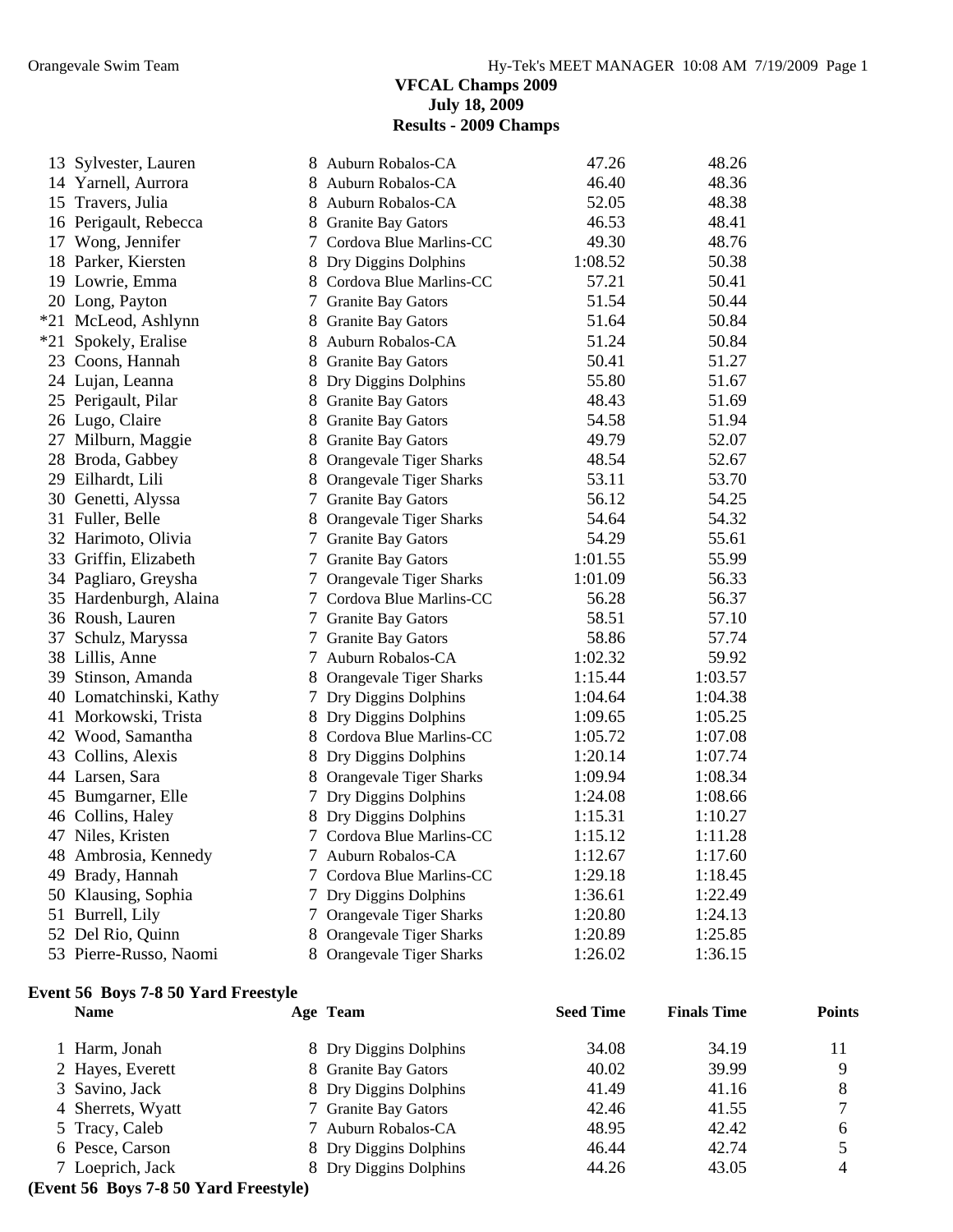#### **VFCAL Champs 2009 July 18, 2009 Results - 2009 Champs**

| 13 Sylvester, Lauren   | 8 | Auburn Robalos-CA              | 47.26   | 48.26   |
|------------------------|---|--------------------------------|---------|---------|
| 14 Yarnell, Aurrora    |   | 8 Auburn Robalos-CA            | 46.40   | 48.36   |
| 15 Travers, Julia      |   | 8 Auburn Robalos-CA            | 52.05   | 48.38   |
| 16 Perigault, Rebecca  |   | 8 Granite Bay Gators           | 46.53   | 48.41   |
| 17 Wong, Jennifer      |   | 7 Cordova Blue Marlins-CC      | 49.30   | 48.76   |
| 18 Parker, Kiersten    |   | 8 Dry Diggins Dolphins         | 1:08.52 | 50.38   |
| 19 Lowrie, Emma        |   | 8 Cordova Blue Marlins-CC      | 57.21   | 50.41   |
| 20 Long, Payton        |   | 7 Granite Bay Gators           | 51.54   | 50.44   |
| *21 McLeod, Ashlynn    |   | 8 Granite Bay Gators           | 51.64   | 50.84   |
| *21 Spokely, Eralise   | 8 | Auburn Robalos-CA              | 51.24   | 50.84   |
| 23 Coons, Hannah       |   | 8 Granite Bay Gators           | 50.41   | 51.27   |
| 24 Lujan, Leanna       |   | 8 Dry Diggins Dolphins         | 55.80   | 51.67   |
| 25 Perigault, Pilar    |   | 8 Granite Bay Gators           | 48.43   | 51.69   |
| 26 Lugo, Claire        |   | 8 Granite Bay Gators           | 54.58   | 51.94   |
| 27 Milburn, Maggie     |   | 8 Granite Bay Gators           | 49.79   | 52.07   |
| 28 Broda, Gabbey       |   | 8 Orangevale Tiger Sharks      | 48.54   | 52.67   |
| 29 Eilhardt, Lili      |   | 8 Orangevale Tiger Sharks      | 53.11   | 53.70   |
| 30 Genetti, Alyssa     |   | 7 Granite Bay Gators           | 56.12   | 54.25   |
| 31 Fuller, Belle       |   | 8 Orangevale Tiger Sharks      | 54.64   | 54.32   |
| 32 Harimoto, Olivia    |   | 7 Granite Bay Gators           | 54.29   | 55.61   |
| 33 Griffin, Elizabeth  |   | 7 Granite Bay Gators           | 1:01.55 | 55.99   |
| 34 Pagliaro, Greysha   |   | 7 Orangevale Tiger Sharks      | 1:01.09 | 56.33   |
| 35 Hardenburgh, Alaina |   | 7 Cordova Blue Marlins-CC      | 56.28   | 56.37   |
| 36 Roush, Lauren       |   | 7 Granite Bay Gators           | 58.51   | 57.10   |
| 37 Schulz, Maryssa     |   | 7 Granite Bay Gators           | 58.86   | 57.74   |
| 38 Lillis, Anne        |   | 7 Auburn Robalos-CA            | 1:02.32 | 59.92   |
| 39 Stinson, Amanda     |   | 8 Orangevale Tiger Sharks      | 1:15.44 | 1:03.57 |
| 40 Lomatchinski, Kathy |   | 7 Dry Diggins Dolphins         | 1:04.64 | 1:04.38 |
| 41 Morkowski, Trista   |   | 8 Dry Diggins Dolphins         | 1:09.65 | 1:05.25 |
| 42 Wood, Samantha      |   | 8 Cordova Blue Marlins-CC      | 1:05.72 | 1:07.08 |
| 43 Collins, Alexis     |   | 8 Dry Diggins Dolphins         | 1:20.14 | 1:07.74 |
| 44 Larsen, Sara        |   | 8 Orangevale Tiger Sharks      | 1:09.94 | 1:08.34 |
| 45 Bumgarner, Elle     | 7 | Dry Diggins Dolphins           | 1:24.08 | 1:08.66 |
| 46 Collins, Haley      |   | 8 Dry Diggins Dolphins         | 1:15.31 | 1:10.27 |
| 47 Niles, Kristen      |   | 7 Cordova Blue Marlins-CC      | 1:15.12 | 1:11.28 |
| 48 Ambrosia, Kennedy   |   | 7 Auburn Robalos-CA            | 1:12.67 | 1:17.60 |
| 49 Brady, Hannah       |   | 7 Cordova Blue Marlins-CC      | 1:29.18 | 1:18.45 |
| 50 Klausing, Sophia    |   | 7 Dry Diggins Dolphins         | 1:36.61 | 1:22.49 |
| 51 Burrell, Lily       |   | 7 Orangevale Tiger Sharks      | 1:20.80 | 1:24.13 |
| 52 Del Rio, Quinn      | 8 | <b>Orangevale Tiger Sharks</b> | 1:20.89 | 1:25.85 |
| 53 Pierre-Russo, Naomi |   | 8 Orangevale Tiger Sharks      | 1:26.02 | 1:36.15 |

#### **Event 56 Boys 7-8 50 Yard Freestyle**

| <b>Name</b>                                                        | Age Team               | <b>Seed Time</b> | <b>Finals Time</b> | <b>Points</b> |
|--------------------------------------------------------------------|------------------------|------------------|--------------------|---------------|
| 1 Harm, Jonah                                                      | 8 Dry Diggins Dolphins | 34.08            | 34.19              | 11            |
| 2 Hayes, Everett                                                   | 8 Granite Bay Gators   | 40.02            | 39.99              | Q             |
| 3 Savino, Jack                                                     | 8 Dry Diggins Dolphins | 41.49            | 41.16              | 8             |
| 4 Sherrets, Wyatt                                                  | 7 Granite Bay Gators   | 42.46            | 41.55              |               |
| 5 Tracy, Caleb                                                     | 7 Auburn Robalos-CA    | 48.95            | 42.42              | 6             |
| 6 Pesce, Carson                                                    | 8 Dry Diggins Dolphins | 46.44            | 42.74              |               |
| 7 Loeprich, Jack                                                   | 8 Dry Diggins Dolphins | 44.26            | 43.05              | 4             |
| $F_{\text{round}}$ $\epsilon$ Dove 7.0.50 Voud $F_{\text{mod}}(x)$ |                        |                  |                    |               |

#### **(Event 56 Boys 7-8 50 Yard Freestyle)**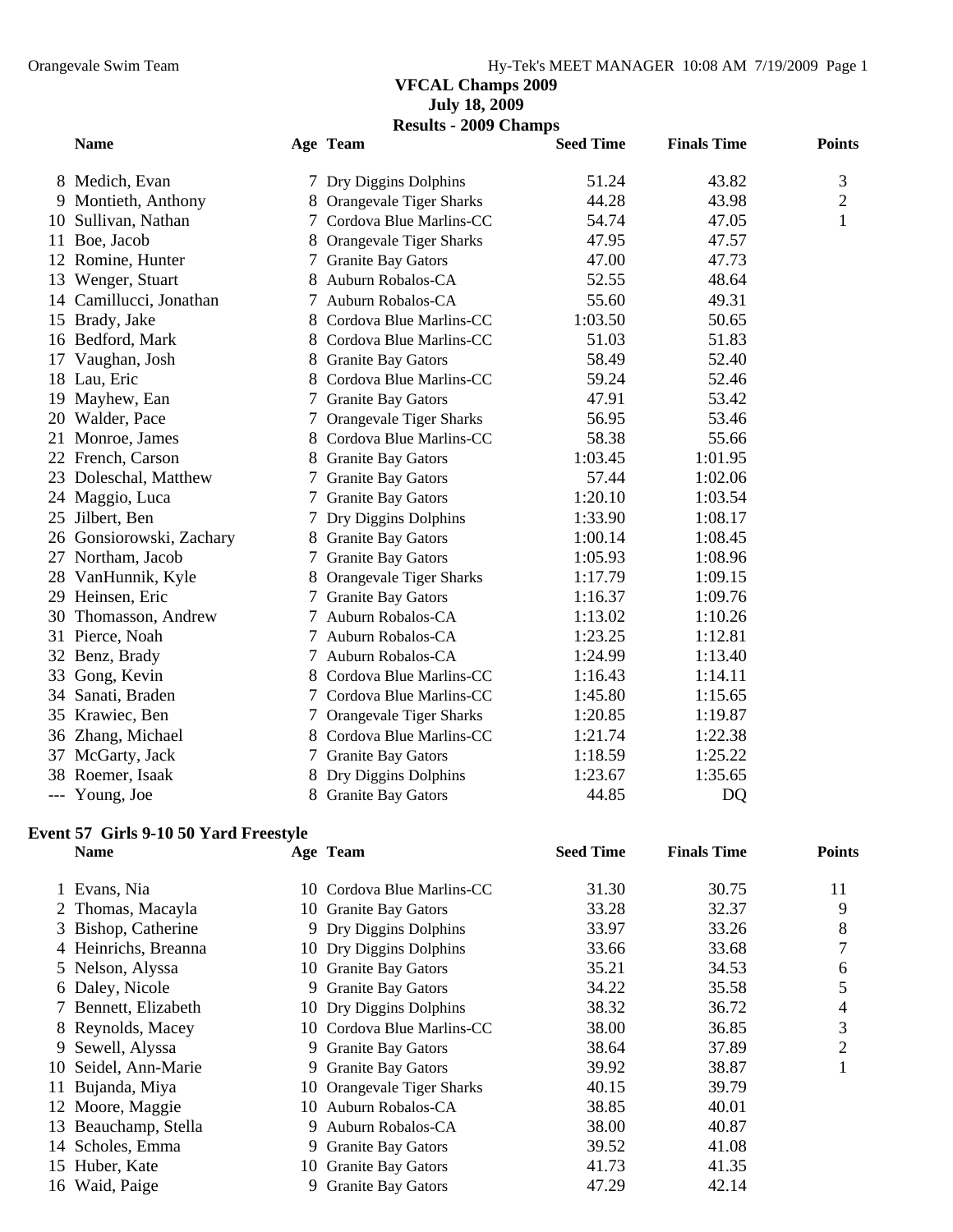#### **VFCAL Champs 2009 July 18, 2009**

**Results - 2009 Champs** 

| <b>Name</b>              |   | Age Team                  | <b>Seed Time</b> | <b>Finals Time</b> | <b>Points</b>  |
|--------------------------|---|---------------------------|------------------|--------------------|----------------|
| 8 Medich, Evan           |   | 7 Dry Diggins Dolphins    | 51.24            | 43.82              | 3              |
| 9 Montieth, Anthony      |   | 8 Orangevale Tiger Sharks | 44.28            | 43.98              | $\overline{2}$ |
| 10 Sullivan, Nathan      |   | 7 Cordova Blue Marlins-CC | 54.74            | 47.05              | $\mathbf{1}$   |
| 11 Boe, Jacob            |   | 8 Orangevale Tiger Sharks | 47.95            | 47.57              |                |
| 12 Romine, Hunter        | 7 | <b>Granite Bay Gators</b> | 47.00            | 47.73              |                |
| 13 Wenger, Stuart        | 8 | Auburn Robalos-CA         | 52.55            | 48.64              |                |
| 14 Camillucci, Jonathan  | 7 | Auburn Robalos-CA         | 55.60            | 49.31              |                |
| 15 Brady, Jake           | 8 | Cordova Blue Marlins-CC   | 1:03.50          | 50.65              |                |
| 16 Bedford, Mark         | 8 | Cordova Blue Marlins-CC   | 51.03            | 51.83              |                |
| 17 Vaughan, Josh         | 8 | <b>Granite Bay Gators</b> | 58.49            | 52.40              |                |
| 18 Lau, Eric             |   | Cordova Blue Marlins-CC   | 59.24            | 52.46              |                |
| 19 Mayhew, Ean           | 7 | <b>Granite Bay Gators</b> | 47.91            | 53.42              |                |
| 20 Walder, Pace          | 7 | Orangevale Tiger Sharks   | 56.95            | 53.46              |                |
| 21 Monroe, James         | 8 | Cordova Blue Marlins-CC   | 58.38            | 55.66              |                |
| 22 French, Carson        | 8 | <b>Granite Bay Gators</b> | 1:03.45          | 1:01.95            |                |
| 23 Doleschal, Matthew    | 7 | <b>Granite Bay Gators</b> | 57.44            | 1:02.06            |                |
| 24 Maggio, Luca          |   | 7 Granite Bay Gators      | 1:20.10          | 1:03.54            |                |
| 25 Jilbert, Ben          | 7 | Dry Diggins Dolphins      | 1:33.90          | 1:08.17            |                |
| 26 Gonsiorowski, Zachary |   | 8 Granite Bay Gators      | 1:00.14          | 1:08.45            |                |
| 27 Northam, Jacob        |   | 7 Granite Bay Gators      | 1:05.93          | 1:08.96            |                |
| 28 VanHunnik, Kyle       | 8 | Orangevale Tiger Sharks   | 1:17.79          | 1:09.15            |                |
| 29 Heinsen, Eric         | 7 | <b>Granite Bay Gators</b> | 1:16.37          | 1:09.76            |                |
| 30 Thomasson, Andrew     | 7 | Auburn Robalos-CA         | 1:13.02          | 1:10.26            |                |
| 31 Pierce, Noah          | 7 | Auburn Robalos-CA         | 1:23.25          | 1:12.81            |                |
| 32 Benz, Brady           | 7 | Auburn Robalos-CA         | 1:24.99          | 1:13.40            |                |
| 33 Gong, Kevin           |   | 8 Cordova Blue Marlins-CC | 1:16.43          | 1:14.11            |                |
| 34 Sanati, Braden        |   | 7 Cordova Blue Marlins-CC | 1:45.80          | 1:15.65            |                |
| 35 Krawiec, Ben          | 7 | Orangevale Tiger Sharks   | 1:20.85          | 1:19.87            |                |
| 36 Zhang, Michael        |   | 8 Cordova Blue Marlins-CC | 1:21.74          | 1:22.38            |                |
| 37 McGarty, Jack         | 7 | <b>Granite Bay Gators</b> | 1:18.59          | 1:25.22            |                |
| 38 Roemer, Isaak         |   | Dry Diggins Dolphins      | 1:23.67          | 1:35.65            |                |
| --- Young, Joe           |   | 8 Granite Bay Gators      | 44.85            | DQ                 |                |

#### **Event 57 Girls 9-10 50 Yard Freestyle Name Age Team Seed Time Finals Time Points**

|    | wann                 | $\mathbf{H}$               | ottu riin | т пино типе | 1 оним |
|----|----------------------|----------------------------|-----------|-------------|--------|
|    | 1 Evans, Nia         | 10 Cordova Blue Marlins-CC | 31.30     | 30.75       | 11     |
|    | 2 Thomas, Macayla    | 10 Granite Bay Gators      | 33.28     | 32.37       | 9      |
|    | 3 Bishop, Catherine  | 9 Dry Diggins Dolphins     | 33.97     | 33.26       | 8      |
|    | 4 Heinrichs, Breanna | 10 Dry Diggins Dolphins    | 33.66     | 33.68       |        |
|    | 5 Nelson, Alyssa     | 10 Granite Bay Gators      | 35.21     | 34.53       | 6      |
|    | 6 Daley, Nicole      | 9 Granite Bay Gators       | 34.22     | 35.58       | 5      |
|    | 7 Bennett, Elizabeth | 10 Dry Diggins Dolphins    | 38.32     | 36.72       | 4      |
|    | 8 Reynolds, Macey    | 10 Cordova Blue Marlins-CC | 38.00     | 36.85       | 3      |
|    | 9 Sewell, Alyssa     | 9 Granite Bay Gators       | 38.64     | 37.89       | 2      |
|    | 10 Seidel, Ann-Marie | 9 Granite Bay Gators       | 39.92     | 38.87       |        |
|    | 11 Bujanda, Miya     | 10 Orangevale Tiger Sharks | 40.15     | 39.79       |        |
|    | 12 Moore, Maggie     | 10 Auburn Robalos-CA       | 38.85     | 40.01       |        |
|    | 13 Beauchamp, Stella | 9 Auburn Robalos-CA        | 38.00     | 40.87       |        |
| 14 | Scholes, Emma        | 9 Granite Bay Gators       | 39.52     | 41.08       |        |
|    | 15 Huber, Kate       | 10 Granite Bay Gators      | 41.73     | 41.35       |        |
|    | 16 Waid, Paige       | 9 Granite Bay Gators       | 47.29     | 42.14       |        |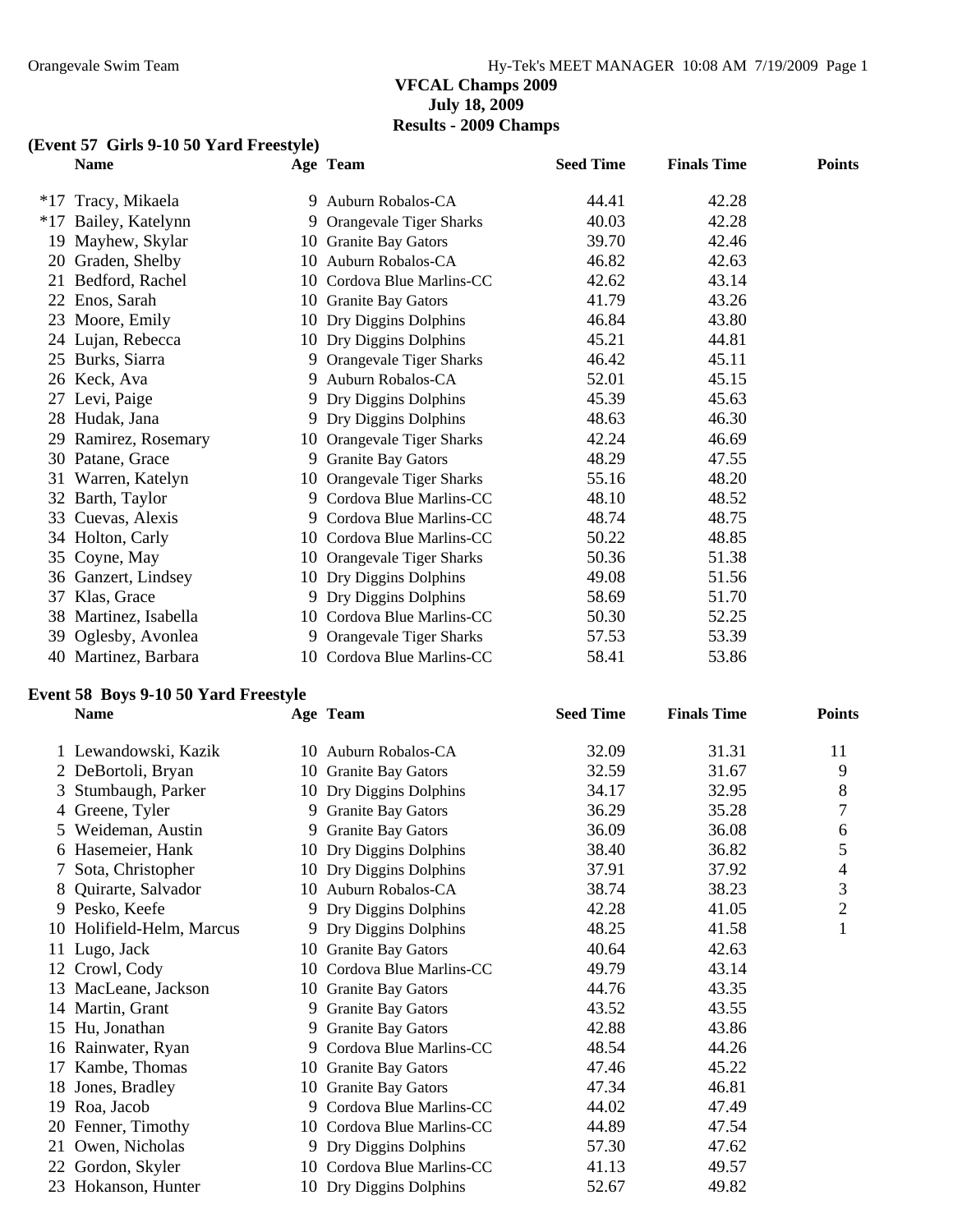#### **VFCAL Champs 2009 July 18, 2009 Results - 2009 Champs**

#### **(Event 57 Girls 9-10 50 Yard Freestyle)**

|       | Event 57 Girls 9-10 50 Yard Freestyle) |  |                            |                  |                    |               |  |  |  |
|-------|----------------------------------------|--|----------------------------|------------------|--------------------|---------------|--|--|--|
|       | <b>Name</b>                            |  | Age Team                   | <b>Seed Time</b> | <b>Finals Time</b> | <b>Points</b> |  |  |  |
| $*17$ | Tracy, Mikaela                         |  | 9 Auburn Robalos-CA        | 44.41            | 42.28              |               |  |  |  |
|       | *17 Bailey, Katelynn                   |  | 9 Orangevale Tiger Sharks  | 40.03            | 42.28              |               |  |  |  |
| 19    | Mayhew, Skylar                         |  | 10 Granite Bay Gators      | 39.70            | 42.46              |               |  |  |  |
|       | 20 Graden, Shelby                      |  | 10 Auburn Robalos-CA       | 46.82            | 42.63              |               |  |  |  |
| 21    | Bedford, Rachel                        |  | 10 Cordova Blue Marlins-CC | 42.62            | 43.14              |               |  |  |  |
|       | 22 Enos, Sarah                         |  | 10 Granite Bay Gators      | 41.79            | 43.26              |               |  |  |  |
|       | 23 Moore, Emily                        |  | 10 Dry Diggins Dolphins    | 46.84            | 43.80              |               |  |  |  |
|       | 24 Lujan, Rebecca                      |  | 10 Dry Diggins Dolphins    | 45.21            | 44.81              |               |  |  |  |
|       | 25 Burks, Siarra                       |  | 9 Orangevale Tiger Sharks  | 46.42            | 45.11              |               |  |  |  |
|       | 26 Keck, Ava                           |  | 9 Auburn Robalos-CA        | 52.01            | 45.15              |               |  |  |  |
|       | 27 Levi, Paige                         |  | 9 Dry Diggins Dolphins     | 45.39            | 45.63              |               |  |  |  |
|       | 28 Hudak, Jana                         |  | 9 Dry Diggins Dolphins     | 48.63            | 46.30              |               |  |  |  |
|       | 29 Ramirez, Rosemary                   |  | 10 Orangevale Tiger Sharks | 42.24            | 46.69              |               |  |  |  |
|       | 30 Patane, Grace                       |  | 9 Granite Bay Gators       | 48.29            | 47.55              |               |  |  |  |
|       | 31 Warren, Katelyn                     |  | 10 Orangevale Tiger Sharks | 55.16            | 48.20              |               |  |  |  |
|       | 32 Barth, Taylor                       |  | 9 Cordova Blue Marlins-CC  | 48.10            | 48.52              |               |  |  |  |
|       | 33 Cuevas, Alexis                      |  | 9 Cordova Blue Marlins-CC  | 48.74            | 48.75              |               |  |  |  |
|       | 34 Holton, Carly                       |  | 10 Cordova Blue Marlins-CC | 50.22            | 48.85              |               |  |  |  |
|       | 35 Coyne, May                          |  | 10 Orangevale Tiger Sharks | 50.36            | 51.38              |               |  |  |  |
|       | 36 Ganzert, Lindsey                    |  | 10 Dry Diggins Dolphins    | 49.08            | 51.56              |               |  |  |  |
| 37    | Klas, Grace                            |  | 9 Dry Diggins Dolphins     | 58.69            | 51.70              |               |  |  |  |
|       | 38 Martinez, Isabella                  |  | 10 Cordova Blue Marlins-CC | 50.30            | 52.25              |               |  |  |  |
|       | 39 Oglesby, Avonlea                    |  | 9 Orangevale Tiger Sharks  | 57.53            | 53.39              |               |  |  |  |
|       | 40 Martinez, Barbara                   |  | 10 Cordova Blue Marlins-CC | 58.41            | 53.86              |               |  |  |  |

#### **Event 58 Boys 9-10 50 Yard Freestyle**

|    | <b>Name</b>               |    | Age Team                   | <b>Seed Time</b> | <b>Finals Time</b> | <b>Points</b>  |
|----|---------------------------|----|----------------------------|------------------|--------------------|----------------|
|    | 1 Lewandowski, Kazik      |    | 10 Auburn Robalos-CA       | 32.09            | 31.31              | 11             |
|    | 2 DeBortoli, Bryan        |    | 10 Granite Bay Gators      | 32.59            | 31.67              | 9              |
|    | 3 Stumbaugh, Parker       |    | 10 Dry Diggins Dolphins    | 34.17            | 32.95              | 8              |
|    | 4 Greene, Tyler           |    | 9 Granite Bay Gators       | 36.29            | 35.28              | 7              |
|    | 5 Weideman, Austin        |    | 9 Granite Bay Gators       | 36.09            | 36.08              | 6              |
|    | 6 Hasemeier, Hank         |    | 10 Dry Diggins Dolphins    | 38.40            | 36.82              | 5              |
|    | 7 Sota, Christopher       |    | 10 Dry Diggins Dolphins    | 37.91            | 37.92              | 4              |
|    | 8 Quirarte, Salvador      |    | 10 Auburn Robalos-CA       | 38.74            | 38.23              | 3              |
|    | 9 Pesko, Keefe            |    | 9 Dry Diggins Dolphins     | 42.28            | 41.05              | $\overline{2}$ |
|    | 10 Holifield-Helm, Marcus |    | 9 Dry Diggins Dolphins     | 48.25            | 41.58              | 1              |
|    | 11 Lugo, Jack             |    | 10 Granite Bay Gators      | 40.64            | 42.63              |                |
|    | 12 Crowl, Cody            |    | 10 Cordova Blue Marlins-CC | 49.79            | 43.14              |                |
|    | 13 MacLeane, Jackson      |    | 10 Granite Bay Gators      | 44.76            | 43.35              |                |
|    | 14 Martin, Grant          | 9. | <b>Granite Bay Gators</b>  | 43.52            | 43.55              |                |
|    | 15 Hu, Jonathan           |    | 9 Granite Bay Gators       | 42.88            | 43.86              |                |
|    | 16 Rainwater, Ryan        | 9. | Cordova Blue Marlins-CC    | 48.54            | 44.26              |                |
|    | 17 Kambe, Thomas          |    | 10 Granite Bay Gators      | 47.46            | 45.22              |                |
| 18 | Jones, Bradley            | 10 | <b>Granite Bay Gators</b>  | 47.34            | 46.81              |                |
|    | 19 Roa, Jacob             |    | 9 Cordova Blue Marlins-CC  | 44.02            | 47.49              |                |
|    | 20 Fenner, Timothy        |    | 10 Cordova Blue Marlins-CC | 44.89            | 47.54              |                |
|    | 21 Owen, Nicholas         |    | 9 Dry Diggins Dolphins     | 57.30            | 47.62              |                |
|    | 22 Gordon, Skyler         |    | 10 Cordova Blue Marlins-CC | 41.13            | 49.57              |                |
|    | 23 Hokanson, Hunter       |    | 10 Dry Diggins Dolphins    | 52.67            | 49.82              |                |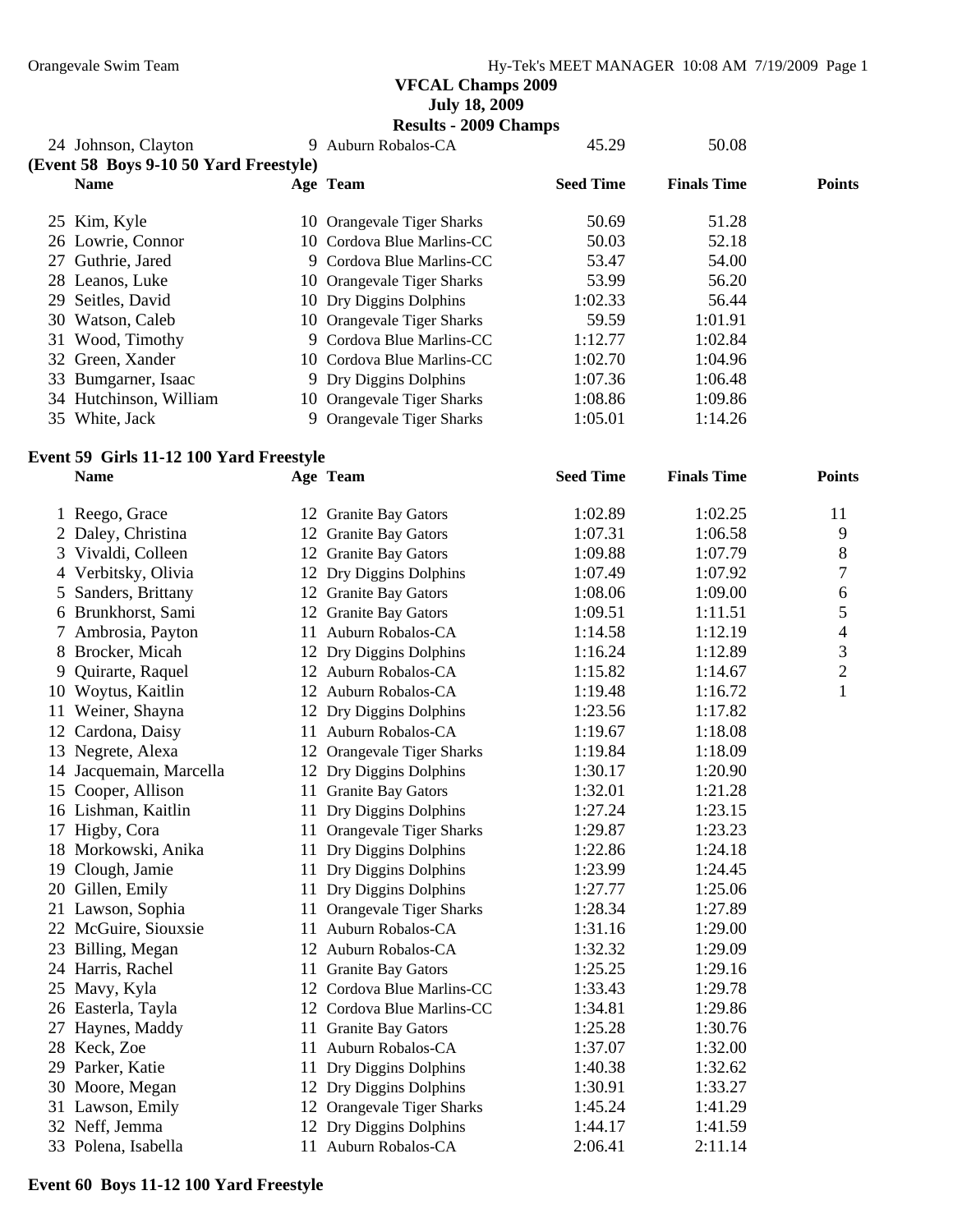**July 18, 2009** 

**Results - 2009 Champs** 

|                                        |   | $\frac{1}{2}$              |                  |                    |               |
|----------------------------------------|---|----------------------------|------------------|--------------------|---------------|
| 24 Johnson, Clayton                    | 9 | Auburn Robalos-CA          | 45.29            | 50.08              |               |
| (Event 58 Boys 9-10 50 Yard Freestyle) |   |                            |                  |                    |               |
| <b>Name</b>                            |   | Age Team                   | <b>Seed Time</b> | <b>Finals Time</b> | <b>Points</b> |
| 25 Kim, Kyle                           |   | 10 Orangevale Tiger Sharks | 50.69            | 51.28              |               |
| 26 Lowrie, Connor                      |   | 10 Cordova Blue Marlins-CC | 50.03            | 52.18              |               |
| 27 Guthrie, Jared                      |   | 9 Cordova Blue Marlins-CC  | 53.47            | 54.00              |               |
| 28 Leanos, Luke                        |   | 10 Orangevale Tiger Sharks | 53.99            | 56.20              |               |
| 29 Seitles, David                      |   | 10 Dry Diggins Dolphins    | 1:02.33          | 56.44              |               |
| 30 Watson, Caleb                       |   | 10 Orangevale Tiger Sharks | 59.59            | 1:01.91            |               |
| 31 Wood, Timothy                       |   | 9 Cordova Blue Marlins-CC  | 1:12.77          | 1:02.84            |               |
| 32 Green, Xander                       |   | 10 Cordova Blue Marlins-CC | 1:02.70          | 1:04.96            |               |
| 33 Bumgarner, Isaac                    |   | 9 Dry Diggins Dolphins     | 1:07.36          | 1:06.48            |               |
| 34 Hutchinson, William                 |   | 10 Orangevale Tiger Sharks | 1:08.86          | 1:09.86            |               |
| 35 White, Jack                         |   | 9 Orangevale Tiger Sharks  | 1:05.01          | 1:14.26            |               |
|                                        |   |                            |                  |                    |               |

# **Event 59 Girls 11-12 100 Yard Freestyle**

|    | <b>Name</b>             |    | Age Team                       | <b>Seed Time</b> | <b>Finals Time</b> | <b>Points</b>  |
|----|-------------------------|----|--------------------------------|------------------|--------------------|----------------|
|    | 1 Reego, Grace          |    | 12 Granite Bay Gators          | 1:02.89          | 1:02.25            | 11             |
|    | 2 Daley, Christina      |    | 12 Granite Bay Gators          | 1:07.31          | 1:06.58            | 9              |
|    | 3 Vivaldi, Colleen      |    | 12 Granite Bay Gators          | 1:09.88          | 1:07.79            | 8              |
|    | 4 Verbitsky, Olivia     |    | 12 Dry Diggins Dolphins        | 1:07.49          | 1:07.92            | 7              |
|    | 5 Sanders, Brittany     |    | 12 Granite Bay Gators          | 1:08.06          | 1:09.00            | 6              |
|    | 6 Brunkhorst, Sami      |    | 12 Granite Bay Gators          | 1:09.51          | 1:11.51            | 5              |
|    | 7 Ambrosia, Payton      |    | 11 Auburn Robalos-CA           | 1:14.58          | 1:12.19            | $\overline{4}$ |
| 8  | Brocker, Micah          |    | 12 Dry Diggins Dolphins        | 1:16.24          | 1:12.89            | 3              |
| 9  | Quirarte, Raquel        |    | 12 Auburn Robalos-CA           | 1:15.82          | 1:14.67            | $\overline{2}$ |
|    | 10 Woytus, Kaitlin      |    | 12 Auburn Robalos-CA           | 1:19.48          | 1:16.72            | 1              |
| 11 | Weiner, Shayna          |    | 12 Dry Diggins Dolphins        | 1:23.56          | 1:17.82            |                |
|    | 12 Cardona, Daisy       |    | 11 Auburn Robalos-CA           | 1:19.67          | 1:18.08            |                |
|    | 13 Negrete, Alexa       |    | 12 Orangevale Tiger Sharks     | 1:19.84          | 1:18.09            |                |
|    | 14 Jacquemain, Marcella |    | 12 Dry Diggins Dolphins        | 1:30.17          | 1:20.90            |                |
|    | 15 Cooper, Allison      |    | 11 Granite Bay Gators          | 1:32.01          | 1:21.28            |                |
|    | 16 Lishman, Kaitlin     |    | 11 Dry Diggins Dolphins        | 1:27.24          | 1:23.15            |                |
|    | 17 Higby, Cora          |    | 11 Orangevale Tiger Sharks     | 1:29.87          | 1:23.23            |                |
|    | 18 Morkowski, Anika     |    | 11 Dry Diggins Dolphins        | 1:22.86          | 1:24.18            |                |
|    | 19 Clough, Jamie        |    | 11 Dry Diggins Dolphins        | 1:23.99          | 1:24.45            |                |
|    | 20 Gillen, Emily        |    | 11 Dry Diggins Dolphins        | 1:27.77          | 1:25.06            |                |
|    | 21 Lawson, Sophia       | 11 | <b>Orangevale Tiger Sharks</b> | 1:28.34          | 1:27.89            |                |
|    | 22 McGuire, Siouxsie    |    | 11 Auburn Robalos-CA           | 1:31.16          | 1:29.00            |                |
|    | 23 Billing, Megan       |    | 12 Auburn Robalos-CA           | 1:32.32          | 1:29.09            |                |
|    | 24 Harris, Rachel       | 11 | <b>Granite Bay Gators</b>      | 1:25.25          | 1:29.16            |                |
|    | 25 Mavy, Kyla           |    | 12 Cordova Blue Marlins-CC     | 1:33.43          | 1:29.78            |                |
|    | 26 Easterla, Tayla      |    | 12 Cordova Blue Marlins-CC     | 1:34.81          | 1:29.86            |                |
|    | 27 Haynes, Maddy        |    | 11 Granite Bay Gators          | 1:25.28          | 1:30.76            |                |
|    | 28 Keck, Zoe            |    | 11 Auburn Robalos-CA           | 1:37.07          | 1:32.00            |                |
|    | 29 Parker, Katie        | 11 | Dry Diggins Dolphins           | 1:40.38          | 1:32.62            |                |
|    | 30 Moore, Megan         |    | 12 Dry Diggins Dolphins        | 1:30.91          | 1:33.27            |                |
|    | 31 Lawson, Emily        |    | 12 Orangevale Tiger Sharks     | 1:45.24          | 1:41.29            |                |
|    | 32 Neff, Jemma          |    | 12 Dry Diggins Dolphins        | 1:44.17          | 1:41.59            |                |
|    | 33 Polena, Isabella     |    | 11 Auburn Robalos-CA           | 2:06.41          | 2:11.14            |                |

**Event 60 Boys 11-12 100 Yard Freestyle**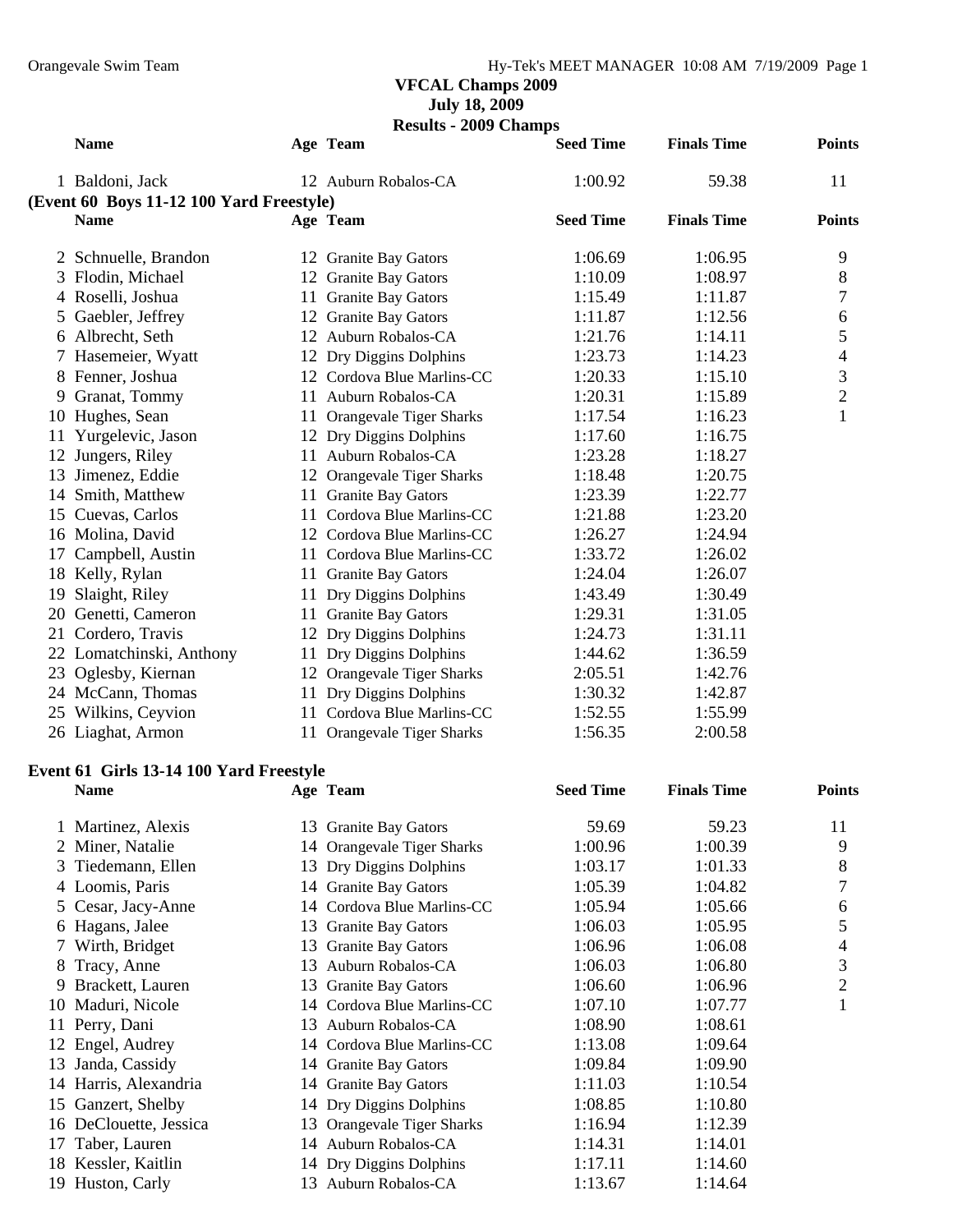**July 18, 2009** 

**Results - 2009 Champs** 

|               | <b>Name</b>                              |    | Age Team                   | <b>Seed Time</b> | <b>Finals Time</b> | <b>Points</b>  |
|---------------|------------------------------------------|----|----------------------------|------------------|--------------------|----------------|
|               | 1 Baldoni, Jack                          |    | 12 Auburn Robalos-CA       | 1:00.92          | 59.38              | 11             |
|               | (Event 60 Boys 11-12 100 Yard Freestyle) |    |                            |                  |                    |                |
|               | <b>Name</b>                              |    | Age Team                   | <b>Seed Time</b> | <b>Finals Time</b> | <b>Points</b>  |
|               | 2 Schnuelle, Brandon                     |    | 12 Granite Bay Gators      | 1:06.69          | 1:06.95            | 9              |
|               | 3 Flodin, Michael                        |    | 12 Granite Bay Gators      | 1:10.09          | 1:08.97            | 8              |
| 4             | Roselli, Joshua                          |    | 11 Granite Bay Gators      | 1:15.49          | 1:11.87            | 7              |
| 5             | Gaebler, Jeffrey                         |    | 12 Granite Bay Gators      | 1:11.87          | 1:12.56            | 6              |
|               | 6 Albrecht, Seth                         |    | 12 Auburn Robalos-CA       | 1:21.76          | 1:14.11            | 5              |
|               | 7 Hasemeier, Wyatt                       |    | 12 Dry Diggins Dolphins    | 1:23.73          | 1:14.23            | 4              |
| 8             | Fenner, Joshua                           |    | 12 Cordova Blue Marlins-CC | 1:20.33          | 1:15.10            | $\mathfrak{Z}$ |
|               | 9 Granat, Tommy                          |    | 11 Auburn Robalos-CA       | 1:20.31          | 1:15.89            | $\mathbf{2}$   |
|               | 10 Hughes, Sean                          |    | 11 Orangevale Tiger Sharks | 1:17.54          | 1:16.23            | $\mathbf{1}$   |
| 11            | Yurgelevic, Jason                        |    | 12 Dry Diggins Dolphins    | 1:17.60          | 1:16.75            |                |
| 12            | Jungers, Riley                           |    | 11 Auburn Robalos-CA       | 1:23.28          | 1:18.27            |                |
| 13            | Jimenez, Eddie                           |    | 12 Orangevale Tiger Sharks | 1:18.48          | 1:20.75            |                |
|               | 14 Smith, Matthew                        |    | 11 Granite Bay Gators      | 1:23.39          | 1:22.77            |                |
|               | 15 Cuevas, Carlos                        |    | 11 Cordova Blue Marlins-CC | 1:21.88          | 1:23.20            |                |
|               | 16 Molina, David                         |    | 12 Cordova Blue Marlins-CC | 1:26.27          | 1:24.94            |                |
| 17            | Campbell, Austin                         |    | 11 Cordova Blue Marlins-CC | 1:33.72          | 1:26.02            |                |
|               | 18 Kelly, Rylan                          |    | 11 Granite Bay Gators      | 1:24.04          | 1:26.07            |                |
| 19            | Slaight, Riley                           |    | 11 Dry Diggins Dolphins    | 1:43.49          | 1:30.49            |                |
|               | 20 Genetti, Cameron                      |    | 11 Granite Bay Gators      | 1:29.31          | 1:31.05            |                |
|               | 21 Cordero, Travis                       |    | 12 Dry Diggins Dolphins    | 1:24.73          | 1:31.11            |                |
|               | 22 Lomatchinski, Anthony                 |    | 11 Dry Diggins Dolphins    | 1:44.62          | 1:36.59            |                |
|               | 23 Oglesby, Kiernan                      |    | 12 Orangevale Tiger Sharks | 2:05.51          | 1:42.76            |                |
|               | 24 McCann, Thomas                        |    | 11 Dry Diggins Dolphins    | 1:30.32          | 1:42.87            |                |
|               | 25 Wilkins, Ceyvion                      |    | 11 Cordova Blue Marlins-CC | 1:52.55          | 1:55.99            |                |
|               | 26 Liaghat, Armon                        |    | 11 Orangevale Tiger Sharks | 1:56.35          | 2:00.58            |                |
|               | Event 61 Girls 13-14 100 Yard Freestyle  |    |                            |                  |                    |                |
|               | <b>Name</b>                              |    | Age Team                   | <b>Seed Time</b> | <b>Finals Time</b> | <b>Points</b>  |
|               | 1 Martinez, Alexis                       |    | 13 Granite Bay Gators      | 59.69            | 59.23              | 11             |
|               | Miner, Natalie                           |    | 14 Orangevale Tiger Sharks | 1:00.96          | 1:00.39            | 9              |
| 3             | Tiedemann, Ellen                         |    | 13 Dry Diggins Dolphins    | 1:03.17          | 1:01.33            | 8              |
| 4             | Loomis, Paris                            |    | 14 Granite Bay Gators      | 1:05.39          | 1:04.82            | 7              |
| $\mathcal{L}$ | Cesar, Jacy-Anne                         |    | 14 Cordova Blue Marlins-CC | 1:05.94          | 1:05.66            | 6              |
| 6             | Hagans, Jalee                            |    | 13 Granite Bay Gators      | 1:06.03          | 1:05.95            | 5              |
| 7             | Wirth, Bridget                           |    | 13 Granite Bay Gators      | 1:06.96          | 1:06.08            | 4              |
| 8             | Tracy, Anne                              | 13 | Auburn Robalos-CA          | 1:06.03          | 1:06.80            | 3              |
| 9             | Brackett, Lauren                         |    | 13 Granite Bay Gators      | 1:06.60          | 1:06.96            | $\overline{c}$ |
| 10            | Maduri, Nicole                           |    | 14 Cordova Blue Marlins-CC | 1:07.10          | 1:07.77            | $\mathbf{1}$   |
| 11            | Perry, Dani                              | 13 | Auburn Robalos-CA          | 1:08.90          | 1:08.61            |                |
| 12            | Engel, Audrey                            |    | 14 Cordova Blue Marlins-CC | 1:13.08          | 1:09.64            |                |
| 13            | Janda, Cassidy                           |    | 14 Granite Bay Gators      | 1:09.84          | 1:09.90            |                |
|               | 14 Harris, Alexandria                    |    | 14 Granite Bay Gators      | 1:11.03          | 1:10.54            |                |
| 15            | Ganzert, Shelby                          |    | 14 Dry Diggins Dolphins    | 1:08.85          | 1:10.80            |                |
|               | 16 DeClouette, Jessica                   | 13 | Orangevale Tiger Sharks    | 1:16.94          | 1:12.39            |                |
| 17            | Taber, Lauren                            |    | 14 Auburn Robalos-CA       | 1:14.31          | 1:14.01            |                |
| 18            | Kessler, Kaitlin                         |    | 14 Dry Diggins Dolphins    | 1:17.11          | 1:14.60            |                |
|               | 19 Huston, Carly                         |    | 13 Auburn Robalos-CA       | 1:13.67          | 1:14.64            |                |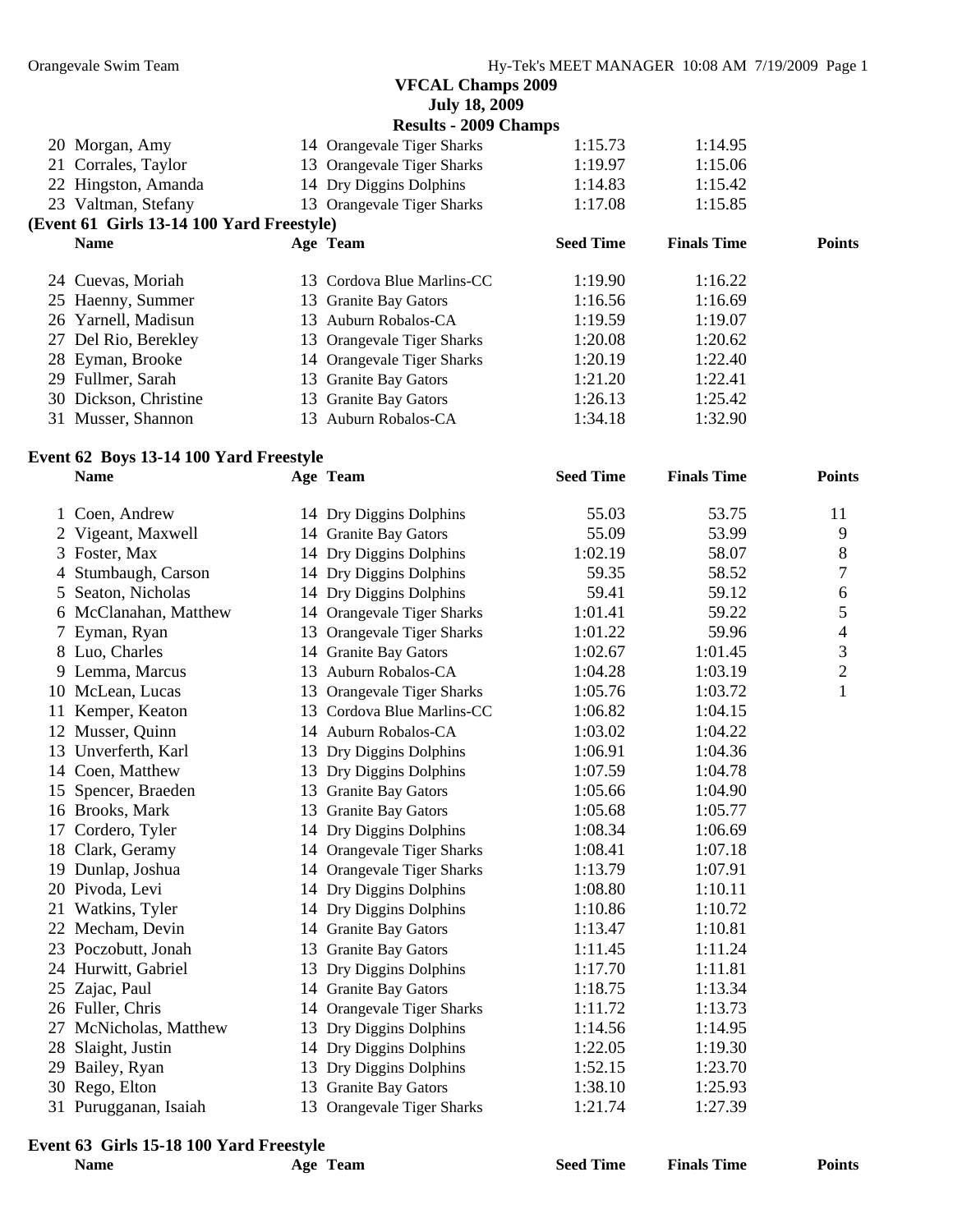**July 18, 2009** 

|                                           | <b>Results - 2009 Champs</b> |                  |                    |               |
|-------------------------------------------|------------------------------|------------------|--------------------|---------------|
| 20 Morgan, Amy                            | 14 Orangevale Tiger Sharks   | 1:15.73          | 1:14.95            |               |
| 21 Corrales, Taylor                       | 13 Orangevale Tiger Sharks   | 1:19.97          | 1:15.06            |               |
| 22 Hingston, Amanda                       | 14 Dry Diggins Dolphins      | 1:14.83          | 1:15.42            |               |
| 23 Valtman, Stefany                       | 13 Orangevale Tiger Sharks   | 1:17.08          | 1:15.85            |               |
| (Event 61 Girls 13-14 100 Yard Freestyle) |                              |                  |                    |               |
| <b>Name</b>                               | Age Team                     | <b>Seed Time</b> | <b>Finals Time</b> | <b>Points</b> |
| 24 Cuevas, Moriah                         | 13 Cordova Blue Marlins-CC   | 1:19.90          | 1:16.22            |               |
| 25 Haenny, Summer                         | 13 Granite Bay Gators        | 1:16.56          | 1:16.69            |               |
|                                           |                              |                  |                    |               |
| 26 Yarnell, Madisun                       | 13 Auburn Robalos-CA         | 1:19.59          | 1:19.07            |               |
| 27 Del Rio, Berekley                      | 13 Orangevale Tiger Sharks   | 1:20.08          | 1:20.62            |               |
| 28 Eyman, Brooke                          | 14 Orangevale Tiger Sharks   | 1:20.19          | 1:22.40            |               |
| 29 Fullmer, Sarah                         | 13 Granite Bay Gators        | 1:21.20          | 1:22.41            |               |
| 30 Dickson, Christine                     | 13 Granite Bay Gators        | 1:26.13          | 1:25.42            |               |
| 31 Musser, Shannon                        | 13 Auburn Robalos-CA         | 1:34.18          | 1:32.90            |               |

### **Event 62 Boys 13-14 100 Yard Freestyle**

|    | <b>Name</b>           |    | Age Team                       | <b>Seed Time</b> | <b>Finals Time</b> | <b>Points</b>  |
|----|-----------------------|----|--------------------------------|------------------|--------------------|----------------|
|    | Coen, Andrew          |    | 14 Dry Diggins Dolphins        | 55.03            | 53.75              | 11             |
|    | Vigeant, Maxwell      |    | 14 Granite Bay Gators          | 55.09            | 53.99              | 9              |
| 3  | Foster, Max           |    | 14 Dry Diggins Dolphins        | 1:02.19          | 58.07              | 8              |
|    | Stumbaugh, Carson     |    | 14 Dry Diggins Dolphins        | 59.35            | 58.52              | 7              |
|    | Seaton, Nicholas      |    | 14 Dry Diggins Dolphins        | 59.41            | 59.12              | 6              |
|    | McClanahan, Matthew   |    | 14 Orangevale Tiger Sharks     | 1:01.41          | 59.22              | 5              |
|    | 7 Eyman, Ryan         |    | 13 Orangevale Tiger Sharks     | 1:01.22          | 59.96              | 4              |
|    | Luo, Charles          |    | 14 Granite Bay Gators          | 1:02.67          | 1:01.45            | 3              |
|    | 9 Lemma, Marcus       |    | 13 Auburn Robalos-CA           | 1:04.28          | 1:03.19            | $\overline{2}$ |
|    | 10 McLean, Lucas      | 13 | <b>Orangevale Tiger Sharks</b> | 1:05.76          | 1:03.72            | $\mathbf 1$    |
| 11 | Kemper, Keaton        |    | 13 Cordova Blue Marlins-CC     | 1:06.82          | 1:04.15            |                |
|    | 12 Musser, Quinn      |    | 14 Auburn Robalos-CA           | 1:03.02          | 1:04.22            |                |
| 13 | Unverferth, Karl      |    | 13 Dry Diggins Dolphins        | 1:06.91          | 1:04.36            |                |
|    | 14 Coen, Matthew      |    | 13 Dry Diggins Dolphins        | 1:07.59          | 1:04.78            |                |
|    | 15 Spencer, Braeden   |    | 13 Granite Bay Gators          | 1:05.66          | 1:04.90            |                |
|    | 16 Brooks, Mark       |    | 13 Granite Bay Gators          | 1:05.68          | 1:05.77            |                |
| 17 | Cordero, Tyler        |    | 14 Dry Diggins Dolphins        | 1:08.34          | 1:06.69            |                |
|    | 18 Clark, Geramy      |    | 14 Orangevale Tiger Sharks     | 1:08.41          | 1:07.18            |                |
|    | 19 Dunlap, Joshua     |    | 14 Orangevale Tiger Sharks     | 1:13.79          | 1:07.91            |                |
|    | 20 Pivoda, Levi       |    | 14 Dry Diggins Dolphins        | 1:08.80          | 1:10.11            |                |
|    | 21 Watkins, Tyler     |    | 14 Dry Diggins Dolphins        | 1:10.86          | 1:10.72            |                |
|    | 22 Mecham, Devin      |    | 14 Granite Bay Gators          | 1:13.47          | 1:10.81            |                |
|    | 23 Poczobutt, Jonah   |    | 13 Granite Bay Gators          | 1:11.45          | 1:11.24            |                |
|    | 24 Hurwitt, Gabriel   |    | 13 Dry Diggins Dolphins        | 1:17.70          | 1:11.81            |                |
|    | 25 Zajac, Paul        |    | 14 Granite Bay Gators          | 1:18.75          | 1:13.34            |                |
|    | 26 Fuller, Chris      |    | 14 Orangevale Tiger Sharks     | 1:11.72          | 1:13.73            |                |
| 27 | McNicholas, Matthew   |    | 13 Dry Diggins Dolphins        | 1:14.56          | 1:14.95            |                |
|    | 28 Slaight, Justin    |    | 14 Dry Diggins Dolphins        | 1:22.05          | 1:19.30            |                |
| 29 | Bailey, Ryan          |    | 13 Dry Diggins Dolphins        | 1:52.15          | 1:23.70            |                |
|    | 30 Rego, Elton        |    | 13 Granite Bay Gators          | 1:38.10          | 1:25.93            |                |
|    | 31 Purugganan, Isaiah |    | 13 Orangevale Tiger Sharks     | 1:21.74          | 1:27.39            |                |

#### **Event 63 Girls 15-18 100 Yard Freestyle**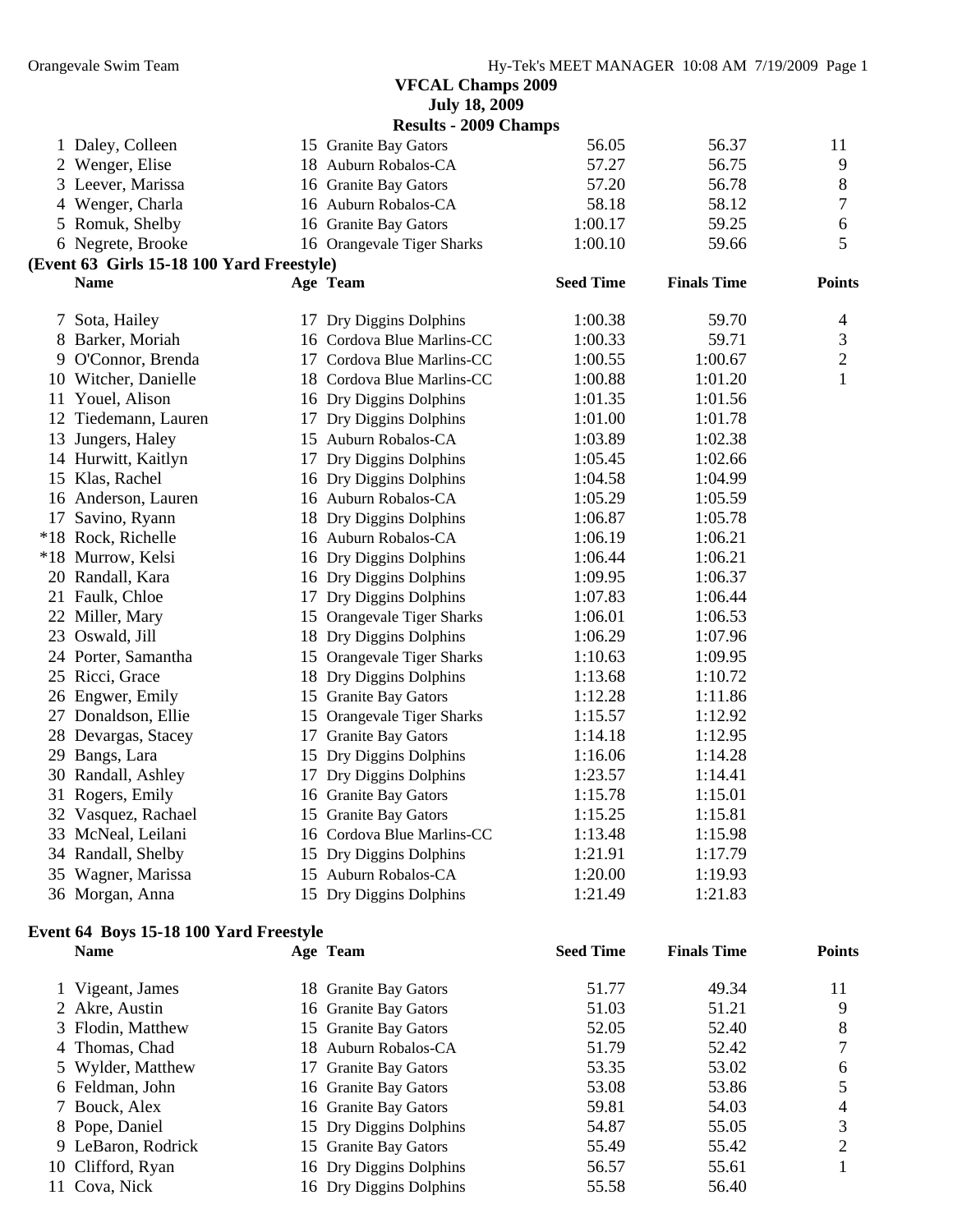|    |                                                       | <b>July 18, 2009</b>                           |                  |                    |               |
|----|-------------------------------------------------------|------------------------------------------------|------------------|--------------------|---------------|
|    |                                                       | <b>Results - 2009 Champs</b>                   |                  |                    |               |
|    | 1 Daley, Colleen                                      | 15 Granite Bay Gators                          | 56.05            | 56.37              | 11            |
|    | 2 Wenger, Elise                                       | 18 Auburn Robalos-CA                           | 57.27            | 56.75              | 9             |
|    | 3 Leever, Marissa                                     | 16 Granite Bay Gators                          | 57.20            | 56.78              | 8             |
|    | 4 Wenger, Charla                                      | 16 Auburn Robalos-CA                           | 58.18            | 58.12              | 7             |
|    | 5 Romuk, Shelby                                       | 16 Granite Bay Gators                          | 1:00.17          | 59.25              | 6             |
|    | 6 Negrete, Brooke                                     | 16 Orangevale Tiger Sharks                     | 1:00.10          | 59.66              | 5             |
|    | (Event 63 Girls 15-18 100 Yard Freestyle)             |                                                |                  |                    |               |
|    | <b>Name</b>                                           | Age Team                                       | <b>Seed Time</b> | <b>Finals Time</b> | <b>Points</b> |
|    | 7 Sota, Hailey                                        | 17 Dry Diggins Dolphins                        | 1:00.38          | 59.70              | 4             |
|    | 8 Barker, Moriah                                      | 16 Cordova Blue Marlins-CC                     | 1:00.33          | 59.71              | 3             |
|    | 9 O'Connor, Brenda                                    | 17 Cordova Blue Marlins-CC                     | 1:00.55          | 1:00.67            | $\mathbf{2}$  |
|    | 10 Witcher, Danielle                                  | 18 Cordova Blue Marlins-CC                     | 1:00.88          | 1:01.20            | $\mathbf{1}$  |
|    | 11 Youel, Alison                                      | 16 Dry Diggins Dolphins                        | 1:01.35          | 1:01.56            |               |
|    | 12 Tiedemann, Lauren                                  | 17 Dry Diggins Dolphins                        | 1:01.00          | 1:01.78            |               |
| 13 | Jungers, Haley                                        | 15 Auburn Robalos-CA                           | 1:03.89          | 1:02.38            |               |
|    | 14 Hurwitt, Kaitlyn                                   | 17 Dry Diggins Dolphins                        | 1:05.45          | 1:02.66            |               |
|    | 15 Klas, Rachel                                       | 16 Dry Diggins Dolphins                        | 1:04.58          | 1:04.99            |               |
|    | 16 Anderson, Lauren                                   | 16 Auburn Robalos-CA                           | 1:05.29          | 1:05.59            |               |
|    | 17 Savino, Ryann                                      | 18 Dry Diggins Dolphins                        | 1:06.87          | 1:05.78            |               |
|    | *18 Rock, Richelle                                    | 16 Auburn Robalos-CA                           | 1:06.19          | 1:06.21            |               |
|    | *18 Murrow, Kelsi                                     | 16 Dry Diggins Dolphins                        | 1:06.44          | 1:06.21            |               |
|    | 20 Randall, Kara                                      | 16 Dry Diggins Dolphins                        | 1:09.95          | 1:06.37            |               |
|    | 21 Faulk, Chloe                                       | 17 Dry Diggins Dolphins                        | 1:07.83          | 1:06.44            |               |
|    | 22 Miller, Mary                                       | 15 Orangevale Tiger Sharks                     | 1:06.01          | 1:06.53            |               |
|    | 23 Oswald, Jill                                       | 18 Dry Diggins Dolphins                        | 1:06.29          | 1:07.96            |               |
|    | 24 Porter, Samantha                                   | 15 Orangevale Tiger Sharks                     | 1:10.63          | 1:09.95            |               |
|    | 25 Ricci, Grace                                       | 18 Dry Diggins Dolphins                        | 1:13.68          | 1:10.72            |               |
|    | 26 Engwer, Emily                                      | 15 Granite Bay Gators                          | 1:12.28          | 1:11.86            |               |
|    | 27 Donaldson, Ellie                                   | 15 Orangevale Tiger Sharks                     | 1:15.57          | 1:12.92            |               |
|    | 28 Devargas, Stacey                                   | 17 Granite Bay Gators                          | 1:14.18          | 1:12.95            |               |
| 29 | Bangs, Lara                                           | 15 Dry Diggins Dolphins                        | 1:16.06          | 1:14.28            |               |
|    | 30 Randall, Ashley                                    | 17 Dry Diggins Dolphins                        | 1:23.57          | 1:14.41            |               |
|    | 31 Rogers, Emily                                      | 16 Granite Bay Gators                          | 1:15.78          | 1:15.01            |               |
|    | 32 Vasquez, Rachael                                   | 15 Granite Bay Gators                          | 1:15.25          | 1:15.81            |               |
|    | 33 McNeal, Leilani                                    | 16 Cordova Blue Marlins-CC                     | 1:13.48          | 1:15.98            |               |
|    | 34 Randall, Shelby                                    | 15 Dry Diggins Dolphins                        | 1:21.91          | 1:17.79            |               |
|    | 35 Wagner, Marissa                                    | 15 Auburn Robalos-CA                           | 1:20.00          | 1:19.93            |               |
|    | 36 Morgan, Anna                                       | 15 Dry Diggins Dolphins                        | 1:21.49          | 1:21.83            |               |
|    |                                                       |                                                |                  |                    |               |
|    | Event 64 Boys 15-18 100 Yard Freestyle<br><b>Name</b> | Age Team                                       | <b>Seed Time</b> | <b>Finals Time</b> | <b>Points</b> |
|    | 1 Vigeant, James                                      | 18 Granite Bay Gators                          | 51.77            | 49.34              | 11            |
|    | 2 Akre, Austin                                        | 16 Granite Bay Gators                          | 51.03            | 51.21              | 9             |
| 3  | Flodin, Matthew                                       | 15 Granite Bay Gators                          | 52.05            | 52.40              | 8             |
| 4  | Thomas, Chad                                          | 18 Auburn Robalos-CA                           | 51.79            | 52.42              | 7             |
|    | 5 Wylder, Matthew                                     |                                                | 53.35            | 53.02              |               |
|    | 6 Feldman, John                                       | 17 Granite Bay Gators<br>16 Granite Bay Gators | 53.08            | 53.86              | 6<br>5        |
| 7  | Bouck, Alex                                           | 16 Granite Bay Gators                          | 59.81            | 54.03              | 4             |
|    | 8 Pope, Daniel                                        | 15 Dry Diggins Dolphins                        | 54.87            | 55.05              | 3             |
|    |                                                       |                                                |                  |                    |               |

9 LeBaron, Rodrick 15 Granite Bay Gators 55.49 55.42 2 10 Clifford, Ryan 16 Dry Diggins Dolphins 56.57 55.61 1 11 Cova, Nick 16 Dry Diggins Dolphins 55.58 56.40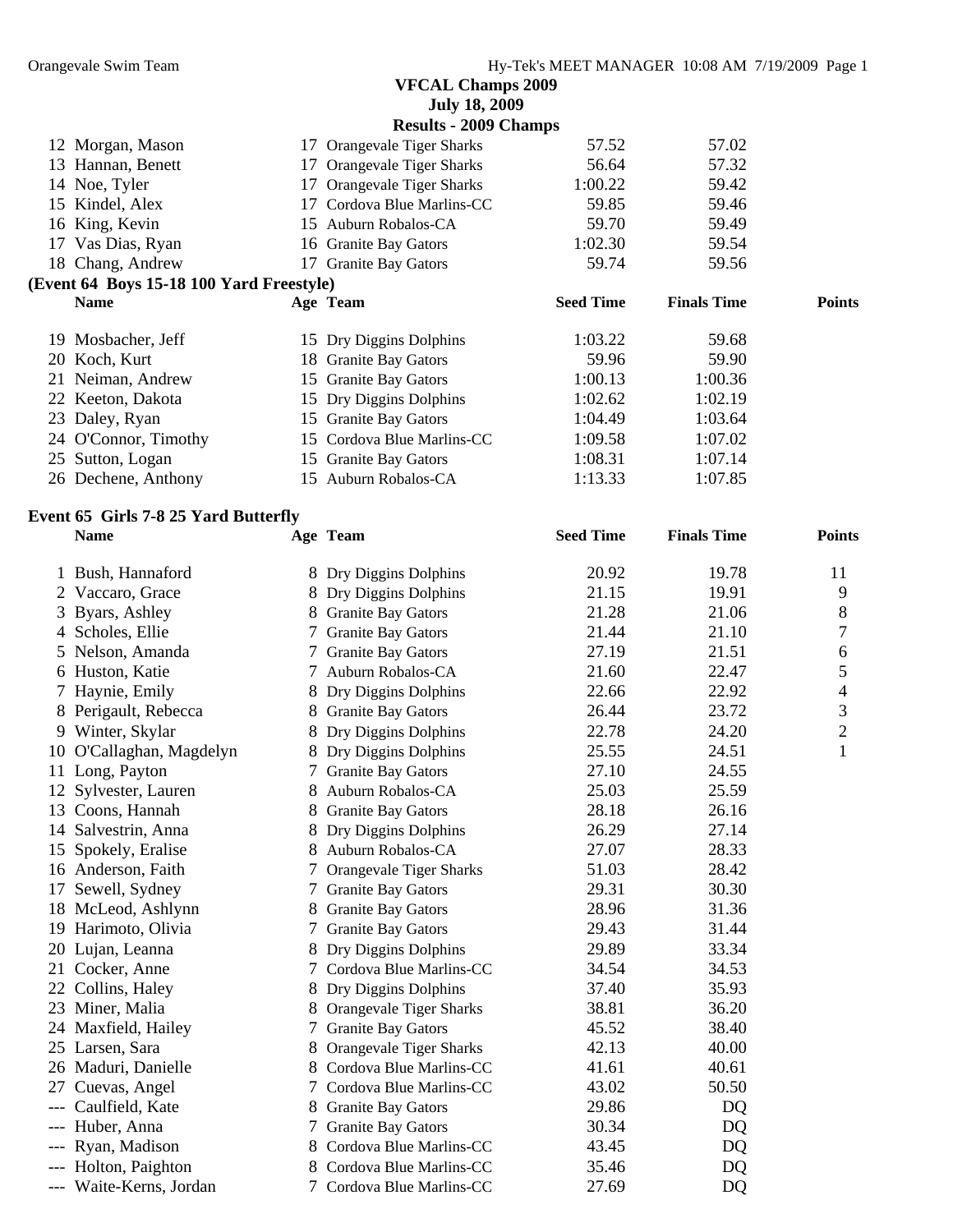|                              |                                          |    | <b>VFCAL Champs 2009</b>   |                  |                    |               |
|------------------------------|------------------------------------------|----|----------------------------|------------------|--------------------|---------------|
|                              |                                          |    | <b>July 18, 2009</b>       |                  |                    |               |
| <b>Results - 2009 Champs</b> |                                          |    |                            |                  |                    |               |
|                              | 12 Morgan, Mason                         |    | 17 Orangevale Tiger Sharks | 57.52            | 57.02              |               |
|                              | 13 Hannan, Benett                        |    | 17 Orangevale Tiger Sharks | 56.64            | 57.32              |               |
|                              | 14 Noe, Tyler                            |    | 17 Orangevale Tiger Sharks | 1:00.22          | 59.42              |               |
| 15                           | Kindel, Alex                             | 17 | Cordova Blue Marlins-CC    | 59.85            | 59.46              |               |
|                              | 16 King, Kevin                           |    | 15 Auburn Robalos-CA       | 59.70            | 59.49              |               |
|                              | 17 Vas Dias, Ryan                        |    | 16 Granite Bay Gators      | 1:02.30          | 59.54              |               |
|                              | 18 Chang, Andrew                         |    | 17 Granite Bay Gators      | 59.74            | 59.56              |               |
|                              | (Event 64 Boys 15-18 100 Yard Freestyle) |    |                            |                  |                    |               |
|                              | <b>Name</b>                              |    | Age Team                   | <b>Seed Time</b> | <b>Finals Time</b> | <b>Points</b> |
| 19                           | Mosbacher, Jeff                          |    | 15 Dry Diggins Dolphins    | 1:03.22          | 59.68              |               |
|                              | 20 Koch, Kurt                            |    | 18 Granite Bay Gators      | 59.96            | 59.90              |               |
|                              | 21 Neiman, Andrew                        |    | 15 Granite Bay Gators      | 1:00.13          | 1:00.36            |               |
|                              | 22 Keeton, Dakota                        |    | 15 Dry Diggins Dolphins    | 1:02.62          | 1:02.19            |               |
|                              | 23 Daley, Ryan                           |    | 15 Granite Bay Gators      | 1:04.49          | 1:03.64            |               |
|                              | 24 O'Connor, Timothy                     |    | 15 Cordova Blue Marlins-CC | 1:09.58          | 1:07.02            |               |
|                              | 25 Sutton, Logan                         |    | 15 Granite Bay Gators      | 1:08.31          | 1:07.14            |               |

Dechene, Anthony 15 Auburn Robalos-CA 1:13.33 1:07.85

# **Event 65 Girls 7-8 25 Yard Butterfly**

| <b>Name</b>              |   | Age Team                  | <b>Seed Time</b> | <b>Finals Time</b> | <b>Points</b>  |
|--------------------------|---|---------------------------|------------------|--------------------|----------------|
| 1 Bush, Hannaford        |   | 8 Dry Diggins Dolphins    | 20.92            | 19.78              | 11             |
| 2 Vaccaro, Grace         |   | 8 Dry Diggins Dolphins    | 21.15            | 19.91              | 9              |
| 3 Byars, Ashley          |   | 8 Granite Bay Gators      | 21.28            | 21.06              | 8              |
| 4 Scholes, Ellie         |   | 7 Granite Bay Gators      | 21.44            | 21.10              | 7              |
| 5 Nelson, Amanda         |   | 7 Granite Bay Gators      | 27.19            | 21.51              | 6              |
| 6 Huston, Katie          |   | 7 Auburn Robalos-CA       | 21.60            | 22.47              | 5              |
| 7 Haynie, Emily          |   | 8 Dry Diggins Dolphins    | 22.66            | 22.92              | 4              |
| 8 Perigault, Rebecca     |   | 8 Granite Bay Gators      | 26.44            | 23.72              | 3              |
| 9 Winter, Skylar         |   | 8 Dry Diggins Dolphins    | 22.78            | 24.20              | $\overline{2}$ |
| 10 O'Callaghan, Magdelyn |   | 8 Dry Diggins Dolphins    | 25.55            | 24.51              | $\mathbf{1}$   |
| 11 Long, Payton          |   | 7 Granite Bay Gators      | 27.10            | 24.55              |                |
| 12 Sylvester, Lauren     |   | 8 Auburn Robalos-CA       | 25.03            | 25.59              |                |
| 13 Coons, Hannah         |   | 8 Granite Bay Gators      | 28.18            | 26.16              |                |
| 14 Salvestrin, Anna      |   | 8 Dry Diggins Dolphins    | 26.29            | 27.14              |                |
| 15 Spokely, Eralise      |   | 8 Auburn Robalos-CA       | 27.07            | 28.33              |                |
| 16 Anderson, Faith       |   | Orangevale Tiger Sharks   | 51.03            | 28.42              |                |
| 17 Sewell, Sydney        |   | 7 Granite Bay Gators      | 29.31            | 30.30              |                |
| 18 McLeod, Ashlynn       |   | 8 Granite Bay Gators      | 28.96            | 31.36              |                |
| 19 Harimoto, Olivia      |   | 7 Granite Bay Gators      | 29.43            | 31.44              |                |
| 20 Lujan, Leanna         |   | 8 Dry Diggins Dolphins    | 29.89            | 33.34              |                |
| 21 Cocker, Anne          |   | 7 Cordova Blue Marlins-CC | 34.54            | 34.53              |                |
| 22 Collins, Haley        |   | 8 Dry Diggins Dolphins    | 37.40            | 35.93              |                |
| 23 Miner, Malia          |   | 8 Orangevale Tiger Sharks | 38.81            | 36.20              |                |
| 24 Maxfield, Hailey      |   | 7 Granite Bay Gators      | 45.52            | 38.40              |                |
| 25 Larsen, Sara          | 8 | Orangevale Tiger Sharks   | 42.13            | 40.00              |                |
| 26 Maduri, Danielle      |   | 8 Cordova Blue Marlins-CC | 41.61            | 40.61              |                |
| 27 Cuevas, Angel         |   | 7 Cordova Blue Marlins-CC | 43.02            | 50.50              |                |
| Caulfield, Kate          |   | 8 Granite Bay Gators      | 29.86            | DQ                 |                |
| Huber, Anna              |   | 7 Granite Bay Gators      | 30.34            | DQ                 |                |
| Ryan, Madison            |   | 8 Cordova Blue Marlins-CC | 43.45            | DQ                 |                |
| Holton, Paighton         |   | 8 Cordova Blue Marlins-CC | 35.46            | DQ                 |                |
| --- Waite-Kerns, Jordan  |   | 7 Cordova Blue Marlins-CC | 27.69            | DQ                 |                |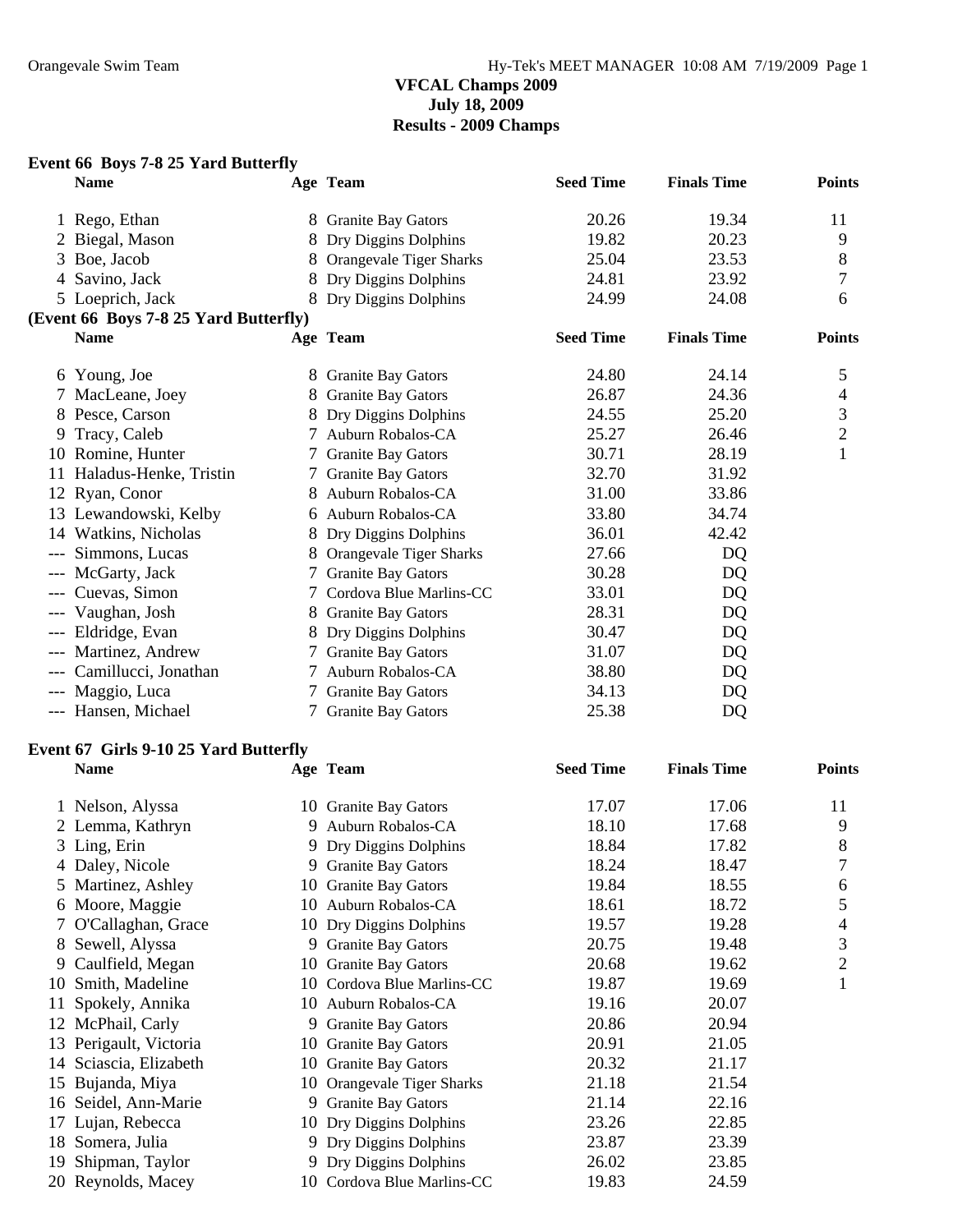#### **VFCAL Champs 2009 July 18, 2009 Results - 2009 Champs**

#### **Event 66 Boys 7-8 25 Yard Butterfly**

|       | <b>Name</b>                           |               | Age Team                  | <b>Seed Time</b> | <b>Finals Time</b> | <b>Points</b>  |
|-------|---------------------------------------|---------------|---------------------------|------------------|--------------------|----------------|
|       | 1 Rego, Ethan                         | 8             | <b>Granite Bay Gators</b> | 20.26            | 19.34              | 11             |
|       | Biegal, Mason                         |               | Dry Diggins Dolphins      | 19.82            | 20.23              | 9              |
| 3     | Boe, Jacob                            | 8             | Orangevale Tiger Sharks   | 25.04            | 23.53              | 8              |
| 4     | Savino, Jack                          |               | Dry Diggins Dolphins      | 24.81            | 23.92              | 7              |
|       | 5 Loeprich, Jack                      |               | 8 Dry Diggins Dolphins    | 24.99            | 24.08              | 6              |
|       | (Event 66 Boys 7-8 25 Yard Butterfly) |               |                           |                  |                    |                |
|       | <b>Name</b>                           |               | Age Team                  | <b>Seed Time</b> | <b>Finals Time</b> | <b>Points</b>  |
|       | 6 Young, Joe                          |               | 8 Granite Bay Gators      | 24.80            | 24.14              | 5              |
|       | 7 MacLeane, Joey                      | 8             | <b>Granite Bay Gators</b> | 26.87            | 24.36              | 4              |
|       | 8 Pesce, Carson                       |               | Dry Diggins Dolphins      | 24.55            | 25.20              | 3              |
| 9     | Tracy, Caleb                          |               | 7 Auburn Robalos-CA       | 25.27            | 26.46              | $\overline{2}$ |
|       | 10 Romine, Hunter                     | $\mathcal{L}$ | <b>Granite Bay Gators</b> | 30.71            | 28.19              | $\mathbf{1}$   |
| 11    | Haladus-Henke, Tristin                |               | <b>Granite Bay Gators</b> | 32.70            | 31.92              |                |
|       | 12 Ryan, Conor                        | 8             | Auburn Robalos-CA         | 31.00            | 33.86              |                |
|       | 13 Lewandowski, Kelby                 |               | 6 Auburn Robalos-CA       | 33.80            | 34.74              |                |
|       | 14 Watkins, Nicholas                  |               | 8 Dry Diggins Dolphins    | 36.01            | 42.42              |                |
| $---$ | Simmons, Lucas                        |               | Orangevale Tiger Sharks   | 27.66            | DQ                 |                |
|       | --- McGarty, Jack                     |               | <b>Granite Bay Gators</b> | 30.28            | DQ                 |                |
|       | Cuevas, Simon                         | 7             | Cordova Blue Marlins-CC   | 33.01            | DQ                 |                |
|       | Vaughan, Josh                         | 8             | <b>Granite Bay Gators</b> | 28.31            | DQ                 |                |
| ---   | Eldridge, Evan                        |               | 8 Dry Diggins Dolphins    | 30.47            | DQ                 |                |
| $---$ | Martinez, Andrew                      |               | 7 Granite Bay Gators      | 31.07            | DQ                 |                |
|       | Camillucci, Jonathan                  |               | 7 Auburn Robalos-CA       | 38.80            | DQ                 |                |
|       | --- Maggio, Luca                      | 7             | <b>Granite Bay Gators</b> | 34.13            | DQ                 |                |
|       | --- Hansen, Michael                   |               | 7 Granite Bay Gators      | 25.38            | DQ                 |                |

#### **Event 67 Girls 9-10 25 Yard Butterfly**

|    | <b>Name</b>            | Age Team                   | <b>Seed Time</b> | <b>Finals Time</b> | <b>Points</b>  |
|----|------------------------|----------------------------|------------------|--------------------|----------------|
|    | 1 Nelson, Alyssa       | 10 Granite Bay Gators      | 17.07            | 17.06              | 11             |
|    | 2 Lemma, Kathryn       | 9 Auburn Robalos-CA        | 18.10            | 17.68              | 9              |
|    | 3 Ling, Erin           | 9 Dry Diggins Dolphins     | 18.84            | 17.82              | 8              |
|    | 4 Daley, Nicole        | 9 Granite Bay Gators       | 18.24            | 18.47              | 7              |
|    | 5 Martinez, Ashley     | 10 Granite Bay Gators      | 19.84            | 18.55              | 6              |
|    | 6 Moore, Maggie        | 10 Auburn Robalos-CA       | 18.61            | 18.72              | 5              |
|    | 7 O'Callaghan, Grace   | 10 Dry Diggins Dolphins    | 19.57            | 19.28              | 4              |
|    | 8 Sewell, Alyssa       | 9 Granite Bay Gators       | 20.75            | 19.48              | 3              |
|    | 9 Caulfield, Megan     | 10 Granite Bay Gators      | 20.68            | 19.62              | $\overline{2}$ |
|    | 10 Smith, Madeline     | 10 Cordova Blue Marlins-CC | 19.87            | 19.69              | 1              |
|    | Spokely, Annika        | 10 Auburn Robalos-CA       | 19.16            | 20.07              |                |
|    | 12 McPhail, Carly      | 9 Granite Bay Gators       | 20.86            | 20.94              |                |
|    | 13 Perigault, Victoria | 10 Granite Bay Gators      | 20.91            | 21.05              |                |
|    | 14 Sciascia, Elizabeth | 10 Granite Bay Gators      | 20.32            | 21.17              |                |
| 15 | Bujanda, Miya          | 10 Orangevale Tiger Sharks | 21.18            | 21.54              |                |
|    | 16 Seidel, Ann-Marie   | 9 Granite Bay Gators       | 21.14            | 22.16              |                |
|    | 17 Lujan, Rebecca      | 10 Dry Diggins Dolphins    | 23.26            | 22.85              |                |
| 18 | Somera, Julia          | 9 Dry Diggins Dolphins     | 23.87            | 23.39              |                |
| 19 | Shipman, Taylor        | 9 Dry Diggins Dolphins     | 26.02            | 23.85              |                |
|    | 20 Reynolds, Macey     | 10 Cordova Blue Marlins-CC | 19.83            | 24.59              |                |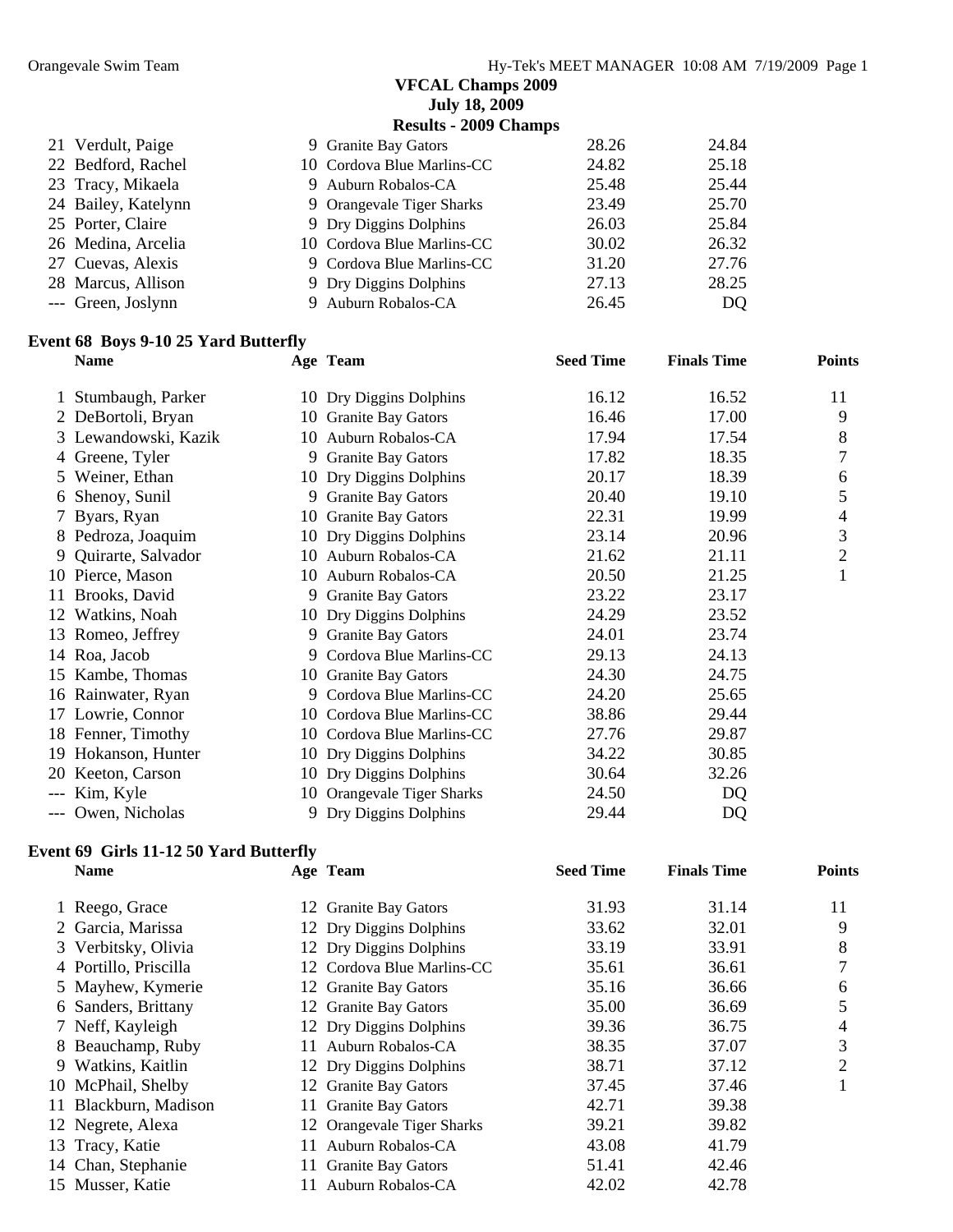#### **VFCAL Champs 2009 July 18, 2009**

**Results - 2009 Champs** 

|                                                                                                                                                                                                 | 28.26                                                                                                                                                                                                                                        | 24.84 |
|-------------------------------------------------------------------------------------------------------------------------------------------------------------------------------------------------|----------------------------------------------------------------------------------------------------------------------------------------------------------------------------------------------------------------------------------------------|-------|
|                                                                                                                                                                                                 | 24.82                                                                                                                                                                                                                                        | 25.18 |
|                                                                                                                                                                                                 | 25.48                                                                                                                                                                                                                                        | 25.44 |
|                                                                                                                                                                                                 | 23.49                                                                                                                                                                                                                                        | 25.70 |
|                                                                                                                                                                                                 | 26.03                                                                                                                                                                                                                                        | 25.84 |
|                                                                                                                                                                                                 | 30.02                                                                                                                                                                                                                                        | 26.32 |
|                                                                                                                                                                                                 | 31.20                                                                                                                                                                                                                                        | 27.76 |
|                                                                                                                                                                                                 | 27.13                                                                                                                                                                                                                                        | 28.25 |
|                                                                                                                                                                                                 | 26.45                                                                                                                                                                                                                                        | DQ.   |
| 21 Verdult, Paige<br>22 Bedford, Rachel<br>23 Tracy, Mikaela<br>24 Bailey, Katelynn<br>25 Porter, Claire<br>26 Medina, Arcelia<br>27 Cuevas, Alexis<br>28 Marcus, Allison<br>--- Green, Joslynn | 9 Granite Bay Gators<br>10 Cordova Blue Marlins-CC<br>9 Auburn Robalos-CA<br>9 Orangevale Tiger Sharks<br>9 Dry Diggins Dolphins<br>10 Cordova Blue Marlins-CC<br>9 Cordova Blue Marlins-CC<br>9 Dry Diggins Dolphins<br>9 Auburn Robalos-CA |       |

#### **Event 68 Boys 9-10 25 Yard Butterfly**

|     | <b>Name</b>          |    | Age Team                   | <b>Seed Time</b> | <b>Finals Time</b> | <b>Points</b>  |
|-----|----------------------|----|----------------------------|------------------|--------------------|----------------|
|     | Stumbaugh, Parker    |    | 10 Dry Diggins Dolphins    | 16.12            | 16.52              | 11             |
|     | 2 DeBortoli, Bryan   |    | 10 Granite Bay Gators      | 16.46            | 17.00              | 9              |
|     | 3 Lewandowski, Kazik |    | 10 Auburn Robalos-CA       | 17.94            | 17.54              | 8              |
|     | 4 Greene, Tyler      |    | 9 Granite Bay Gators       | 17.82            | 18.35              | 7              |
|     | 5 Weiner, Ethan      |    | 10 Dry Diggins Dolphins    | 20.17            | 18.39              | 6              |
| 6   | Shenoy, Sunil        |    | 9 Granite Bay Gators       | 20.40            | 19.10              | 5              |
|     | 7 Byars, Ryan        |    | 10 Granite Bay Gators      | 22.31            | 19.99              | 4              |
|     | 8 Pedroza, Joaquim   |    | 10 Dry Diggins Dolphins    | 23.14            | 20.96              | 3              |
|     | 9 Quirarte, Salvador |    | 10 Auburn Robalos-CA       | 21.62            | 21.11              | $\overline{2}$ |
|     | 10 Pierce, Mason     |    | 10 Auburn Robalos-CA       | 20.50            | 21.25              | 1              |
|     | 11 Brooks, David     |    | 9 Granite Bay Gators       | 23.22            | 23.17              |                |
|     | 12 Watkins, Noah     |    | 10 Dry Diggins Dolphins    | 24.29            | 23.52              |                |
|     | 13 Romeo, Jeffrey    |    | 9 Granite Bay Gators       | 24.01            | 23.74              |                |
|     | 14 Roa, Jacob        |    | 9 Cordova Blue Marlins-CC  | 29.13            | 24.13              |                |
|     | 15 Kambe, Thomas     |    | 10 Granite Bay Gators      | 24.30            | 24.75              |                |
|     | 16 Rainwater, Ryan   | 9  | Cordova Blue Marlins-CC    | 24.20            | 25.65              |                |
|     | 17 Lowrie, Connor    |    | 10 Cordova Blue Marlins-CC | 38.86            | 29.44              |                |
|     | 18 Fenner, Timothy   | 10 | Cordova Blue Marlins-CC    | 27.76            | 29.87              |                |
|     | 19 Hokanson, Hunter  |    | 10 Dry Diggins Dolphins    | 34.22            | 30.85              |                |
|     | 20 Keeton, Carson    |    | 10 Dry Diggins Dolphins    | 30.64            | 32.26              |                |
|     | Kim, Kyle            |    | 10 Orangevale Tiger Sharks | 24.50            | DQ                 |                |
| --- | Owen, Nicholas       |    | 9 Dry Diggins Dolphins     | 29.44            | DQ                 |                |

#### **Event 69 Girls 11-12 50 Yard Butterfly**

| <b>Name</b>           |    | Age Team                   | <b>Seed Time</b> | <b>Finals Time</b> | <b>Points</b> |
|-----------------------|----|----------------------------|------------------|--------------------|---------------|
| 1 Reego, Grace        |    | 12 Granite Bay Gators      | 31.93            | 31.14              | 11            |
| 2 Garcia, Marissa     |    | 12 Dry Diggins Dolphins    | 33.62            | 32.01              | 9             |
| 3 Verbitsky, Olivia   |    | 12 Dry Diggins Dolphins    | 33.19            | 33.91              | 8             |
| 4 Portillo, Priscilla |    | 12 Cordova Blue Marlins-CC | 35.61            | 36.61              |               |
| 5 Mayhew, Kymerie     |    | 12 Granite Bay Gators      | 35.16            | 36.66              | 6             |
| 6 Sanders, Brittany   |    | 12 Granite Bay Gators      | 35.00            | 36.69              | 5             |
| 7 Neff, Kayleigh      |    | 12 Dry Diggins Dolphins    | 39.36            | 36.75              | 4             |
| 8 Beauchamp, Ruby     |    | 11 Auburn Robalos-CA       | 38.35            | 37.07              | 3             |
| 9 Watkins, Kaitlin    |    | 12 Dry Diggins Dolphins    | 38.71            | 37.12              | 2             |
| 10 McPhail, Shelby    |    | 12 Granite Bay Gators      | 37.45            | 37.46              |               |
| 11 Blackburn, Madison |    | 11 Granite Bay Gators      | 42.71            | 39.38              |               |
| 12 Negrete, Alexa     |    | 12 Orangevale Tiger Sharks | 39.21            | 39.82              |               |
| 13 Tracy, Katie       |    | 11 Auburn Robalos-CA       | 43.08            | 41.79              |               |
| 14 Chan, Stephanie    | 11 | <b>Granite Bay Gators</b>  | 51.41            | 42.46              |               |
| 15 Musser, Katie      |    | Auburn Robalos-CA          | 42.02            | 42.78              |               |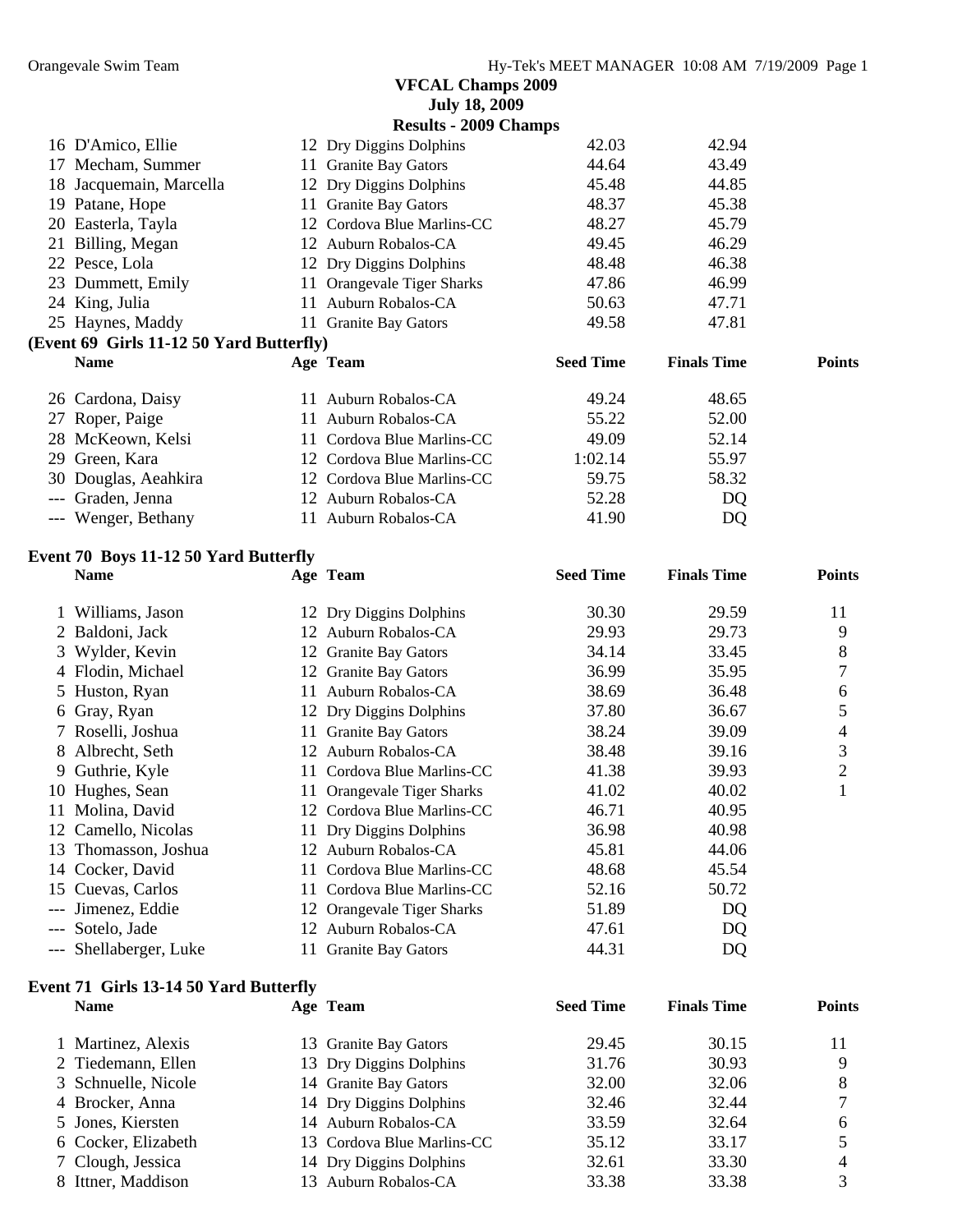|     |                                          |     | <b>July 18, 2009</b>         |                  |                    |               |
|-----|------------------------------------------|-----|------------------------------|------------------|--------------------|---------------|
|     |                                          |     | <b>Results - 2009 Champs</b> |                  |                    |               |
|     | 16 D'Amico, Ellie                        |     | 12 Dry Diggins Dolphins      | 42.03            | 42.94              |               |
|     | 17 Mecham, Summer                        |     | 11 Granite Bay Gators        | 44.64            | 43.49              |               |
| 18  | Jacquemain, Marcella                     |     | 12 Dry Diggins Dolphins      | 45.48            | 44.85              |               |
| 19  | Patane, Hope                             |     | 11 Granite Bay Gators        | 48.37            | 45.38              |               |
|     | 20 Easterla, Tayla                       |     | 12 Cordova Blue Marlins-CC   | 48.27            | 45.79              |               |
|     | 21 Billing, Megan                        |     | 12 Auburn Robalos-CA         | 49.45            | 46.29              |               |
|     | 22 Pesce, Lola                           |     | 12 Dry Diggins Dolphins      | 48.48            | 46.38              |               |
|     | 23 Dummett, Emily                        |     | 11 Orangevale Tiger Sharks   | 47.86            | 46.99              |               |
|     | 24 King, Julia                           |     | 11 Auburn Robalos-CA         | 50.63            | 47.71              |               |
|     | 25 Haynes, Maddy                         |     | 11 Granite Bay Gators        | 49.58            | 47.81              |               |
|     | (Event 69 Girls 11-12 50 Yard Butterfly) |     |                              |                  |                    |               |
|     | <b>Name</b>                              |     | Age Team                     | <b>Seed Time</b> | <b>Finals Time</b> | <b>Points</b> |
|     | 26 Cardona, Daisy                        | 11  | Auburn Robalos-CA            | 49.24            | 48.65              |               |
|     | 27 Roper, Paige                          | 11. | Auburn Robalos-CA            | 55.22            | 52.00              |               |
|     | 28 McKeown, Kelsi                        |     | 11 Cordova Blue Marlins-CC   | 49.09            | 52.14              |               |
| 29  | Green, Kara                              |     | 12 Cordova Blue Marlins-CC   | 1:02.14          | 55.97              |               |
| 30  | Douglas, Aeahkira                        |     | 12 Cordova Blue Marlins-CC   | 59.75            | 58.32              |               |
| --- | Graden, Jenna                            |     | 12 Auburn Robalos-CA         | 52.28            | DQ                 |               |
|     | --- Wenger, Bethany                      |     | 11 Auburn Robalos-CA         | 41.90            | DQ                 |               |

#### **Event 70 Boys 11-12 50 Yard Butterfly**

|    | <b>Name</b>            |     | Age Team                   | <b>Seed Time</b> | <b>Finals Time</b> | <b>Points</b> |
|----|------------------------|-----|----------------------------|------------------|--------------------|---------------|
|    | Williams, Jason        |     | 12 Dry Diggins Dolphins    | 30.30            | 29.59              | 11            |
|    | 2 Baldoni, Jack        | 12  | Auburn Robalos-CA          | 29.93            | 29.73              | 9             |
|    | 3 Wylder, Kevin        |     | 12 Granite Bay Gators      | 34.14            | 33.45              | 8             |
|    | 4 Flodin, Michael      |     | 12 Granite Bay Gators      | 36.99            | 35.95              |               |
|    | 5 Huston, Ryan         | 11  | Auburn Robalos-CA          | 38.69            | 36.48              | 6             |
|    | 6 Gray, Ryan           |     | 12 Dry Diggins Dolphins    | 37.80            | 36.67              | 5             |
|    | 7 Roselli, Joshua      |     | 11 Granite Bay Gators      | 38.24            | 39.09              | 4             |
|    | 8 Albrecht, Seth       | 12  | Auburn Robalos-CA          | 38.48            | 39.16              | 3             |
|    | 9 Guthrie, Kyle        |     | 11 Cordova Blue Marlins-CC | 41.38            | 39.93              | 2             |
| 10 | Hughes, Sean           | 11. | Orangevale Tiger Sharks    | 41.02            | 40.02              |               |
| 11 | Molina, David          |     | 12 Cordova Blue Marlins-CC | 46.71            | 40.95              |               |
| 12 | Camello, Nicolas       |     | 11 Dry Diggins Dolphins    | 36.98            | 40.98              |               |
|    | 13 Thomasson, Joshua   | 12  | Auburn Robalos-CA          | 45.81            | 44.06              |               |
|    | 14 Cocker, David       | 11. | Cordova Blue Marlins-CC    | 48.68            | 45.54              |               |
|    | 15 Cuevas, Carlos      | 11  | Cordova Blue Marlins-CC    | 52.16            | 50.72              |               |
|    | --- Jimenez, Eddie     |     | 12 Orangevale Tiger Sharks | 51.89            | DQ                 |               |
|    | --- Sotelo, Jade       |     | 12 Auburn Robalos-CA       | 47.61            | DQ                 |               |
|    | --- Shellaberger, Luke |     | 11 Granite Bay Gators      | 44.31            | DQ                 |               |

#### **Event 71 Girls 13-14 50 Yard Butterfly**

| <b>Name</b>         | Age Team                   | <b>Seed Time</b> | <b>Finals Time</b> | <b>Points</b> |
|---------------------|----------------------------|------------------|--------------------|---------------|
| 1 Martinez, Alexis  | 13 Granite Bay Gators      | 29.45            | 30.15              |               |
| 2 Tiedemann, Ellen  | 13 Dry Diggins Dolphins    | 31.76            | 30.93              |               |
| 3 Schnuelle, Nicole | 14 Granite Bay Gators      | 32.00            | 32.06              | 8             |
| 4 Brocker, Anna     | 14 Dry Diggins Dolphins    | 32.46            | 32.44              |               |
| 5 Jones, Kiersten   | 14 Auburn Robalos-CA       | 33.59            | 32.64              | 6             |
| 6 Cocker, Elizabeth | 13 Cordova Blue Marlins-CC | 35.12            | 33.17              |               |
| 7 Clough, Jessica   | 14 Dry Diggins Dolphins    | 32.61            | 33.30              | 4             |
| 8 Ittner, Maddison  | 13 Auburn Robalos-CA       | 33.38            | 33.38              |               |
|                     |                            |                  |                    |               |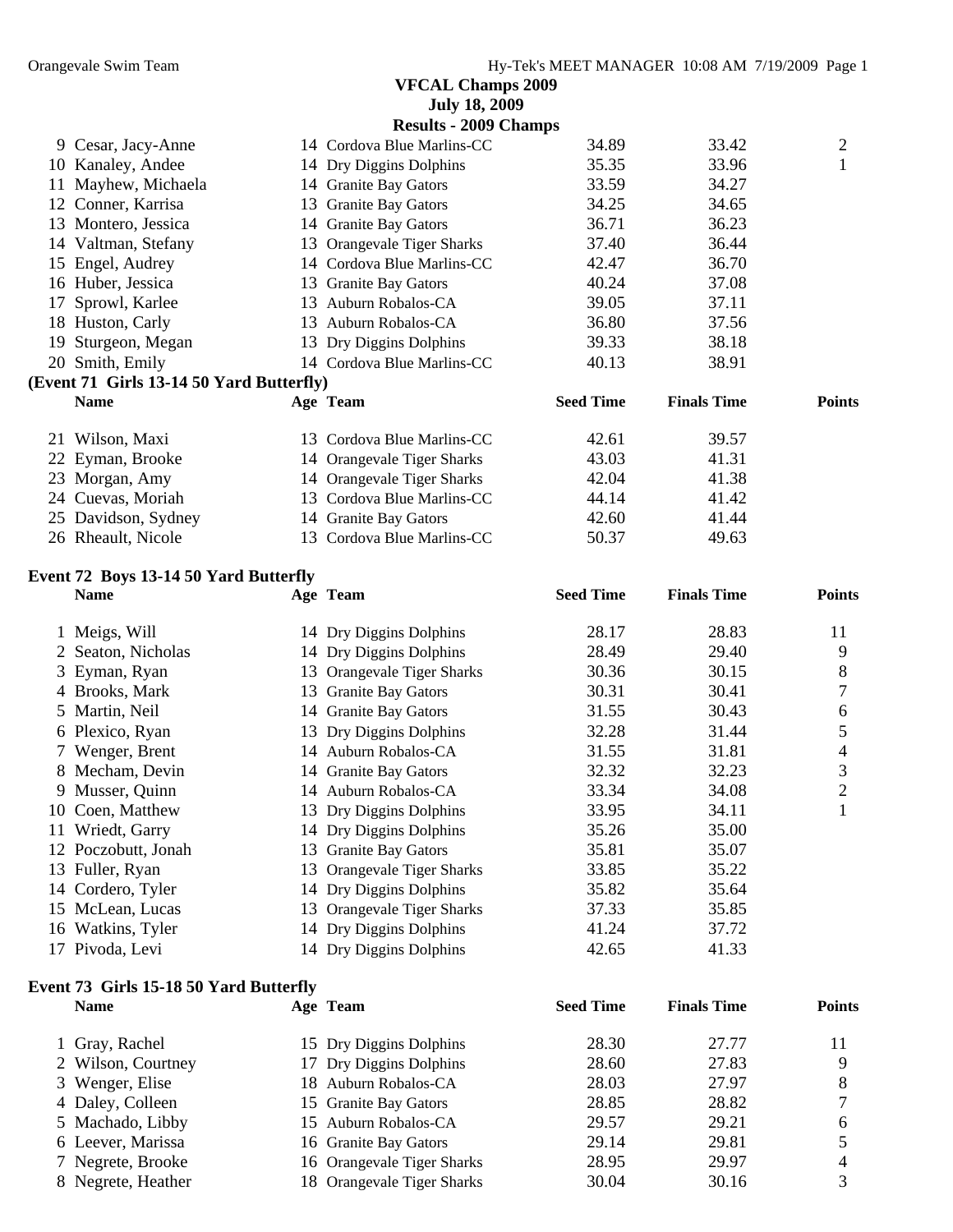|    |                                          | <b>VFCAL Champs 2009</b><br><b>July 18, 2009</b> |                  |                    |               |
|----|------------------------------------------|--------------------------------------------------|------------------|--------------------|---------------|
|    |                                          | <b>Results - 2009 Champs</b>                     |                  |                    |               |
|    | 9 Cesar, Jacy-Anne                       | 14 Cordova Blue Marlins-CC                       | 34.89            | 33.42              | 2             |
|    | 10 Kanaley, Andee                        | 14 Dry Diggins Dolphins                          | 35.35            | 33.96              | $\mathbf{1}$  |
| 11 | Mayhew, Michaela                         | 14 Granite Bay Gators                            | 33.59            | 34.27              |               |
| 12 | Conner, Karrisa                          | 13 Granite Bay Gators                            | 34.25            | 34.65              |               |
|    | 13 Montero, Jessica                      | 14 Granite Bay Gators                            | 36.71            | 36.23              |               |
| 14 | Valtman, Stefany                         | 13 Orangevale Tiger Sharks                       | 37.40            | 36.44              |               |
| 15 | Engel, Audrey                            | 14 Cordova Blue Marlins-CC                       | 42.47            | 36.70              |               |
|    | 16 Huber, Jessica                        | 13 Granite Bay Gators                            | 40.24            | 37.08              |               |
| 17 | Sprowl, Karlee                           | 13 Auburn Robalos-CA                             | 39.05            | 37.11              |               |
|    | 18 Huston, Carly                         | 13 Auburn Robalos-CA                             | 36.80            | 37.56              |               |
| 19 | Sturgeon, Megan                          | 13 Dry Diggins Dolphins                          | 39.33            | 38.18              |               |
|    | 20 Smith, Emily                          | 14 Cordova Blue Marlins-CC                       | 40.13            | 38.91              |               |
|    | (Event 71 Girls 13-14 50 Yard Butterfly) |                                                  |                  |                    |               |
|    | <b>Name</b>                              | Age Team                                         | <b>Seed Time</b> | <b>Finals Time</b> | <b>Points</b> |
| 21 | Wilson, Maxi                             | 13 Cordova Blue Marlins-CC                       | 42.61            | 39.57              |               |
|    | 22 Eyman, Brooke                         | 14 Orangevale Tiger Sharks                       | 43.03            | 41.31              |               |
|    | 23 Morgan, Amy                           | 14 Orangevale Tiger Sharks                       | 42.04            | 41.38              |               |
|    | 24 Cuevas, Moriah                        | 13 Cordova Blue Marlins-CC                       | 44.14            | 41.42              |               |
|    | 25 Davidson, Sydney                      | 14 Granite Bay Gators                            | 42.60            | 41.44              |               |
|    | 26 Rheault, Nicole                       | 13 Cordova Blue Marlins-CC                       | 50.37            | 49.63              |               |

#### **Event 72 Boys 13-14 50 Yard Butterfly**

|    | <b>Name</b>         | Age Team                   | <b>Seed Time</b> | <b>Finals Time</b> | <b>Points</b> |
|----|---------------------|----------------------------|------------------|--------------------|---------------|
|    | 1 Meigs, Will       | 14 Dry Diggins Dolphins    | 28.17            | 28.83              | 11            |
|    | 2 Seaton, Nicholas  | 14 Dry Diggins Dolphins    | 28.49            | 29.40              | 9             |
|    | 3 Eyman, Ryan       | 13 Orangevale Tiger Sharks | 30.36            | 30.15              | 8             |
|    | 4 Brooks, Mark      | 13 Granite Bay Gators      | 30.31            | 30.41              | 7             |
|    | 5 Martin, Neil      | 14 Granite Bay Gators      | 31.55            | 30.43              | 6             |
|    | 6 Plexico, Ryan     | 13 Dry Diggins Dolphins    | 32.28            | 31.44              | 5             |
|    | 7 Wenger, Brent     | 14 Auburn Robalos-CA       | 31.55            | 31.81              | 4             |
|    | 8 Mecham, Devin     | 14 Granite Bay Gators      | 32.32            | 32.23              | 3             |
|    | 9 Musser, Quinn     | 14 Auburn Robalos-CA       | 33.34            | 34.08              | 2             |
|    | 10 Coen, Matthew    | 13 Dry Diggins Dolphins    | 33.95            | 34.11              |               |
| 11 | Wriedt, Garry       | 14 Dry Diggins Dolphins    | 35.26            | 35.00              |               |
|    | 12 Poczobutt, Jonah | 13 Granite Bay Gators      | 35.81            | 35.07              |               |
|    | 13 Fuller, Ryan     | 13 Orangevale Tiger Sharks | 33.85            | 35.22              |               |
|    | 14 Cordero, Tyler   | 14 Dry Diggins Dolphins    | 35.82            | 35.64              |               |
|    | 15 McLean, Lucas    | 13 Orangevale Tiger Sharks | 37.33            | 35.85              |               |
|    | 16 Watkins, Tyler   | 14 Dry Diggins Dolphins    | 41.24            | 37.72              |               |
|    | 17 Pivoda, Levi     | 14 Dry Diggins Dolphins    | 42.65            | 41.33              |               |

#### **Event 73 Girls 15-18 50 Yard Butterfly**

| <b>Name</b>        | Age Team                   | <b>Seed Time</b> | <b>Finals Time</b> | <b>Points</b> |
|--------------------|----------------------------|------------------|--------------------|---------------|
| 1 Gray, Rachel     | 15 Dry Diggins Dolphins    | 28.30            | 27.77              |               |
| 2 Wilson, Courtney | 17 Dry Diggins Dolphins    | 28.60            | 27.83              |               |
| 3 Wenger, Elise    | 18 Auburn Robalos-CA       | 28.03            | 27.97              | 8             |
| 4 Daley, Colleen   | 15 Granite Bay Gators      | 28.85            | 28.82              |               |
| 5 Machado, Libby   | 15 Auburn Robalos-CA       | 29.57            | 29.21              | 6             |
| 6 Leever, Marissa  | 16 Granite Bay Gators      | 29.14            | 29.81              |               |
| 7 Negrete, Brooke  | 16 Orangevale Tiger Sharks | 28.95            | 29.97              | 4             |
| 8 Negrete, Heather | 18 Orangevale Tiger Sharks | 30.04            | 30.16              |               |
|                    |                            |                  |                    |               |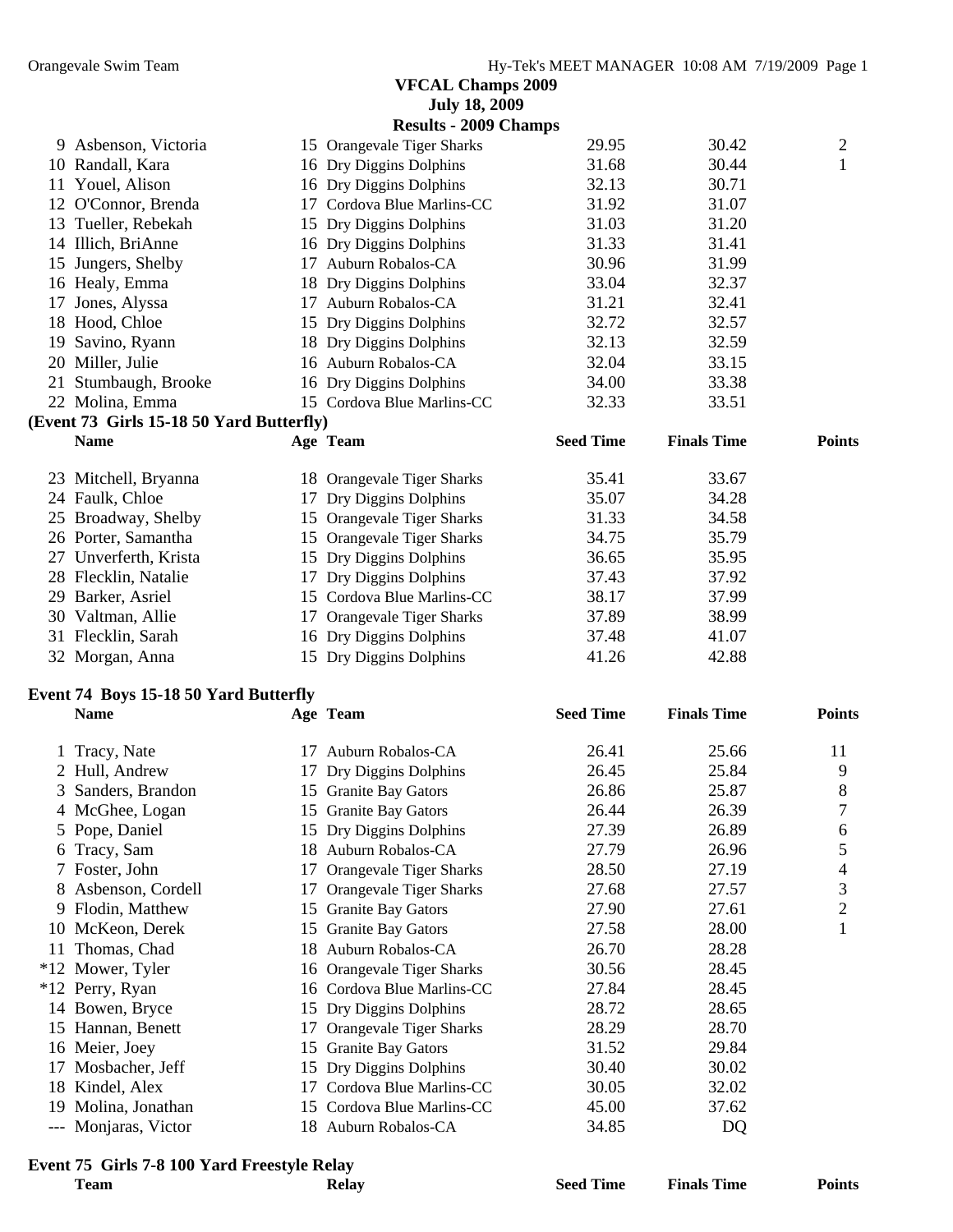|        |                                              |    | <b>July 18, 2009</b>         |                  |                    |                |
|--------|----------------------------------------------|----|------------------------------|------------------|--------------------|----------------|
|        |                                              |    | <b>Results - 2009 Champs</b> |                  |                    |                |
|        | 9 Asbenson, Victoria                         |    | 15 Orangevale Tiger Sharks   | 29.95            | 30.42              | $\overline{c}$ |
|        | 10 Randall, Kara                             |    | 16 Dry Diggins Dolphins      | 31.68            | 30.44              | $\mathbf{1}$   |
|        | 11 Youel, Alison                             |    | 16 Dry Diggins Dolphins      | 32.13            | 30.71              |                |
|        | 12 O'Connor, Brenda                          |    | 17 Cordova Blue Marlins-CC   | 31.92            | 31.07              |                |
|        | 13 Tueller, Rebekah                          |    | 15 Dry Diggins Dolphins      | 31.03            | 31.20              |                |
|        | 14 Illich, BriAnne                           |    | 16 Dry Diggins Dolphins      | 31.33            | 31.41              |                |
|        | 15 Jungers, Shelby                           |    | 17 Auburn Robalos-CA         | 30.96            | 31.99              |                |
|        | 16 Healy, Emma                               |    | 18 Dry Diggins Dolphins      | 33.04            | 32.37              |                |
|        | 17 Jones, Alyssa                             |    | 17 Auburn Robalos-CA         | 31.21            | 32.41              |                |
|        | 18 Hood, Chloe                               |    | 15 Dry Diggins Dolphins      | 32.72            | 32.57              |                |
|        | 19 Savino, Ryann                             |    | 18 Dry Diggins Dolphins      | 32.13            | 32.59              |                |
|        | 20 Miller, Julie                             |    | 16 Auburn Robalos-CA         | 32.04            | 33.15              |                |
|        | 21 Stumbaugh, Brooke                         |    | 16 Dry Diggins Dolphins      | 34.00            | 33.38              |                |
|        | 22 Molina, Emma                              |    | 15 Cordova Blue Marlins-CC   | 32.33            | 33.51              |                |
|        | (Event 73 Girls 15-18 50 Yard Butterfly)     |    |                              |                  |                    |                |
|        | <b>Name</b>                                  |    | Age Team                     | <b>Seed Time</b> | <b>Finals Time</b> | <b>Points</b>  |
|        | 23 Mitchell, Bryanna                         |    | 18 Orangevale Tiger Sharks   | 35.41            | 33.67              |                |
|        | 24 Faulk, Chloe                              |    | 17 Dry Diggins Dolphins      | 35.07            | 34.28              |                |
|        | 25 Broadway, Shelby                          |    | 15 Orangevale Tiger Sharks   | 31.33            | 34.58              |                |
|        | 26 Porter, Samantha                          |    | 15 Orangevale Tiger Sharks   | 34.75            | 35.79              |                |
|        | 27 Unverferth, Krista                        |    | 15 Dry Diggins Dolphins      | 36.65            | 35.95              |                |
|        | 28 Flecklin, Natalie                         |    | 17 Dry Diggins Dolphins      | 37.43            | 37.92              |                |
|        | 29 Barker, Asriel                            |    | 15 Cordova Blue Marlins-CC   | 38.17            | 37.99              |                |
|        | 30 Valtman, Allie                            |    | 17 Orangevale Tiger Sharks   | 37.89            | 38.99              |                |
|        | 31 Flecklin, Sarah                           |    | 16 Dry Diggins Dolphins      | 37.48            | 41.07              |                |
|        | 32 Morgan, Anna                              |    | 15 Dry Diggins Dolphins      | 41.26            | 42.88              |                |
|        |                                              |    |                              |                  |                    |                |
|        | <b>Event 74 Boys 15-18 50 Yard Butterfly</b> |    |                              |                  |                    |                |
|        | <b>Name</b>                                  |    | Age Team                     | <b>Seed Time</b> | <b>Finals Time</b> | <b>Points</b>  |
|        | 1 Tracy, Nate                                |    | 17 Auburn Robalos-CA         | 26.41            | 25.66              | 11             |
|        | 2 Hull, Andrew                               |    | 17 Dry Diggins Dolphins      | 26.45            | 25.84              | 9              |
|        | 3 Sanders, Brandon                           |    | 15 Granite Bay Gators        | 26.86            | 25.87              | 8              |
|        | 4 McGhee, Logan                              |    | 15 Granite Bay Gators        | 26.44            | 26.39              | 7              |
| 5      | Pope, Daniel                                 |    | 15 Dry Diggins Dolphins      | 27.39            | 26.89              | 6              |
|        | Tracy, Sam                                   |    | 18 Auburn Robalos-CA         | 27.79            | 26.96              | 5              |
| 6<br>7 | Foster, John                                 | 17 | Orangevale Tiger Sharks      | 28.50            | 27.19              | 4              |
| 8      | Asbenson, Cordell                            |    |                              | 27.68            | 27.57              | 3              |
|        |                                              | 17 | Orangevale Tiger Sharks      | 27.90            | 27.61              | 2              |
| 9      | Flodin, Matthew                              |    | 15 Granite Bay Gators        |                  |                    |                |
| 10     | McKeon, Derek                                |    | 15 Granite Bay Gators        | 27.58            | 28.00              |                |
| 11     | Thomas, Chad                                 |    | 18 Auburn Robalos-CA         | 26.70            | 28.28              |                |
|        | *12 Mower, Tyler                             |    | 16 Orangevale Tiger Sharks   | 30.56            | 28.45              |                |
|        | *12 Perry, Ryan                              |    | 16 Cordova Blue Marlins-CC   | 27.84            | 28.45              |                |
|        | 14 Bowen, Bryce                              |    | 15 Dry Diggins Dolphins      | 28.72            | 28.65              |                |
| 15     | Hannan, Benett                               | 17 | Orangevale Tiger Sharks      | 28.29            | 28.70              |                |
|        | 16 Meier, Joey                               |    | 15 Granite Bay Gators        | 31.52            | 29.84              |                |
| 17     | Mosbacher, Jeff                              | 15 | Dry Diggins Dolphins         | 30.40            | 30.02              |                |
| 18     | Kindel, Alex                                 | 17 | Cordova Blue Marlins-CC      | 30.05            | 32.02              |                |
| 19     | Molina, Jonathan                             |    | 15 Cordova Blue Marlins-CC   | 45.00            | 37.62              |                |
|        | --- Monjaras, Victor                         |    | 18 Auburn Robalos-CA         | 34.85            | DQ                 |                |
|        |                                              |    |                              |                  |                    |                |

# **Event 75 Girls 7-8 100 Yard Freestyle Relay**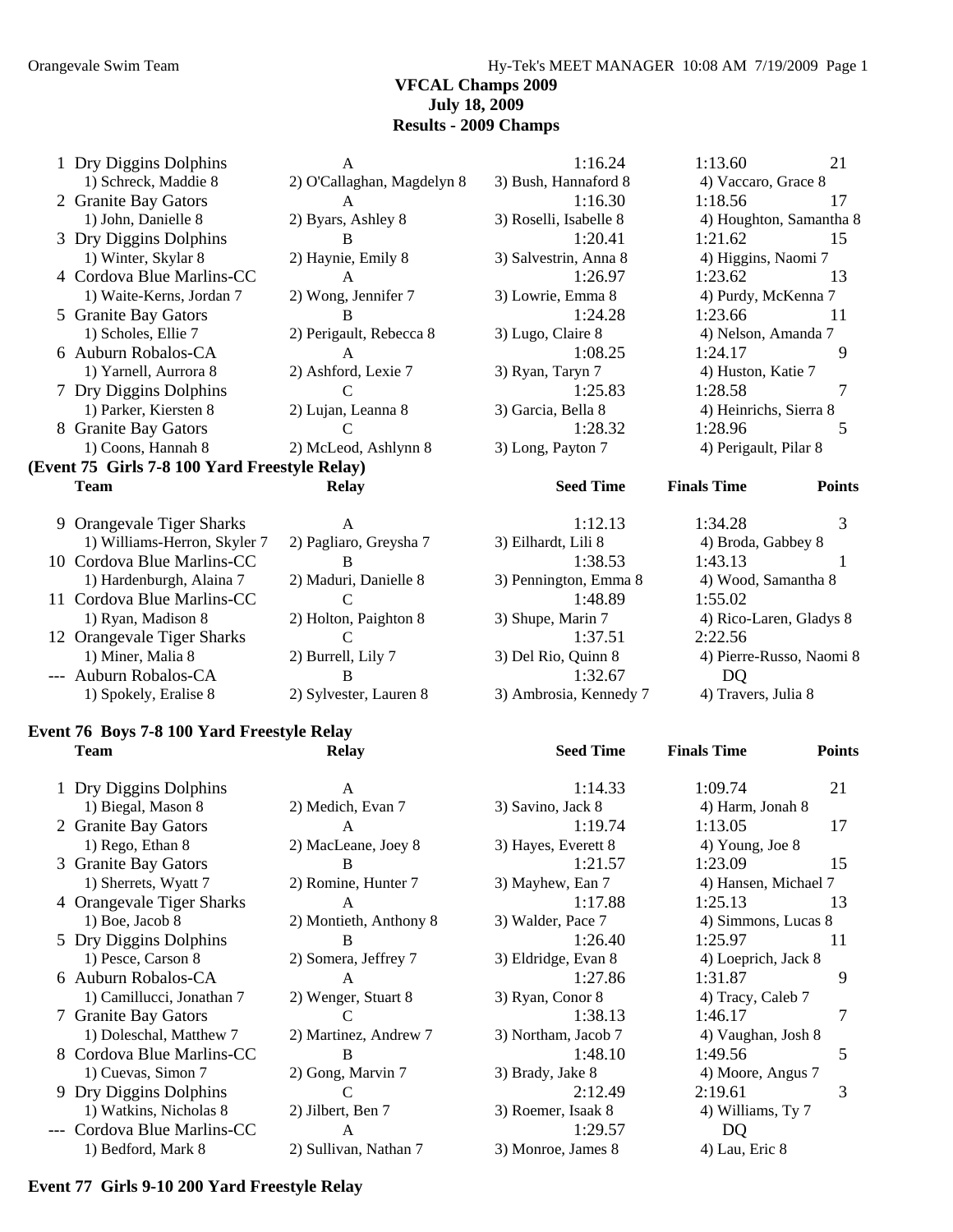Orangevale Swim Team Hy-Tek's MEET MANAGER 10:08 AM 7/19/2009 Page 1

#### **VFCAL Champs 2009 July 18, 2009 Results - 2009 Champs**

|                          | A                                                                                                                                                                                                                                                                         | 1:16.24                                                                 | 1:13.60                 | 21            |
|--------------------------|---------------------------------------------------------------------------------------------------------------------------------------------------------------------------------------------------------------------------------------------------------------------------|-------------------------------------------------------------------------|-------------------------|---------------|
| 1) Schreck, Maddie 8     | 2) O'Callaghan, Magdelyn 8                                                                                                                                                                                                                                                | 3) Bush, Hannaford 8                                                    | 4) Vaccaro, Grace 8     |               |
|                          | $\mathsf{A}$                                                                                                                                                                                                                                                              | 1:16.30                                                                 | 1:18.56                 | 17            |
| 1) John, Danielle 8      | 2) Byars, Ashley 8                                                                                                                                                                                                                                                        | 3) Roselli, Isabelle 8                                                  | 4) Houghton, Samantha 8 |               |
|                          | B                                                                                                                                                                                                                                                                         | 1:20.41                                                                 | 1:21.62                 | 15            |
| 1) Winter, Skylar 8      | 2) Haynie, Emily 8                                                                                                                                                                                                                                                        | 3) Salvestrin, Anna 8                                                   | 4) Higgins, Naomi 7     |               |
|                          | A                                                                                                                                                                                                                                                                         | 1:26.97                                                                 | 1:23.62                 | 13            |
| 1) Waite-Kerns, Jordan 7 | 2) Wong, Jennifer 7                                                                                                                                                                                                                                                       | 3) Lowrie, Emma 8                                                       | 4) Purdy, McKenna 7     |               |
|                          | B                                                                                                                                                                                                                                                                         | 1:24.28                                                                 | 1:23.66                 | 11            |
| 1) Scholes, Ellie 7      | 2) Perigault, Rebecca 8                                                                                                                                                                                                                                                   | 3) Lugo, Claire 8                                                       | 4) Nelson, Amanda 7     |               |
|                          | $\mathsf{A}$                                                                                                                                                                                                                                                              | 1:08.25                                                                 | 1:24.17                 | 9             |
| 1) Yarnell, Aurrora 8    | 2) Ashford, Lexie 7                                                                                                                                                                                                                                                       | 3) Ryan, Taryn 7                                                        | 4) Huston, Katie 7      |               |
|                          | $\mathsf{C}$                                                                                                                                                                                                                                                              | 1:25.83                                                                 | 1:28.58                 |               |
| 1) Parker, Kiersten 8    | 2) Lujan, Leanna 8                                                                                                                                                                                                                                                        | 3) Garcia, Bella 8                                                      | 4) Heinrichs, Sierra 8  |               |
|                          | $\mathcal{C}$                                                                                                                                                                                                                                                             | 1:28.32                                                                 | 1:28.96                 | 5             |
| 1) Coons, Hannah 8       | 2) McLeod, Ashlynn 8                                                                                                                                                                                                                                                      | 3) Long, Payton 7                                                       | 4) Perigault, Pilar 8   |               |
|                          |                                                                                                                                                                                                                                                                           |                                                                         |                         |               |
| <b>Team</b>              | <b>Relay</b>                                                                                                                                                                                                                                                              | <b>Seed Time</b>                                                        | <b>Finals Time</b>      | <b>Points</b> |
|                          | A                                                                                                                                                                                                                                                                         | 1:12.13                                                                 | 1:34.28                 | 3             |
|                          |                                                                                                                                                                                                                                                                           |                                                                         | 4) Broda, Gabbey 8      |               |
| Cordova Blue Marlins-CC  | <sub>B</sub>                                                                                                                                                                                                                                                              | 1:38.53                                                                 | 1:43.13                 |               |
| 1) Hardenburgh, Alaina 7 | 2) Maduri, Danielle 8                                                                                                                                                                                                                                                     | 3) Pennington, Emma 8                                                   | 4) Wood, Samantha 8     |               |
|                          | 1 Dry Diggins Dolphins<br>2 Granite Bay Gators<br>3 Dry Diggins Dolphins<br>4 Cordova Blue Marlins-CC<br>5 Granite Bay Gators<br>6 Auburn Robalos-CA<br>7 Dry Diggins Dolphins<br>8 Granite Bay Gators<br>9 Orangevale Tiger Sharks<br>1) Williams-Herron, Skyler 7<br>10 | (Event 75 Girls 7-8 100 Yard Freestyle Relay)<br>2) Pagliaro, Greysha 7 | 3) Eilhardt, Lili 8     |               |

| 1) Hardenburgh, Alaina 7   | 2) Maduri, Danielle 8  | 3) Pennington, Emma 8  | 4) Wood, Samantha 8      |
|----------------------------|------------------------|------------------------|--------------------------|
| 11 Cordova Blue Marlins-CC |                        | 1.48.89                | 1:55.02                  |
| 1) Ryan, Madison 8         | 2) Holton, Paighton 8  | 3) Shupe, Marin 7      | 4) Rico-Laren, Gladys 8  |
| 12 Orangevale Tiger Sharks |                        | 1:37.51                | 2:22.56                  |
| 1) Miner, Malia 8          | 2) Burrell, Lily 7     | 3) Del Rio, Quinn 8    | 4) Pierre-Russo, Naomi & |
| --- Auburn Robalos-CA      |                        | 1:32.67                | DO                       |
| 1) Spokely, Eralise 8      | 2) Sylvester, Lauren 8 | 3) Ambrosia, Kennedy 7 | 4) Travers, Julia 8      |
|                            |                        |                        |                          |

#### **Event 76 Boys 7-8 100 Yard Freestyle Relay Team Relay Seed Time Finals Time Points**

| 1 Dry Diggins Dolphins      | A                      | 1:14.33             | 1:09.74<br>21        |
|-----------------------------|------------------------|---------------------|----------------------|
| 1) Biegal, Mason 8          | 2) Medich, Evan 7      | 3) Savino, Jack 8   | 4) Harm, Jonah 8     |
| 2 Granite Bay Gators        | A                      | 1:19.74             | 1:13.05<br>17        |
| 1) Rego, Ethan 8            | 2) MacLeane, Joey 8    | 3) Hayes, Everett 8 | 4) Young, Joe 8      |
| 3 Granite Bay Gators        | B                      | 1:21.57             | 1:23.09<br>15        |
| 1) Sherrets, Wyatt 7        | 2) Romine, Hunter 7    | 3) Mayhew, Ean 7    | 4) Hansen, Michael 7 |
| 4 Orangevale Tiger Sharks   | $\mathsf{A}$           | 1:17.88             | 1:25.13<br>13        |
| $1)$ Boe, Jacob 8           | 2) Montieth, Anthony 8 | 3) Walder, Pace 7   | 4) Simmons, Lucas 8  |
| 5 Dry Diggins Dolphins      | B                      | 1:26.40             | 1:25.97<br>11        |
| 1) Pesce, Carson 8          | 2) Somera, Jeffrey 7   | 3) Eldridge, Evan 8 | 4) Loeprich, Jack 8  |
| 6 Auburn Robalos-CA         | A                      | 1:27.86             | 1:31.87<br>9         |
| 1) Camillucci, Jonathan 7   | 2) Wenger, Stuart 8    | 3) Ryan, Conor 8    | 4) Tracy, Caleb 7    |
| 7 Granite Bay Gators        |                        | 1:38.13             | 1:46.17              |
| 1) Doleschal, Matthew 7     | 2) Martinez, Andrew 7  | 3) Northam, Jacob 7 | 4) Vaughan, Josh 8   |
| 8 Cordova Blue Marlins-CC   | B                      | 1:48.10             | 1:49.56<br>5         |
| 1) Cuevas, Simon 7          | 2) Gong, Marvin 7      | 3) Brady, Jake 8    | 4) Moore, Angus 7    |
| 9 Dry Diggins Dolphins      |                        | 2:12.49             | 2:19.61<br>3         |
| 1) Watkins, Nicholas 8      | 2) Jilbert, Ben 7      | 3) Roemer, Isaak 8  | 4) Williams, Ty 7    |
| --- Cordova Blue Marlins-CC | A                      | 1:29.57             | DO                   |
| 1) Bedford, Mark 8          | 2) Sullivan, Nathan 7  | 3) Monroe, James 8  | 4) Lau, Eric 8       |

#### **Event 77 Girls 9-10 200 Yard Freestyle Relay**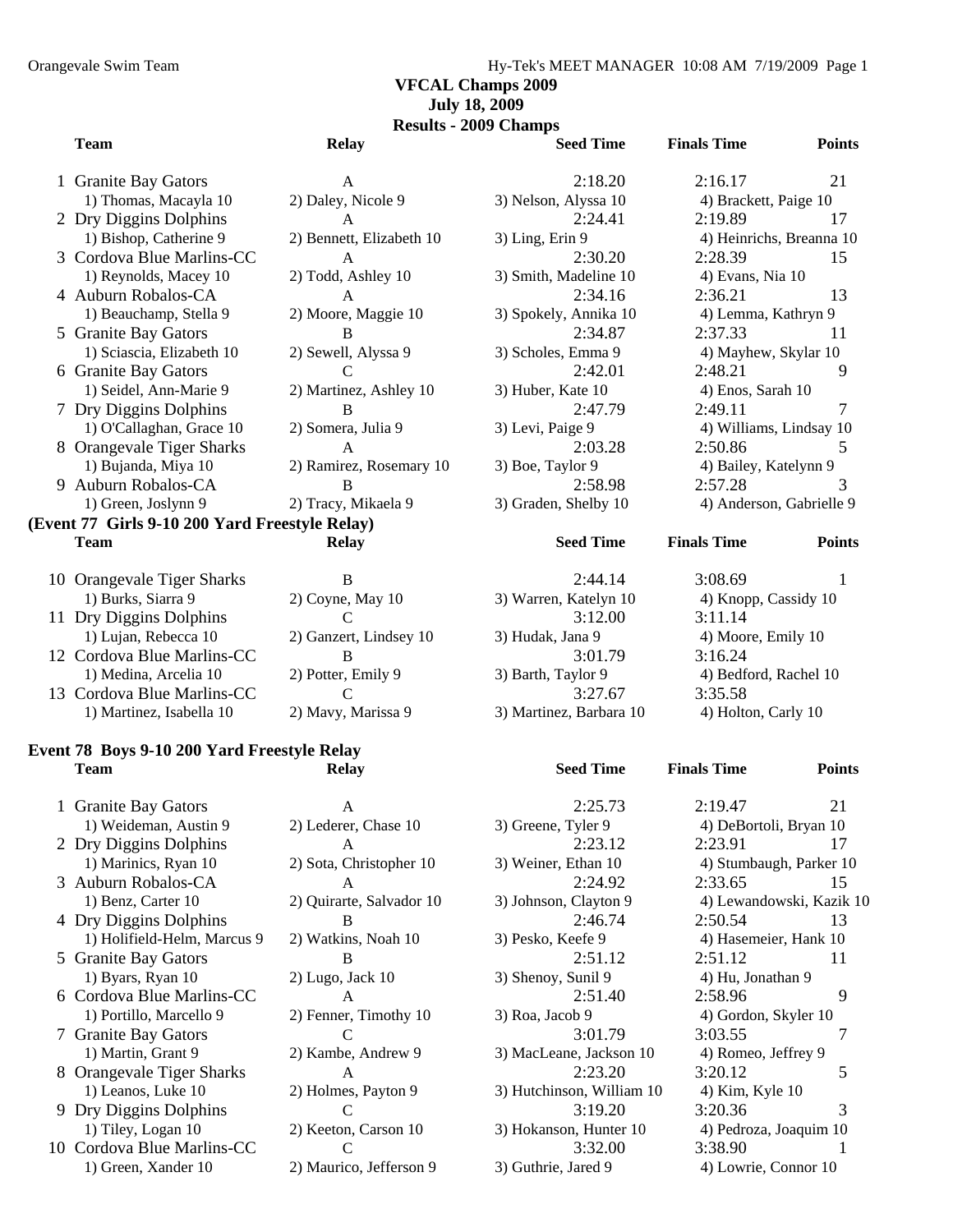#### **VFCAL Champs 2009 July 18, 2009**

**Results - 2009 Champs** 

| <b>Team</b>                                    | <b>Relay</b>             | <b>Seed Time</b>      | <b>Finals Time</b>       | <b>Points</b> |
|------------------------------------------------|--------------------------|-----------------------|--------------------------|---------------|
| 1 Granite Bay Gators                           | $\mathsf{A}$             | 2:18.20               | 2:16.17                  | 21            |
| 1) Thomas, Macayla 10                          | 2) Daley, Nicole 9       | 3) Nelson, Alyssa 10  | 4) Brackett, Paige 10    |               |
| 2 Dry Diggins Dolphins                         | $\mathsf{A}$             | 2:24.41               | 2:19.89                  | 17            |
| 1) Bishop, Catherine 9                         | 2) Bennett, Elizabeth 10 | 3) Ling, Erin 9       | 4) Heinrichs, Breanna 10 |               |
| 3 Cordova Blue Marlins-CC                      | $\mathsf{A}$             | 2:30.20               | 2:28.39                  | 15            |
| 1) Reynolds, Macey 10                          | 2) Todd, Ashley 10       | 3) Smith, Madeline 10 | 4) Evans, Nia 10         |               |
| 4 Auburn Robalos-CA                            | A                        | 2:34.16               | 2:36.21                  | 13            |
| 1) Beauchamp, Stella 9                         | 2) Moore, Maggie 10      | 3) Spokely, Annika 10 | 4) Lemma, Kathryn 9      |               |
| 5 Granite Bay Gators                           | B                        | 2:34.87               | 2:37.33                  | 11            |
| 1) Sciascia, Elizabeth 10                      | 2) Sewell, Alyssa 9      | 3) Scholes, Emma 9    | 4) Mayhew, Skylar 10     |               |
| 6 Granite Bay Gators                           | C                        | 2:42.01               | 2:48.21                  | 9             |
| 1) Seidel, Ann-Marie 9                         | 2) Martinez, Ashley 10   | 3) Huber, Kate 10     | 4) Enos, Sarah 10        |               |
| 7 Dry Diggins Dolphins                         | B                        | 2:47.79               | 2:49.11                  | 7             |
| 1) O'Callaghan, Grace 10                       | 2) Somera, Julia 9       | 3) Levi, Paige 9      | 4) Williams, Lindsay 10  |               |
| 8 Orangevale Tiger Sharks                      | $\mathsf{A}$             | 2:03.28               | 2:50.86                  | 5.            |
| 1) Bujanda, Miya 10                            | 2) Ramirez, Rosemary 10  | 3) Boe, Taylor 9      | 4) Bailey, Katelynn 9    |               |
| 9 Auburn Robalos-CA                            | B                        | 2:58.98               | 2:57.28                  | 3             |
| 1) Green, Joslynn 9                            | 2) Tracy, Mikaela 9      | 3) Graden, Shelby 10  | 4) Anderson, Gabrielle 9 |               |
| (Event 77 Girls 9-10 200 Yard Freestyle Relay) |                          |                       |                          |               |
| <b>Team</b>                                    | <b>Relay</b>             | <b>Seed Time</b>      | <b>Finals Time</b>       | <b>Points</b> |
| 10 Orangevale Tiger Sharks                     | B                        | 2:44.14               | 3:08.69                  | -1            |
| 1) Burks, Siarra 9                             | 2) Coyne, May 10         | 3) Warren, Katelyn 10 | 4) Knopp, Cassidy 10     |               |
| 11 Dry Diggins Dolphins                        | $\mathsf{C}$             | 3:12.00               | 3:11.14                  |               |
| 1) Lujan, Rebecca 10                           | 2) Ganzert, Lindsey 10   | 3) Hudak, Jana 9      | 4) Moore, Emily 10       |               |
| 12 Cordova Blue Marlins-CC                     | R                        | 3:01.79               | 3:16.24                  |               |
| 1) Medina, Arcelia 10                          | 2) Potter, Emily 9       | 3) Barth, Taylor 9    | 4) Bedford, Rachel 10    |               |

13 Cordova Blue Marlins-CC C 3:27.67 3:35.58 1) Martinez, Isabella 10 2) Mavy, Marissa 9 3) Martinez, Barbara 10 4) Holton, Carly 10

#### **Event 78 Boys 9-10 200 Yard Freestyle Relay Team Relay Seed Time Finals Time Points**

| 1 Granite Bay Gators        | A                        | 2:25.73                   | 2:19.47                 | 21 |
|-----------------------------|--------------------------|---------------------------|-------------------------|----|
| 1) Weideman, Austin 9       | 2) Lederer, Chase 10     | 3) Greene, Tyler 9        | 4) DeBortoli, Bryan 10  |    |
| 2 Dry Diggins Dolphins      | A                        | 2:23.12                   | 2:23.91                 | 17 |
| 1) Marinics, Ryan 10        | 2) Sota, Christopher 10  | 3) Weiner, Ethan 10       | 4) Stumbaugh, Parker 10 |    |
| 3 Auburn Robalos-CA         | A                        | 2:24.92                   | 2:33.65                 | 15 |
| 1) Benz, Carter 10          | 2) Quirarte, Salvador 10 | 3) Johnson, Clayton 9     | 4) Lewandowski, Kazik   |    |
| 4 Dry Diggins Dolphins      | <sup>B</sup>             | 2:46.74                   | 2:50.54                 | 13 |
| 1) Holifield-Helm, Marcus 9 | 2) Watkins, Noah 10      | 3) Pesko, Keefe 9         | 4) Hasemeier, Hank 10   |    |
| 5 Granite Bay Gators        | B                        | 2:51.12                   | 2:51.12                 | 11 |
| 1) Byars, Ryan 10           | $2)$ Lugo, Jack 10       | 3) Shenoy, Sunil 9        | 4) Hu, Jonathan 9       |    |
| 6 Cordova Blue Marlins-CC   | A                        | 2:51.40                   | 2:58.96                 | 9  |
| 1) Portillo, Marcello 9     | 2) Fenner, Timothy 10    | 3) Roa, Jacob 9           | 4) Gordon, Skyler 10    |    |
| 7 Granite Bay Gators        |                          | 3:01.79                   | 3:03.55                 | 7  |
| 1) Martin, Grant 9          | 2) Kambe, Andrew 9       | 3) MacLeane, Jackson 10   | 4) Romeo, Jeffrey 9     |    |
| 8 Orangevale Tiger Sharks   | $\mathsf{A}$             | 2:23.20                   | 3:20.12                 | 5  |
| 1) Leanos, Luke 10          | 2) Holmes, Payton 9      | 3) Hutchinson, William 10 | $(4)$ Kim, Kyle $10$    |    |
| 9 Dry Diggins Dolphins      | C                        | 3:19.20                   | 3:20.36                 | 3  |
| 1) Tiley, Logan 10          | 2) Keeton, Carson 10     | 3) Hokanson, Hunter 10    | 4) Pedroza, Joaquim 10  |    |
| 10 Cordova Blue Marlins-CC  |                          | 3:32.00                   | 3:38.90                 |    |
| 1) Green, Xander 10         | 2) Maurico, Jefferson 9  | 3) Guthrie, Jared 9       | 4) Lowrie, Connor 10    |    |

|                    | 3:01.79                 |
|--------------------|-------------------------|
| 3) Barth, Taylor 9 |                         |
|                    | 3:27.67                 |
|                    | 3) Martinez, Barbara 10 |
|                    |                         |

| ne | <b>Finals</b> |  |
|----|---------------|--|

```
e 10 3) Greene, Tyler 9 2) DeBortoli, Bryan 10
her 10 3) Weiner, Ethan 10 4) Stumbaugh, Parker 10
ador 10 3) Johnson, Clayton 9 4) Lewandowski, Kazik 10
10 3) Pesko, Keefe 9 3 2) Hasemeier, Hank 10
n 10 3) Hokanson, Hunter 10 4) Pedroza, Joaquim 10
erson 9 3) Guthrie, Jared 9 4) Lowrie, Connor 10
```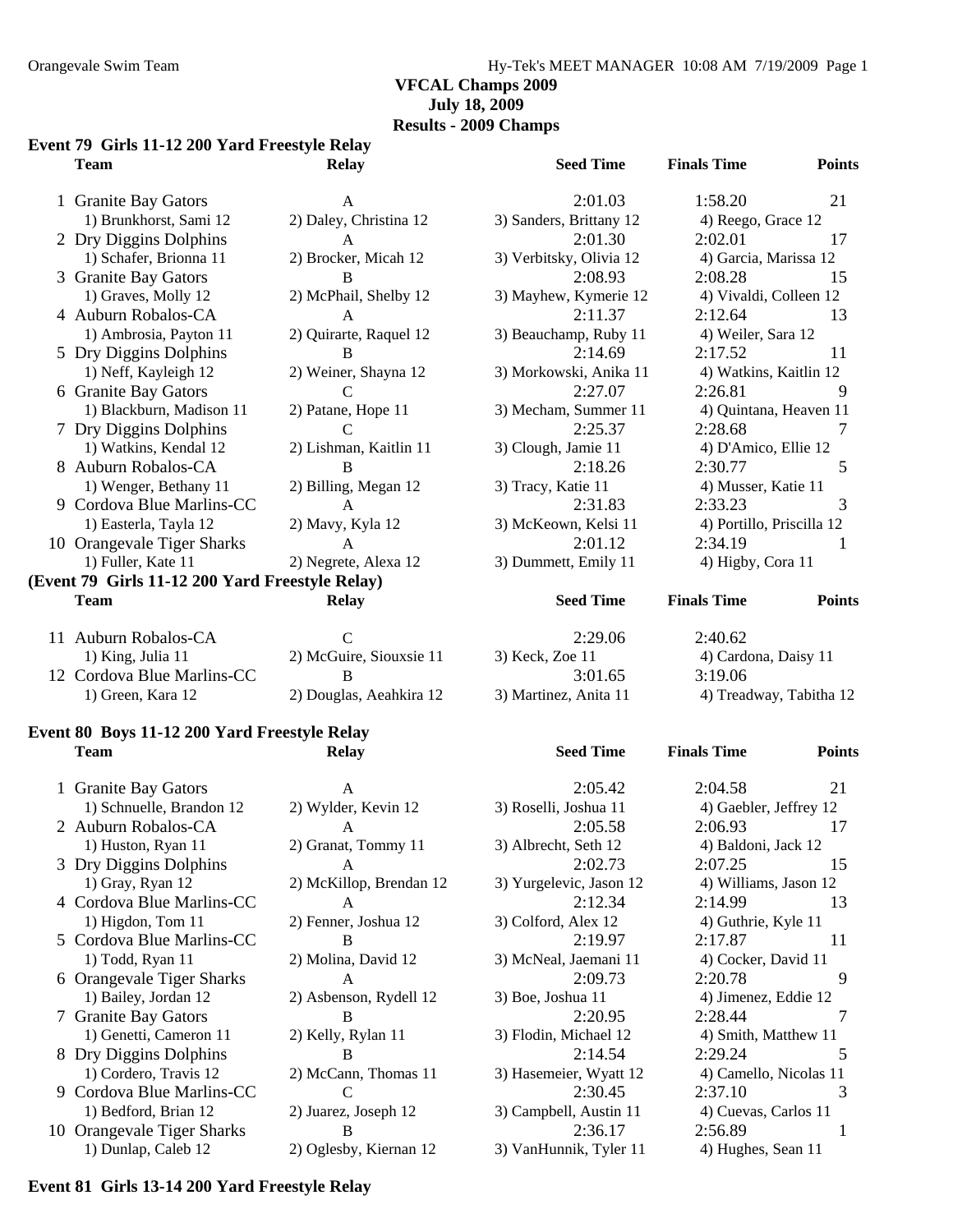#### Orangevale Swim Team Hy-Tek's MEET MANAGER 10:08 AM 7/19/2009 Page 1

#### **VFCAL Champs 2009 July 18, 2009**

#### **Results - 2009 Champs**

#### **Event 79 Girls 11-12 200 Yard Freestyle Relay**

| Team                                            | <b>Relay</b>            | <b>Seed Time</b>        | <b>Finals Time</b>        | <b>Points</b> |
|-------------------------------------------------|-------------------------|-------------------------|---------------------------|---------------|
| 1 Granite Bay Gators                            | $\mathsf{A}$            | 2:01.03                 | 1:58.20                   | 21            |
| 1) Brunkhorst, Sami 12                          | 2) Daley, Christina 12  | 3) Sanders, Brittany 12 | 4) Reego, Grace 12        |               |
| 2 Dry Diggins Dolphins                          | $\mathsf{A}$            | 2:01.30                 | 2:02.01                   | 17            |
| 1) Schafer, Brionna 11                          | 2) Brocker, Micah 12    | 3) Verbitsky, Olivia 12 | 4) Garcia, Marissa 12     |               |
| 3 Granite Bay Gators                            | <sub>B</sub>            | 2:08.93                 | 2:08.28                   | 15            |
| 1) Graves, Molly 12                             | 2) McPhail, Shelby 12   | 3) Mayhew, Kymerie 12   | 4) Vivaldi, Colleen 12    |               |
| 4 Auburn Robalos-CA                             | A                       | 2:11.37                 | 2:12.64                   | 13            |
| 1) Ambrosia, Payton 11                          | 2) Quirarte, Raquel 12  | 3) Beauchamp, Ruby 11   | 4) Weiler, Sara 12        |               |
| 5 Dry Diggins Dolphins                          | B                       | 2:14.69                 | 2:17.52                   | 11            |
| 1) Neff, Kayleigh 12                            | 2) Weiner, Shayna 12    | 3) Morkowski, Anika 11  | 4) Watkins, Kaitlin 12    |               |
| 6 Granite Bay Gators                            | C                       | 2:27.07                 | 2:26.81                   | 9             |
| 1) Blackburn, Madison 11                        | 2) Patane, Hope 11      | 3) Mecham, Summer 11    | 4) Quintana, Heaven 11    |               |
| 7 Dry Diggins Dolphins                          | C                       | 2:25.37                 | 2:28.68                   |               |
| 1) Watkins, Kendal 12                           | 2) Lishman, Kaitlin 11  | 3) Clough, Jamie 11     | 4) D'Amico, Ellie 12      |               |
| 8 Auburn Robalos-CA                             | B                       | 2:18.26                 | 2:30.77                   | 5             |
| 1) Wenger, Bethany 11                           | 2) Billing, Megan 12    | 3) Tracy, Katie 11      | 4) Musser, Katie 11       |               |
| 9 Cordova Blue Marlins-CC                       | A                       | 2:31.83                 | 2:33.23                   | 3             |
| 1) Easterla, Tayla 12                           | 2) Mavy, Kyla 12        | 3) McKeown, Kelsi 11    | 4) Portillo, Priscilla 12 |               |
| 10 Orangevale Tiger Sharks                      | $\mathsf{A}$            | 2:01.12                 | 2:34.19                   |               |
| 1) Fuller, Kate 11                              | 2) Negrete, Alexa 12    | 3) Dummett, Emily 11    | 4) Higby, Cora 11         |               |
| (Event 79 Girls 11-12 200 Yard Freestyle Relay) |                         |                         |                           |               |
| <b>Team</b>                                     | <b>Relay</b>            | <b>Seed Time</b>        | <b>Finals Time</b>        | <b>Points</b> |
| 11 Auburn Robalos-CA                            | $\mathbf C$             | 2:29.06                 | 2:40.62                   |               |
| 1) King, Julia 11                               | 2) McGuire, Siouxsie 11 | 3) Keck, Zoe 11         | 4) Cardona, Daisy 11      |               |
| 12 Cordova Blue Marlins-CC                      | B                       | 3:01.65                 | 3:19.06                   |               |

#### **Event 80 Boys 11-12 200 Yard Freestyle Relay Team Relay Seed Time Finals Time Points**

| 1 Granite Bay Gators       | $\mathsf{A}$            | 2:05.42                 | 2:04.58                | 21  |
|----------------------------|-------------------------|-------------------------|------------------------|-----|
| 1) Schnuelle, Brandon 12   | 2) Wylder, Kevin 12     | 3) Roselli, Joshua 11   | 4) Gaebler, Jeffrey 12 |     |
| 2 Auburn Robalos-CA        | A                       | 2:05.58                 | 2:06.93                | 17  |
| 1) Huston, Ryan 11         | 2) Granat, Tommy 11     | 3) Albrecht, Seth 12    | 4) Baldoni, Jack 12    |     |
| 3 Dry Diggins Dolphins     | $\mathsf{A}$            | 2:02.73                 | 2:07.25                | 15  |
| 1) Gray, Ryan 12           | 2) McKillop, Brendan 12 | 3) Yurgelevic, Jason 12 | 4) Williams, Jason 12  |     |
| 4 Cordova Blue Marlins-CC  | A                       | 2:12.34                 | 2:14.99                | 13  |
| 1) Higdon, Tom 11          | 2) Fenner, Joshua 12    | 3) Colford, Alex 12     | 4) Guthrie, Kyle 11    |     |
| 5 Cordova Blue Marlins-CC  | B                       | 2:19.97                 | 2:17.87                | 11  |
| 1) Todd, Ryan 11           | 2) Molina, David 12     | 3) McNeal, Jaemani 11   | 4) Cocker, David 11    |     |
| 6 Orangevale Tiger Sharks  | A                       | 2:09.73                 | 2:20.78                | 9   |
| 1) Bailey, Jordan 12       | 2) Asbenson, Rydell 12  | 3) Boe, Joshua 11       | 4) Jimenez, Eddie 12   |     |
| 7 Granite Bay Gators       | <sup>B</sup>            | 2:20.95                 | 2:28.44                | 7   |
| 1) Genetti, Cameron 11     | 2) Kelly, Rylan 11      | 3) Flodin, Michael 12   | 4) Smith, Matthew 11   |     |
| 8 Dry Diggins Dolphins     | B                       | 2:14.54                 | 2:29.24                | 5   |
| 1) Cordero, Travis 12      | 2) McCann, Thomas 11    | 3) Hasemeier, Wyatt 12  | 4) Camello, Nicolas 11 |     |
| 9 Cordova Blue Marlins-CC  |                         | 2:30.45                 | 2:37.10                | 3   |
| 1) Bedford, Brian 12       | 2) Juarez, Joseph 12    | 3) Campbell, Austin 11  | 4) Cuevas, Carlos 11   |     |
| 10 Orangevale Tiger Sharks | B.                      | 2:36.17                 | 2:56.89                | - 1 |
| 1) Dunlap, Caleb 12        | 2) Oglesby, Kiernan 12  | 3) VanHunnik, Tyler 11  | 4) Hughes, Sean 11     |     |

| 2:05.42                 | 2:04.58                |
|-------------------------|------------------------|
| 3) Roselli, Joshua 11   | 4) Gaebler, Jeffrey 12 |
| 2:05.58                 | 2:06.93                |
| 3) Albrecht, Seth 12    | 4) Baldoni, Jack 12    |
| 2:02.73                 | 2:07.25                |
| 3) Yurgelevic, Jason 12 | 4) Williams, Jason 12  |
| 2:12.34                 | 2:14.99                |
| 3) Colford, Alex 12     | 4) Guthrie, Kyle 11    |
| 2:19.97                 | 2:17.87                |
| 3) McNeal, Jaemani 11   | 4) Cocker, David 11    |
| 2:09.73                 | 2:20.78                |
| 3) Boe, Joshua 11       | 4) Jimenez, Eddie 12   |
| 2:20.95                 | 2:28.44                |
| 3) Flodin, Michael 12   | 4) Smith, Matthew 11   |
| 2:14.54                 | 2:29.24                |
| 3) Hasemeier, Wyatt 12  | 4) Camello, Nicolas 1  |
| 2:30.45                 | 2:37.10                |
| 3) Campbell, Austin 11  | 4) Cuevas, Carlos 11   |
| 2:36.17                 | 2:56.89                |
| 3) VanHunnik, Tyler 11  | 4) Hughes, Sean 11     |
|                         |                        |

# illo, Priscilla 12

lona, Daisy 11 1) Green, Kara 12 2) Douglas, Aeahkira 12 3) Martinez, Anita 11 4) Treadway, Tabitha 12

3) Roselli, Joshua 11 4) Gaebler, Jeffrey 12 2 3) Yurgelevic, Jason 12 4) Williams, Jason 12 1) Generation 11 2008 12 3) Smith, Matthew 11 3) Hasemeier, Wyatt 12 4) Camello, Nicolas 11

#### **Event 81 Girls 13-14 200 Yard Freestyle Relay**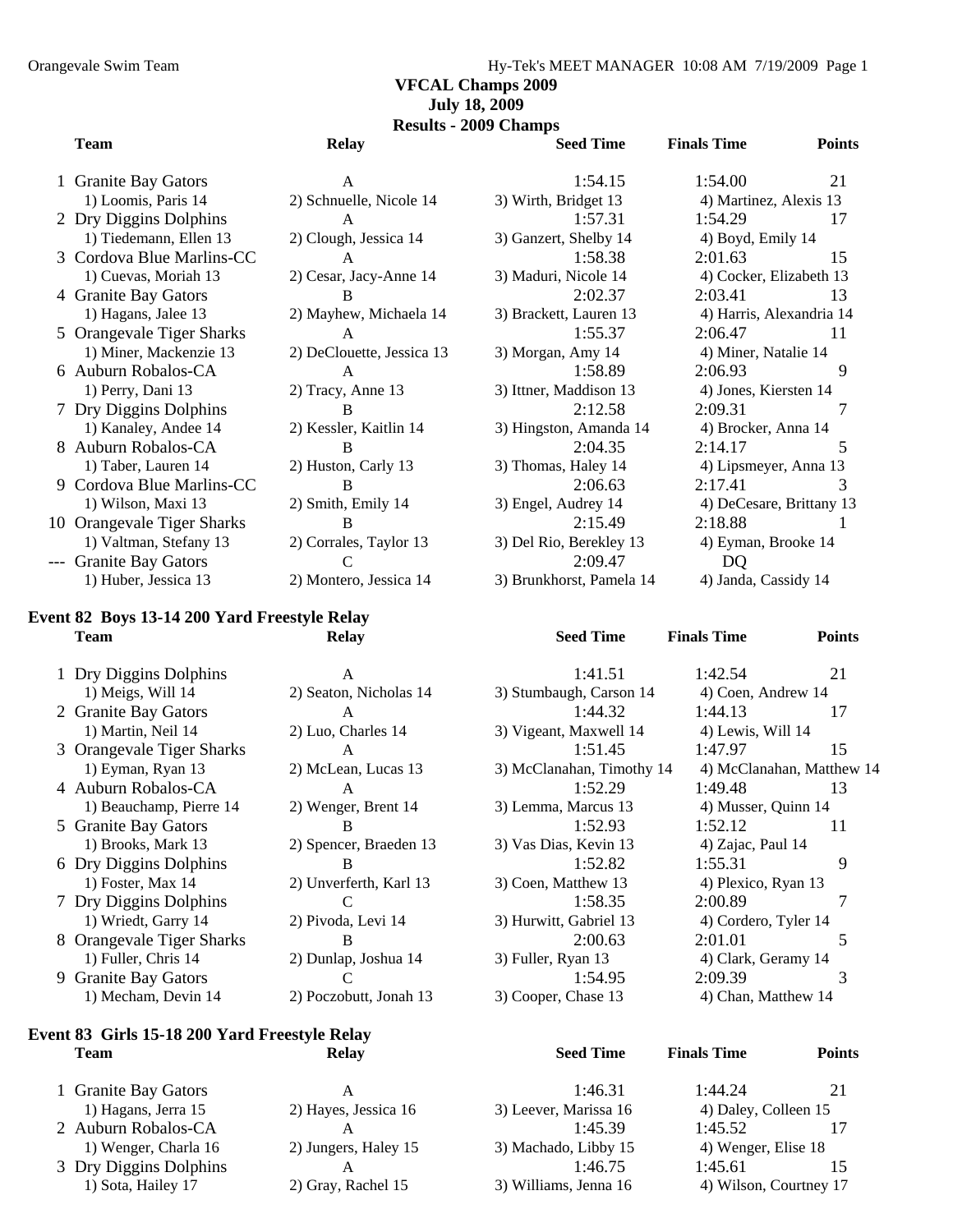#### **VFCAL Champs 2009 July 18, 2009**

**Results - 2009 Champs** 

#### **Team Relay Seed Time Finals Time Points**

| 1 Granite Bay Gators       | A                         | 1:54.15                 | 1:54.00<br>21                                           |    |
|----------------------------|---------------------------|-------------------------|---------------------------------------------------------|----|
| 1) Loomis, Paris 14        | 2) Schnuelle, Nicole 14   | 3) Wirth, Bridget 13    | 4) Martinez, Alexis 13                                  |    |
| 2 Dry Diggins Dolphins     | A                         | 1:57.31                 | 1:54.29<br>17                                           |    |
| 1) Tiedemann, Ellen 13     | 2) Clough, Jessica 14     | 3) Ganzert, Shelby 14   | 4) Boyd, Emily 14                                       |    |
| 3 Cordova Blue Marlins-CC  | $\mathsf{A}$              | 1:58.38                 | 15<br>2:01.63                                           |    |
| 1) Cuevas, Moriah 13       | 2) Cesar, Jacy-Anne 14    | 3) Maduri, Nicole 14    | 4) Cocker, Elizabeth 13                                 |    |
| 4 Granite Bay Gators       | B                         | 2:02.37                 | 2:03.41<br>13                                           |    |
| 1) Hagans, Jalee 13        | 2) Mayhew, Michaela 14    | 3) Brackett, Lauren 13  | 4) Harris, Alexandria 14                                |    |
| 5 Orangevale Tiger Sharks  | $\mathsf{A}$              | 1:55.37                 | 2:06.47<br>11                                           |    |
| 1) Miner, Mackenzie 13     | 2) DeClouette, Jessica 13 | 3) Morgan, Amy 14       | 4) Miner, Natalie 14                                    |    |
| 6 Auburn Robalos-CA        | A                         | 1:58.89                 | 2:06.93                                                 | 9  |
| 1) Perry, Dani 13          | 2) Tracy, Anne 13         | 3) Ittner, Maddison 13  | 4) Jones, Kiersten 14                                   |    |
| 7 Dry Diggins Dolphins     | <sup>B</sup>              | 2:12.58                 | 2:09.31                                                 | 7  |
| 1) Kanaley, Andee 14       | 2) Kessler, Kaitlin 14    | 3) Hingston, Amanda 14  | 4) Brocker, Anna 14                                     |    |
| 8 Auburn Robalos-CA        | B                         | 2:04.35                 | 2:14.17                                                 | 5. |
| 1) Taber, Lauren 14        | 2) Huston, Carly 13       | 3) Thomas, Haley 14     | 4) Lipsmeyer, Anna 13                                   |    |
| 9 Cordova Blue Marlins-CC  | <sub>B</sub>              | 2:06.63                 | 2:17.41                                                 | 3  |
| 1) Wilson, Maxi 13         | 2) Smith, Emily 14        | 3) Engel, Audrey 14     | 4) DeCesare, Brittany 1.                                |    |
| 10 Orangevale Tiger Sharks | B                         | 2:15.49                 | 2:18.88                                                 |    |
| 1) Valtman, Stefany 13     | 2) Corrales, Taylor 13    | 3) Del Rio, Berekley 13 | 4) Eyman, Brooke 14                                     |    |
| --- Granite Bay Gators     |                           | 2:09.47                 | DQ                                                      |    |
|                            |                           |                         | $\sim$ $\sim$ $\sim$ $\sim$ $\sim$ $\sim$ $\sim$ $\sim$ |    |

#### **Event 82 Boys 13-14 200 Yard Freestyle Relay Team Relay Seed Time Finals Time Points**

|   | 1 Dry Diggins Dolphins    | А                      |    |
|---|---------------------------|------------------------|----|
|   | 1) Meigs, Will 14         | 2) Seaton, Nicholas 14 | 3) |
|   | 2 Granite Bay Gators      | A                      |    |
|   | 1) Martin, Neil 14        | 2) Luo, Charles 14     | 3) |
|   | 3 Orangevale Tiger Sharks | A                      |    |
|   | 1) Eyman, Ryan 13         | 2) McLean, Lucas 13    | 3) |
|   | 4 Auburn Robalos-CA       | A                      |    |
|   | 1) Beauchamp, Pierre 14   | 2) Wenger, Brent 14    | 3) |
|   | 5 Granite Bay Gators      | В                      |    |
|   | 1) Brooks, Mark 13        | 2) Spencer, Braeden 13 | 3) |
|   | 6 Dry Diggins Dolphins    | В                      |    |
|   | 1) Foster, Max 14         | 2) Unverferth, Karl 13 | 3) |
|   | 7 Dry Diggins Dolphins    |                        |    |
|   | 1) Wriedt, Garry 14       | 2) Pivoda, Levi 14     | 3) |
|   | 8 Orangevale Tiger Sharks | B                      |    |
|   | 1) Fuller, Chris 14       | 2) Dunlap, Joshua 14   | 3) |
| 9 | <b>Granite Bay Gators</b> |                        |    |
|   | 1) Mecham, Devin 14       | 2) Poczobutt, Jonah 13 | 3) |

#### **Event 83 Girls 15-18 200 Yard Freestyle Relay Team Relay Seed Time Finals Time Points**

| Relay |  |
|-------|--|
|       |  |

| 1 Granite Bay Gators   | А                    | 1:46.31               | 1:44.24                | 21 |
|------------------------|----------------------|-----------------------|------------------------|----|
| 1) Hagans, Jerra 15    | 2) Hayes, Jessica 16 | 3) Leever, Marissa 16 | 4) Daley, Colleen 15   |    |
| 2 Auburn Robalos-CA    |                      | 1:45.39               | 1:45.52                |    |
| 1) Wenger, Charla 16   | 2) Jungers, Haley 15 | 3) Machado, Libby 15  | 4) Wenger, Elise 18    |    |
| 3 Dry Diggins Dolphins |                      | 1:46.75               | 1:45.61                | 15 |
| 1) Sota, Hailey 17     | 2) Gray, Rachel 15   | 3) Williams, Jenna 16 | 4) Wilson, Courtney 17 |    |

| A                    |              |
|----------------------|--------------|
| nuelle, Nicole 14    | 3) Wirth,    |
| A                    |              |
| ugh, Jessica 14      | 3) Ganzer    |
| $\mathbf{A}$         |              |
| sar, Jacy-Anne 14    | 3) Madur     |
| B                    |              |
| yhew, Michaela 14    | 3) Bracke    |
| A                    |              |
| Clouette, Jessica 13 | 3) Morga     |
| A                    |              |
| cy, Anne 13          | $3)$ Ittner, |
| B                    |              |
| ssler, Kaitlin 14    | 3) Hingst    |
| B                    |              |
| ston, Carly 13       | 3) Thoma     |
| B                    |              |
| ith, Emily 14        | 3) Engel,    |
| B                    |              |
| rrales, Taylor 13    | 3) Del Rio   |
| C                    |              |
| ntero, Jessica 14    | 3) Brunkl    |

| 1 Granite Bay Gators      | A                           | 1:54.15                  | 1:54.00                  | 21 |
|---------------------------|-----------------------------|--------------------------|--------------------------|----|
| 1) Loomis, Paris 14       | 2) Schnuelle, Nicole 14     | 3) Wirth, Bridget 13     | 4) Martinez, Alexis 13   |    |
| 2 Dry Diggins Dolphins    | A                           | 1:57.31                  | 1:54.29                  | 17 |
| 1) Tiedemann, Ellen 13    | 2) Clough, Jessica 14       | 3) Ganzert, Shelby 14    | 4) Boyd, Emily 14        |    |
| 3 Cordova Blue Marlins-CC | $\mathsf{A}$                | 1:58.38                  | 2:01.63                  | 15 |
| 1) Cuevas, Moriah 13      | 2) Cesar, Jacy-Anne 14      | 3) Maduri, Nicole 14     | 4) Cocker, Elizabeth 13  |    |
| 4 Granite Bay Gators      | B                           | 2:02.37                  | 2:03.41                  | 13 |
| 1) Hagans, Jalee 13       | 2) Mayhew, Michaela 14      | 3) Brackett, Lauren 13   | 4) Harris, Alexandria 14 |    |
| 5 Orangevale Tiger Sharks | A                           | 1:55.37                  | 2:06.47                  | 11 |
| 1) Miner, Mackenzie 13    | 2) DeClouette, Jessica 13   | 3) Morgan, Amy 14        | 4) Miner, Natalie 14     |    |
| 6 Auburn Robalos-CA       | $\mathsf{A}$                | 1:58.89                  | 2:06.93                  | 9  |
| 1) Perry, Dani 13         | 2) Tracy, Anne 13           | 3) Ittner, Maddison 13   | 4) Jones, Kiersten 14    |    |
| 7 Dry Diggins Dolphins    | B                           | 2:12.58                  | 2:09.31                  |    |
| 1) Kanaley, Andee 14      | 2) Kessler, Kaitlin 14      | 3) Hingston, Amanda 14   | 4) Brocker, Anna 14      |    |
| 8 Auburn Robalos-CA       | B                           | 2:04.35                  | 2:14.17                  | .5 |
| 1) Taber, Lauren 14       | 2) Huston, Carly 13         | 3) Thomas, Haley 14      | 4) Lipsmeyer, Anna 13    |    |
| 9 Cordova Blue Marlins-CC | <sub>B</sub>                | 2:06.63                  | 2:17.41                  | 3  |
| 1) Wilson, Maxi 13        | 2) Smith, Emily 14          | 3) Engel, Audrey 14      | 4) DeCesare, Brittany 13 |    |
| 0 Orangevale Tiger Sharks | B                           | 2:15.49                  | 2:18.88                  |    |
| 1) Valtman, Stefany 13    | 2) Corrales, Taylor 13      | 3) Del Rio, Berekley 13  | 4) Eyman, Brooke 14      |    |
| -- Granite Bay Gators     | $\mathcal{C}_{\mathcal{C}}$ | 2:09.47                  | DQ                       |    |
| 1) Huber, Jessica 13      | 2) Montero, Jessica 14      | 3) Brunkhorst, Pamela 14 | 4) Janda, Cassidy 14     |    |
|                           |                             |                          |                          |    |

| 1 Dry Diggins Dolphins    | A                      | 1:41.51                   | 1:42.54                   | 21 |
|---------------------------|------------------------|---------------------------|---------------------------|----|
| 1) Meigs, Will 14         | 2) Seaton, Nicholas 14 | 3) Stumbaugh, Carson 14   | 4) Coen, Andrew 14        |    |
| 2 Granite Bay Gators      | A                      | 1:44.32                   | 1:44.13                   | 17 |
| 1) Martin, Neil 14        | 2) Luo, Charles 14     | 3) Vigeant, Maxwell 14    | 4) Lewis, Will 14         |    |
| 3 Orangevale Tiger Sharks | A                      | 1:51.45                   | 1:47.97                   | 15 |
| 1) Eyman, Ryan 13         | 2) McLean, Lucas 13    | 3) McClanahan, Timothy 14 | 4) McClanahan, Matthew 14 |    |
| 4 Auburn Robalos-CA       | $\mathsf{A}$           | 1:52.29                   | 1:49.48                   | 13 |
| 1) Beauchamp, Pierre 14   | 2) Wenger, Brent 14    | 3) Lemma, Marcus 13       | 4) Musser, Quinn 14       |    |
| 5 Granite Bay Gators      |                        | 1:52.93                   | 1:52.12                   | 11 |
| 1) Brooks, Mark 13        | 2) Spencer, Braeden 13 | 3) Vas Dias, Kevin 13     | 4) Zajac, Paul 14         |    |
| 6 Dry Diggins Dolphins    | B                      | 1:52.82                   | 1:55.31                   | 9  |
| 1) Foster, Max $14$       | 2) Unverferth, Karl 13 | 3) Coen, Matthew 13       | 4) Plexico, Ryan 13       |    |
| 7 Dry Diggins Dolphins    |                        | 1:58.35                   | 2:00.89                   |    |
| 1) Wriedt, Garry 14       | 2) Pivoda, Levi 14     | 3) Hurwitt, Gabriel 13    | 4) Cordero, Tyler 14      |    |
| 8 Orangevale Tiger Sharks | B                      | 2:00.63                   | 2:01.01                   |    |
| 1) Fuller, Chris 14       | 2) Dunlap, Joshua 14   | 3) Fuller, Ryan 13        | 4) Clark, Geramy 14       |    |
| 9 Granite Bay Gators      |                        | 1:54.95                   | 2:09.39                   |    |
| 1) Mecham, Devin 14       | 2) Poczobutt, Jonah 13 | 3) Cooper, Chase 13       | 4) Chan, Matthew 14       |    |